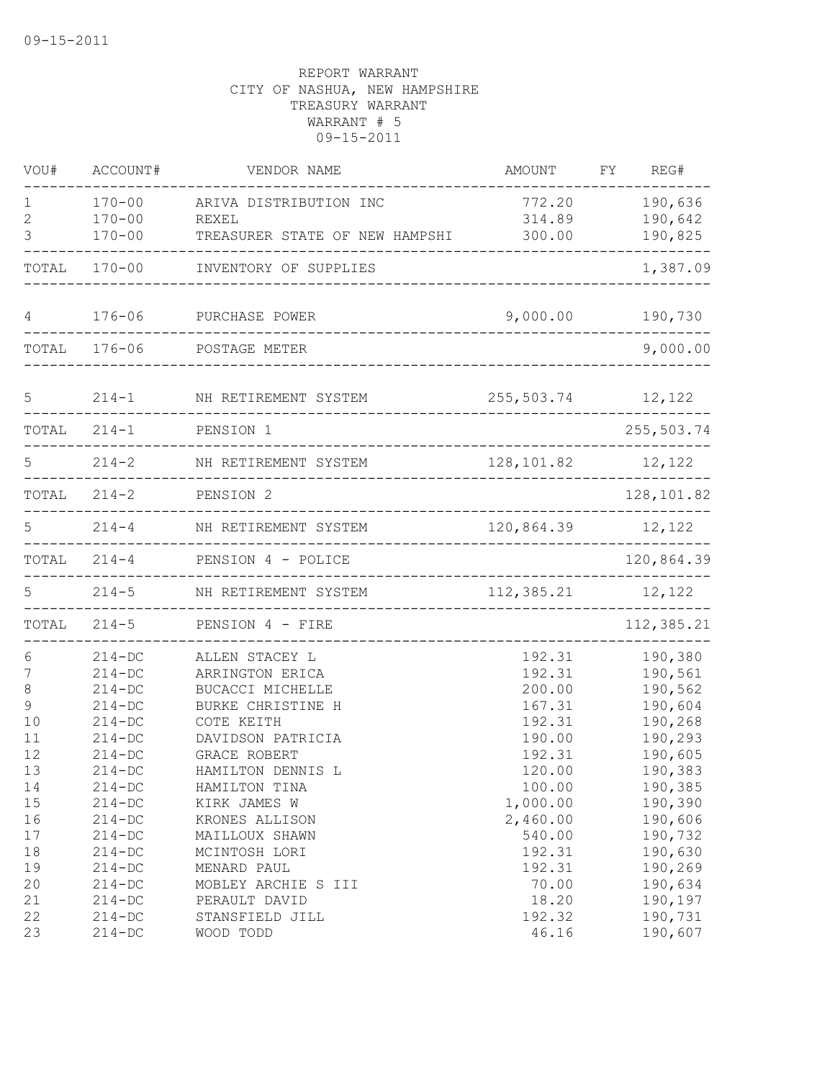| VOU#         | ACCOUNT#     | VENDOR NAME                    | AMOUNT              | FY | REG#       |
|--------------|--------------|--------------------------------|---------------------|----|------------|
| 1            | $170 - 00$   | ARIVA DISTRIBUTION INC         | 772.20              |    | 190,636    |
| $\mathbf{2}$ | $170 - 00$   | REXEL                          | 314.89              |    | 190,642    |
| 3            | $170 - 00$   | TREASURER STATE OF NEW HAMPSHI | 300.00              |    | 190,825    |
|              | TOTAL 170-00 | INVENTORY OF SUPPLIES          |                     |    | 1,387.09   |
| 4            | $176 - 06$   | PURCHASE POWER                 | 9,000.00            |    | 190,730    |
|              | TOTAL 176-06 | POSTAGE METER                  |                     |    | 9,000.00   |
| 5            | $214 - 1$    | NH RETIREMENT SYSTEM           | 255,503.74 12,122   |    |            |
| TOTAL        | $214 - 1$    | PENSION 1                      |                     |    | 255,503.74 |
| 5            | $214 - 2$    | NH RETIREMENT SYSTEM           | 128,101.82          |    | 12,122     |
| TOTAL        | $214 - 2$    | PENSION 2                      |                     |    | 128,101.82 |
| 5            | $214 - 4$    | NH RETIREMENT SYSTEM           | 120,864.39          |    | 12,122     |
| TOTAL        | $214 - 4$    | PENSION 4 - POLICE             |                     |    | 120,864.39 |
| 5.           | $214 - 5$    | NH RETIREMENT SYSTEM           | 112, 385.21 12, 122 |    |            |
| TOTAL        | $214 - 5$    | PENSION 4 - FIRE               | .                   |    | 112,385.21 |
| 6            | $214 - DC$   | ALLEN STACEY L                 | 192.31              |    | 190,380    |
| 7            | $214 - DC$   | ARRINGTON ERICA                | 192.31              |    | 190,561    |
| 8            | $214 - DC$   | BUCACCI MICHELLE               | 200.00              |    | 190,562    |
| 9            | $214 - DC$   | BURKE CHRISTINE H              | 167.31              |    | 190,604    |
| 10           | $214 - DC$   | COTE KEITH                     | 192.31              |    | 190,268    |
| 11           | $214 - DC$   | DAVIDSON PATRICIA              | 190.00              |    | 190,293    |
| 12           | $214 - DC$   | GRACE ROBERT                   | 192.31              |    | 190,605    |
| 13           | $214 - DC$   | HAMILTON DENNIS L              | 120.00              |    | 190,383    |
| 14           | $214 - DC$   | HAMILTON TINA                  | 100.00              |    | 190,385    |
| 15           | $214 - DC$   | KIRK JAMES W                   | 1,000.00            |    | 190,390    |
| 16           | $214 - DC$   | KRONES ALLISON                 | 2,460.00            |    | 190,606    |
| 17           | $214 - DC$   | MAILLOUX SHAWN                 | 540.00              |    | 190,732    |
| 18           | $214 - DC$   | MCINTOSH LORI                  | 192.31              |    | 190,630    |
| 19           | $214 - DC$   | MENARD PAUL                    | 192.31              |    | 190,269    |
| 20           | $214 - DC$   | MOBLEY ARCHIE S III            | 70.00               |    | 190,634    |
| 21           | $214 - DC$   | PERAULT DAVID                  | 18.20               |    | 190,197    |
| 22           | $214 - DC$   | STANSFIELD JILL                | 192.32              |    | 190,731    |
| 23           | $214 - DC$   | WOOD TODD                      | 46.16               |    | 190,607    |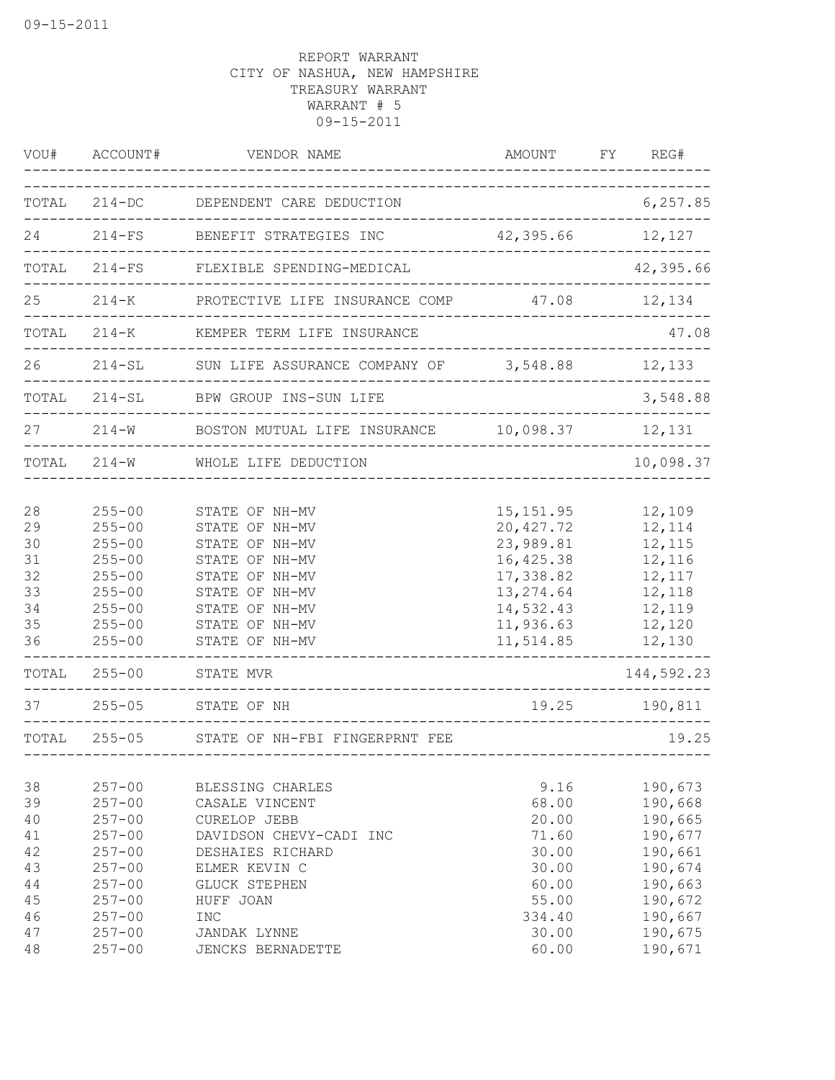| VOU#                                                              | ACCOUNT#                                                                                                                                               | VENDOR NAME                                                                                                                                                                                | <b>AMOUNT</b>                                                                                                                  | FΥ | REG#                                                                                                                           |
|-------------------------------------------------------------------|--------------------------------------------------------------------------------------------------------------------------------------------------------|--------------------------------------------------------------------------------------------------------------------------------------------------------------------------------------------|--------------------------------------------------------------------------------------------------------------------------------|----|--------------------------------------------------------------------------------------------------------------------------------|
| TOTAL                                                             |                                                                                                                                                        | 214-DC DEPENDENT CARE DEDUCTION                                                                                                                                                            |                                                                                                                                |    | 6, 257.85                                                                                                                      |
| 24                                                                | $214-FS$                                                                                                                                               | BENEFIT STRATEGIES INC                                                                                                                                                                     | 42,395.66 12,127                                                                                                               |    |                                                                                                                                |
| TOTAL                                                             |                                                                                                                                                        | 214-FS FLEXIBLE SPENDING-MEDICAL                                                                                                                                                           |                                                                                                                                |    | 42,395.66                                                                                                                      |
| 25                                                                |                                                                                                                                                        | 214-K PROTECTIVE LIFE INSURANCE COMP 47.08 12,134                                                                                                                                          |                                                                                                                                |    |                                                                                                                                |
| TOTAL                                                             |                                                                                                                                                        | 214-K KEMPER TERM LIFE INSURANCE                                                                                                                                                           |                                                                                                                                |    | 47.08                                                                                                                          |
| 26                                                                |                                                                                                                                                        | 214-SL SUN LIFE ASSURANCE COMPANY OF 3,548.88 12,133                                                                                                                                       |                                                                                                                                |    |                                                                                                                                |
| TOTAL                                                             | $214 - SL$                                                                                                                                             | BPW GROUP INS-SUN LIFE                                                                                                                                                                     | ------------------------------------                                                                                           |    | 3,548.88                                                                                                                       |
| 27                                                                |                                                                                                                                                        | 214-W BOSTON MUTUAL LIFE INSURANCE 10,098.37 12,131                                                                                                                                        |                                                                                                                                |    |                                                                                                                                |
| TOTAL                                                             | $214 - W$                                                                                                                                              | WHOLE LIFE DEDUCTION                                                                                                                                                                       |                                                                                                                                |    | 10,098.37                                                                                                                      |
| 28<br>29<br>30<br>31<br>32<br>33<br>34<br>35<br>36<br>TOTAL<br>37 | $255 - 00$<br>$255 - 00$<br>$255 - 00$<br>$255 - 00$<br>$255 - 00$<br>$255 - 00$<br>$255 - 00$<br>$255 - 00$<br>$255 - 00$<br>$255 - 00$<br>$255 - 05$ | STATE OF NH-MV<br>STATE OF NH-MV<br>STATE OF NH-MV<br>STATE OF NH-MV<br>STATE OF NH-MV<br>STATE OF NH-MV<br>STATE OF NH-MV<br>STATE OF NH-MV<br>STATE OF NH-MV<br>STATE MVR<br>STATE OF NH | 15, 151.95<br>20, 427.72<br>23,989.81<br>16, 425.38<br>17,338.82<br>13, 274.64<br>14,532.43<br>11,936.63<br>11,514.85<br>19.25 |    | 12,109<br>12,114<br>12,115<br>12,116<br>12,117<br>12,118<br>12,119<br>12,120<br>12,130<br>$- - - - -$<br>144,592.23<br>190,811 |
| TOTAL                                                             | $255 - 05$                                                                                                                                             | STATE OF NH-FBI FINGERPRNT FEE                                                                                                                                                             | ------------------------------                                                                                                 |    | 19.25                                                                                                                          |
| 38<br>39<br>40<br>41<br>42<br>43<br>44<br>45<br>46                | $257 - 00$<br>$257 - 00$<br>$257 - 00$<br>$257 - 00$<br>$257 - 00$<br>$257 - 00$<br>$257 - 00$<br>$257 - 00$<br>$257 - 00$                             | BLESSING CHARLES<br>CASALE VINCENT<br>CURELOP JEBB<br>DAVIDSON CHEVY-CADI INC<br>DESHAIES RICHARD<br>ELMER KEVIN C<br><b>GLUCK STEPHEN</b><br>HUFF JOAN<br><b>INC</b>                      | 9.16<br>68.00<br>20.00<br>71.60<br>30.00<br>30.00<br>60.00<br>55.00<br>334.40                                                  |    | 190,673<br>190,668<br>190,665<br>190,677<br>190,661<br>190,674<br>190,663<br>190,672<br>190,667                                |
| 47<br>48                                                          | $257 - 00$<br>$257 - 00$                                                                                                                               | <b>JANDAK LYNNE</b><br>JENCKS BERNADETTE                                                                                                                                                   | 30.00<br>60.00                                                                                                                 |    | 190,675<br>190,671                                                                                                             |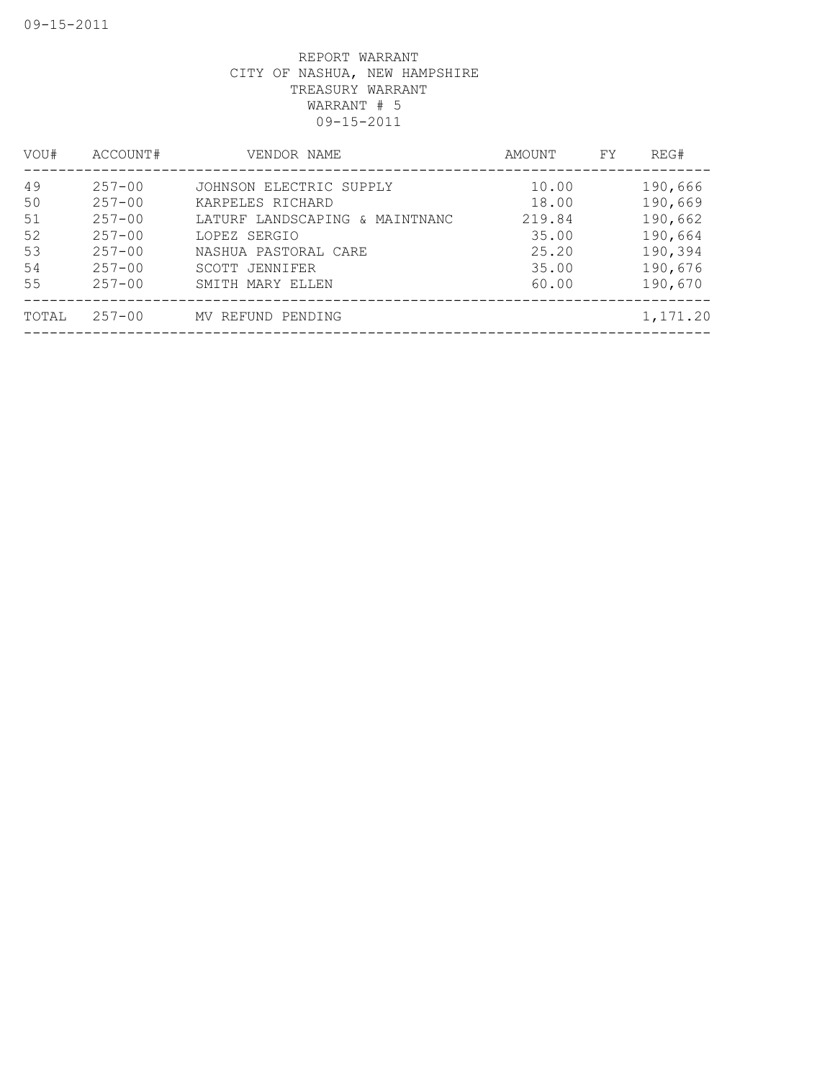| VOU#  | ACCOUNT#   | VENDOR NAME                    | AMOUNT | FY | REG#     |
|-------|------------|--------------------------------|--------|----|----------|
| 49    | $257 - 00$ | JOHNSON ELECTRIC SUPPLY        | 10.00  |    | 190,666  |
| 50    | $257 - 00$ | KARPELES RICHARD               | 18.00  |    | 190,669  |
| 51    | $257 - 00$ | LATURF LANDSCAPING & MAINTNANC | 219.84 |    | 190,662  |
| 52    | $257 - 00$ | LOPEZ SERGIO                   | 35.00  |    | 190,664  |
| 53    | $257 - 00$ | NASHUA PASTORAL CARE           | 25.20  |    | 190,394  |
| 54    | $257 - 00$ | SCOTT JENNIFER                 | 35.00  |    | 190,676  |
| 55    | $257 - 00$ | SMITH MARY ELLEN               | 60.00  |    | 190,670  |
| TOTAL | $257 - 00$ | MV REFUND PENDING              |        |    | 1,171.20 |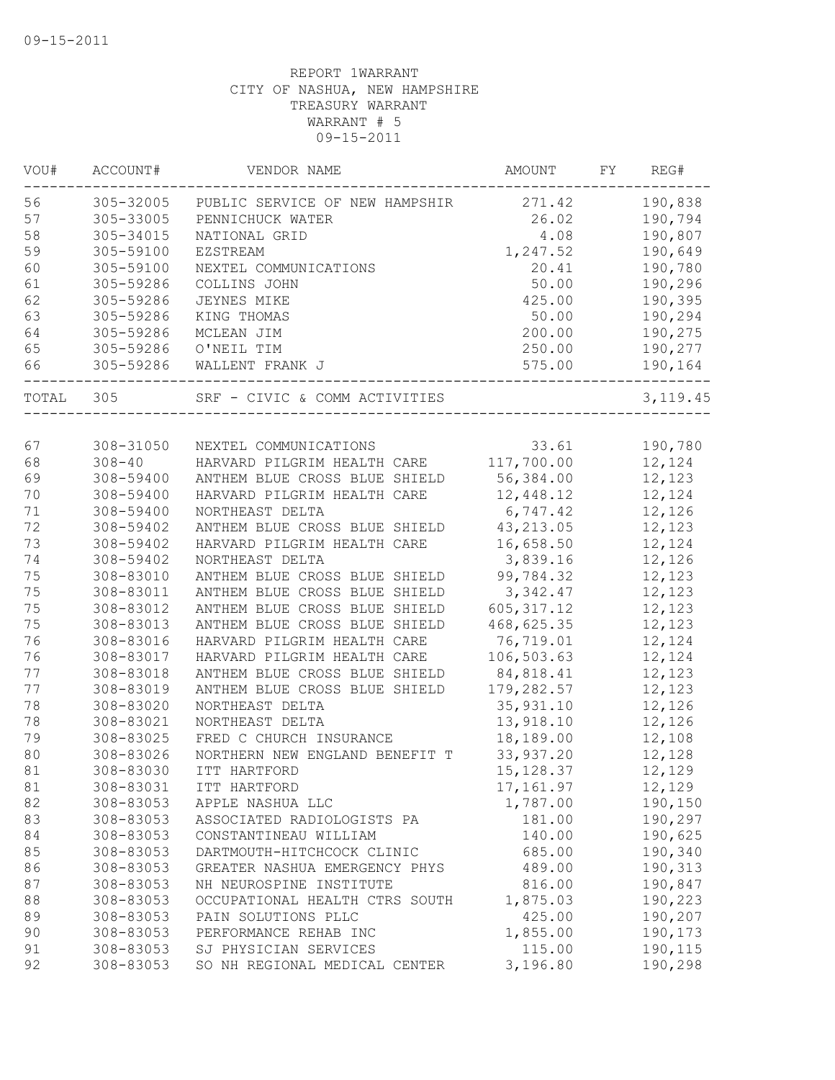| VOU#     | ACCOUNT#               | VENDOR NAME                                            | AMOUNT             | FY | REG#               |
|----------|------------------------|--------------------------------------------------------|--------------------|----|--------------------|
| 56       | 305-32005              | PUBLIC SERVICE OF NEW HAMPSHIR                         | 271.42             |    | 190,838            |
| 57       | 305-33005              | PENNICHUCK WATER                                       | 26.02              |    | 190,794            |
| 58       | 305-34015              | NATIONAL GRID                                          | 4.08               |    | 190,807            |
| 59       | 305-59100              | EZSTREAM                                               | 1,247.52           |    | 190,649            |
| 60       | 305-59100              | NEXTEL COMMUNICATIONS                                  | 20.41              |    | 190,780            |
| 61       | 305-59286              | COLLINS JOHN                                           | 50.00              |    | 190,296            |
| 62       | 305-59286              | JEYNES MIKE                                            | 425.00             |    | 190,395            |
| 63       | 305-59286              | KING THOMAS                                            | 50.00              |    | 190,294            |
| 64       | 305-59286              | MCLEAN JIM                                             | 200.00             |    | 190,275            |
| 65       | 305-59286              | O'NEIL TIM                                             | 250.00             |    | 190,277            |
| 66       | 305-59286              | WALLENT FRANK J                                        | 575.00             |    | 190,164            |
| TOTAL    | 305                    | SRF - CIVIC & COMM ACTIVITIES                          |                    |    | 3,119.45           |
|          |                        |                                                        |                    |    |                    |
| 67       | 308-31050              | NEXTEL COMMUNICATIONS                                  | 33.61              |    | 190,780            |
| 68       | $308 - 40$             | HARVARD PILGRIM HEALTH CARE                            | 117,700.00         |    | 12,124             |
| 69       | 308-59400              | ANTHEM BLUE CROSS BLUE SHIELD                          | 56,384.00          |    | 12,123             |
| 70       | 308-59400              | HARVARD PILGRIM HEALTH CARE                            | 12,448.12          |    | 12,124             |
| 71       | 308-59400              | NORTHEAST DELTA                                        | 6,747.42           |    | 12,126             |
| 72       | 308-59402              | ANTHEM BLUE CROSS BLUE SHIELD                          | 43, 213.05         |    | 12,123             |
| 73       | 308-59402              | HARVARD PILGRIM HEALTH CARE                            | 16,658.50          |    | 12,124             |
| 74       | 308-59402              | NORTHEAST DELTA                                        | 3,839.16           |    | 12,126             |
| 75       | 308-83010              | ANTHEM BLUE CROSS BLUE SHIELD                          | 99,784.32          |    | 12,123             |
| 75       | 308-83011              | ANTHEM BLUE CROSS BLUE SHIELD                          | 3,342.47           |    | 12,123             |
| 75       | 308-83012              | ANTHEM BLUE CROSS BLUE SHIELD                          | 605, 317.12        |    | 12,123             |
| 75       | 308-83013              | ANTHEM BLUE CROSS BLUE SHIELD                          | 468,625.35         |    | 12,123             |
| 76       | 308-83016              | HARVARD PILGRIM HEALTH CARE                            | 76,719.01          |    | 12,124             |
| 76       | 308-83017              | HARVARD PILGRIM HEALTH CARE                            | 106,503.63         |    | 12,124             |
| 77       | 308-83018              | ANTHEM BLUE CROSS BLUE SHIELD                          | 84,818.41          |    | 12,123             |
| 77       | 308-83019              | ANTHEM BLUE CROSS BLUE SHIELD                          | 179,282.57         |    | 12,123             |
| 78       | 308-83020              | NORTHEAST DELTA                                        | 35, 931.10         |    | 12,126             |
| 78       | 308-83021              | NORTHEAST DELTA                                        | 13,918.10          |    | 12,126             |
| 79       | 308-83025              | FRED C CHURCH INSURANCE                                | 18,189.00          |    | 12,108             |
| 80       | 308-83026              | NORTHERN NEW ENGLAND BENEFIT T                         | 33, 937.20         |    | 12,128             |
| 81       | 308-83030              | ITT HARTFORD                                           | 15, 128.37         |    | 12,129             |
| 81       | 308-83031              | ITT HARTFORD                                           | 17, 161.97         |    | 12,129             |
| 82       | 308-83053              | APPLE NASHUA LLC                                       | 1,787.00           |    | 190,150            |
| 83       | 308-83053              | ASSOCIATED RADIOLOGISTS PA                             | 181.00             |    | 190,297            |
| 84       | 308-83053              | CONSTANTINEAU WILLIAM                                  | 140.00             |    | 190,625            |
| 85       | 308-83053              | DARTMOUTH-HITCHCOCK CLINIC                             | 685.00             |    | 190,340            |
| 86       | 308-83053              | GREATER NASHUA EMERGENCY PHYS                          | 489.00             |    | 190,313            |
| 87       | 308-83053              | NH NEUROSPINE INSTITUTE                                | 816.00             |    | 190,847            |
| 88       | 308-83053              | OCCUPATIONAL HEALTH CTRS SOUTH                         | 1,875.03           |    | 190,223            |
| 89       | 308-83053              | PAIN SOLUTIONS PLLC                                    | 425.00             |    | 190,207            |
|          | 308-83053              | PERFORMANCE REHAB INC                                  |                    |    |                    |
| 90       |                        |                                                        | 1,855.00           |    | 190,173            |
| 91<br>92 | 308-83053<br>308-83053 | SJ PHYSICIAN SERVICES<br>SO NH REGIONAL MEDICAL CENTER | 115.00<br>3,196.80 |    | 190,115<br>190,298 |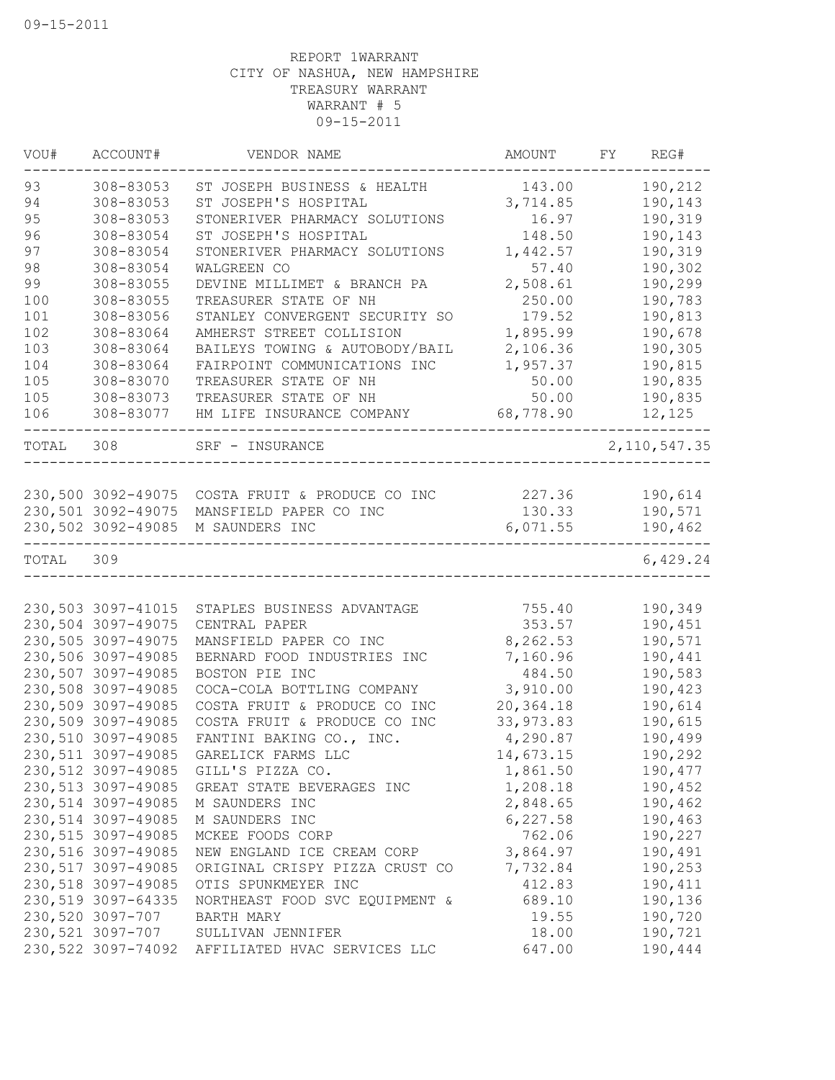| VOU#      | ACCOUNT#            | VENDOR NAME                                     | AMOUNT     | FY | REG#           |
|-----------|---------------------|-------------------------------------------------|------------|----|----------------|
| 93        | 308-83053           | ST JOSEPH BUSINESS & HEALTH                     | 143.00     |    | 190,212        |
| 94        | 308-83053           | ST JOSEPH'S HOSPITAL                            | 3,714.85   |    | 190,143        |
| 95        | 308-83053           | STONERIVER PHARMACY SOLUTIONS                   | 16.97      |    | 190,319        |
| 96        | 308-83054           | ST JOSEPH'S HOSPITAL                            | 148.50     |    | 190,143        |
| 97        | 308-83054           | STONERIVER PHARMACY SOLUTIONS                   | 1,442.57   |    | 190,319        |
| 98        | 308-83054           | WALGREEN CO                                     | 57.40      |    | 190,302        |
| 99        | 308-83055           | DEVINE MILLIMET & BRANCH PA                     | 2,508.61   |    | 190,299        |
| 100       | 308-83055           | TREASURER STATE OF NH                           | 250.00     |    | 190,783        |
| 101       | 308-83056           | STANLEY CONVERGENT SECURITY SO                  | 179.52     |    | 190,813        |
| 102       | 308-83064           | AMHERST STREET COLLISION                        | 1,895.99   |    | 190,678        |
| 103       | 308-83064           | BAILEYS TOWING & AUTOBODY/BAIL                  | 2,106.36   |    | 190,305        |
| 104       | 308-83064           | FAIRPOINT COMMUNICATIONS INC                    | 1,957.37   |    | 190,815        |
| 105       | 308-83070           | TREASURER STATE OF NH                           | 50.00      |    | 190,835        |
| 105       | 308-83073           | TREASURER STATE OF NH                           | 50.00      |    | 190,835        |
| 106       | 308-83077           | HM LIFE INSURANCE COMPANY                       | 68,778.90  |    | 12,125         |
| TOTAL     | 308                 | SRF - INSURANCE                                 |            |    | 2, 110, 547.35 |
|           |                     |                                                 |            |    |                |
|           |                     | 230,500 3092-49075 COSTA FRUIT & PRODUCE CO INC | 227.36     |    | 190,614        |
|           | 230,501 3092-49075  | MANSFIELD PAPER CO INC                          | 130.33     |    | 190,571        |
|           | 230,502 3092-49085  | M SAUNDERS INC                                  | 6,071.55   |    | 190,462        |
| TOTAL 309 |                     |                                                 |            |    | 6,429.24       |
|           |                     |                                                 |            |    |                |
|           | 230,503 3097-41015  | STAPLES BUSINESS ADVANTAGE                      | 755.40     |    | 190,349        |
|           | 230,504 3097-49075  | CENTRAL PAPER                                   | 353.57     |    | 190,451        |
|           | 230,505 3097-49075  | MANSFIELD PAPER CO INC                          | 8,262.53   |    | 190,571        |
|           | 230,506 3097-49085  | BERNARD FOOD INDUSTRIES INC                     | 7,160.96   |    | 190,441        |
|           | 230,507 3097-49085  | BOSTON PIE INC                                  | 484.50     |    | 190,583        |
|           | 230,508 3097-49085  | COCA-COLA BOTTLING COMPANY                      | 3,910.00   |    | 190,423        |
|           | 230,509 3097-49085  | COSTA FRUIT & PRODUCE CO INC                    | 20,364.18  |    | 190,614        |
|           | 230,509 3097-49085  | COSTA FRUIT & PRODUCE CO INC                    | 33, 973.83 |    | 190,615        |
|           | 230,510 3097-49085  | FANTINI BAKING CO., INC.                        | 4,290.87   |    | 190,499        |
|           | 230,511 3097-49085  | GARELICK FARMS LLC                              | 14,673.15  |    | 190,292        |
|           | 230, 512 3097-49085 | GILL'S PIZZA CO.                                | 1,861.50   |    | 190,477        |
|           | 230,513 3097-49085  | GREAT STATE BEVERAGES INC                       | 1,208.18   |    | 190,452        |
|           | 230,514 3097-49085  | M SAUNDERS INC                                  | 2,848.65   |    | 190,462        |
|           | 230,514 3097-49085  | M SAUNDERS INC                                  | 6, 227.58  |    | 190,463        |
|           | 230,515 3097-49085  | MCKEE FOODS CORP                                | 762.06     |    | 190,227        |
|           | 230,516 3097-49085  | NEW ENGLAND ICE CREAM CORP                      | 3,864.97   |    | 190,491        |
|           | 230, 517 3097-49085 | ORIGINAL CRISPY PIZZA CRUST CO                  | 7,732.84   |    | 190,253        |
|           | 230,518 3097-49085  | OTIS SPUNKMEYER INC                             | 412.83     |    | 190,411        |
|           | 230,519 3097-64335  | NORTHEAST FOOD SVC EQUIPMENT &                  | 689.10     |    | 190,136        |
|           | 230,520 3097-707    | BARTH MARY                                      | 19.55      |    | 190,720        |
|           | 230,521 3097-707    | SULLIVAN JENNIFER                               | 18.00      |    | 190,721        |
|           | 230,522 3097-74092  | AFFILIATED HVAC SERVICES LLC                    | 647.00     |    | 190,444        |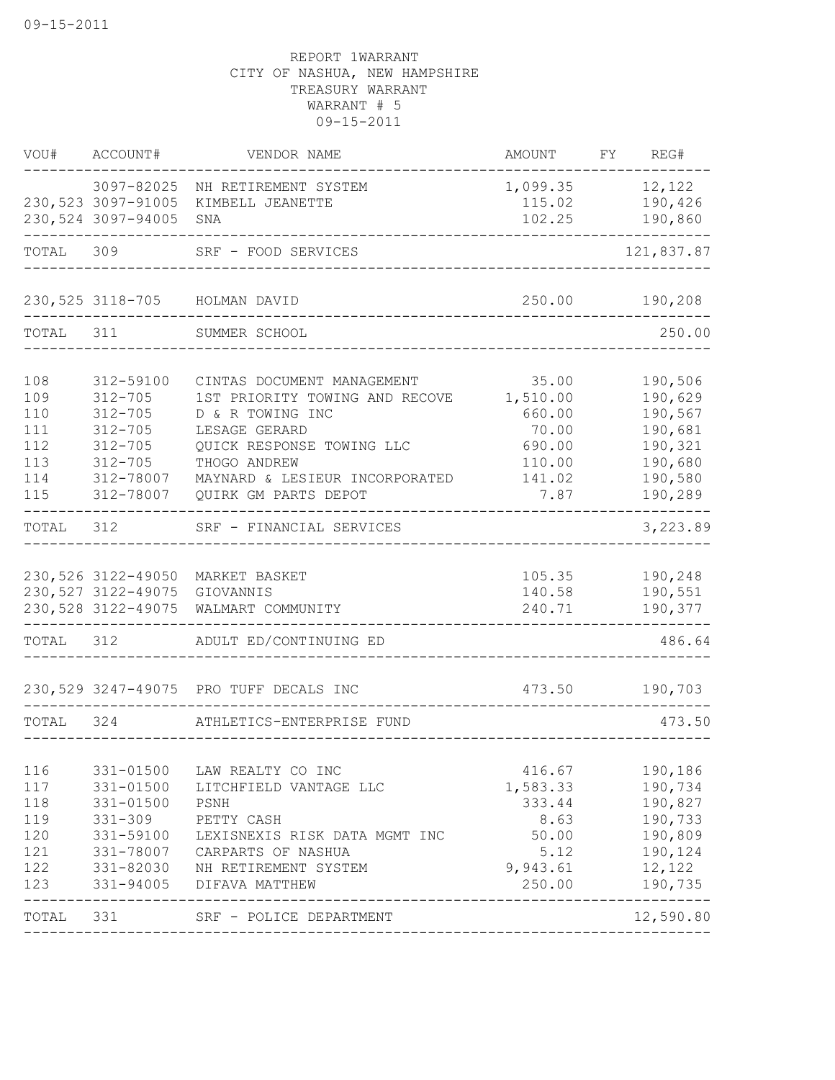|            | VOU# ACCOUNT#            | VENDOR NAME                                                  | AMOUNT            | FY REG#            |
|------------|--------------------------|--------------------------------------------------------------|-------------------|--------------------|
|            | 3097-82025               | NH RETIREMENT SYSTEM                                         | 1,099.35 12,122   |                    |
|            | 230,523 3097-91005       | KIMBELL JEANETTE                                             | 115.02            | 190,426            |
|            | 230,524 3097-94005       | SNA                                                          | 102.25            | 190,860            |
|            |                          | TOTAL 309 SRF - FOOD SERVICES                                |                   | 121,837.87         |
|            |                          | 230,525 3118-705 HOLMAN DAVID                                |                   | 250.00 190,208     |
| TOTAL 311  |                          | SUMMER SCHOOL                                                |                   | 250.00             |
|            |                          |                                                              |                   |                    |
| 108<br>109 | 312-59100<br>$312 - 705$ | CINTAS DOCUMENT MANAGEMENT<br>1ST PRIORITY TOWING AND RECOVE | 35.00<br>1,510.00 | 190,506<br>190,629 |
| 110        | $312 - 705$              | D & R TOWING INC                                             | 660.00            | 190,567            |
| 111        | $312 - 705$              | LESAGE GERARD                                                | 70.00             | 190,681            |
| 112        | $312 - 705$              | QUICK RESPONSE TOWING LLC                                    | 690.00            | 190,321            |
| 113        | $312 - 705$              | THOGO ANDREW                                                 | 110.00            | 190,680            |
| 114        | 312-78007                | MAYNARD & LESIEUR INCORPORATED                               | 141.02            | 190,580            |
| 115        | 312-78007                | QUIRK GM PARTS DEPOT                                         | 7.87              | 190,289            |
| TOTAL      | 312                      | SRF - FINANCIAL SERVICES                                     |                   | 3,223.89           |
|            | 230,526 3122-49050       | MARKET BASKET                                                | 105.35            | 190,248            |
|            | 230, 527 3122-49075      | GIOVANNIS                                                    | 140.58            | 190,551            |
|            | 230, 528 3122-49075      | WALMART COMMUNITY                                            | 240.71            | 190,377            |
| TOTAL 312  |                          | ADULT ED/CONTINUING ED                                       |                   | 486.64             |
|            |                          | 230,529 3247-49075 PRO TUFF DECALS INC                       | 473.50            | 190,703            |
| TOTAL      | 324                      | ATHLETICS-ENTERPRISE FUND                                    |                   | 473.50             |
|            |                          |                                                              |                   |                    |
| 116        | 331-01500                | LAW REALTY CO INC                                            | 416.67            | 190,186            |
| 117        | 331-01500                | LITCHFIELD VANTAGE LLC                                       | 1,583.33          | 190,734            |
| 118        | 331-01500                | PSNH                                                         | 333.44            | 190,827            |
| 119        | $331 - 309$              | PETTY CASH                                                   | 8.63              | 190,733            |
| 120<br>121 | 331-59100<br>331-78007   | LEXISNEXIS RISK DATA MGMT INC<br>CARPARTS OF NASHUA          | 50.00<br>5.12     | 190,809<br>190,124 |
| 122        | 331-82030                | NH RETIREMENT SYSTEM                                         | 9,943.61          | 12,122             |
| 123        | 331-94005                | DIFAVA MATTHEW                                               | 250.00            | 190,735            |
| TOTAL 331  |                          | SRF - POLICE DEPARTMENT                                      |                   | 12,590.80          |
|            |                          |                                                              |                   |                    |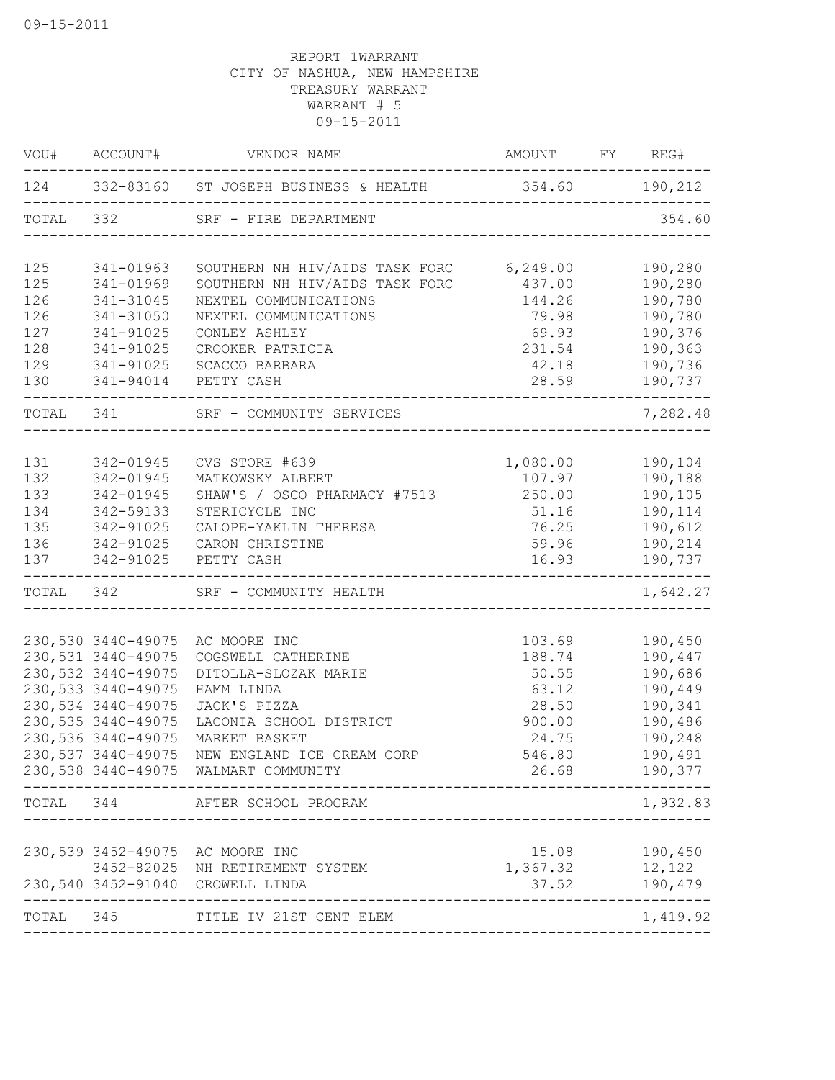| VOU#       | ACCOUNT#                                  | VENDOR NAME                                                                | AMOUNT FY REG#   |                              |
|------------|-------------------------------------------|----------------------------------------------------------------------------|------------------|------------------------------|
|            |                                           | 124 332-83160 ST JOSEPH BUSINESS & HEALTH 354.60 190,212<br>______________ |                  |                              |
| TOTAL 332  |                                           | SRF - FIRE DEPARTMENT                                                      |                  | 354.60                       |
| 125        | 341-01963                                 | SOUTHERN NH HIV/AIDS TASK FORC 6,249.00                                    |                  | 190,280                      |
| 125        | 341-01969                                 | SOUTHERN NH HIV/AIDS TASK FORC                                             | 437.00           | 190,280                      |
| 126        | 341-31045                                 | NEXTEL COMMUNICATIONS                                                      | 144.26           | 190,780                      |
| 126        | 341-31050                                 | NEXTEL COMMUNICATIONS                                                      | 79.98            | 190,780                      |
| 127        | 341-91025                                 | CONLEY ASHLEY                                                              | 69.93            | 190,376                      |
| 128<br>129 | 341-91025<br>341-91025                    | CROOKER PATRICIA                                                           | 231.54           | 190,363                      |
| 130        | 341-94014 PETTY CASH                      | SCACCO BARBARA                                                             | 42.18<br>28.59   | 190,736<br>190,737           |
|            |                                           | TOTAL 341 SRF - COMMUNITY SERVICES                                         |                  | ________________<br>7,282.48 |
|            |                                           |                                                                            |                  |                              |
| 131        | 342-01945                                 | CVS STORE #639                                                             | 1,080.00 190,104 |                              |
| 132        | 342-01945                                 | MATKOWSKY ALBERT                                                           | 107.97           | 190,188                      |
| 133        | 342-01945                                 | SHAW'S / OSCO PHARMACY #7513 250.00                                        |                  | 190,105                      |
| 134        | 342-59133                                 | STERICYCLE INC                                                             | 51.16            | 190,114                      |
| 135        | 342-91025                                 | CALOPE-YAKLIN THERESA                                                      | 76.25            | 190,612                      |
| 136        | 342-91025                                 | CARON CHRISTINE                                                            | 59.96            | 190,214                      |
| 137        | 342-91025                                 | PETTY CASH                                                                 | 16.93            | 190,737                      |
|            |                                           | TOTAL 342 SRF - COMMUNITY HEALTH<br>-----------------------                |                  | 1,642.27                     |
|            |                                           |                                                                            |                  |                              |
|            | 230,530 3440-49075                        | AC MOORE INC                                                               | 103.69           | 190,450                      |
|            | 230,531 3440-49075                        | COGSWELL CATHERINE                                                         | 188.74           | 190,447                      |
|            | 230, 532 3440-49075                       | DITOLLA-SLOZAK MARIE                                                       | 50.55            | 190,686                      |
|            | 230, 533 3440-49075<br>230,534 3440-49075 | HAMM LINDA<br>JACK'S PIZZA                                                 | 63.12            | 190,449                      |
|            | 230, 535 3440-49075                       | LACONIA SCHOOL DISTRICT                                                    | 28.50<br>900.00  | 190,341<br>190,486           |
|            | 230,536 3440-49075                        | MARKET BASKET                                                              | 24.75            | 190,248                      |
|            | 230, 537 3440-49075                       | NEW ENGLAND ICE CREAM CORP                                                 | 546.80           | 190,491                      |
|            |                                           | 230,538 3440-49075 WALMART COMMUNITY                                       | 26.68            | 190,377                      |
| TOTAL      | 344                                       | AFTER SCHOOL PROGRAM                                                       |                  | 1,932.83                     |
|            |                                           |                                                                            |                  |                              |
|            | 230,539 3452-49075                        | AC MOORE INC                                                               | 15.08            | 190,450                      |
|            | 3452-82025                                | NH RETIREMENT SYSTEM                                                       | 1,367.32         | 12,122                       |
|            | 230,540 3452-91040                        | CROWELL LINDA                                                              | 37.52            | 190,479                      |
| TOTAL      | 345                                       | TITLE IV 21ST CENT ELEM                                                    |                  | 1,419.92                     |
|            |                                           |                                                                            |                  |                              |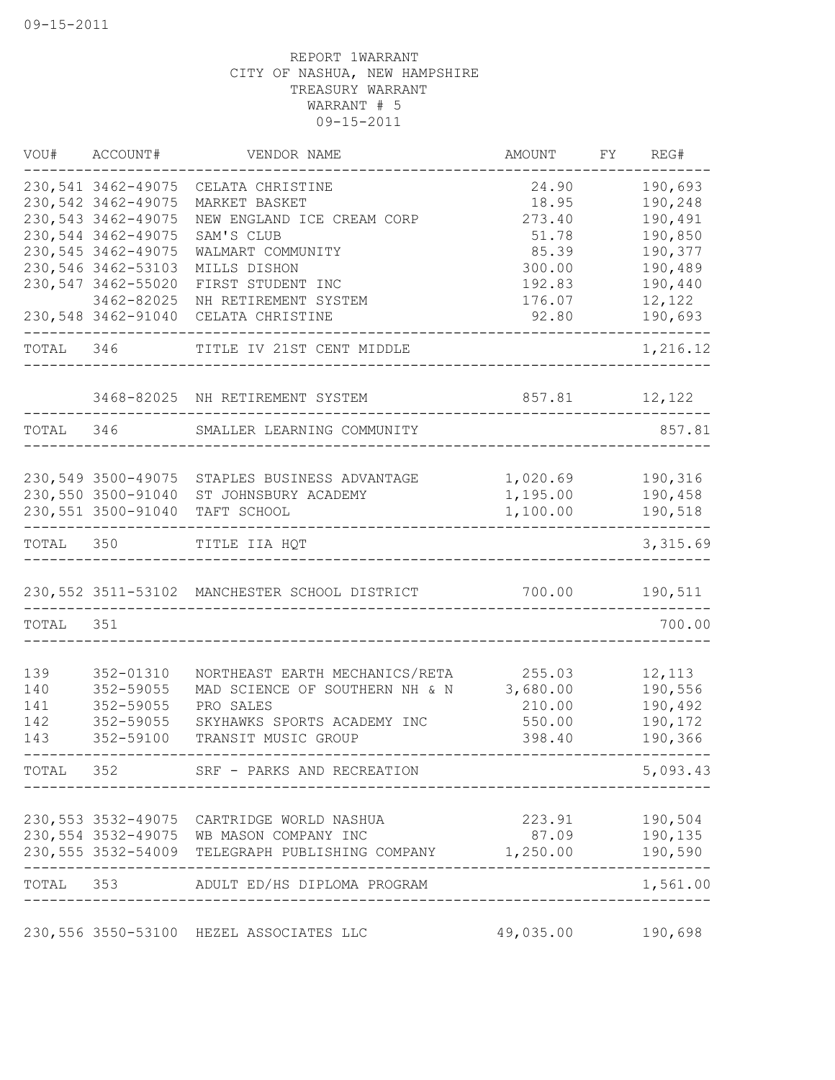|           | VOU# ACCOUNT#       | VENDOR NAME                                                                                         | AMOUNT    | FY REG#            |
|-----------|---------------------|-----------------------------------------------------------------------------------------------------|-----------|--------------------|
|           | 230,541 3462-49075  | CELATA CHRISTINE                                                                                    | 24.90     | 190,693            |
|           | 230,542 3462-49075  | MARKET BASKET                                                                                       | 18.95     | 190,248            |
|           | 230, 543 3462-49075 | NEW ENGLAND ICE CREAM CORP                                                                          | 273.40    | 190,491            |
|           | 230,544 3462-49075  | SAM'S CLUB                                                                                          | 51.78     | 190,850            |
|           | 230, 545 3462-49075 | WALMART COMMUNITY                                                                                   | 85.39     | 190,377            |
|           | 230,546 3462-53103  | MILLS DISHON                                                                                        | 300.00    | 190,489            |
|           | 230,547 3462-55020  | FIRST STUDENT INC                                                                                   | 192.83    | 190,440            |
|           | 3462-82025          | NH RETIREMENT SYSTEM                                                                                | 176.07    | 12,122             |
|           | 230,548 3462-91040  | CELATA CHRISTINE                                                                                    | 92.80     | 190,693            |
| TOTAL 346 |                     | TITLE IV 21ST CENT MIDDLE                                                                           |           | 1,216.12           |
|           |                     | 3468-82025 NH RETIREMENT SYSTEM                                                                     | 857.81    | 12,122             |
| TOTAL 346 |                     | SMALLER LEARNING COMMUNITY                                                                          |           | 857.81             |
|           |                     |                                                                                                     |           |                    |
|           |                     | 230,549 3500-49075 STAPLES BUSINESS ADVANTAGE                                                       | 1,020.69  | 190,316            |
|           | 230,550 3500-91040  | ST JOHNSBURY ACADEMY                                                                                | 1,195.00  | 190,458            |
|           | 230,551 3500-91040  | TAFT SCHOOL                                                                                         | 1,100.00  | 190,518<br>-----   |
| TOTAL 350 |                     | TITLE IIA HQT                                                                                       |           | 3,315.69           |
|           |                     | 230,552 3511-53102 MANCHESTER SCHOOL DISTRICT                                                       | 700.00    | 190,511            |
| TOTAL     | 351                 |                                                                                                     |           | 700.00             |
| 139       | 352-01310           | NORTHEAST EARTH MECHANICS/RETA                                                                      | 255.03    | 12,113             |
| 140       | 352-59055           | MAD SCIENCE OF SOUTHERN NH & N 3,680.00                                                             |           | 190,556            |
| 141       | 352-59055           | PRO SALES                                                                                           | 210.00    | 190,492            |
| 142       | 352-59055           | SKYHAWKS SPORTS ACADEMY INC                                                                         | 550.00    | 190,172            |
| 143       | 352-59100           | TRANSIT MUSIC GROUP                                                                                 | 398.40    | 190,366            |
|           |                     |                                                                                                     |           |                    |
|           |                     | TOTAL 352 SRF - PARKS AND RECREATION                                                                |           | 5,093.43           |
|           |                     |                                                                                                     |           |                    |
|           |                     | 230,553 3532-49075 CARTRIDGE WORLD NASHUA                                                           | 87.09     | 223.91 190,504     |
|           |                     | 230,554 3532-49075 WB MASON COMPANY INC<br>230,555 3532-54009 TELEGRAPH PUBLISHING COMPANY 1,250.00 |           | 190,135<br>190,590 |
|           |                     | TOTAL 353 ADULT ED/HS DIPLOMA PROGRAM                                                               |           | 1,561.00           |
|           |                     |                                                                                                     |           |                    |
|           |                     | 230,556 3550-53100 HEZEL ASSOCIATES LLC                                                             | 49,035.00 | 190,698            |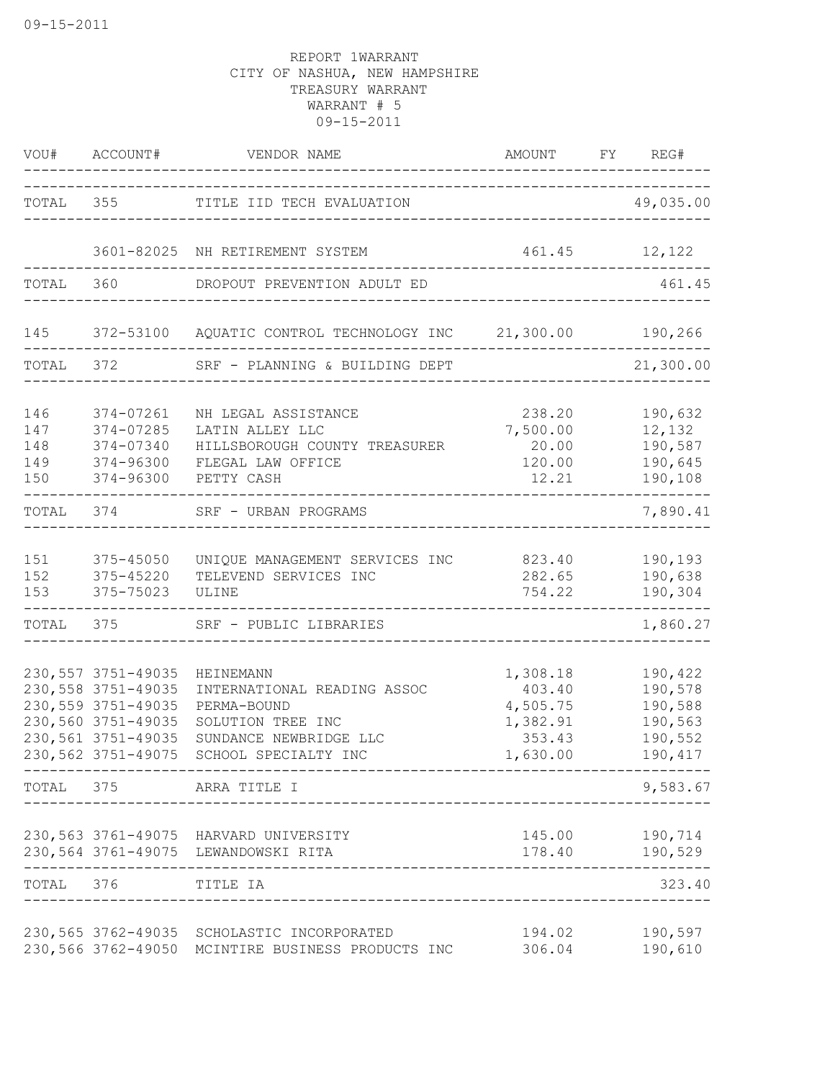|                                 | VOU# ACCOUNT#                                                                                                                       | VENDOR NAME                                                                                                                    | AMOUNT<br>---------------------------------                      | FY REG#                                                        |
|---------------------------------|-------------------------------------------------------------------------------------------------------------------------------------|--------------------------------------------------------------------------------------------------------------------------------|------------------------------------------------------------------|----------------------------------------------------------------|
|                                 |                                                                                                                                     | TOTAL 355 TITLE IID TECH EVALUATION                                                                                            |                                                                  | 49,035.00                                                      |
|                                 |                                                                                                                                     | 3601-82025 NH RETIREMENT SYSTEM                                                                                                |                                                                  | 461.45 12,122                                                  |
| TOTAL 360                       |                                                                                                                                     | DROPOUT PREVENTION ADULT ED                                                                                                    |                                                                  | 461.45                                                         |
| 145                             |                                                                                                                                     | 372-53100 AQUATIC CONTROL TECHNOLOGY INC 21,300.00 190,266                                                                     |                                                                  |                                                                |
| TOTAL 372                       |                                                                                                                                     | SRF - PLANNING & BUILDING DEPT                                                                                                 |                                                                  | 21,300.00                                                      |
| 146<br>147<br>148<br>149<br>150 | 374-07261<br>374-07285<br>374-07340<br>374-96300<br>374-96300                                                                       | NH LEGAL ASSISTANCE<br>LATIN ALLEY LLC<br>HILLSBOROUGH COUNTY TREASURER<br>FLEGAL LAW OFFICE<br>PETTY CASH                     | 238.20<br>7,500.00<br>20.00<br>120.00<br>12.21                   | 190,632<br>12,132<br>190,587<br>190,645<br>190,108             |
| TOTAL                           | 374                                                                                                                                 | SRF - URBAN PROGRAMS                                                                                                           | -----------------------------------                              | 7,890.41                                                       |
| 151<br>152<br>153               | 375-45050<br>375-45220<br>375-75023                                                                                                 | UNIQUE MANAGEMENT SERVICES INC<br>TELEVEND SERVICES INC<br>ULINE                                                               | 823.40<br>282.65<br>754.22                                       | 190,193<br>190,638<br>190,304                                  |
| TOTAL                           | 375                                                                                                                                 | SRF - PUBLIC LIBRARIES                                                                                                         | ______________________________________                           | 1,860.27                                                       |
|                                 | 230, 557 3751-49035<br>230, 558 3751-49035<br>230, 559 3751-49035<br>230,560 3751-49035<br>230,561 3751-49035<br>230,562 3751-49075 | HEINEMANN<br>INTERNATIONAL READING ASSOC<br>PERMA-BOUND<br>SOLUTION TREE INC<br>SUNDANCE NEWBRIDGE LLC<br>SCHOOL SPECIALTY INC | 1,308.18<br>403.40<br>4,505.75<br>1,382.91<br>353.43<br>1,630.00 | 190,422<br>190,578<br>190,588<br>190,563<br>190,552<br>190,417 |
|                                 |                                                                                                                                     | TOTAL 375 ARRA TITLE I                                                                                                         |                                                                  | 9,583.67                                                       |
|                                 |                                                                                                                                     | 230,563 3761-49075 HARVARD UNIVERSITY<br>230,564 3761-49075 LEWANDOWSKI RITA                                                   | 145.00<br>178.40                                                 | 190,714<br>190,529                                             |
| TOTAL                           | 376                                                                                                                                 | TITLE IA                                                                                                                       |                                                                  | 323.40                                                         |
|                                 |                                                                                                                                     | 230,565 3762-49035 SCHOLASTIC INCORPORATED<br>230,566 3762-49050 MCINTIRE BUSINESS PRODUCTS INC                                | 194.02<br>306.04                                                 | 190,597<br>190,610                                             |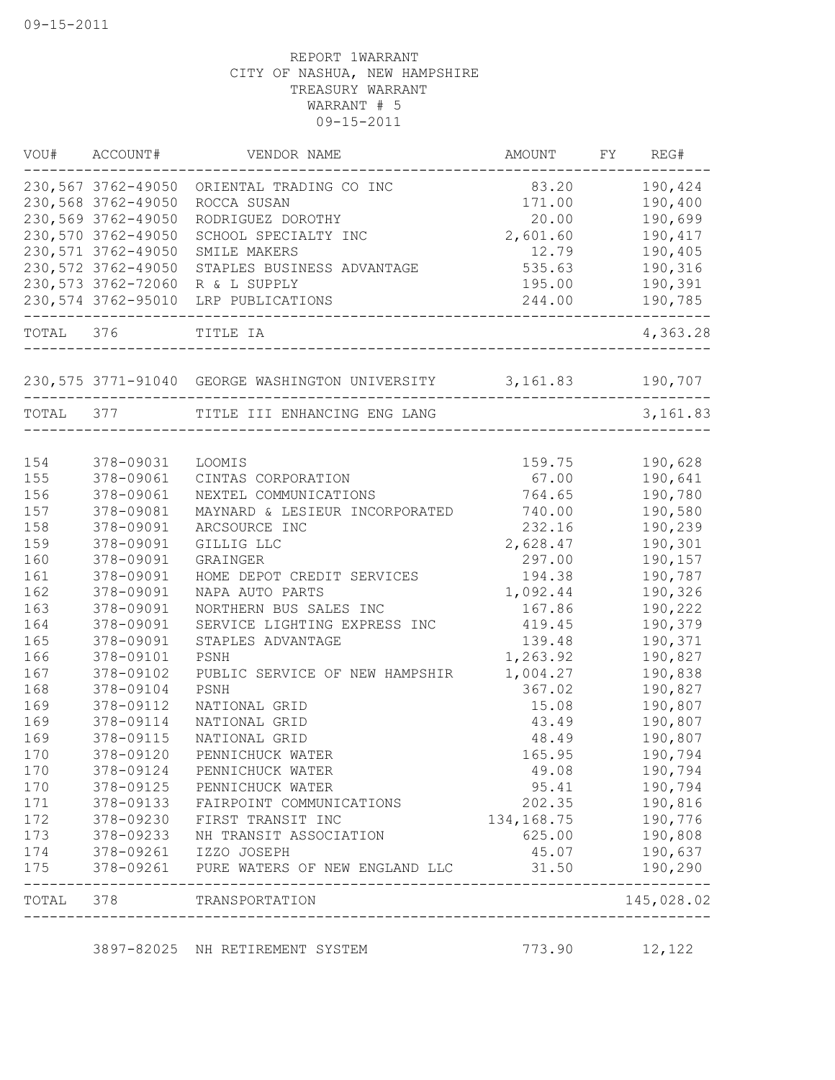| VOU#      | ACCOUNT#           | VENDOR NAME                                              | AMOUNT       | FY REG#                |
|-----------|--------------------|----------------------------------------------------------|--------------|------------------------|
|           |                    | 230,567 3762-49050 ORIENTAL TRADING CO INC               | 83.20        | 190,424                |
|           | 230,568 3762-49050 | ROCCA SUSAN                                              | 171.00       | 190,400                |
|           | 230,569 3762-49050 | RODRIGUEZ DOROTHY                                        | 20.00        | 190,699                |
|           | 230,570 3762-49050 | SCHOOL SPECIALTY INC                                     | 2,601.60     | 190,417                |
|           | 230,571 3762-49050 | SMILE MAKERS                                             | 12.79        | 190,405                |
|           | 230,572 3762-49050 | STAPLES BUSINESS ADVANTAGE                               | 535.63       | 190,316                |
|           | 230,573 3762-72060 | R & L SUPPLY                                             | 195.00       | 190,391                |
|           | 230,574 3762-95010 | LRP PUBLICATIONS<br>---------------------------------    | 244.00       | 190,785<br>$----$      |
| TOTAL 376 |                    | TITLE IA                                                 |              | 4,363.28               |
|           |                    | 230,575 3771-91040 GEORGE WASHINGTON UNIVERSITY 3,161.83 |              | 190,707                |
| TOTAL 377 |                    | TITLE III ENHANCING ENG LANG                             |              | 3,161.83               |
|           |                    |                                                          |              |                        |
| 154       | 378-09031          | LOOMIS                                                   | 159.75       | 190,628                |
| 155       | 378-09061          | CINTAS CORPORATION                                       | 67.00        | 190,641                |
| 156       | 378-09061          | NEXTEL COMMUNICATIONS                                    | 764.65       | 190,780                |
| 157       | 378-09081          | MAYNARD & LESIEUR INCORPORATED                           | 740.00       | 190,580                |
| 158       | 378-09091          | ARCSOURCE INC                                            | 232.16       | 190,239                |
| 159       | 378-09091          | GILLIG LLC                                               | 2,628.47     | 190,301                |
| 160       | 378-09091          | GRAINGER                                                 | 297.00       | 190,157                |
| 161       | 378-09091          | HOME DEPOT CREDIT SERVICES                               | 194.38       | 190,787                |
| 162       | 378-09091          | NAPA AUTO PARTS                                          | 1,092.44     | 190,326                |
| 163       | 378-09091          | NORTHERN BUS SALES INC                                   | 167.86       | 190,222                |
| 164       | 378-09091          | SERVICE LIGHTING EXPRESS INC                             | 419.45       | 190,379                |
| 165       | 378-09091          | STAPLES ADVANTAGE                                        | 139.48       | 190,371                |
| 166       | 378-09101          | PSNH                                                     | 1,263.92     | 190,827                |
| 167       | 378-09102          | PUBLIC SERVICE OF NEW HAMPSHIR                           | 1,004.27     | 190,838                |
| 168       | 378-09104          | PSNH                                                     | 367.02       | 190,827                |
| 169       | 378-09112          | NATIONAL GRID                                            | 15.08        | 190,807                |
| 169       | 378-09114          | NATIONAL GRID                                            | 43.49        | 190,807                |
| 169       | 378-09115          | NATIONAL GRID                                            | 48.49        | 190,807                |
| 170       | 378-09120          | PENNICHUCK WATER                                         | 165.95       | 190,794                |
| 170       | 378-09124          | PENNICHUCK WATER                                         | 49.08        | 190,794                |
| 170       | 378-09125          | PENNICHUCK WATER                                         | 95.41        | 190,794                |
| 171       | 378-09133          | FAIRPOINT COMMUNICATIONS                                 | 202.35       | 190,816                |
| 172       | 378-09230          | FIRST TRANSIT INC                                        | 134, 168. 75 | 190,776                |
| 173       | 378-09233          | NH TRANSIT ASSOCIATION                                   | 625.00       | 190,808                |
| 174       | 378-09261          | IZZO JOSEPH                                              | 45.07        | 190,637                |
| 175       | 378-09261          | PURE WATERS OF NEW ENGLAND LLC                           | 31.50        | 190,290<br>$- - - - -$ |
| TOTAL     | 378                | TRANSPORTATION<br>------------------------               |              | 145,028.02             |

3897-82025 NH RETIREMENT SYSTEM 773.90 12,122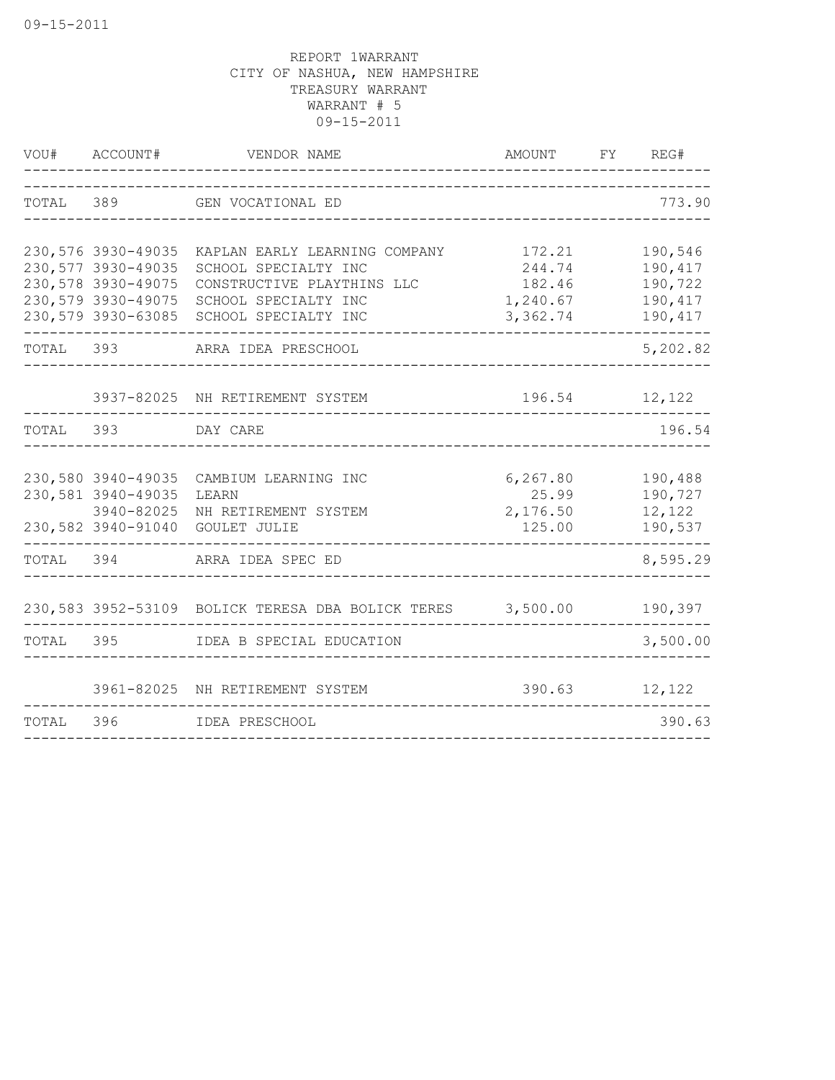| VOU#      | ACCOUNT#                                                                                                   | VENDOR NAME                                                                                                                         | AMOUNT                                             | FY | REG#                                                |
|-----------|------------------------------------------------------------------------------------------------------------|-------------------------------------------------------------------------------------------------------------------------------------|----------------------------------------------------|----|-----------------------------------------------------|
| TOTAL     | 389                                                                                                        | GEN VOCATIONAL ED                                                                                                                   |                                                    |    | 773.90                                              |
|           | 230,576 3930-49035<br>230,577 3930-49035<br>230,578 3930-49075<br>230,579 3930-49075<br>230,579 3930-63085 | KAPLAN EARLY LEARNING COMPANY<br>SCHOOL SPECIALTY INC<br>CONSTRUCTIVE PLAYTHINS LLC<br>SCHOOL SPECIALTY INC<br>SCHOOL SPECIALTY INC | 172.21<br>244.74<br>182.46<br>1,240.67<br>3,362.74 |    | 190,546<br>190,417<br>190,722<br>190,417<br>190,417 |
| TOTAL     | 393                                                                                                        | ARRA IDEA PRESCHOOL                                                                                                                 |                                                    |    | 5,202.82                                            |
|           |                                                                                                            | 3937-82025 NH RETIREMENT SYSTEM                                                                                                     | 196.54 12,122                                      |    |                                                     |
| TOTAL 393 |                                                                                                            | DAY CARE                                                                                                                            |                                                    |    | 196.54                                              |
|           | 230,580 3940-49035<br>230,581 3940-49035<br>3940-82025                                                     | CAMBIUM LEARNING INC<br>LEARN<br>NH RETIREMENT SYSTEM<br>230,582 3940-91040 GOULET JULIE                                            | 6, 267.80<br>25.99<br>2,176.50<br>125.00           |    | 190,488<br>190,727<br>12,122<br>190,537             |
| TOTAL     | 394                                                                                                        | ARRA IDEA SPEC ED                                                                                                                   |                                                    |    | 8,595.29                                            |
|           |                                                                                                            | 230,583 3952-53109 BOLICK TERESA DBA BOLICK TERES 3,500.00                                                                          |                                                    |    | 190,397                                             |
| TOTAL     | 395 396                                                                                                    | IDEA B SPECIAL EDUCATION                                                                                                            |                                                    |    | 3,500.00                                            |
|           |                                                                                                            | 3961-82025 NH RETIREMENT SYSTEM                                                                                                     | 390.63                                             |    | 12,122                                              |
| TOTAL     | 396                                                                                                        | IDEA PRESCHOOL                                                                                                                      |                                                    |    | 390.63                                              |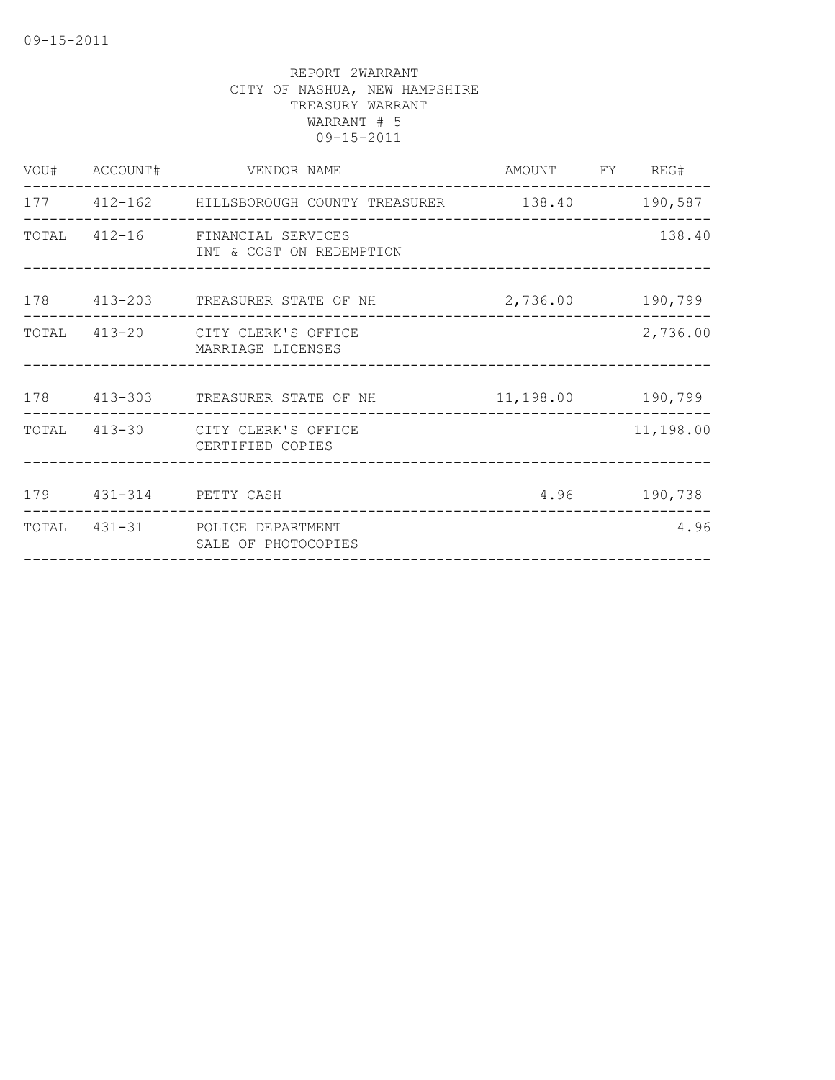|                            | VOU# ACCOUNT# VENDOR NAME                                   | AMOUNT FY REG#   |                    |
|----------------------------|-------------------------------------------------------------|------------------|--------------------|
|                            | 177 412-162 HILLSBOROUGH COUNTY TREASURER 138.40 190,587    |                  | ------------------ |
|                            | TOTAL 412-16 FINANCIAL SERVICES<br>INT & COST ON REDEMPTION |                  | 138.40             |
|                            | 178 413-203 TREASURER STATE OF NH                           | 2,736.00 190,799 |                    |
|                            | TOTAL 413-20 CITY CLERK'S OFFICE<br>MARRIAGE LICENSES       |                  | 2,736.00           |
|                            | 178  413-303  TREASURER STATE OF NH   11,198.00  190,799    |                  |                    |
|                            | TOTAL 413-30 CITY CLERK'S OFFICE<br>CERTIFIED COPIES        |                  | 11,198.00          |
| 179   431-314   PETTY CASH |                                                             | 4.96 190,738     |                    |
| _______________________    | TOTAL 431-31 POLICE DEPARTMENT<br>SALE OF PHOTOCOPIES       |                  | 4.96               |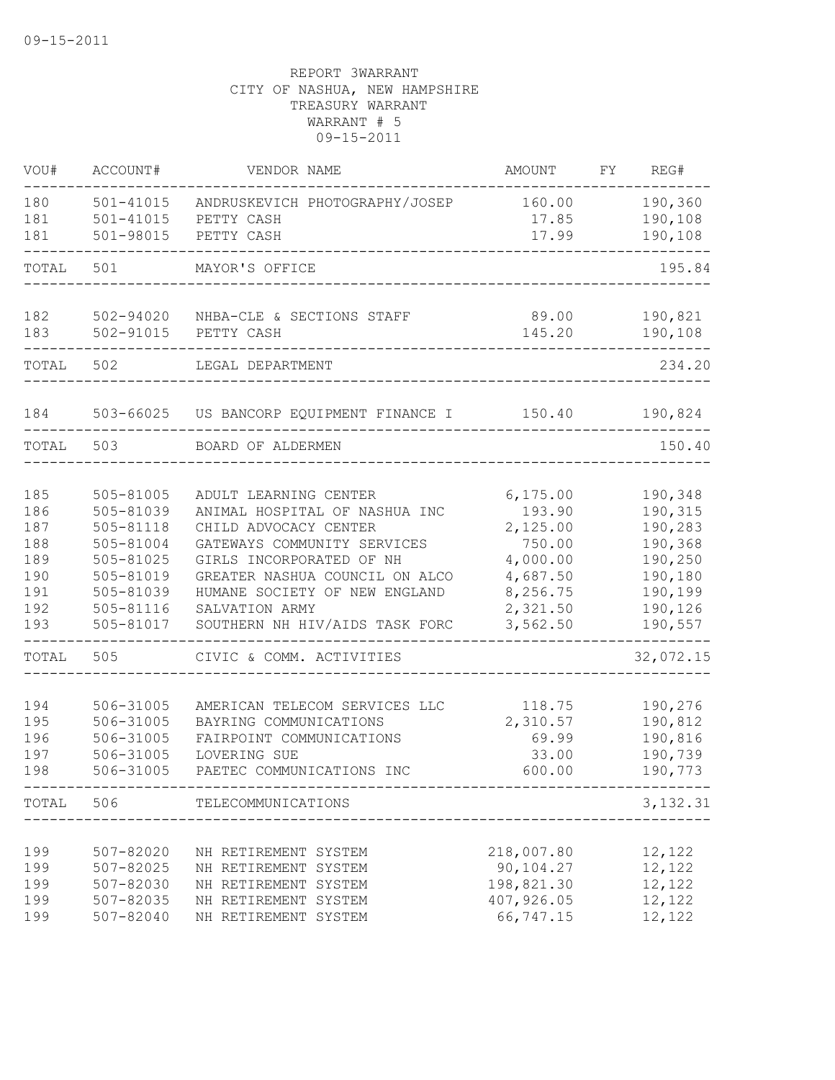| VOU#       | ACCOUNT#               | VENDOR NAME                                             | AMOUNT                  | FY | REG#               |
|------------|------------------------|---------------------------------------------------------|-------------------------|----|--------------------|
| 180        | $501 - 41015$          | ANDRUSKEVICH PHOTOGRAPHY/JOSEP                          | 160.00                  |    | 190,360            |
| 181        | $501 - 41015$          | PETTY CASH                                              | 17.85                   |    | 190,108            |
| 181        | 501-98015              | PETTY CASH                                              | 17.99                   |    | 190,108            |
| TOTAL      | 501                    | MAYOR'S OFFICE                                          |                         |    | 195.84             |
| 182        | 502-94020              | NHBA-CLE & SECTIONS STAFF                               | 89.00                   |    | 190,821            |
| 183        | 502-91015              | PETTY CASH                                              | 145.20                  |    | 190,108            |
| TOTAL      | 502                    | LEGAL DEPARTMENT                                        |                         |    | 234.20             |
| 184        |                        | 503-66025 US BANCORP EQUIPMENT FINANCE I                | 150.40                  |    | 190,824            |
| TOTAL      | 503                    | BOARD OF ALDERMEN                                       |                         |    | 150.40             |
| 185        | 505-81005              | ADULT LEARNING CENTER                                   | 6, 175.00               |    | 190,348            |
| 186        | 505-81039              | ANIMAL HOSPITAL OF NASHUA INC                           | 193.90                  |    | 190,315            |
| 187        | 505-81118              | CHILD ADVOCACY CENTER                                   | 2,125.00                |    | 190,283            |
| 188        | 505-81004              | GATEWAYS COMMUNITY SERVICES                             | 750.00                  |    | 190,368            |
| 189        | 505-81025              | GIRLS INCORPORATED OF NH                                | 4,000.00                |    | 190,250            |
| 190        | 505-81019              | GREATER NASHUA COUNCIL ON ALCO                          | 4,687.50                |    | 190,180            |
| 191        | 505-81039              | HUMANE SOCIETY OF NEW ENGLAND                           | 8,256.75                |    | 190,199            |
| 192<br>193 | 505-81116<br>505-81017 | SALVATION ARMY<br>SOUTHERN NH HIV/AIDS TASK FORC        | 2,321.50<br>3,562.50    |    | 190,126<br>190,557 |
| TOTAL      | 505                    | CIVIC & COMM. ACTIVITIES                                |                         |    | 32,072.15          |
|            |                        |                                                         |                         |    |                    |
| 194<br>195 | 506-31005<br>506-31005 | AMERICAN TELECOM SERVICES LLC<br>BAYRING COMMUNICATIONS | 118.75<br>2,310.57      |    | 190,276<br>190,812 |
| 196        | 506-31005              | FAIRPOINT COMMUNICATIONS                                | 69.99                   |    | 190,816            |
| 197        | 506-31005              | LOVERING SUE                                            | 33.00                   |    | 190,739            |
| 198        | 506-31005              | PAETEC COMMUNICATIONS INC                               | 600.00                  |    | 190,773            |
| TOTAL 506  |                        | TELECOMMUNICATIONS                                      |                         |    | 3, 132.31          |
|            |                        |                                                         |                         |    |                    |
| 199        | 507-82020              | NH RETIREMENT SYSTEM                                    | 218,007.80              |    | 12,122             |
| 199<br>199 | 507-82025<br>507-82030 | NH RETIREMENT SYSTEM<br>NH RETIREMENT SYSTEM            | 90,104.27<br>198,821.30 |    | 12,122<br>12,122   |
| 199        | 507-82035              | NH RETIREMENT SYSTEM                                    | 407,926.05              |    | 12,122             |
| 199        | 507-82040              | NH RETIREMENT SYSTEM                                    | 66,747.15               |    | 12,122             |
|            |                        |                                                         |                         |    |                    |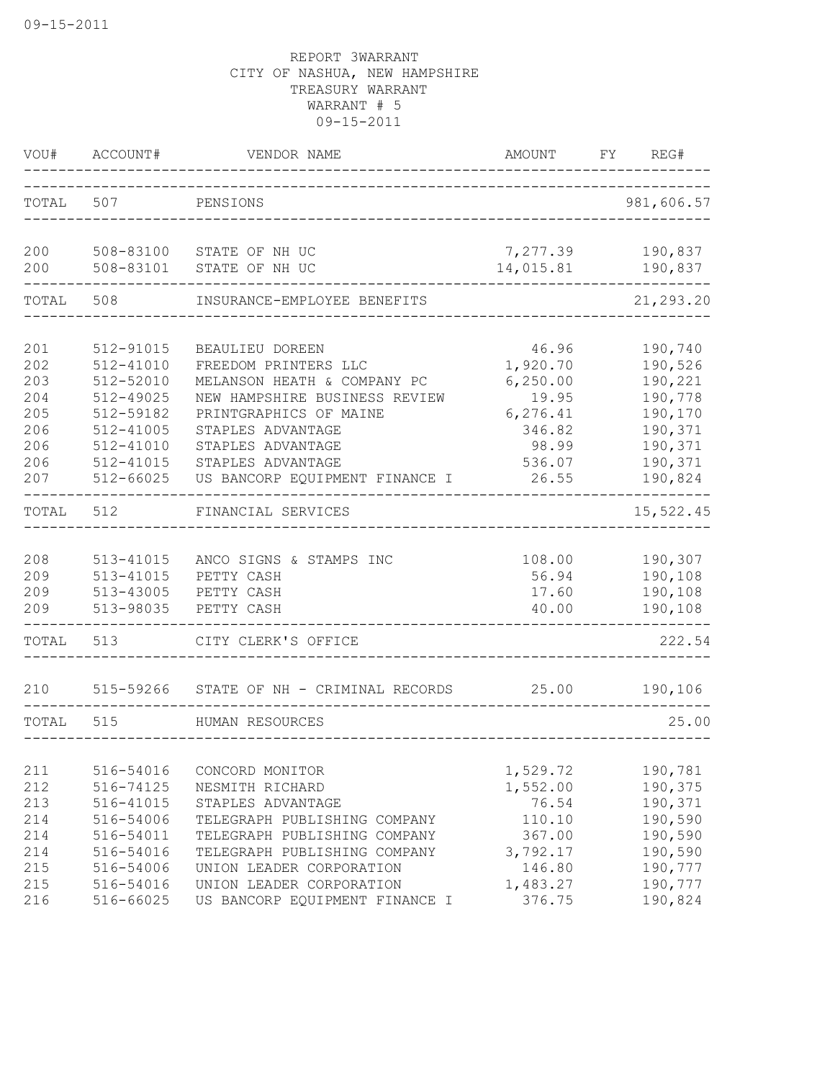| VOU#                     | ACCOUNT#                                             | VENDOR NAME<br>______________                                                                 | AMOUNT                             | REG#<br>FY                               |
|--------------------------|------------------------------------------------------|-----------------------------------------------------------------------------------------------|------------------------------------|------------------------------------------|
| TOTAL                    | 507                                                  | PENSIONS                                                                                      |                                    | 981,606.57                               |
| 200<br>200               | 508-83100<br>508-83101                               | STATE OF NH UC<br>STATE OF NH UC                                                              | 7,277.39<br>14,015.81              | 190,837<br>190,837                       |
| TOTAL                    | 508                                                  | INSURANCE-EMPLOYEE BENEFITS                                                                   |                                    | 21,293.20                                |
| 201<br>202               | 512-91015<br>512-41010                               | BEAULIEU DOREEN<br>FREEDOM PRINTERS LLC                                                       | 46.96<br>1,920.70                  | 190,740<br>190,526                       |
| 203<br>204<br>205        | 512-52010<br>512-49025<br>512-59182                  | MELANSON HEATH & COMPANY PC<br>NEW HAMPSHIRE BUSINESS REVIEW<br>PRINTGRAPHICS OF MAINE        | 6, 250.00<br>19.95<br>6, 276.41    | 190,221<br>190,778<br>190,170            |
| 206<br>206<br>206<br>207 | 512-41005<br>512-41010<br>512-41015<br>512-66025     | STAPLES ADVANTAGE<br>STAPLES ADVANTAGE<br>STAPLES ADVANTAGE<br>US BANCORP EQUIPMENT FINANCE I | 346.82<br>98.99<br>536.07<br>26.55 | 190,371<br>190,371<br>190,371<br>190,824 |
| TOTAL                    | 512                                                  | FINANCIAL SERVICES                                                                            |                                    | 15,522.45                                |
| 208<br>209<br>209<br>209 | $513 - 41015$<br>513-41015<br>513-43005<br>513-98035 | ANCO SIGNS & STAMPS INC<br>PETTY CASH<br>PETTY CASH<br>PETTY CASH                             | 108.00<br>56.94<br>17.60<br>40.00  | 190,307<br>190,108<br>190,108<br>190,108 |
| TOTAL                    | 513                                                  | CITY CLERK'S OFFICE                                                                           |                                    | 222.54                                   |
| 210                      |                                                      | 515-59266 STATE OF NH - CRIMINAL RECORDS                                                      | 25.00                              | 190,106                                  |
| TOTAL                    | 515                                                  | HUMAN RESOURCES                                                                               |                                    | 25.00                                    |
| 211                      | 516-54016                                            | CONCORD MONITOR                                                                               | 1,529.72                           | 190,781                                  |
| 212<br>213<br>214        | 516-74125<br>516-41015                               | NESMITH RICHARD<br>STAPLES ADVANTAGE                                                          | 1,552.00<br>76.54                  | 190,375<br>190,371<br>190,590            |
| 214<br>214               | 516-54006<br>516-54011<br>516-54016                  | TELEGRAPH PUBLISHING COMPANY<br>TELEGRAPH PUBLISHING COMPANY<br>TELEGRAPH PUBLISHING COMPANY  | 110.10<br>367.00<br>3,792.17       | 190,590<br>190,590                       |
| 215<br>215<br>216        | 516-54006<br>516-54016<br>516-66025                  | UNION LEADER CORPORATION<br>UNION LEADER CORPORATION<br>US BANCORP EQUIPMENT FINANCE I        | 146.80<br>1,483.27<br>376.75       | 190,777<br>190,777<br>190,824            |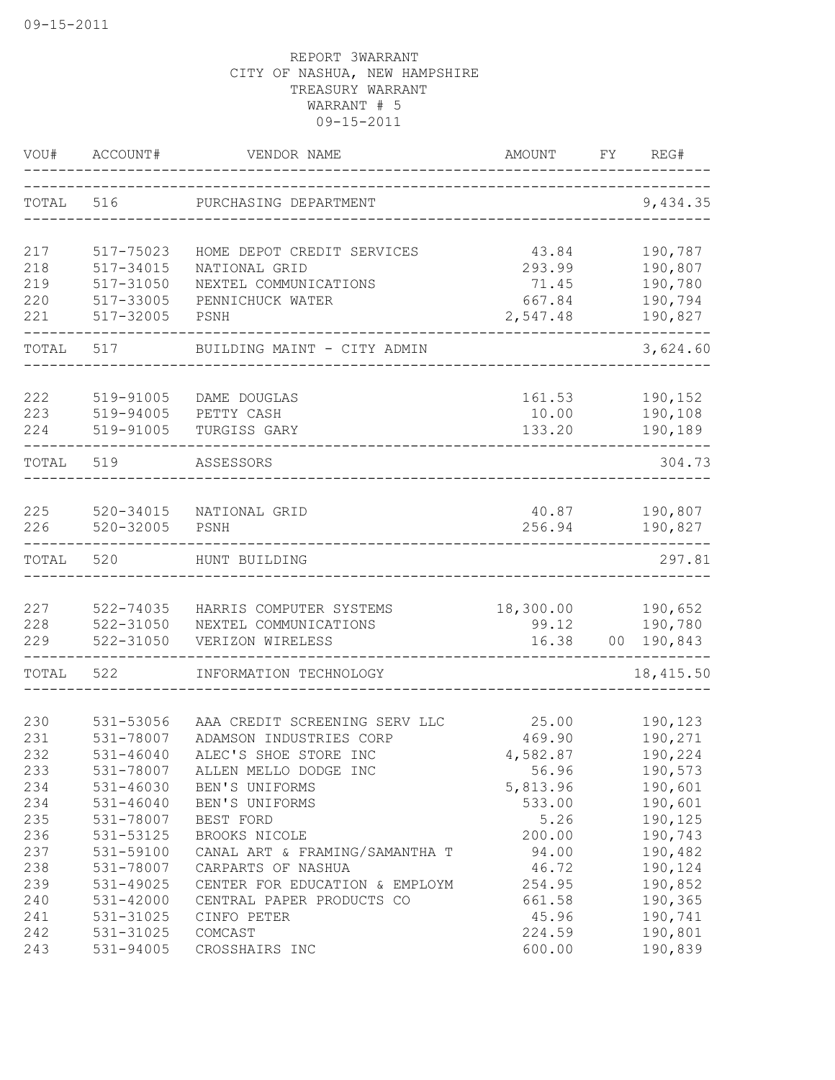| VOU#       | ACCOUNT#                   | VENDOR NAME                                     | <b>AMOUNT</b>     | FY.             | REG#                |
|------------|----------------------------|-------------------------------------------------|-------------------|-----------------|---------------------|
| TOTAL      | 516                        | PURCHASING DEPARTMENT                           |                   |                 | 9,434.35            |
| 217        | 517-75023                  | HOME DEPOT CREDIT SERVICES                      | 43.84             |                 | 190,787             |
| 218        | 517-34015                  | NATIONAL GRID                                   | 293.99            |                 | 190,807             |
| 219        | 517-31050                  | NEXTEL COMMUNICATIONS                           | 71.45             |                 | 190,780             |
| 220        | 517-33005                  | PENNICHUCK WATER                                | 667.84            |                 | 190,794             |
| 221        | 517-32005                  | PSNH                                            | 2,547.48          |                 | 190,827             |
| TOTAL      | 517                        | BUILDING MAINT - CITY ADMIN                     |                   |                 | 3,624.60            |
| 222        | 519-91005                  | DAME DOUGLAS                                    | 161.53            |                 | 190,152             |
| 223        | 519-94005                  | PETTY CASH                                      | 10.00             |                 | 190,108             |
| 224        | 519-91005                  | TURGISS GARY                                    | 133.20            |                 | 190,189             |
| TOTAL      | 519                        | ASSESSORS                                       |                   |                 | 304.73              |
| 225        | 520-34015                  | NATIONAL GRID                                   | 40.87             |                 | 190,807             |
| 226        | $520 - 32005$              | PSNH                                            | 256.94            |                 | 190,827             |
| TOTAL      | 520                        | HUNT BUILDING                                   |                   |                 | 297.81              |
|            |                            |                                                 |                   |                 |                     |
| 227        | 522-74035                  | HARRIS COMPUTER SYSTEMS                         | 18,300.00         |                 | 190,652             |
| 228<br>229 | 522-31050<br>522-31050     | NEXTEL COMMUNICATIONS<br>VERIZON WIRELESS       | 99.12<br>16.38    | 00 <sub>o</sub> | 190,780<br>190,843  |
| TOTAL      | 522                        | INFORMATION TECHNOLOGY                          |                   |                 | ------<br>18,415.50 |
|            |                            |                                                 |                   |                 |                     |
| 230        | 531-53056                  | AAA CREDIT SCREENING SERV LLC                   | 25.00             |                 | 190,123             |
| 231        | 531-78007                  | ADAMSON INDUSTRIES CORP                         | 469.90            |                 | 190,271             |
| 232        | $531 - 46040$<br>531-78007 | ALEC'S SHOE STORE INC                           | 4,582.87          |                 | 190,224             |
| 233<br>234 | 531-46030                  | ALLEN MELLO DODGE INC<br>BEN'S UNIFORMS         | 56.96<br>5,813.96 |                 | 190,573<br>190,601  |
| 234        | $531 - 46040$              | BEN'S UNIFORMS                                  | 533.00            |                 | 190,601             |
| 235        | 531-78007                  | BEST FORD                                       | 5.26              |                 | 190,125             |
|            |                            |                                                 |                   |                 |                     |
| 236<br>237 | 531-53125<br>531-59100     | BROOKS NICOLE<br>CANAL ART & FRAMING/SAMANTHA T | 200.00<br>94.00   |                 | 190,743<br>190,482  |
| 238        | 531-78007                  | CARPARTS OF NASHUA                              |                   |                 | 190,124             |
| 239        |                            |                                                 | 46.72<br>254.95   |                 |                     |
|            | 531-49025                  | CENTER FOR EDUCATION & EMPLOYM                  |                   |                 | 190,852             |
| 240        | 531-42000<br>531-31025     | CENTRAL PAPER PRODUCTS CO                       | 661.58            |                 | 190,365             |
| 241<br>242 | 531-31025                  | CINFO PETER<br>COMCAST                          | 45.96             |                 | 190,741             |
| 243        | 531-94005                  | CROSSHAIRS INC                                  | 224.59<br>600.00  |                 | 190,801<br>190,839  |
|            |                            |                                                 |                   |                 |                     |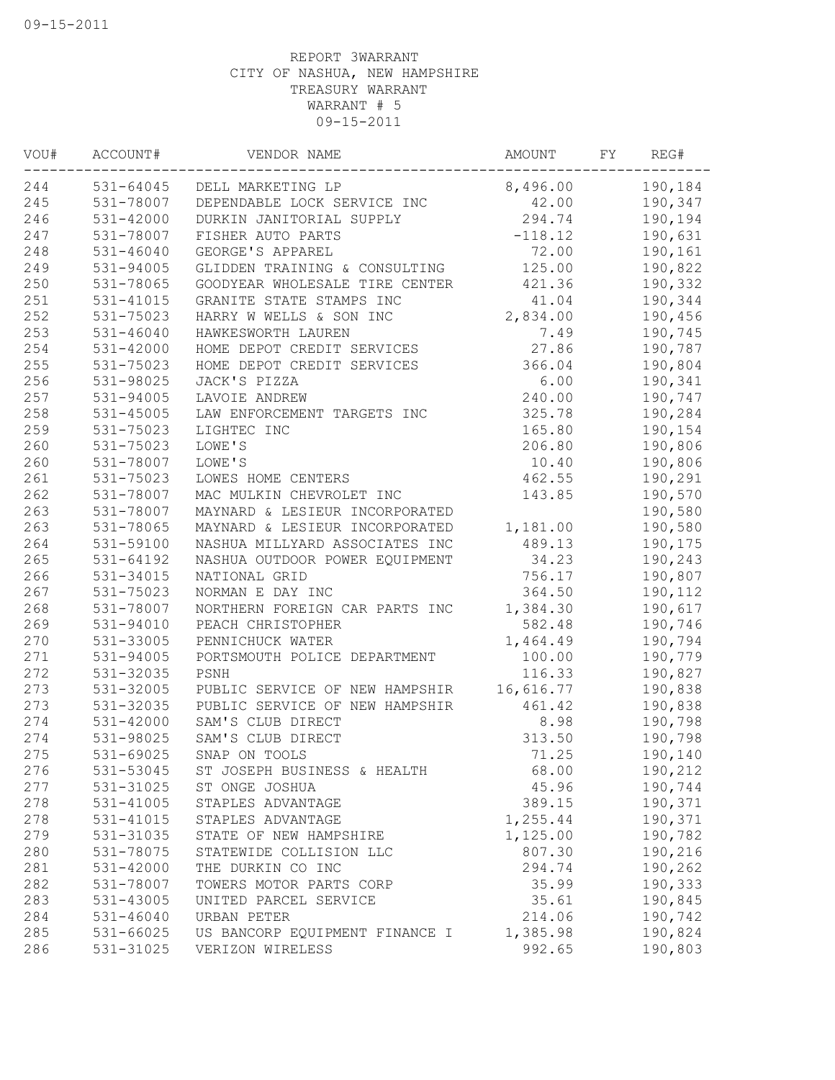| VOU# | ACCOUNT#      | VENDOR NAME                    | <b>AMOUNT</b> | FY | REG#    |
|------|---------------|--------------------------------|---------------|----|---------|
| 244  | 531-64045     | DELL MARKETING LP              | 8,496.00      |    | 190,184 |
| 245  | 531-78007     | DEPENDABLE LOCK SERVICE INC    | 42.00         |    | 190,347 |
| 246  | 531-42000     | DURKIN JANITORIAL SUPPLY       | 294.74        |    | 190,194 |
| 247  | 531-78007     | FISHER AUTO PARTS              | $-118.12$     |    | 190,631 |
| 248  | 531-46040     | GEORGE'S APPAREL               | 72.00         |    | 190,161 |
| 249  | 531-94005     | GLIDDEN TRAINING & CONSULTING  | 125.00        |    | 190,822 |
| 250  | 531-78065     | GOODYEAR WHOLESALE TIRE CENTER | 421.36        |    | 190,332 |
| 251  | 531-41015     | GRANITE STATE STAMPS INC       | 41.04         |    | 190,344 |
| 252  | 531-75023     | HARRY W WELLS & SON INC        | 2,834.00      |    | 190,456 |
| 253  | $531 - 46040$ | HAWKESWORTH LAUREN             | 7.49          |    | 190,745 |
| 254  | 531-42000     | HOME DEPOT CREDIT SERVICES     | 27.86         |    | 190,787 |
| 255  | 531-75023     | HOME DEPOT CREDIT SERVICES     | 366.04        |    | 190,804 |
| 256  | 531-98025     | JACK'S PIZZA                   | 6.00          |    | 190,341 |
| 257  | 531-94005     | LAVOIE ANDREW                  | 240.00        |    | 190,747 |
| 258  | 531-45005     | LAW ENFORCEMENT TARGETS INC    | 325.78        |    | 190,284 |
| 259  | 531-75023     | LIGHTEC INC                    | 165.80        |    | 190,154 |
| 260  | 531-75023     | LOWE'S                         | 206.80        |    | 190,806 |
| 260  | 531-78007     | LOWE'S                         | 10.40         |    | 190,806 |
| 261  | 531-75023     | LOWES HOME CENTERS             | 462.55        |    | 190,291 |
| 262  | 531-78007     | MAC MULKIN CHEVROLET INC       | 143.85        |    | 190,570 |
| 263  | 531-78007     | MAYNARD & LESIEUR INCORPORATED |               |    | 190,580 |
| 263  | 531-78065     | MAYNARD & LESIEUR INCORPORATED | 1,181.00      |    | 190,580 |
| 264  | 531-59100     | NASHUA MILLYARD ASSOCIATES INC | 489.13        |    | 190,175 |
| 265  | 531-64192     | NASHUA OUTDOOR POWER EQUIPMENT | 34.23         |    | 190,243 |
| 266  | 531-34015     | NATIONAL GRID                  | 756.17        |    | 190,807 |
| 267  | 531-75023     | NORMAN E DAY INC               | 364.50        |    | 190,112 |
| 268  | 531-78007     | NORTHERN FOREIGN CAR PARTS INC | 1,384.30      |    | 190,617 |
| 269  | 531-94010     | PEACH CHRISTOPHER              | 582.48        |    | 190,746 |
| 270  | 531-33005     | PENNICHUCK WATER               | 1,464.49      |    | 190,794 |
| 271  | 531-94005     | PORTSMOUTH POLICE DEPARTMENT   | 100.00        |    | 190,779 |
| 272  | 531-32035     | PSNH                           | 116.33        |    | 190,827 |
| 273  | 531-32005     | PUBLIC SERVICE OF NEW HAMPSHIR | 16,616.77     |    | 190,838 |
| 273  | 531-32035     | PUBLIC SERVICE OF NEW HAMPSHIR | 461.42        |    | 190,838 |
| 274  | 531-42000     | SAM'S CLUB DIRECT              | 8.98          |    | 190,798 |
| 274  | 531-98025     | SAM'S CLUB DIRECT              | 313.50        |    | 190,798 |
| 275  | 531-69025     | SNAP ON TOOLS                  | 71.25         |    | 190,140 |
| 276  | 531-53045     | ST JOSEPH BUSINESS & HEALTH    | 68.00         |    | 190,212 |
| 277  | 531-31025     | ST ONGE JOSHUA                 | 45.96         |    | 190,744 |
| 278  | 531-41005     | STAPLES ADVANTAGE              | 389.15        |    | 190,371 |
| 278  | 531-41015     | STAPLES ADVANTAGE              | 1,255.44      |    | 190,371 |
| 279  | 531-31035     | STATE OF NEW HAMPSHIRE         | 1,125.00      |    | 190,782 |
| 280  | 531-78075     | STATEWIDE COLLISION LLC        | 807.30        |    | 190,216 |
| 281  | 531-42000     | THE DURKIN CO INC              | 294.74        |    | 190,262 |
| 282  | 531-78007     | TOWERS MOTOR PARTS CORP        | 35.99         |    | 190,333 |
| 283  | 531-43005     | UNITED PARCEL SERVICE          | 35.61         |    | 190,845 |
| 284  | $531 - 46040$ | URBAN PETER                    | 214.06        |    | 190,742 |
| 285  | 531-66025     | US BANCORP EQUIPMENT FINANCE I | 1,385.98      |    | 190,824 |
| 286  | 531-31025     | VERIZON WIRELESS               | 992.65        |    | 190,803 |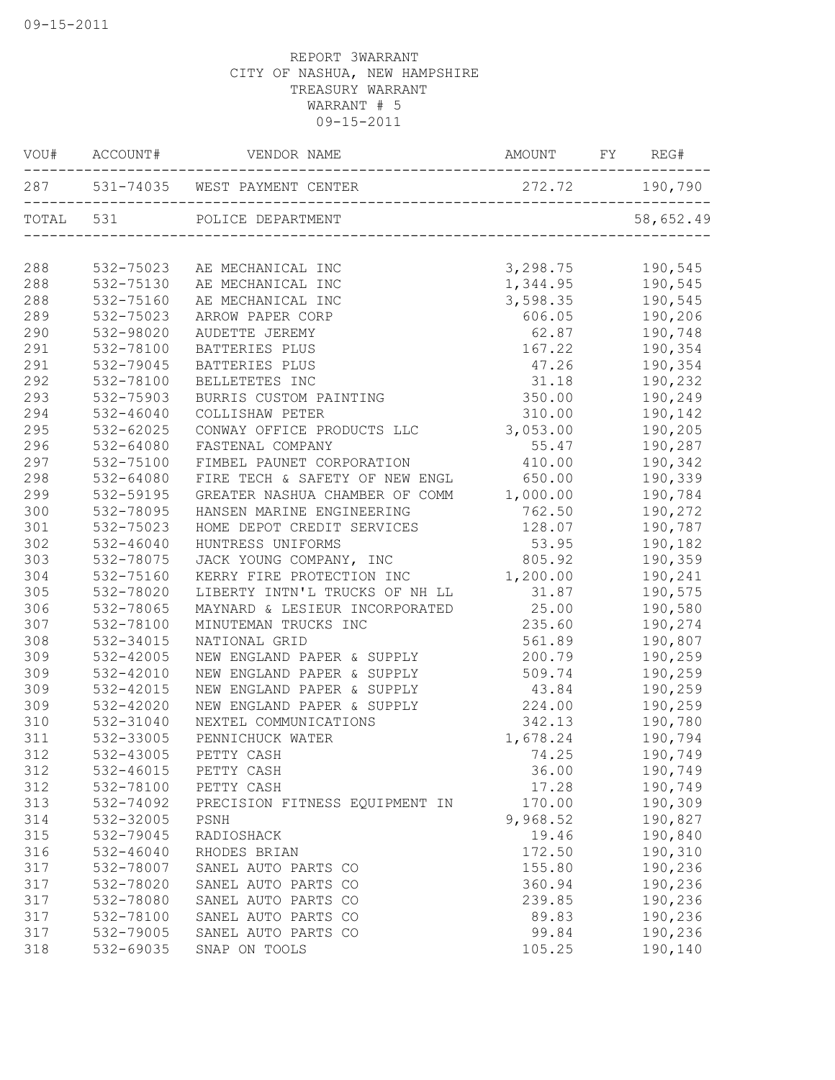| VOU# | ACCOUNT#  | VENDOR NAME                       | AMOUNT         | FY | REG#      |
|------|-----------|-----------------------------------|----------------|----|-----------|
|      |           | 287 531-74035 WEST PAYMENT CENTER | 272.72 190,790 |    |           |
|      | TOTAL 531 | POLICE DEPARTMENT                 |                |    | 58,652.49 |
| 288  | 532-75023 | AE MECHANICAL INC                 | 3,298.75       |    | 190,545   |
| 288  | 532-75130 | AE MECHANICAL INC                 | 1,344.95       |    | 190,545   |
| 288  | 532-75160 | AE MECHANICAL INC                 | 3,598.35       |    | 190,545   |
| 289  | 532-75023 | ARROW PAPER CORP                  | 606.05         |    | 190,206   |
| 290  | 532-98020 | AUDETTE JEREMY                    | 62.87          |    | 190,748   |
| 291  | 532-78100 | BATTERIES PLUS                    | 167.22         |    | 190,354   |
| 291  | 532-79045 | BATTERIES PLUS                    | 47.26          |    | 190,354   |
| 292  | 532-78100 | BELLETETES INC                    | 31.18          |    | 190,232   |
| 293  | 532-75903 | BURRIS CUSTOM PAINTING            | 350.00         |    | 190,249   |
| 294  | 532-46040 | COLLISHAW PETER                   | 310.00         |    | 190,142   |
| 295  | 532-62025 | CONWAY OFFICE PRODUCTS LLC        | 3,053.00       |    | 190,205   |
| 296  | 532-64080 | FASTENAL COMPANY                  | 55.47          |    | 190,287   |
| 297  | 532-75100 | FIMBEL PAUNET CORPORATION         | 410.00         |    | 190,342   |
| 298  | 532-64080 | FIRE TECH & SAFETY OF NEW ENGL    | 650.00         |    | 190,339   |
| 299  | 532-59195 | GREATER NASHUA CHAMBER OF COMM    | 1,000.00       |    | 190,784   |
| 300  | 532-78095 | HANSEN MARINE ENGINEERING         | 762.50         |    | 190,272   |
| 301  | 532-75023 | HOME DEPOT CREDIT SERVICES        | 128.07         |    | 190,787   |
| 302  | 532-46040 | HUNTRESS UNIFORMS                 | 53.95          |    | 190,182   |
| 303  | 532-78075 | JACK YOUNG COMPANY, INC           | 805.92         |    | 190,359   |
| 304  | 532-75160 | KERRY FIRE PROTECTION INC         | 1,200.00       |    | 190,241   |
| 305  | 532-78020 | LIBERTY INTN'L TRUCKS OF NH LL    | 31.87          |    | 190,575   |
| 306  | 532-78065 | MAYNARD & LESIEUR INCORPORATED    | 25.00          |    | 190,580   |
| 307  | 532-78100 | MINUTEMAN TRUCKS INC              | 235.60         |    | 190,274   |
| 308  | 532-34015 | NATIONAL GRID                     | 561.89         |    | 190,807   |
| 309  | 532-42005 | NEW ENGLAND PAPER & SUPPLY        | 200.79         |    | 190,259   |
| 309  | 532-42010 | NEW ENGLAND PAPER & SUPPLY        | 509.74         |    | 190,259   |
| 309  | 532-42015 | NEW ENGLAND PAPER & SUPPLY        | 43.84          |    | 190,259   |
| 309  | 532-42020 | NEW ENGLAND PAPER & SUPPLY        | 224.00         |    | 190,259   |
| 310  | 532-31040 | NEXTEL COMMUNICATIONS             | 342.13         |    | 190,780   |
| 311  | 532-33005 | PENNICHUCK WATER                  | 1,678.24       |    | 190,794   |
| 312  | 532-43005 | PETTY CASH                        | 74.25          |    | 190,749   |
| 312  | 532-46015 | PETTY CASH                        | 36.00          |    | 190,749   |
| 312  | 532-78100 | PETTY CASH                        | 17.28          |    | 190,749   |
| 313  | 532-74092 | PRECISION FITNESS EQUIPMENT IN    | 170.00         |    | 190,309   |
| 314  | 532-32005 | PSNH                              | 9,968.52       |    | 190,827   |
| 315  | 532-79045 | RADIOSHACK                        | 19.46          |    | 190,840   |
| 316  | 532-46040 | RHODES BRIAN                      | 172.50         |    | 190,310   |
| 317  | 532-78007 | SANEL AUTO PARTS CO               | 155.80         |    | 190,236   |
| 317  | 532-78020 | SANEL AUTO PARTS CO               | 360.94         |    | 190,236   |
| 317  | 532-78080 | SANEL AUTO PARTS CO               | 239.85         |    | 190,236   |
| 317  | 532-78100 | SANEL AUTO PARTS CO               | 89.83          |    | 190,236   |
| 317  | 532-79005 | SANEL AUTO PARTS CO               | 99.84          |    | 190,236   |
| 318  | 532-69035 | SNAP ON TOOLS                     | 105.25         |    | 190,140   |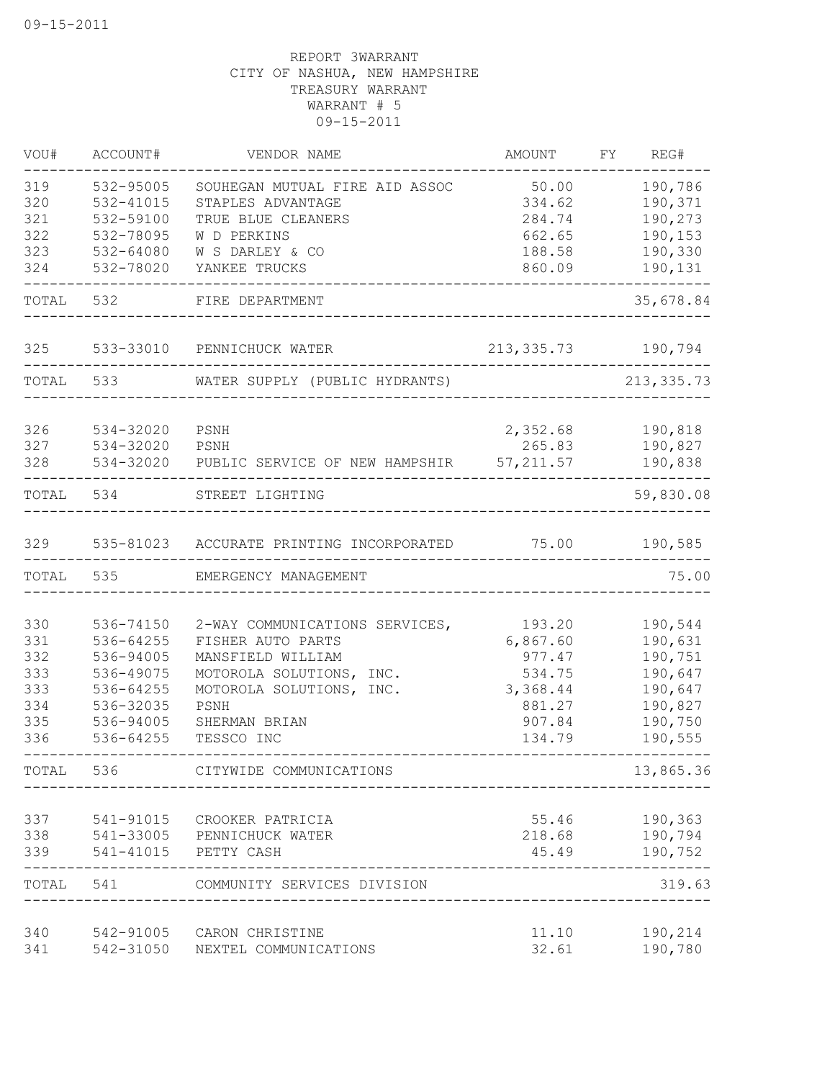| VOU#       | ACCOUNT#               | VENDOR NAME                                   | AMOUNT           | FY | REG#                    |
|------------|------------------------|-----------------------------------------------|------------------|----|-------------------------|
| 319        | 532-95005              | SOUHEGAN MUTUAL FIRE AID ASSOC                | 50.00            |    | 190,786                 |
| 320        | 532-41015              | STAPLES ADVANTAGE                             | 334.62           |    | 190,371                 |
| 321        | 532-59100              | TRUE BLUE CLEANERS                            | 284.74           |    | 190,273                 |
| 322        | 532-78095              | W D PERKINS                                   | 662.65           |    | 190,153                 |
| 323        | 532-64080              | W S DARLEY & CO                               | 188.58           |    | 190,330                 |
| 324        | 532-78020              | YANKEE TRUCKS                                 | 860.09           |    | 190,131                 |
| TOTAL      | 532                    | FIRE DEPARTMENT                               |                  |    | 35,678.84               |
| 325        |                        | 533-33010 PENNICHUCK WATER                    | 213, 335. 73     |    | 190,794                 |
| TOTAL      | 533                    | WATER SUPPLY (PUBLIC HYDRANTS)                |                  |    | 213, 335.73             |
| 326        | 534-32020              | PSNH                                          | 2,352.68         |    | 190,818                 |
| 327        | 534-32020              | PSNH                                          | 265.83           |    | 190,827                 |
| 328        | 534-32020              | PUBLIC SERVICE OF NEW HAMPSHIR                | 57, 211.57       |    | 190,838                 |
| TOTAL      | 534                    | STREET LIGHTING                               |                  |    | 59,830.08               |
| 329        |                        | 535-81023 ACCURATE PRINTING INCORPORATED      | 75.00            |    | 190,585                 |
| TOTAL      | 535                    | EMERGENCY MANAGEMENT                          |                  |    | 75.00                   |
|            |                        |                                               |                  |    |                         |
| 330        | 536-74150              | 2-WAY COMMUNICATIONS SERVICES,                | 193.20           |    | 190,544                 |
| 331        | 536-64255              | FISHER AUTO PARTS                             | 6,867.60         |    | 190,631                 |
| 332<br>333 | 536-94005<br>536-49075 | MANSFIELD WILLIAM<br>MOTOROLA SOLUTIONS, INC. | 977.47<br>534.75 |    | 190,751<br>190,647      |
| 333        | 536-64255              | MOTOROLA SOLUTIONS, INC.                      | 3,368.44         |    | 190,647                 |
| 334        | 536-32035              | PSNH                                          | 881.27           |    | 190,827                 |
| 335        | 536-94005              | SHERMAN BRIAN                                 | 907.84           |    | 190,750                 |
| 336        | 536-64255              | TESSCO INC                                    | 134.79           |    | 190,555                 |
| TOTAL      | 536                    | CITYWIDE COMMUNICATIONS                       |                  |    | 13,865.36               |
| 337        | 541-91015              | CROOKER PATRICIA                              | 55.46            |    | 190,363                 |
| 338        | 541-33005              | PENNICHUCK WATER                              | 218.68           |    | 190,794                 |
| 339        | 541-41015              | PETTY CASH                                    | 45.49            |    | 190,752                 |
| TOTAL      | 541                    | COMMUNITY SERVICES DIVISION                   |                  |    | $\frac{1}{2}$<br>319.63 |
| 340        | 542-91005              | CARON CHRISTINE                               | 11.10            |    | 190,214                 |
| 341        | 542-31050              | NEXTEL COMMUNICATIONS                         | 32.61            |    | 190,780                 |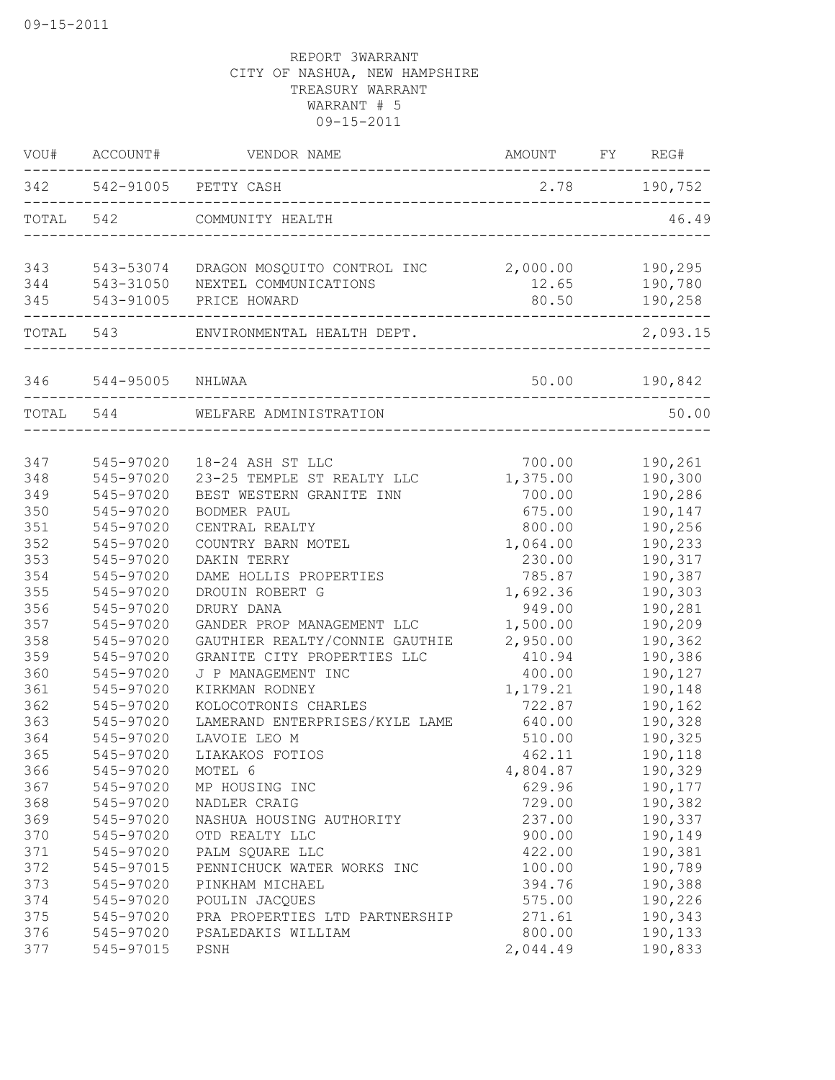|           | VOU# ACCOUNT#    | VENDOR NAME                    | AMOUNT FY REG#                 |                      |
|-----------|------------------|--------------------------------|--------------------------------|----------------------|
|           |                  | 342 542-91005 PETTY CASH       |                                | 2.78 190,752         |
| TOTAL 542 |                  | COMMUNITY HEALTH               |                                | 46.49                |
| 343       | 543-53074        | DRAGON MOSQUITO CONTROL INC    | 2,000.00                       | 190,295              |
| 344       | 543-31050        | NEXTEL COMMUNICATIONS          | 12.65                          | 190,780              |
| 345       | 543-91005        | PRICE HOWARD                   | 80.50                          | 190,258<br>$- - - -$ |
|           | TOTAL 543        | ENVIRONMENTAL HEALTH DEPT.     |                                | 2,093.15             |
| 346       | 544-95005 NHLWAA |                                | 50.00                          | 190,842              |
|           | TOTAL 544        | WELFARE ADMINISTRATION         |                                | 50.00                |
|           |                  |                                | ______________________________ |                      |
| 347       | 545-97020        | 18-24 ASH ST LLC               | 700.00                         | 190,261              |
| 348       | 545-97020        | 23-25 TEMPLE ST REALTY LLC     | 1,375.00                       | 190,300              |
| 349       | 545-97020        | BEST WESTERN GRANITE INN       | 700.00                         | 190,286              |
| 350       | 545-97020        | BODMER PAUL                    | 675.00                         | 190,147              |
| 351       | 545-97020        | CENTRAL REALTY                 | 800.00                         | 190,256              |
| 352       | 545-97020        | COUNTRY BARN MOTEL             | 1,064.00                       | 190,233              |
| 353       | 545-97020        | DAKIN TERRY                    | 230.00                         | 190,317              |
| 354       | 545-97020        | DAME HOLLIS PROPERTIES         | 785.87                         | 190,387              |
| 355       | 545-97020        | DROUIN ROBERT G                | 1,692.36                       | 190,303              |
| 356       | 545-97020        | DRURY DANA                     | 949.00                         | 190,281              |
| 357       | 545-97020        | GANDER PROP MANAGEMENT LLC     | 1,500.00                       | 190,209              |
| 358       | 545-97020        | GAUTHIER REALTY/CONNIE GAUTHIE | 2,950.00                       | 190,362              |
| 359       | 545-97020        | GRANITE CITY PROPERTIES LLC    | 410.94                         | 190,386              |
| 360       | 545-97020        | J P MANAGEMENT INC             | 400.00                         | 190,127              |
| 361       | 545-97020        | KIRKMAN RODNEY                 | 1,179.21                       | 190,148              |
| 362       | 545-97020        | KOLOCOTRONIS CHARLES           | 722.87                         | 190,162              |
| 363       | 545-97020        | LAMERAND ENTERPRISES/KYLE LAME | 640.00                         | 190,328              |
| 364       | 545-97020        | LAVOIE LEO M                   | 510.00                         | 190,325              |
| 365       | 545-97020        | LIAKAKOS FOTIOS                | 462.11                         | 190,118              |
| 366       | 545-97020        | MOTEL 6                        | 4,804.87                       | 190,329              |
| 367       | 545-97020        | MP HOUSING INC                 | 629.96                         | 190,177              |
| 368       | 545-97020        | NADLER CRAIG                   | 729.00                         | 190,382              |
| 369       | 545-97020        | NASHUA HOUSING AUTHORITY       | 237.00                         | 190,337              |
| 370       | 545-97020        | OTD REALTY LLC                 | 900.00                         | 190,149              |
| 371       | 545-97020        | PALM SQUARE LLC                | 422.00                         | 190,381              |
| 372       | 545-97015        | PENNICHUCK WATER WORKS INC     | 100.00                         | 190,789              |
| 373       | 545-97020        | PINKHAM MICHAEL                | 394.76                         | 190,388              |
| 374       | 545-97020        | POULIN JACQUES                 | 575.00                         | 190,226              |
| 375       | 545-97020        | PRA PROPERTIES LTD PARTNERSHIP | 271.61                         | 190,343              |
| 376       | 545-97020        | PSALEDAKIS WILLIAM             | 800.00                         | 190,133              |
| 377       | 545-97015        | PSNH                           | 2,044.49                       | 190,833              |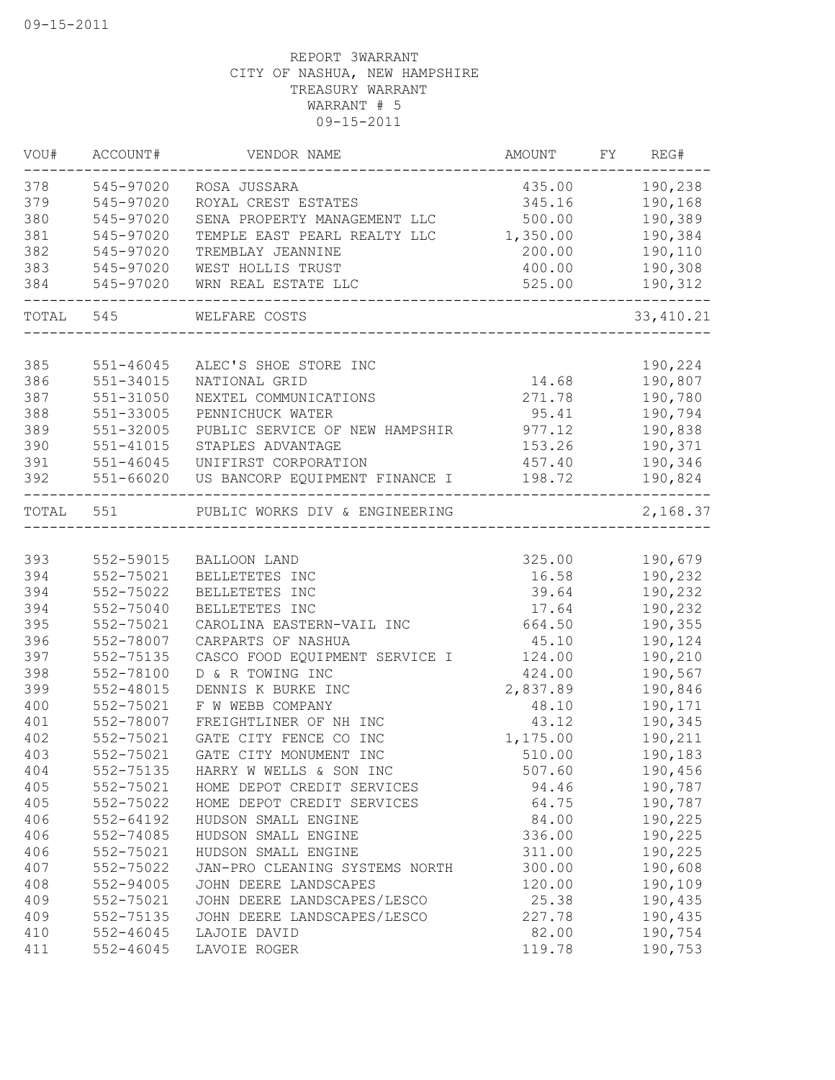| 190,238<br>545-97020<br>ROSA JUSSARA<br>435.00<br>545-97020<br>190,168<br>ROYAL CREST ESTATES<br>345.16<br>190,389<br>500.00<br>545-97020<br>SENA PROPERTY MANAGEMENT LLC<br>545-97020<br>1,350.00<br>190,384<br>TEMPLE EAST PEARL REALTY LLC<br>545-97020<br>200.00<br>190,110<br>TREMBLAY JEANNINE<br>400.00<br>190,308<br>545-97020<br>WEST HOLLIS TRUST<br>WRN REAL ESTATE LLC<br>525.00<br>190,312<br>545-97020<br>TOTAL<br>545<br>WELFARE COSTS<br>33, 410.21<br>385<br>190,224<br>$551 - 46045$<br>ALEC'S SHOE STORE INC<br>190,807<br>386<br>14.68<br>551-34015<br>NATIONAL GRID<br>387<br>190,780<br>551-31050<br>NEXTEL COMMUNICATIONS<br>271.78<br>388<br>551-33005<br>95.41<br>190,794<br>PENNICHUCK WATER<br>389<br>551-32005<br>977.12<br>190,838<br>PUBLIC SERVICE OF NEW HAMPSHIR<br>390<br>190,371<br>551-41015<br>STAPLES ADVANTAGE<br>153.26<br>391<br>551-46045<br>190,346<br>UNIFIRST CORPORATION<br>457.40<br>392<br>551-66020<br>190,824<br>US BANCORP EQUIPMENT FINANCE I<br>198.72<br>TOTAL<br>2,168.37<br>551<br>PUBLIC WORKS DIV & ENGINEERING<br>______________<br>552-59015<br>325.00<br>190,679<br>BALLOON LAND<br>552-75021<br>190,232<br>BELLETETES INC<br>16.58<br>552-75022<br>BELLETETES INC<br>39.64<br>190,232<br>552-75040<br>BELLETETES INC<br>17.64<br>190,232<br>552-75021<br>CAROLINA EASTERN-VAIL INC<br>664.50<br>190,355<br>552-78007<br>CARPARTS OF NASHUA<br>45.10<br>190,124<br>552-75135<br>190,210<br>CASCO FOOD EQUIPMENT SERVICE I<br>124.00<br>552-78100<br>D & R TOWING INC<br>424.00<br>190,567<br>552-48015<br>DENNIS K BURKE INC<br>2,837.89<br>190,846<br>552-75021<br>F W WEBB COMPANY<br>48.10<br>190,171<br>552-78007<br>FREIGHTLINER OF NH INC<br>43.12<br>190,345<br>GATE CITY FENCE CO INC<br>552-75021<br>1,175.00<br>190,211<br>552-75021<br>403<br>GATE CITY MONUMENT INC<br>510.00<br>190,183<br>552-75135<br>404<br>507.60<br>190,456<br>HARRY W WELLS & SON INC<br>405<br>94.46<br>552-75021<br>HOME DEPOT CREDIT SERVICES<br>190,787<br>405<br>64.75<br>190,787<br>552-75022<br>HOME DEPOT CREDIT SERVICES<br>406<br>84.00<br>190,225<br>552-64192<br>HUDSON SMALL ENGINE<br>406<br>552-74085<br>HUDSON SMALL ENGINE<br>336.00<br>190,225<br>406<br>552-75021<br>HUDSON SMALL ENGINE<br>311.00<br>190,225<br>407<br>552-75022<br>300.00<br>190,608<br>JAN-PRO CLEANING SYSTEMS NORTH<br>408<br>JOHN DEERE LANDSCAPES<br>120.00<br>190,109<br>552-94005<br>409<br>552-75021<br>JOHN DEERE LANDSCAPES/LESCO<br>25.38<br>190,435<br>409<br>552-75135<br>JOHN DEERE LANDSCAPES/LESCO<br>227.78<br>190,435<br>410<br>82.00<br>190,754<br>552-46045<br>LAJOIE DAVID<br>411<br>$552 - 46045$<br>119.78<br>190,753<br>LAVOIE ROGER | VOU# | ACCOUNT# | VENDOR NAME | AMOUNT | FY | REG# |
|---------------------------------------------------------------------------------------------------------------------------------------------------------------------------------------------------------------------------------------------------------------------------------------------------------------------------------------------------------------------------------------------------------------------------------------------------------------------------------------------------------------------------------------------------------------------------------------------------------------------------------------------------------------------------------------------------------------------------------------------------------------------------------------------------------------------------------------------------------------------------------------------------------------------------------------------------------------------------------------------------------------------------------------------------------------------------------------------------------------------------------------------------------------------------------------------------------------------------------------------------------------------------------------------------------------------------------------------------------------------------------------------------------------------------------------------------------------------------------------------------------------------------------------------------------------------------------------------------------------------------------------------------------------------------------------------------------------------------------------------------------------------------------------------------------------------------------------------------------------------------------------------------------------------------------------------------------------------------------------------------------------------------------------------------------------------------------------------------------------------------------------------------------------------------------------------------------------------------------------------------------------------------------------------------------------------------------------------------------------------------------------------------------------------------------------------------------------------------------------------------------------------------------------------------------------------------------------------------------------------------------------------------------------------------------------------------|------|----------|-------------|--------|----|------|
|                                                                                                                                                                                                                                                                                                                                                                                                                                                                                                                                                                                                                                                                                                                                                                                                                                                                                                                                                                                                                                                                                                                                                                                                                                                                                                                                                                                                                                                                                                                                                                                                                                                                                                                                                                                                                                                                                                                                                                                                                                                                                                                                                                                                                                                                                                                                                                                                                                                                                                                                                                                                                                                                                                   | 378  |          |             |        |    |      |
|                                                                                                                                                                                                                                                                                                                                                                                                                                                                                                                                                                                                                                                                                                                                                                                                                                                                                                                                                                                                                                                                                                                                                                                                                                                                                                                                                                                                                                                                                                                                                                                                                                                                                                                                                                                                                                                                                                                                                                                                                                                                                                                                                                                                                                                                                                                                                                                                                                                                                                                                                                                                                                                                                                   | 379  |          |             |        |    |      |
|                                                                                                                                                                                                                                                                                                                                                                                                                                                                                                                                                                                                                                                                                                                                                                                                                                                                                                                                                                                                                                                                                                                                                                                                                                                                                                                                                                                                                                                                                                                                                                                                                                                                                                                                                                                                                                                                                                                                                                                                                                                                                                                                                                                                                                                                                                                                                                                                                                                                                                                                                                                                                                                                                                   | 380  |          |             |        |    |      |
|                                                                                                                                                                                                                                                                                                                                                                                                                                                                                                                                                                                                                                                                                                                                                                                                                                                                                                                                                                                                                                                                                                                                                                                                                                                                                                                                                                                                                                                                                                                                                                                                                                                                                                                                                                                                                                                                                                                                                                                                                                                                                                                                                                                                                                                                                                                                                                                                                                                                                                                                                                                                                                                                                                   | 381  |          |             |        |    |      |
|                                                                                                                                                                                                                                                                                                                                                                                                                                                                                                                                                                                                                                                                                                                                                                                                                                                                                                                                                                                                                                                                                                                                                                                                                                                                                                                                                                                                                                                                                                                                                                                                                                                                                                                                                                                                                                                                                                                                                                                                                                                                                                                                                                                                                                                                                                                                                                                                                                                                                                                                                                                                                                                                                                   | 382  |          |             |        |    |      |
|                                                                                                                                                                                                                                                                                                                                                                                                                                                                                                                                                                                                                                                                                                                                                                                                                                                                                                                                                                                                                                                                                                                                                                                                                                                                                                                                                                                                                                                                                                                                                                                                                                                                                                                                                                                                                                                                                                                                                                                                                                                                                                                                                                                                                                                                                                                                                                                                                                                                                                                                                                                                                                                                                                   | 383  |          |             |        |    |      |
|                                                                                                                                                                                                                                                                                                                                                                                                                                                                                                                                                                                                                                                                                                                                                                                                                                                                                                                                                                                                                                                                                                                                                                                                                                                                                                                                                                                                                                                                                                                                                                                                                                                                                                                                                                                                                                                                                                                                                                                                                                                                                                                                                                                                                                                                                                                                                                                                                                                                                                                                                                                                                                                                                                   | 384  |          |             |        |    |      |
|                                                                                                                                                                                                                                                                                                                                                                                                                                                                                                                                                                                                                                                                                                                                                                                                                                                                                                                                                                                                                                                                                                                                                                                                                                                                                                                                                                                                                                                                                                                                                                                                                                                                                                                                                                                                                                                                                                                                                                                                                                                                                                                                                                                                                                                                                                                                                                                                                                                                                                                                                                                                                                                                                                   |      |          |             |        |    |      |
|                                                                                                                                                                                                                                                                                                                                                                                                                                                                                                                                                                                                                                                                                                                                                                                                                                                                                                                                                                                                                                                                                                                                                                                                                                                                                                                                                                                                                                                                                                                                                                                                                                                                                                                                                                                                                                                                                                                                                                                                                                                                                                                                                                                                                                                                                                                                                                                                                                                                                                                                                                                                                                                                                                   |      |          |             |        |    |      |
|                                                                                                                                                                                                                                                                                                                                                                                                                                                                                                                                                                                                                                                                                                                                                                                                                                                                                                                                                                                                                                                                                                                                                                                                                                                                                                                                                                                                                                                                                                                                                                                                                                                                                                                                                                                                                                                                                                                                                                                                                                                                                                                                                                                                                                                                                                                                                                                                                                                                                                                                                                                                                                                                                                   |      |          |             |        |    |      |
|                                                                                                                                                                                                                                                                                                                                                                                                                                                                                                                                                                                                                                                                                                                                                                                                                                                                                                                                                                                                                                                                                                                                                                                                                                                                                                                                                                                                                                                                                                                                                                                                                                                                                                                                                                                                                                                                                                                                                                                                                                                                                                                                                                                                                                                                                                                                                                                                                                                                                                                                                                                                                                                                                                   |      |          |             |        |    |      |
|                                                                                                                                                                                                                                                                                                                                                                                                                                                                                                                                                                                                                                                                                                                                                                                                                                                                                                                                                                                                                                                                                                                                                                                                                                                                                                                                                                                                                                                                                                                                                                                                                                                                                                                                                                                                                                                                                                                                                                                                                                                                                                                                                                                                                                                                                                                                                                                                                                                                                                                                                                                                                                                                                                   |      |          |             |        |    |      |
|                                                                                                                                                                                                                                                                                                                                                                                                                                                                                                                                                                                                                                                                                                                                                                                                                                                                                                                                                                                                                                                                                                                                                                                                                                                                                                                                                                                                                                                                                                                                                                                                                                                                                                                                                                                                                                                                                                                                                                                                                                                                                                                                                                                                                                                                                                                                                                                                                                                                                                                                                                                                                                                                                                   |      |          |             |        |    |      |
|                                                                                                                                                                                                                                                                                                                                                                                                                                                                                                                                                                                                                                                                                                                                                                                                                                                                                                                                                                                                                                                                                                                                                                                                                                                                                                                                                                                                                                                                                                                                                                                                                                                                                                                                                                                                                                                                                                                                                                                                                                                                                                                                                                                                                                                                                                                                                                                                                                                                                                                                                                                                                                                                                                   |      |          |             |        |    |      |
|                                                                                                                                                                                                                                                                                                                                                                                                                                                                                                                                                                                                                                                                                                                                                                                                                                                                                                                                                                                                                                                                                                                                                                                                                                                                                                                                                                                                                                                                                                                                                                                                                                                                                                                                                                                                                                                                                                                                                                                                                                                                                                                                                                                                                                                                                                                                                                                                                                                                                                                                                                                                                                                                                                   |      |          |             |        |    |      |
|                                                                                                                                                                                                                                                                                                                                                                                                                                                                                                                                                                                                                                                                                                                                                                                                                                                                                                                                                                                                                                                                                                                                                                                                                                                                                                                                                                                                                                                                                                                                                                                                                                                                                                                                                                                                                                                                                                                                                                                                                                                                                                                                                                                                                                                                                                                                                                                                                                                                                                                                                                                                                                                                                                   |      |          |             |        |    |      |
|                                                                                                                                                                                                                                                                                                                                                                                                                                                                                                                                                                                                                                                                                                                                                                                                                                                                                                                                                                                                                                                                                                                                                                                                                                                                                                                                                                                                                                                                                                                                                                                                                                                                                                                                                                                                                                                                                                                                                                                                                                                                                                                                                                                                                                                                                                                                                                                                                                                                                                                                                                                                                                                                                                   |      |          |             |        |    |      |
|                                                                                                                                                                                                                                                                                                                                                                                                                                                                                                                                                                                                                                                                                                                                                                                                                                                                                                                                                                                                                                                                                                                                                                                                                                                                                                                                                                                                                                                                                                                                                                                                                                                                                                                                                                                                                                                                                                                                                                                                                                                                                                                                                                                                                                                                                                                                                                                                                                                                                                                                                                                                                                                                                                   |      |          |             |        |    |      |
|                                                                                                                                                                                                                                                                                                                                                                                                                                                                                                                                                                                                                                                                                                                                                                                                                                                                                                                                                                                                                                                                                                                                                                                                                                                                                                                                                                                                                                                                                                                                                                                                                                                                                                                                                                                                                                                                                                                                                                                                                                                                                                                                                                                                                                                                                                                                                                                                                                                                                                                                                                                                                                                                                                   |      |          |             |        |    |      |
|                                                                                                                                                                                                                                                                                                                                                                                                                                                                                                                                                                                                                                                                                                                                                                                                                                                                                                                                                                                                                                                                                                                                                                                                                                                                                                                                                                                                                                                                                                                                                                                                                                                                                                                                                                                                                                                                                                                                                                                                                                                                                                                                                                                                                                                                                                                                                                                                                                                                                                                                                                                                                                                                                                   | 393  |          |             |        |    |      |
|                                                                                                                                                                                                                                                                                                                                                                                                                                                                                                                                                                                                                                                                                                                                                                                                                                                                                                                                                                                                                                                                                                                                                                                                                                                                                                                                                                                                                                                                                                                                                                                                                                                                                                                                                                                                                                                                                                                                                                                                                                                                                                                                                                                                                                                                                                                                                                                                                                                                                                                                                                                                                                                                                                   | 394  |          |             |        |    |      |
|                                                                                                                                                                                                                                                                                                                                                                                                                                                                                                                                                                                                                                                                                                                                                                                                                                                                                                                                                                                                                                                                                                                                                                                                                                                                                                                                                                                                                                                                                                                                                                                                                                                                                                                                                                                                                                                                                                                                                                                                                                                                                                                                                                                                                                                                                                                                                                                                                                                                                                                                                                                                                                                                                                   | 394  |          |             |        |    |      |
|                                                                                                                                                                                                                                                                                                                                                                                                                                                                                                                                                                                                                                                                                                                                                                                                                                                                                                                                                                                                                                                                                                                                                                                                                                                                                                                                                                                                                                                                                                                                                                                                                                                                                                                                                                                                                                                                                                                                                                                                                                                                                                                                                                                                                                                                                                                                                                                                                                                                                                                                                                                                                                                                                                   | 394  |          |             |        |    |      |
|                                                                                                                                                                                                                                                                                                                                                                                                                                                                                                                                                                                                                                                                                                                                                                                                                                                                                                                                                                                                                                                                                                                                                                                                                                                                                                                                                                                                                                                                                                                                                                                                                                                                                                                                                                                                                                                                                                                                                                                                                                                                                                                                                                                                                                                                                                                                                                                                                                                                                                                                                                                                                                                                                                   | 395  |          |             |        |    |      |
|                                                                                                                                                                                                                                                                                                                                                                                                                                                                                                                                                                                                                                                                                                                                                                                                                                                                                                                                                                                                                                                                                                                                                                                                                                                                                                                                                                                                                                                                                                                                                                                                                                                                                                                                                                                                                                                                                                                                                                                                                                                                                                                                                                                                                                                                                                                                                                                                                                                                                                                                                                                                                                                                                                   | 396  |          |             |        |    |      |
|                                                                                                                                                                                                                                                                                                                                                                                                                                                                                                                                                                                                                                                                                                                                                                                                                                                                                                                                                                                                                                                                                                                                                                                                                                                                                                                                                                                                                                                                                                                                                                                                                                                                                                                                                                                                                                                                                                                                                                                                                                                                                                                                                                                                                                                                                                                                                                                                                                                                                                                                                                                                                                                                                                   | 397  |          |             |        |    |      |
|                                                                                                                                                                                                                                                                                                                                                                                                                                                                                                                                                                                                                                                                                                                                                                                                                                                                                                                                                                                                                                                                                                                                                                                                                                                                                                                                                                                                                                                                                                                                                                                                                                                                                                                                                                                                                                                                                                                                                                                                                                                                                                                                                                                                                                                                                                                                                                                                                                                                                                                                                                                                                                                                                                   | 398  |          |             |        |    |      |
|                                                                                                                                                                                                                                                                                                                                                                                                                                                                                                                                                                                                                                                                                                                                                                                                                                                                                                                                                                                                                                                                                                                                                                                                                                                                                                                                                                                                                                                                                                                                                                                                                                                                                                                                                                                                                                                                                                                                                                                                                                                                                                                                                                                                                                                                                                                                                                                                                                                                                                                                                                                                                                                                                                   | 399  |          |             |        |    |      |
|                                                                                                                                                                                                                                                                                                                                                                                                                                                                                                                                                                                                                                                                                                                                                                                                                                                                                                                                                                                                                                                                                                                                                                                                                                                                                                                                                                                                                                                                                                                                                                                                                                                                                                                                                                                                                                                                                                                                                                                                                                                                                                                                                                                                                                                                                                                                                                                                                                                                                                                                                                                                                                                                                                   | 400  |          |             |        |    |      |
|                                                                                                                                                                                                                                                                                                                                                                                                                                                                                                                                                                                                                                                                                                                                                                                                                                                                                                                                                                                                                                                                                                                                                                                                                                                                                                                                                                                                                                                                                                                                                                                                                                                                                                                                                                                                                                                                                                                                                                                                                                                                                                                                                                                                                                                                                                                                                                                                                                                                                                                                                                                                                                                                                                   | 401  |          |             |        |    |      |
|                                                                                                                                                                                                                                                                                                                                                                                                                                                                                                                                                                                                                                                                                                                                                                                                                                                                                                                                                                                                                                                                                                                                                                                                                                                                                                                                                                                                                                                                                                                                                                                                                                                                                                                                                                                                                                                                                                                                                                                                                                                                                                                                                                                                                                                                                                                                                                                                                                                                                                                                                                                                                                                                                                   | 402  |          |             |        |    |      |
|                                                                                                                                                                                                                                                                                                                                                                                                                                                                                                                                                                                                                                                                                                                                                                                                                                                                                                                                                                                                                                                                                                                                                                                                                                                                                                                                                                                                                                                                                                                                                                                                                                                                                                                                                                                                                                                                                                                                                                                                                                                                                                                                                                                                                                                                                                                                                                                                                                                                                                                                                                                                                                                                                                   |      |          |             |        |    |      |
|                                                                                                                                                                                                                                                                                                                                                                                                                                                                                                                                                                                                                                                                                                                                                                                                                                                                                                                                                                                                                                                                                                                                                                                                                                                                                                                                                                                                                                                                                                                                                                                                                                                                                                                                                                                                                                                                                                                                                                                                                                                                                                                                                                                                                                                                                                                                                                                                                                                                                                                                                                                                                                                                                                   |      |          |             |        |    |      |
|                                                                                                                                                                                                                                                                                                                                                                                                                                                                                                                                                                                                                                                                                                                                                                                                                                                                                                                                                                                                                                                                                                                                                                                                                                                                                                                                                                                                                                                                                                                                                                                                                                                                                                                                                                                                                                                                                                                                                                                                                                                                                                                                                                                                                                                                                                                                                                                                                                                                                                                                                                                                                                                                                                   |      |          |             |        |    |      |
|                                                                                                                                                                                                                                                                                                                                                                                                                                                                                                                                                                                                                                                                                                                                                                                                                                                                                                                                                                                                                                                                                                                                                                                                                                                                                                                                                                                                                                                                                                                                                                                                                                                                                                                                                                                                                                                                                                                                                                                                                                                                                                                                                                                                                                                                                                                                                                                                                                                                                                                                                                                                                                                                                                   |      |          |             |        |    |      |
|                                                                                                                                                                                                                                                                                                                                                                                                                                                                                                                                                                                                                                                                                                                                                                                                                                                                                                                                                                                                                                                                                                                                                                                                                                                                                                                                                                                                                                                                                                                                                                                                                                                                                                                                                                                                                                                                                                                                                                                                                                                                                                                                                                                                                                                                                                                                                                                                                                                                                                                                                                                                                                                                                                   |      |          |             |        |    |      |
|                                                                                                                                                                                                                                                                                                                                                                                                                                                                                                                                                                                                                                                                                                                                                                                                                                                                                                                                                                                                                                                                                                                                                                                                                                                                                                                                                                                                                                                                                                                                                                                                                                                                                                                                                                                                                                                                                                                                                                                                                                                                                                                                                                                                                                                                                                                                                                                                                                                                                                                                                                                                                                                                                                   |      |          |             |        |    |      |
|                                                                                                                                                                                                                                                                                                                                                                                                                                                                                                                                                                                                                                                                                                                                                                                                                                                                                                                                                                                                                                                                                                                                                                                                                                                                                                                                                                                                                                                                                                                                                                                                                                                                                                                                                                                                                                                                                                                                                                                                                                                                                                                                                                                                                                                                                                                                                                                                                                                                                                                                                                                                                                                                                                   |      |          |             |        |    |      |
|                                                                                                                                                                                                                                                                                                                                                                                                                                                                                                                                                                                                                                                                                                                                                                                                                                                                                                                                                                                                                                                                                                                                                                                                                                                                                                                                                                                                                                                                                                                                                                                                                                                                                                                                                                                                                                                                                                                                                                                                                                                                                                                                                                                                                                                                                                                                                                                                                                                                                                                                                                                                                                                                                                   |      |          |             |        |    |      |
|                                                                                                                                                                                                                                                                                                                                                                                                                                                                                                                                                                                                                                                                                                                                                                                                                                                                                                                                                                                                                                                                                                                                                                                                                                                                                                                                                                                                                                                                                                                                                                                                                                                                                                                                                                                                                                                                                                                                                                                                                                                                                                                                                                                                                                                                                                                                                                                                                                                                                                                                                                                                                                                                                                   |      |          |             |        |    |      |
|                                                                                                                                                                                                                                                                                                                                                                                                                                                                                                                                                                                                                                                                                                                                                                                                                                                                                                                                                                                                                                                                                                                                                                                                                                                                                                                                                                                                                                                                                                                                                                                                                                                                                                                                                                                                                                                                                                                                                                                                                                                                                                                                                                                                                                                                                                                                                                                                                                                                                                                                                                                                                                                                                                   |      |          |             |        |    |      |
|                                                                                                                                                                                                                                                                                                                                                                                                                                                                                                                                                                                                                                                                                                                                                                                                                                                                                                                                                                                                                                                                                                                                                                                                                                                                                                                                                                                                                                                                                                                                                                                                                                                                                                                                                                                                                                                                                                                                                                                                                                                                                                                                                                                                                                                                                                                                                                                                                                                                                                                                                                                                                                                                                                   |      |          |             |        |    |      |
|                                                                                                                                                                                                                                                                                                                                                                                                                                                                                                                                                                                                                                                                                                                                                                                                                                                                                                                                                                                                                                                                                                                                                                                                                                                                                                                                                                                                                                                                                                                                                                                                                                                                                                                                                                                                                                                                                                                                                                                                                                                                                                                                                                                                                                                                                                                                                                                                                                                                                                                                                                                                                                                                                                   |      |          |             |        |    |      |
|                                                                                                                                                                                                                                                                                                                                                                                                                                                                                                                                                                                                                                                                                                                                                                                                                                                                                                                                                                                                                                                                                                                                                                                                                                                                                                                                                                                                                                                                                                                                                                                                                                                                                                                                                                                                                                                                                                                                                                                                                                                                                                                                                                                                                                                                                                                                                                                                                                                                                                                                                                                                                                                                                                   |      |          |             |        |    |      |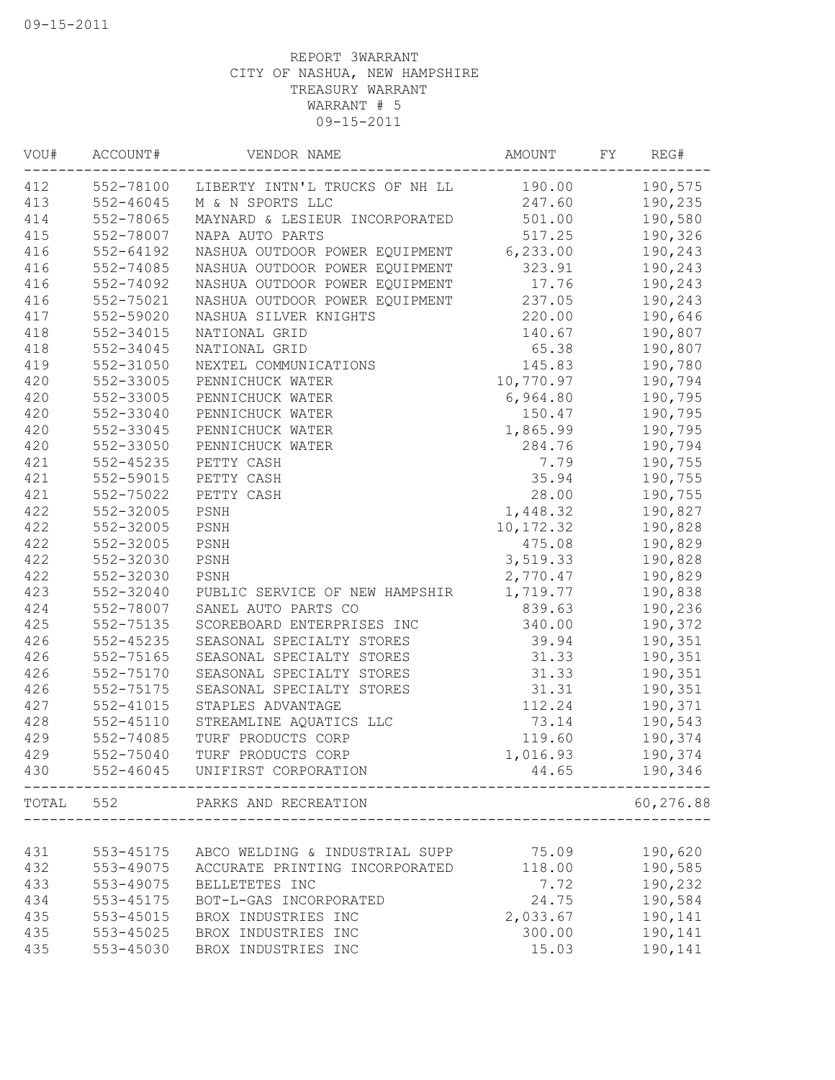| VOU#  | ACCOUNT#  | VENDOR NAME                              | AMOUNT     | FY | REG#      |
|-------|-----------|------------------------------------------|------------|----|-----------|
| 412   |           | 552-78100 LIBERTY INTN'L TRUCKS OF NH LL | 190.00     |    | 190,575   |
| 413   | 552-46045 | M & N SPORTS LLC                         | 247.60     |    | 190,235   |
| 414   | 552-78065 | MAYNARD & LESIEUR INCORPORATED           | 501.00     |    | 190,580   |
| 415   | 552-78007 | NAPA AUTO PARTS                          | 517.25     |    | 190,326   |
| 416   | 552-64192 | NASHUA OUTDOOR POWER EQUIPMENT           | 6, 233.00  |    | 190,243   |
| 416   | 552-74085 | NASHUA OUTDOOR POWER EQUIPMENT           | 323.91     |    | 190,243   |
| 416   | 552-74092 | NASHUA OUTDOOR POWER EQUIPMENT           | 17.76      |    | 190,243   |
| 416   | 552-75021 | NASHUA OUTDOOR POWER EQUIPMENT           | 237.05     |    | 190,243   |
| 417   | 552-59020 | NASHUA SILVER KNIGHTS                    | 220.00     |    | 190,646   |
| 418   | 552-34015 | NATIONAL GRID                            | 140.67     |    | 190,807   |
| 418   | 552-34045 | NATIONAL GRID                            | 65.38      |    | 190,807   |
| 419   | 552-31050 | NEXTEL COMMUNICATIONS                    | 145.83     |    | 190,780   |
| 420   | 552-33005 | PENNICHUCK WATER                         | 10,770.97  |    | 190,794   |
| 420   | 552-33005 | PENNICHUCK WATER                         | 6,964.80   |    | 190,795   |
| 420   | 552-33040 | PENNICHUCK WATER                         | 150.47     |    | 190,795   |
| 420   | 552-33045 | PENNICHUCK WATER                         | 1,865.99   |    | 190,795   |
| 420   | 552-33050 | PENNICHUCK WATER                         | 284.76     |    | 190,794   |
| 421   | 552-45235 | PETTY CASH                               | 7.79       |    | 190,755   |
| 421   | 552-59015 | PETTY CASH                               | 35.94      |    | 190,755   |
| 421   | 552-75022 | PETTY CASH                               | 28.00      |    | 190,755   |
| 422   | 552-32005 | PSNH                                     | 1,448.32   |    | 190,827   |
| 422   | 552-32005 | PSNH                                     | 10, 172.32 |    | 190,828   |
| 422   | 552-32005 | PSNH                                     | 475.08     |    | 190,829   |
| 422   | 552-32030 | PSNH                                     | 3,519.33   |    | 190,828   |
| 422   | 552-32030 | PSNH                                     | 2,770.47   |    | 190,829   |
| 423   | 552-32040 | PUBLIC SERVICE OF NEW HAMPSHIR           | 1,719.77   |    | 190,838   |
| 424   | 552-78007 | SANEL AUTO PARTS CO                      | 839.63     |    | 190,236   |
| 425   | 552-75135 | SCOREBOARD ENTERPRISES INC               | 340.00     |    | 190,372   |
| 426   | 552-45235 | SEASONAL SPECIALTY STORES                | 39.94      |    | 190,351   |
| 426   | 552-75165 | SEASONAL SPECIALTY STORES                | 31.33      |    | 190,351   |
| 426   | 552-75170 | SEASONAL SPECIALTY STORES                | 31.33      |    | 190,351   |
| 426   | 552-75175 | SEASONAL SPECIALTY STORES                | 31.31      |    | 190,351   |
| 427   | 552-41015 | STAPLES ADVANTAGE                        | 112.24     |    | 190,371   |
| 428   | 552-45110 | STREAMLINE AQUATICS LLC                  | 73.14      |    | 190,543   |
| 429   | 552-74085 | TURF PRODUCTS CORP                       | 119.60     |    | 190,374   |
| 429   | 552-75040 | TURF PRODUCTS CORP                       | 1,016.93   |    | 190,374   |
| 430   | 552-46045 | UNIFIRST CORPORATION                     | 44.65      |    | 190,346   |
| TOTAL | 552       | PARKS AND RECREATION                     |            |    | 60,276.88 |
|       |           |                                          |            |    |           |
| 431   | 553-45175 | ABCO WELDING & INDUSTRIAL SUPP           | 75.09      |    | 190,620   |
| 432   | 553-49075 | ACCURATE PRINTING INCORPORATED           | 118.00     |    | 190,585   |
| 433   | 553-49075 | BELLETETES INC                           | 7.72       |    | 190,232   |
| 434   | 553-45175 | BOT-L-GAS INCORPORATED                   | 24.75      |    | 190,584   |
| 435   | 553-45015 | BROX INDUSTRIES INC                      | 2,033.67   |    | 190,141   |
| 435   | 553-45025 | BROX INDUSTRIES INC                      | 300.00     |    | 190,141   |
| 435   | 553-45030 | BROX INDUSTRIES INC                      | 15.03      |    | 190,141   |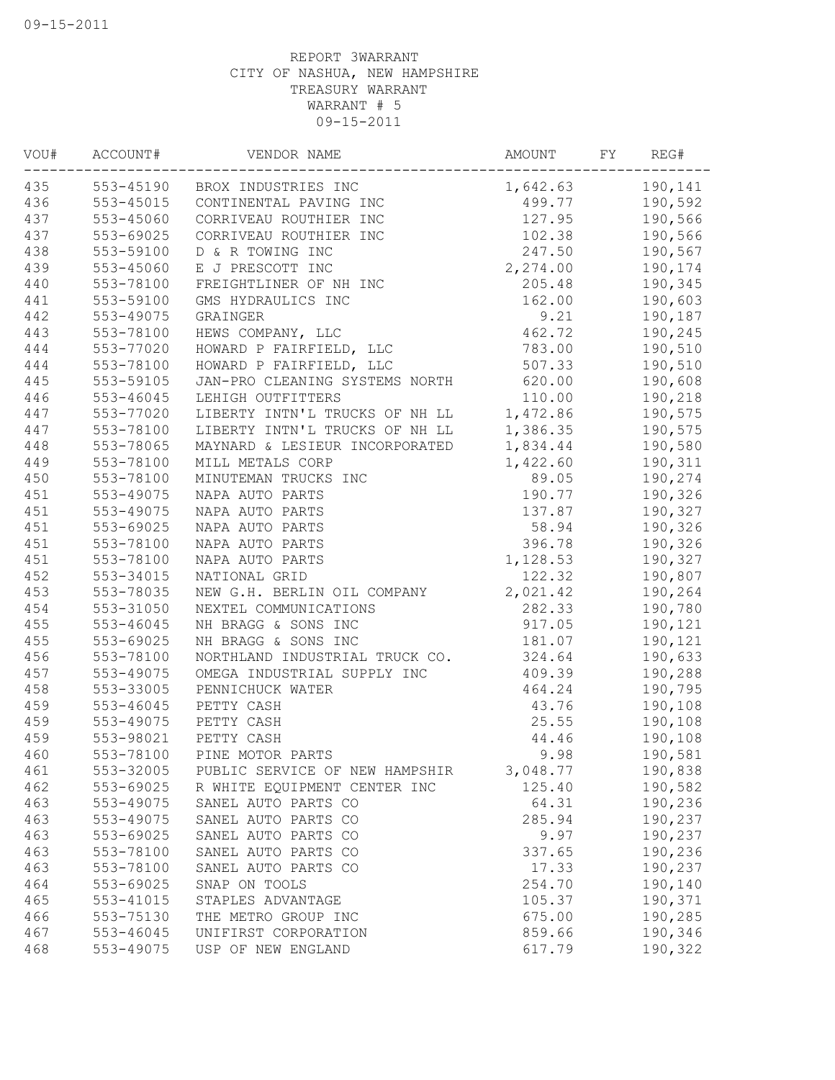| VOU# | ACCOUNT#  | VENDOR NAME                      | AMOUNT    | FY | REG#    |
|------|-----------|----------------------------------|-----------|----|---------|
| 435  |           | 553-45190 BROX INDUSTRIES INC    | 1,642.63  |    | 190,141 |
| 436  |           | 553-45015 CONTINENTAL PAVING INC | 499.77    |    | 190,592 |
| 437  | 553-45060 | CORRIVEAU ROUTHIER INC           | 127.95    |    | 190,566 |
| 437  | 553-69025 | CORRIVEAU ROUTHIER INC           | 102.38    |    | 190,566 |
| 438  | 553-59100 | D & R TOWING INC                 | 247.50    |    | 190,567 |
| 439  | 553-45060 | E J PRESCOTT INC                 | 2, 274.00 |    | 190,174 |
| 440  | 553-78100 | FREIGHTLINER OF NH INC           | 205.48    |    | 190,345 |
| 441  | 553-59100 | GMS HYDRAULICS INC               | 162.00    |    | 190,603 |
| 442  | 553-49075 | GRAINGER                         | 9.21      |    | 190,187 |
| 443  | 553-78100 | HEWS COMPANY, LLC                | 462.72    |    | 190,245 |
| 444  | 553-77020 | HOWARD P FAIRFIELD, LLC          | 783.00    |    | 190,510 |
| 444  | 553-78100 | HOWARD P FAIRFIELD, LLC          | 507.33    |    | 190,510 |
| 445  | 553-59105 | JAN-PRO CLEANING SYSTEMS NORTH   | 620.00    |    | 190,608 |
| 446  | 553-46045 | LEHIGH OUTFITTERS                | 110.00    |    | 190,218 |
| 447  | 553-77020 | LIBERTY INTN'L TRUCKS OF NH LL   | 1,472.86  |    | 190,575 |
| 447  | 553-78100 | LIBERTY INTN'L TRUCKS OF NH LL   | 1,386.35  |    | 190,575 |
| 448  | 553-78065 | MAYNARD & LESIEUR INCORPORATED   | 1,834.44  |    | 190,580 |
| 449  | 553-78100 | MILL METALS CORP                 | 1,422.60  |    | 190,311 |
| 450  | 553-78100 | MINUTEMAN TRUCKS INC             | 89.05     |    | 190,274 |
| 451  | 553-49075 | NAPA AUTO PARTS                  | 190.77    |    | 190,326 |
| 451  | 553-49075 | NAPA AUTO PARTS                  | 137.87    |    | 190,327 |
| 451  | 553-69025 | NAPA AUTO PARTS                  | 58.94     |    | 190,326 |
| 451  | 553-78100 | NAPA AUTO PARTS                  | 396.78    |    | 190,326 |
| 451  | 553-78100 | NAPA AUTO PARTS                  | 1,128.53  |    | 190,327 |
| 452  | 553-34015 | NATIONAL GRID                    | 122.32    |    | 190,807 |
| 453  | 553-78035 | NEW G.H. BERLIN OIL COMPANY      | 2,021.42  |    | 190,264 |
| 454  | 553-31050 | NEXTEL COMMUNICATIONS            | 282.33    |    | 190,780 |
| 455  | 553-46045 | NH BRAGG & SONS INC              | 917.05    |    | 190,121 |
| 455  | 553-69025 | NH BRAGG & SONS INC              | 181.07    |    | 190,121 |
| 456  | 553-78100 | NORTHLAND INDUSTRIAL TRUCK CO.   | 324.64    |    | 190,633 |
| 457  | 553-49075 | OMEGA INDUSTRIAL SUPPLY INC      | 409.39    |    | 190,288 |
| 458  | 553-33005 | PENNICHUCK WATER                 | 464.24    |    | 190,795 |
| 459  | 553-46045 | PETTY CASH                       | 43.76     |    | 190,108 |
| 459  | 553-49075 | PETTY CASH                       | 25.55     |    | 190,108 |
| 459  | 553-98021 | PETTY CASH                       | 44.46     |    | 190,108 |
| 460  | 553-78100 | PINE MOTOR PARTS                 | 9.98      |    | 190,581 |
| 461  | 553-32005 | PUBLIC SERVICE OF NEW HAMPSHIR   | 3,048.77  |    | 190,838 |
| 462  | 553-69025 | R WHITE EQUIPMENT CENTER INC     | 125.40    |    | 190,582 |
| 463  | 553-49075 | SANEL AUTO PARTS CO              | 64.31     |    | 190,236 |
| 463  | 553-49075 | SANEL AUTO PARTS CO              | 285.94    |    | 190,237 |
| 463  | 553-69025 | SANEL AUTO PARTS CO              | 9.97      |    | 190,237 |
| 463  | 553-78100 | SANEL AUTO PARTS CO              | 337.65    |    | 190,236 |
| 463  | 553-78100 | SANEL AUTO PARTS CO              | 17.33     |    | 190,237 |
| 464  | 553-69025 | SNAP ON TOOLS                    | 254.70    |    | 190,140 |
| 465  | 553-41015 | STAPLES ADVANTAGE                | 105.37    |    | 190,371 |
| 466  | 553-75130 | THE METRO GROUP INC              | 675.00    |    | 190,285 |
| 467  | 553-46045 | UNIFIRST CORPORATION             | 859.66    |    | 190,346 |
| 468  | 553-49075 | USP OF NEW ENGLAND               | 617.79    |    | 190,322 |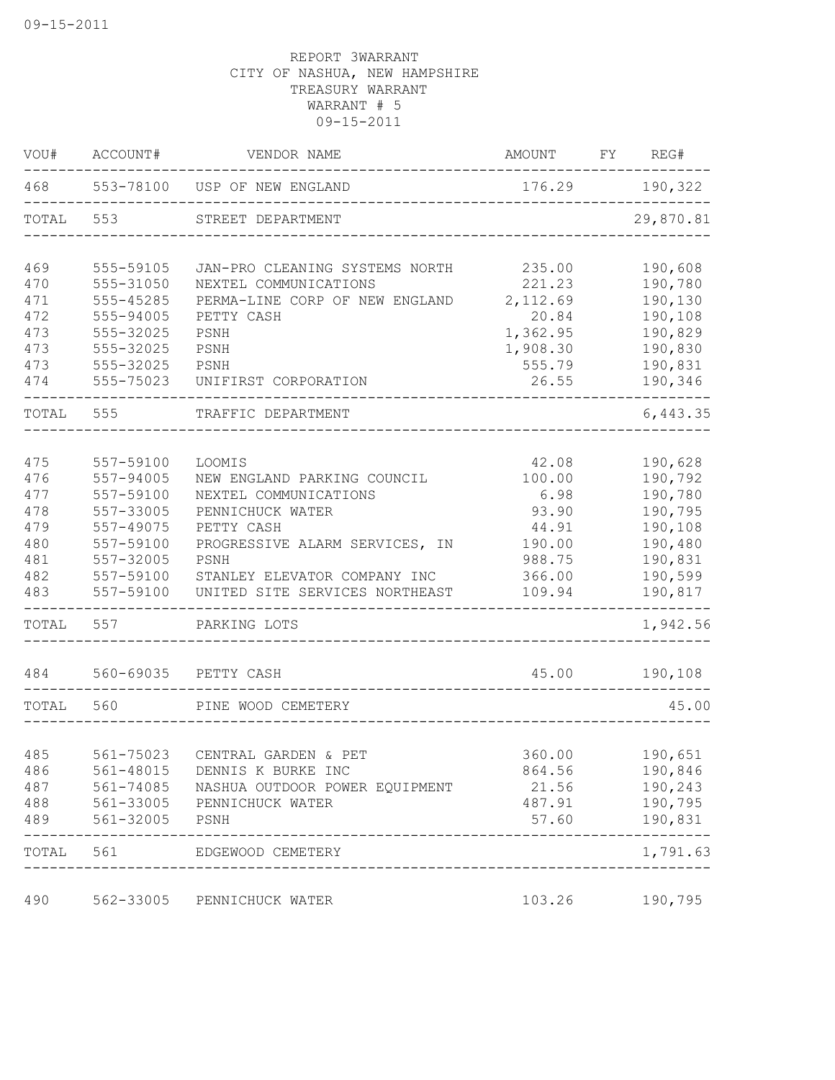| VOU#       | ACCOUNT#               | VENDOR NAME                                    | AMOUNT FY REG#  |                      |
|------------|------------------------|------------------------------------------------|-----------------|----------------------|
|            |                        | 468 553-78100 USP OF NEW ENGLAND               | 176.29 190,322  |                      |
| TOTAL      | 553                    | STREET DEPARTMENT                              |                 | 29,870.81            |
| 469        | 555-59105              | JAN-PRO CLEANING SYSTEMS NORTH                 | 235.00          | 190,608              |
| 470        | 555-31050              | NEXTEL COMMUNICATIONS                          | 221.23          | 190,780              |
| 471        | 555-45285              | PERMA-LINE CORP OF NEW ENGLAND                 | 2,112.69        | 190,130              |
| 472        | 555-94005              | PETTY CASH                                     | 20.84           | 190,108              |
| 473        | 555-32025              | PSNH                                           | 1,362.95        | 190,829              |
| 473        | 555-32025              | PSNH                                           | 1,908.30        | 190,830              |
| 473<br>474 | 555-32025<br>555-75023 | PSNH<br>UNIFIRST CORPORATION                   | 555.79<br>26.55 | 190,831<br>190,346   |
| TOTAL      | 555                    | TRAFFIC DEPARTMENT<br>________________________ |                 | --------<br>6,443.35 |
|            |                        |                                                |                 |                      |
| 475        | 557-59100              | LOOMIS                                         | 42.08           | 190,628              |
| 476        | 557-94005              | NEW ENGLAND PARKING COUNCIL                    | 100.00          | 190,792<br>190,780   |
| 477<br>478 | 557-59100<br>557-33005 | NEXTEL COMMUNICATIONS<br>PENNICHUCK WATER      | 6.98<br>93.90   | 190,795              |
| 479        | 557-49075              | PETTY CASH                                     | 44.91           | 190,108              |
| 480        | 557-59100              | PROGRESSIVE ALARM SERVICES, IN                 | 190.00          | 190,480              |
| 481        | 557-32005              | PSNH                                           | 988.75          | 190,831              |
| 482        | 557-59100              | STANLEY ELEVATOR COMPANY INC                   | 366.00          | 190,599              |
| 483        | 557-59100              | UNITED SITE SERVICES NORTHEAST                 | 109.94          | 190,817              |
| TOTAL      | 557                    | PARKING LOTS<br>______________________         |                 | -------<br>1,942.56  |
| 484        |                        | 560-69035 PETTY CASH                           | 45.00           | 190,108              |
| TOTAL      | 560                    | PINE WOOD CEMETERY                             |                 | 45.00                |
|            |                        |                                                |                 |                      |
| 485        | 561-75023              | CENTRAL GARDEN & PET                           | 360.00          | 190,651              |
| 486        | 561-48015              | DENNIS K BURKE INC                             | 864.56          | 190,846              |
| 487        | 561-74085              | NASHUA OUTDOOR POWER EQUIPMENT                 | 21.56           | 190,243              |
| 488        | 561-33005              | PENNICHUCK WATER                               | 487.91          | 190,795              |
| 489        | 561-32005              | PSNH                                           | 57.60           | 190,831              |
| TOTAL      | 561                    | EDGEWOOD CEMETERY                              |                 | 1,791.63             |
| 490        | 562-33005              | PENNICHUCK WATER                               | 103.26          | 190,795              |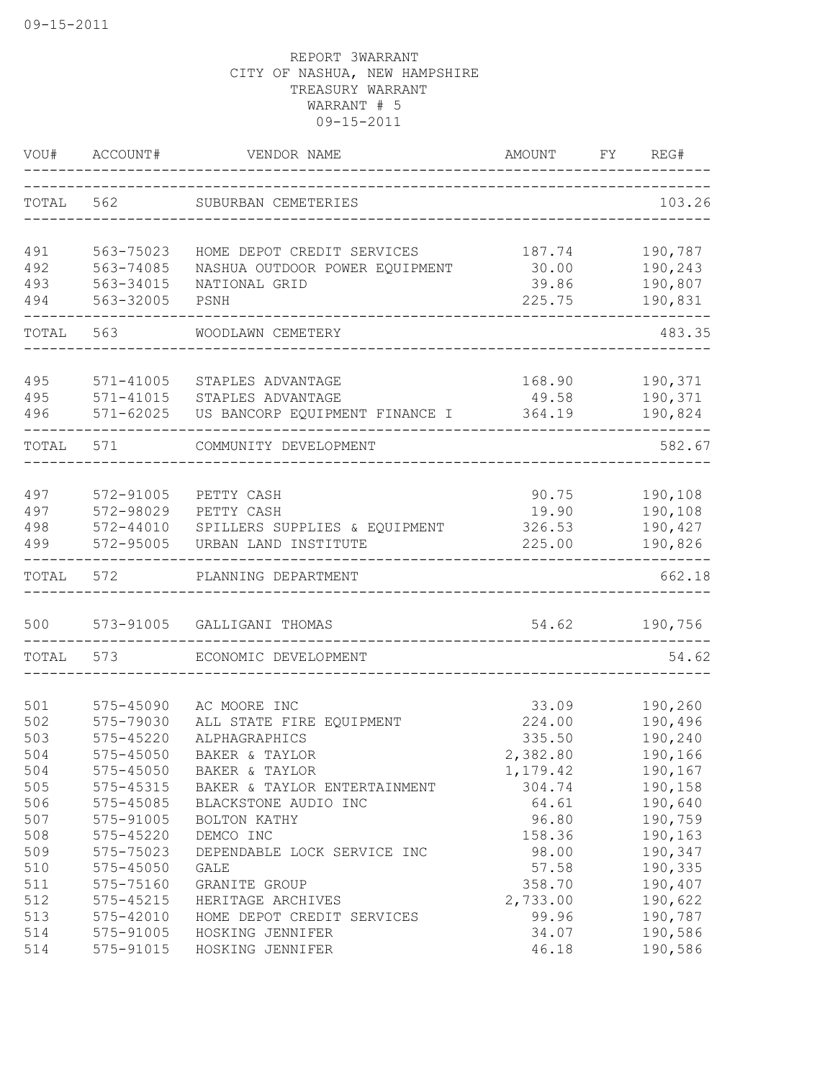| VOU#       | ACCOUNT#               | VENDOR NAME                                           | <b>AMOUNT</b><br>-------------------------- | FY. | REG#               |
|------------|------------------------|-------------------------------------------------------|---------------------------------------------|-----|--------------------|
|            |                        | TOTAL 562 SUBURBAN CEMETERIES                         |                                             |     | 103.26             |
| 491        | 563-75023              | HOME DEPOT CREDIT SERVICES                            | 187.74                                      |     | 190,787            |
| 492        | 563-74085              | NASHUA OUTDOOR POWER EQUIPMENT                        | 30.00                                       |     | 190,243            |
| 493        | 563-34015              | NATIONAL GRID                                         | 39.86                                       |     | 190,807            |
| 494        | 563-32005              | PSNH                                                  | 225.75                                      |     | 190,831            |
| TOTAL      | 563                    | WOODLAWN CEMETERY                                     |                                             |     | 483.35             |
|            |                        |                                                       |                                             |     |                    |
| 495        | 571-41005              | STAPLES ADVANTAGE                                     | 168.90                                      |     | 190,371            |
| 495<br>496 | 571-41015<br>571-62025 | STAPLES ADVANTAGE<br>US BANCORP EQUIPMENT FINANCE I   | 49.58<br>364.19                             |     | 190,371<br>190,824 |
|            |                        |                                                       |                                             |     |                    |
| TOTAL      | 571                    | COMMUNITY DEVELOPMENT                                 |                                             |     | 582.67             |
|            |                        |                                                       |                                             |     |                    |
| 497        | 572-91005              | PETTY CASH                                            | 90.75                                       |     | 190,108            |
| 497        | 572-98029              | PETTY CASH                                            | 19.90                                       |     | 190,108            |
| 498<br>499 | 572-44010<br>572-95005 | SPILLERS SUPPLIES & EQUIPMENT<br>URBAN LAND INSTITUTE | 326.53<br>225.00                            |     | 190,427<br>190,826 |
| TOTAL      | 572                    | PLANNING DEPARTMENT                                   |                                             |     | 662.18             |
|            |                        |                                                       |                                             |     |                    |
| 500        | 573-91005              | GALLIGANI THOMAS                                      | 54.62                                       |     | 190,756            |
| TOTAL      | 573                    | ECONOMIC DEVELOPMENT                                  |                                             |     | 54.62              |
| 501        | 575-45090              | AC MOORE INC                                          | 33.09                                       |     | 190,260            |
| 502        | 575-79030              | ALL STATE FIRE EQUIPMENT                              | 224.00                                      |     | 190,496            |
| 503        | 575-45220              | ALPHAGRAPHICS                                         | 335.50                                      |     | 190,240            |
| 504        | 575-45050              | BAKER & TAYLOR                                        | 2,382.80                                    |     | 190,166            |
| 504        | 575-45050              | BAKER & TAYLOR                                        | 1,179.42                                    |     | 190,167            |
| 505        | 575-45315              | BAKER & TAYLOR ENTERTAINMENT                          | 304.74                                      |     | 190,158            |
| 506        | 575-45085              | BLACKSTONE AUDIO INC                                  | 64.61                                       |     | 190,640            |
| 507        | 575-91005              | BOLTON KATHY                                          | 96.80                                       |     | 190,759            |
| 508        | 575-45220              | DEMCO INC                                             | 158.36                                      |     | 190,163            |
| 509        | 575-75023              | DEPENDABLE LOCK SERVICE INC                           | 98.00                                       |     | 190,347            |
| 510        | 575-45050              | GALE                                                  | 57.58                                       |     | 190,335            |
| 511        | 575-75160              | GRANITE GROUP                                         | 358.70                                      |     | 190,407            |
| 512        | 575-45215              | HERITAGE ARCHIVES                                     | 2,733.00                                    |     | 190,622            |
| 513        | 575-42010              | HOME DEPOT CREDIT SERVICES                            | 99.96                                       |     | 190,787            |
| 514        | 575-91005              | HOSKING JENNIFER                                      | 34.07                                       |     | 190,586            |
| 514        | 575-91015              | HOSKING JENNIFER                                      | 46.18                                       |     | 190,586            |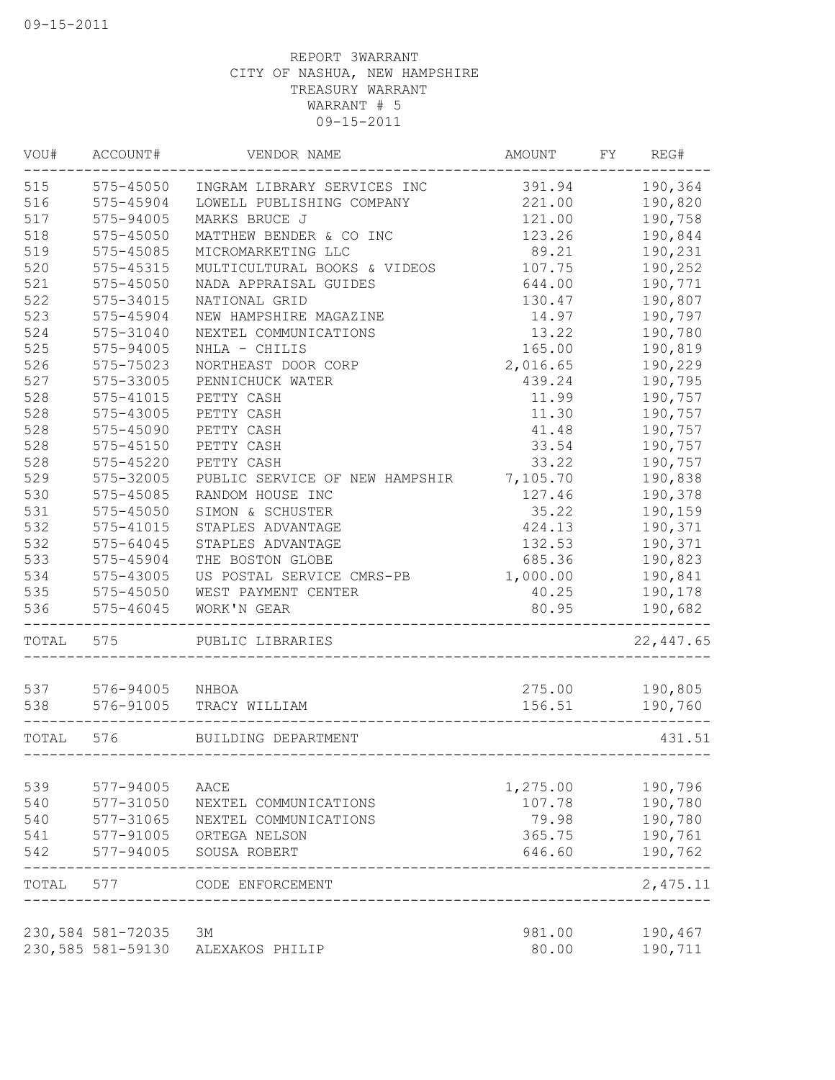| 190,364<br>575-45050<br>INGRAM LIBRARY SERVICES INC<br>391.94<br>190,820<br>575-45904<br>LOWELL PUBLISHING COMPANY<br>221.00<br>121.00<br>190,758<br>575-94005<br>MARKS BRUCE J<br>123.26<br>190,844<br>575-45050<br>MATTHEW BENDER & CO INC<br>89.21<br>190,231<br>575-45085<br>MICROMARKETING LLC<br>107.75<br>190,252<br>MULTICULTURAL BOOKS & VIDEOS<br>575-45315<br>644.00<br>190,771<br>575-45050<br>NADA APPRAISAL GUIDES<br>190,807<br>575-34015<br>NATIONAL GRID<br>130.47<br>523<br>14.97<br>190,797<br>575-45904<br>NEW HAMPSHIRE MAGAZINE<br>524<br>13.22<br>190,780<br>575-31040<br>NEXTEL COMMUNICATIONS<br>525<br>575-94005<br>NHLA - CHILIS<br>165.00<br>190,819<br>526<br>2,016.65<br>190,229<br>575-75023<br>NORTHEAST DOOR CORP<br>527<br>190,795<br>575-33005<br>PENNICHUCK WATER<br>439.24<br>528<br>575-41015<br>11.99<br>190,757<br>PETTY CASH<br>528<br>575-43005<br>11.30<br>190,757<br>PETTY CASH<br>528<br>190,757<br>575-45090<br>PETTY CASH<br>41.48<br>528<br>190,757<br>$575 - 45150$<br>PETTY CASH<br>33.54<br>528<br>190,757<br>575-45220<br>PETTY CASH<br>33.22<br>529<br>PUBLIC SERVICE OF NEW HAMPSHIR<br>7,105.70<br>190,838<br>575-32005<br>530<br>190,378<br>575-45085<br>RANDOM HOUSE INC<br>127.46<br>531<br>575-45050<br>SIMON & SCHUSTER<br>35.22<br>190,159<br>532<br>190,371<br>575-41015<br>STAPLES ADVANTAGE<br>424.13<br>532<br>190,371<br>575-64045<br>STAPLES ADVANTAGE<br>132.53<br>533<br>190,823<br>575-45904<br>THE BOSTON GLOBE<br>685.36<br>534<br>190,841<br>575-43005<br>US POSTAL SERVICE CMRS-PB<br>1,000.00<br>535<br>575-45050<br>WEST PAYMENT CENTER<br>40.25<br>190,178<br>575-46045<br>WORK'N GEAR<br>80.95<br>190,682<br>TOTAL 575<br>PUBLIC LIBRARIES<br>275.00<br>537<br>576-94005 NHBOA<br>190,805<br>538<br>576-91005<br>156.51<br>TRACY WILLIAM<br>190,760<br>576<br>BUILDING DEPARTMENT<br>539<br>1,275.00<br>190,796<br>577-94005<br>AACE<br>540<br>107.78<br>190,780<br>577-31050<br>NEXTEL COMMUNICATIONS<br>540<br>577-31065<br>79.98<br>190,780<br>NEXTEL COMMUNICATIONS<br>190,761<br>577-91005<br>541<br>ORTEGA NELSON<br>365.75<br>542<br>577-94005<br>646.60<br>190,762<br>SOUSA ROBERT<br>577<br>2,475.11<br>CODE ENFORCEMENT<br>230,584 581-72035<br>981.00<br>190,467<br>ЗМ<br>230,585 581-59130<br>80.00<br>190,711<br>ALEXAKOS PHILIP | VOU#  | ACCOUNT# | VENDOR NAME | <b>AMOUNT</b> | FY | REG#       |
|-----------------------------------------------------------------------------------------------------------------------------------------------------------------------------------------------------------------------------------------------------------------------------------------------------------------------------------------------------------------------------------------------------------------------------------------------------------------------------------------------------------------------------------------------------------------------------------------------------------------------------------------------------------------------------------------------------------------------------------------------------------------------------------------------------------------------------------------------------------------------------------------------------------------------------------------------------------------------------------------------------------------------------------------------------------------------------------------------------------------------------------------------------------------------------------------------------------------------------------------------------------------------------------------------------------------------------------------------------------------------------------------------------------------------------------------------------------------------------------------------------------------------------------------------------------------------------------------------------------------------------------------------------------------------------------------------------------------------------------------------------------------------------------------------------------------------------------------------------------------------------------------------------------------------------------------------------------------------------------------------------------------------------------------------------------------------------------------------------------------------------------------------------------------------------------------------------------------------------------------------------------------------------------------------------------------------------|-------|----------|-------------|---------------|----|------------|
|                                                                                                                                                                                                                                                                                                                                                                                                                                                                                                                                                                                                                                                                                                                                                                                                                                                                                                                                                                                                                                                                                                                                                                                                                                                                                                                                                                                                                                                                                                                                                                                                                                                                                                                                                                                                                                                                                                                                                                                                                                                                                                                                                                                                                                                                                                                             | 515   |          |             |               |    |            |
|                                                                                                                                                                                                                                                                                                                                                                                                                                                                                                                                                                                                                                                                                                                                                                                                                                                                                                                                                                                                                                                                                                                                                                                                                                                                                                                                                                                                                                                                                                                                                                                                                                                                                                                                                                                                                                                                                                                                                                                                                                                                                                                                                                                                                                                                                                                             | 516   |          |             |               |    |            |
|                                                                                                                                                                                                                                                                                                                                                                                                                                                                                                                                                                                                                                                                                                                                                                                                                                                                                                                                                                                                                                                                                                                                                                                                                                                                                                                                                                                                                                                                                                                                                                                                                                                                                                                                                                                                                                                                                                                                                                                                                                                                                                                                                                                                                                                                                                                             | 517   |          |             |               |    |            |
|                                                                                                                                                                                                                                                                                                                                                                                                                                                                                                                                                                                                                                                                                                                                                                                                                                                                                                                                                                                                                                                                                                                                                                                                                                                                                                                                                                                                                                                                                                                                                                                                                                                                                                                                                                                                                                                                                                                                                                                                                                                                                                                                                                                                                                                                                                                             | 518   |          |             |               |    |            |
|                                                                                                                                                                                                                                                                                                                                                                                                                                                                                                                                                                                                                                                                                                                                                                                                                                                                                                                                                                                                                                                                                                                                                                                                                                                                                                                                                                                                                                                                                                                                                                                                                                                                                                                                                                                                                                                                                                                                                                                                                                                                                                                                                                                                                                                                                                                             | 519   |          |             |               |    |            |
|                                                                                                                                                                                                                                                                                                                                                                                                                                                                                                                                                                                                                                                                                                                                                                                                                                                                                                                                                                                                                                                                                                                                                                                                                                                                                                                                                                                                                                                                                                                                                                                                                                                                                                                                                                                                                                                                                                                                                                                                                                                                                                                                                                                                                                                                                                                             | 520   |          |             |               |    |            |
|                                                                                                                                                                                                                                                                                                                                                                                                                                                                                                                                                                                                                                                                                                                                                                                                                                                                                                                                                                                                                                                                                                                                                                                                                                                                                                                                                                                                                                                                                                                                                                                                                                                                                                                                                                                                                                                                                                                                                                                                                                                                                                                                                                                                                                                                                                                             | 521   |          |             |               |    |            |
|                                                                                                                                                                                                                                                                                                                                                                                                                                                                                                                                                                                                                                                                                                                                                                                                                                                                                                                                                                                                                                                                                                                                                                                                                                                                                                                                                                                                                                                                                                                                                                                                                                                                                                                                                                                                                                                                                                                                                                                                                                                                                                                                                                                                                                                                                                                             | 522   |          |             |               |    |            |
|                                                                                                                                                                                                                                                                                                                                                                                                                                                                                                                                                                                                                                                                                                                                                                                                                                                                                                                                                                                                                                                                                                                                                                                                                                                                                                                                                                                                                                                                                                                                                                                                                                                                                                                                                                                                                                                                                                                                                                                                                                                                                                                                                                                                                                                                                                                             |       |          |             |               |    |            |
|                                                                                                                                                                                                                                                                                                                                                                                                                                                                                                                                                                                                                                                                                                                                                                                                                                                                                                                                                                                                                                                                                                                                                                                                                                                                                                                                                                                                                                                                                                                                                                                                                                                                                                                                                                                                                                                                                                                                                                                                                                                                                                                                                                                                                                                                                                                             |       |          |             |               |    |            |
|                                                                                                                                                                                                                                                                                                                                                                                                                                                                                                                                                                                                                                                                                                                                                                                                                                                                                                                                                                                                                                                                                                                                                                                                                                                                                                                                                                                                                                                                                                                                                                                                                                                                                                                                                                                                                                                                                                                                                                                                                                                                                                                                                                                                                                                                                                                             |       |          |             |               |    |            |
|                                                                                                                                                                                                                                                                                                                                                                                                                                                                                                                                                                                                                                                                                                                                                                                                                                                                                                                                                                                                                                                                                                                                                                                                                                                                                                                                                                                                                                                                                                                                                                                                                                                                                                                                                                                                                                                                                                                                                                                                                                                                                                                                                                                                                                                                                                                             |       |          |             |               |    |            |
|                                                                                                                                                                                                                                                                                                                                                                                                                                                                                                                                                                                                                                                                                                                                                                                                                                                                                                                                                                                                                                                                                                                                                                                                                                                                                                                                                                                                                                                                                                                                                                                                                                                                                                                                                                                                                                                                                                                                                                                                                                                                                                                                                                                                                                                                                                                             |       |          |             |               |    |            |
|                                                                                                                                                                                                                                                                                                                                                                                                                                                                                                                                                                                                                                                                                                                                                                                                                                                                                                                                                                                                                                                                                                                                                                                                                                                                                                                                                                                                                                                                                                                                                                                                                                                                                                                                                                                                                                                                                                                                                                                                                                                                                                                                                                                                                                                                                                                             |       |          |             |               |    |            |
|                                                                                                                                                                                                                                                                                                                                                                                                                                                                                                                                                                                                                                                                                                                                                                                                                                                                                                                                                                                                                                                                                                                                                                                                                                                                                                                                                                                                                                                                                                                                                                                                                                                                                                                                                                                                                                                                                                                                                                                                                                                                                                                                                                                                                                                                                                                             |       |          |             |               |    |            |
|                                                                                                                                                                                                                                                                                                                                                                                                                                                                                                                                                                                                                                                                                                                                                                                                                                                                                                                                                                                                                                                                                                                                                                                                                                                                                                                                                                                                                                                                                                                                                                                                                                                                                                                                                                                                                                                                                                                                                                                                                                                                                                                                                                                                                                                                                                                             |       |          |             |               |    |            |
|                                                                                                                                                                                                                                                                                                                                                                                                                                                                                                                                                                                                                                                                                                                                                                                                                                                                                                                                                                                                                                                                                                                                                                                                                                                                                                                                                                                                                                                                                                                                                                                                                                                                                                                                                                                                                                                                                                                                                                                                                                                                                                                                                                                                                                                                                                                             |       |          |             |               |    |            |
|                                                                                                                                                                                                                                                                                                                                                                                                                                                                                                                                                                                                                                                                                                                                                                                                                                                                                                                                                                                                                                                                                                                                                                                                                                                                                                                                                                                                                                                                                                                                                                                                                                                                                                                                                                                                                                                                                                                                                                                                                                                                                                                                                                                                                                                                                                                             |       |          |             |               |    |            |
|                                                                                                                                                                                                                                                                                                                                                                                                                                                                                                                                                                                                                                                                                                                                                                                                                                                                                                                                                                                                                                                                                                                                                                                                                                                                                                                                                                                                                                                                                                                                                                                                                                                                                                                                                                                                                                                                                                                                                                                                                                                                                                                                                                                                                                                                                                                             |       |          |             |               |    |            |
|                                                                                                                                                                                                                                                                                                                                                                                                                                                                                                                                                                                                                                                                                                                                                                                                                                                                                                                                                                                                                                                                                                                                                                                                                                                                                                                                                                                                                                                                                                                                                                                                                                                                                                                                                                                                                                                                                                                                                                                                                                                                                                                                                                                                                                                                                                                             |       |          |             |               |    |            |
|                                                                                                                                                                                                                                                                                                                                                                                                                                                                                                                                                                                                                                                                                                                                                                                                                                                                                                                                                                                                                                                                                                                                                                                                                                                                                                                                                                                                                                                                                                                                                                                                                                                                                                                                                                                                                                                                                                                                                                                                                                                                                                                                                                                                                                                                                                                             |       |          |             |               |    |            |
|                                                                                                                                                                                                                                                                                                                                                                                                                                                                                                                                                                                                                                                                                                                                                                                                                                                                                                                                                                                                                                                                                                                                                                                                                                                                                                                                                                                                                                                                                                                                                                                                                                                                                                                                                                                                                                                                                                                                                                                                                                                                                                                                                                                                                                                                                                                             |       |          |             |               |    |            |
|                                                                                                                                                                                                                                                                                                                                                                                                                                                                                                                                                                                                                                                                                                                                                                                                                                                                                                                                                                                                                                                                                                                                                                                                                                                                                                                                                                                                                                                                                                                                                                                                                                                                                                                                                                                                                                                                                                                                                                                                                                                                                                                                                                                                                                                                                                                             |       |          |             |               |    |            |
|                                                                                                                                                                                                                                                                                                                                                                                                                                                                                                                                                                                                                                                                                                                                                                                                                                                                                                                                                                                                                                                                                                                                                                                                                                                                                                                                                                                                                                                                                                                                                                                                                                                                                                                                                                                                                                                                                                                                                                                                                                                                                                                                                                                                                                                                                                                             |       |          |             |               |    |            |
|                                                                                                                                                                                                                                                                                                                                                                                                                                                                                                                                                                                                                                                                                                                                                                                                                                                                                                                                                                                                                                                                                                                                                                                                                                                                                                                                                                                                                                                                                                                                                                                                                                                                                                                                                                                                                                                                                                                                                                                                                                                                                                                                                                                                                                                                                                                             |       |          |             |               |    |            |
|                                                                                                                                                                                                                                                                                                                                                                                                                                                                                                                                                                                                                                                                                                                                                                                                                                                                                                                                                                                                                                                                                                                                                                                                                                                                                                                                                                                                                                                                                                                                                                                                                                                                                                                                                                                                                                                                                                                                                                                                                                                                                                                                                                                                                                                                                                                             |       |          |             |               |    |            |
|                                                                                                                                                                                                                                                                                                                                                                                                                                                                                                                                                                                                                                                                                                                                                                                                                                                                                                                                                                                                                                                                                                                                                                                                                                                                                                                                                                                                                                                                                                                                                                                                                                                                                                                                                                                                                                                                                                                                                                                                                                                                                                                                                                                                                                                                                                                             |       |          |             |               |    |            |
|                                                                                                                                                                                                                                                                                                                                                                                                                                                                                                                                                                                                                                                                                                                                                                                                                                                                                                                                                                                                                                                                                                                                                                                                                                                                                                                                                                                                                                                                                                                                                                                                                                                                                                                                                                                                                                                                                                                                                                                                                                                                                                                                                                                                                                                                                                                             | 536   |          |             |               |    |            |
|                                                                                                                                                                                                                                                                                                                                                                                                                                                                                                                                                                                                                                                                                                                                                                                                                                                                                                                                                                                                                                                                                                                                                                                                                                                                                                                                                                                                                                                                                                                                                                                                                                                                                                                                                                                                                                                                                                                                                                                                                                                                                                                                                                                                                                                                                                                             |       |          |             |               |    | 22, 447.65 |
|                                                                                                                                                                                                                                                                                                                                                                                                                                                                                                                                                                                                                                                                                                                                                                                                                                                                                                                                                                                                                                                                                                                                                                                                                                                                                                                                                                                                                                                                                                                                                                                                                                                                                                                                                                                                                                                                                                                                                                                                                                                                                                                                                                                                                                                                                                                             |       |          |             |               |    |            |
|                                                                                                                                                                                                                                                                                                                                                                                                                                                                                                                                                                                                                                                                                                                                                                                                                                                                                                                                                                                                                                                                                                                                                                                                                                                                                                                                                                                                                                                                                                                                                                                                                                                                                                                                                                                                                                                                                                                                                                                                                                                                                                                                                                                                                                                                                                                             |       |          |             |               |    |            |
|                                                                                                                                                                                                                                                                                                                                                                                                                                                                                                                                                                                                                                                                                                                                                                                                                                                                                                                                                                                                                                                                                                                                                                                                                                                                                                                                                                                                                                                                                                                                                                                                                                                                                                                                                                                                                                                                                                                                                                                                                                                                                                                                                                                                                                                                                                                             |       |          |             |               |    |            |
|                                                                                                                                                                                                                                                                                                                                                                                                                                                                                                                                                                                                                                                                                                                                                                                                                                                                                                                                                                                                                                                                                                                                                                                                                                                                                                                                                                                                                                                                                                                                                                                                                                                                                                                                                                                                                                                                                                                                                                                                                                                                                                                                                                                                                                                                                                                             | TOTAL |          |             |               |    | 431.51     |
|                                                                                                                                                                                                                                                                                                                                                                                                                                                                                                                                                                                                                                                                                                                                                                                                                                                                                                                                                                                                                                                                                                                                                                                                                                                                                                                                                                                                                                                                                                                                                                                                                                                                                                                                                                                                                                                                                                                                                                                                                                                                                                                                                                                                                                                                                                                             |       |          |             |               |    |            |
|                                                                                                                                                                                                                                                                                                                                                                                                                                                                                                                                                                                                                                                                                                                                                                                                                                                                                                                                                                                                                                                                                                                                                                                                                                                                                                                                                                                                                                                                                                                                                                                                                                                                                                                                                                                                                                                                                                                                                                                                                                                                                                                                                                                                                                                                                                                             |       |          |             |               |    |            |
|                                                                                                                                                                                                                                                                                                                                                                                                                                                                                                                                                                                                                                                                                                                                                                                                                                                                                                                                                                                                                                                                                                                                                                                                                                                                                                                                                                                                                                                                                                                                                                                                                                                                                                                                                                                                                                                                                                                                                                                                                                                                                                                                                                                                                                                                                                                             |       |          |             |               |    |            |
|                                                                                                                                                                                                                                                                                                                                                                                                                                                                                                                                                                                                                                                                                                                                                                                                                                                                                                                                                                                                                                                                                                                                                                                                                                                                                                                                                                                                                                                                                                                                                                                                                                                                                                                                                                                                                                                                                                                                                                                                                                                                                                                                                                                                                                                                                                                             |       |          |             |               |    |            |
|                                                                                                                                                                                                                                                                                                                                                                                                                                                                                                                                                                                                                                                                                                                                                                                                                                                                                                                                                                                                                                                                                                                                                                                                                                                                                                                                                                                                                                                                                                                                                                                                                                                                                                                                                                                                                                                                                                                                                                                                                                                                                                                                                                                                                                                                                                                             |       |          |             |               |    |            |
|                                                                                                                                                                                                                                                                                                                                                                                                                                                                                                                                                                                                                                                                                                                                                                                                                                                                                                                                                                                                                                                                                                                                                                                                                                                                                                                                                                                                                                                                                                                                                                                                                                                                                                                                                                                                                                                                                                                                                                                                                                                                                                                                                                                                                                                                                                                             |       |          |             |               |    |            |
|                                                                                                                                                                                                                                                                                                                                                                                                                                                                                                                                                                                                                                                                                                                                                                                                                                                                                                                                                                                                                                                                                                                                                                                                                                                                                                                                                                                                                                                                                                                                                                                                                                                                                                                                                                                                                                                                                                                                                                                                                                                                                                                                                                                                                                                                                                                             | TOTAL |          |             |               |    |            |
|                                                                                                                                                                                                                                                                                                                                                                                                                                                                                                                                                                                                                                                                                                                                                                                                                                                                                                                                                                                                                                                                                                                                                                                                                                                                                                                                                                                                                                                                                                                                                                                                                                                                                                                                                                                                                                                                                                                                                                                                                                                                                                                                                                                                                                                                                                                             |       |          |             |               |    |            |
|                                                                                                                                                                                                                                                                                                                                                                                                                                                                                                                                                                                                                                                                                                                                                                                                                                                                                                                                                                                                                                                                                                                                                                                                                                                                                                                                                                                                                                                                                                                                                                                                                                                                                                                                                                                                                                                                                                                                                                                                                                                                                                                                                                                                                                                                                                                             |       |          |             |               |    |            |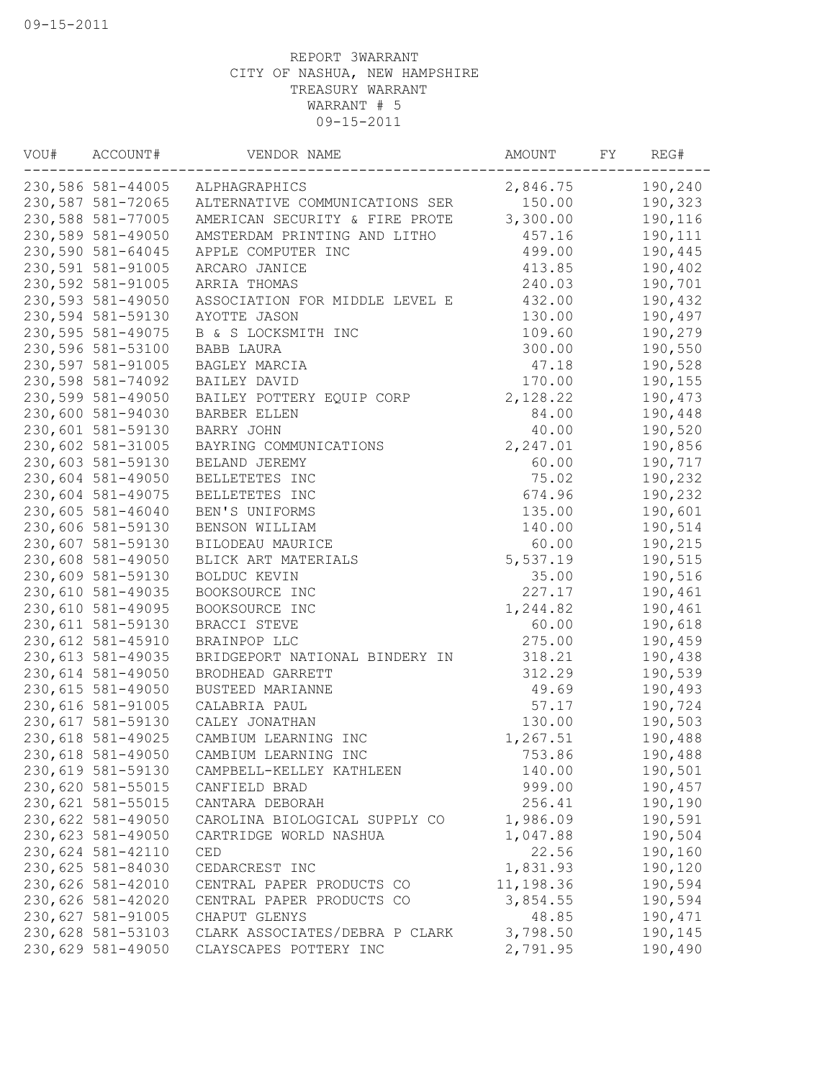| VOU# | ACCOUNT#           | VENDOR NAME                    | AMOUNT    | FY | REG#    |
|------|--------------------|--------------------------------|-----------|----|---------|
|      | 230,586 581-44005  | ALPHAGRAPHICS                  | 2,846.75  |    | 190,240 |
|      | 230,587 581-72065  | ALTERNATIVE COMMUNICATIONS SER | 150.00    |    | 190,323 |
|      | 230,588 581-77005  | AMERICAN SECURITY & FIRE PROTE | 3,300.00  |    | 190,116 |
|      | 230,589 581-49050  | AMSTERDAM PRINTING AND LITHO   | 457.16    |    | 190,111 |
|      | 230,590 581-64045  | APPLE COMPUTER INC             | 499.00    |    | 190,445 |
|      | 230,591 581-91005  | ARCARO JANICE                  | 413.85    |    | 190,402 |
|      | 230,592 581-91005  | ARRIA THOMAS                   | 240.03    |    | 190,701 |
|      | 230,593 581-49050  | ASSOCIATION FOR MIDDLE LEVEL E | 432.00    |    | 190,432 |
|      | 230,594 581-59130  | AYOTTE JASON                   | 130.00    |    | 190,497 |
|      | 230,595 581-49075  | B & S LOCKSMITH INC            | 109.60    |    | 190,279 |
|      | 230,596 581-53100  | BABB LAURA                     | 300.00    |    | 190,550 |
|      | 230,597 581-91005  | BAGLEY MARCIA                  | 47.18     |    | 190,528 |
|      | 230,598 581-74092  | BAILEY DAVID                   | 170.00    |    | 190,155 |
|      | 230,599 581-49050  | BAILEY POTTERY EQUIP CORP      | 2,128.22  |    | 190,473 |
|      | 230,600 581-94030  | BARBER ELLEN                   | 84.00     |    | 190,448 |
|      | 230,601 581-59130  | BARRY JOHN                     | 40.00     |    | 190,520 |
|      | 230,602 581-31005  | BAYRING COMMUNICATIONS         | 2,247.01  |    | 190,856 |
|      | 230,603 581-59130  | BELAND JEREMY                  | 60.00     |    | 190,717 |
|      | 230,604 581-49050  | BELLETETES INC                 | 75.02     |    | 190,232 |
|      | 230,604 581-49075  | BELLETETES INC                 | 674.96    |    | 190,232 |
|      | 230,605 581-46040  | BEN'S UNIFORMS                 | 135.00    |    | 190,601 |
|      | 230,606 581-59130  | BENSON WILLIAM                 | 140.00    |    | 190,514 |
|      | 230,607 581-59130  | BILODEAU MAURICE               | 60.00     |    | 190,215 |
|      | 230,608 581-49050  | BLICK ART MATERIALS            | 5,537.19  |    | 190,515 |
|      | 230,609 581-59130  | BOLDUC KEVIN                   | 35.00     |    | 190,516 |
|      | 230,610 581-49035  | BOOKSOURCE INC                 | 227.17    |    | 190,461 |
|      | 230,610 581-49095  | BOOKSOURCE INC                 | 1,244.82  |    | 190,461 |
|      | 230,611 581-59130  | BRACCI STEVE                   | 60.00     |    | 190,618 |
|      | 230,612 581-45910  | BRAINPOP LLC                   | 275.00    |    | 190,459 |
|      | 230, 613 581-49035 | BRIDGEPORT NATIONAL BINDERY IN | 318.21    |    | 190,438 |
|      | 230,614 581-49050  | BRODHEAD GARRETT               | 312.29    |    | 190,539 |
|      | 230,615 581-49050  | BUSTEED MARIANNE               | 49.69     |    | 190,493 |
|      | 230,616 581-91005  | CALABRIA PAUL                  | 57.17     |    | 190,724 |
|      | 230,617 581-59130  | CALEY JONATHAN                 | 130.00    |    | 190,503 |
|      | 230,618 581-49025  | CAMBIUM LEARNING INC           | 1,267.51  |    | 190,488 |
|      | 230,618 581-49050  | CAMBIUM LEARNING INC           | 753.86    |    | 190,488 |
|      | 230,619 581-59130  | CAMPBELL-KELLEY KATHLEEN       | 140.00    |    | 190,501 |
|      | 230,620 581-55015  | CANFIELD BRAD                  | 999.00    |    | 190,457 |
|      | 230,621 581-55015  | CANTARA DEBORAH                | 256.41    |    | 190,190 |
|      | 230,622 581-49050  | CAROLINA BIOLOGICAL SUPPLY CO  | 1,986.09  |    | 190,591 |
|      | 230,623 581-49050  | CARTRIDGE WORLD NASHUA         | 1,047.88  |    | 190,504 |
|      | 230,624 581-42110  | CED                            | 22.56     |    | 190,160 |
|      | 230,625 581-84030  | CEDARCREST INC                 | 1,831.93  |    | 190,120 |
|      | 230,626 581-42010  | CENTRAL PAPER PRODUCTS CO      | 11,198.36 |    | 190,594 |
|      | 230,626 581-42020  | CENTRAL PAPER PRODUCTS CO      | 3,854.55  |    | 190,594 |
|      | 230,627 581-91005  | CHAPUT GLENYS                  | 48.85     |    | 190,471 |
|      | 230,628 581-53103  | CLARK ASSOCIATES/DEBRA P CLARK | 3,798.50  |    | 190,145 |
|      | 230,629 581-49050  | CLAYSCAPES POTTERY INC         | 2,791.95  |    | 190,490 |
|      |                    |                                |           |    |         |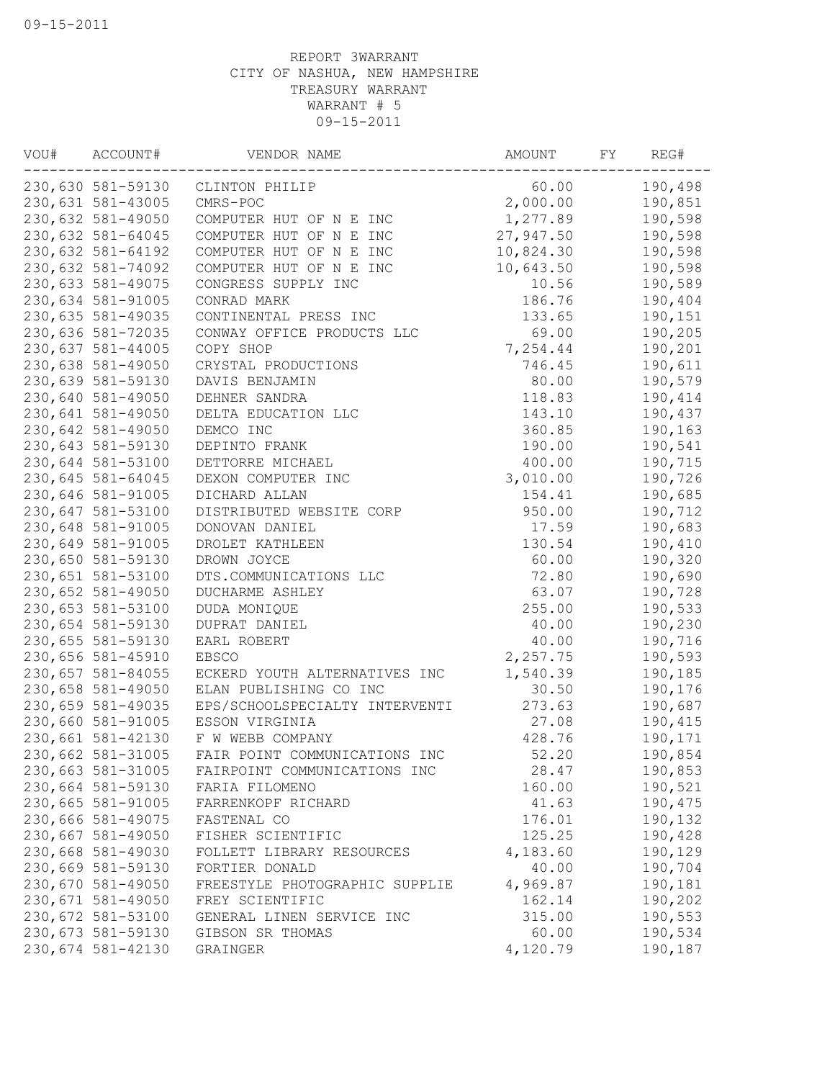| WOU# | ACCOUNT#          | VENDOR NAME                    | AMOUNT    | FY | REG#    |
|------|-------------------|--------------------------------|-----------|----|---------|
|      | 230,630 581-59130 | CLINTON PHILIP                 | 60.00     |    | 190,498 |
|      | 230,631 581-43005 | CMRS-POC                       | 2,000.00  |    | 190,851 |
|      | 230,632 581-49050 | COMPUTER HUT OF N E INC        | 1,277.89  |    | 190,598 |
|      | 230,632 581-64045 | COMPUTER HUT OF N E INC        | 27,947.50 |    | 190,598 |
|      | 230,632 581-64192 | COMPUTER HUT OF N E INC        | 10,824.30 |    | 190,598 |
|      | 230,632 581-74092 | COMPUTER HUT OF N E INC        | 10,643.50 |    | 190,598 |
|      | 230,633 581-49075 | CONGRESS SUPPLY INC            | 10.56     |    | 190,589 |
|      | 230,634 581-91005 | CONRAD MARK                    | 186.76    |    | 190,404 |
|      | 230,635 581-49035 | CONTINENTAL PRESS INC          | 133.65    |    | 190,151 |
|      | 230,636 581-72035 | CONWAY OFFICE PRODUCTS LLC     | 69.00     |    | 190,205 |
|      | 230,637 581-44005 | COPY SHOP                      | 7,254.44  |    | 190,201 |
|      | 230,638 581-49050 | CRYSTAL PRODUCTIONS            | 746.45    |    | 190,611 |
|      | 230,639 581-59130 | DAVIS BENJAMIN                 | 80.00     |    | 190,579 |
|      | 230,640 581-49050 | DEHNER SANDRA                  | 118.83    |    | 190,414 |
|      | 230,641 581-49050 | DELTA EDUCATION LLC            | 143.10    |    | 190,437 |
|      | 230,642 581-49050 | DEMCO INC                      | 360.85    |    | 190,163 |
|      | 230,643 581-59130 | DEPINTO FRANK                  | 190.00    |    | 190,541 |
|      | 230,644 581-53100 | DETTORRE MICHAEL               | 400.00    |    | 190,715 |
|      | 230,645 581-64045 | DEXON COMPUTER INC             | 3,010.00  |    | 190,726 |
|      | 230,646 581-91005 | DICHARD ALLAN                  | 154.41    |    | 190,685 |
|      | 230,647 581-53100 | DISTRIBUTED WEBSITE CORP       | 950.00    |    | 190,712 |
|      | 230,648 581-91005 | DONOVAN DANIEL                 | 17.59     |    | 190,683 |
|      | 230,649 581-91005 | DROLET KATHLEEN                | 130.54    |    | 190,410 |
|      | 230,650 581-59130 | DROWN JOYCE                    | 60.00     |    | 190,320 |
|      | 230,651 581-53100 | DTS.COMMUNICATIONS LLC         | 72.80     |    | 190,690 |
|      | 230,652 581-49050 | DUCHARME ASHLEY                | 63.07     |    | 190,728 |
|      | 230,653 581-53100 | DUDA MONIQUE                   | 255.00    |    | 190,533 |
|      | 230,654 581-59130 | DUPRAT DANIEL                  | 40.00     |    | 190,230 |
|      | 230,655 581-59130 | EARL ROBERT                    | 40.00     |    | 190,716 |
|      | 230,656 581-45910 | <b>EBSCO</b>                   | 2,257.75  |    | 190,593 |
|      | 230,657 581-84055 | ECKERD YOUTH ALTERNATIVES INC  | 1,540.39  |    | 190,185 |
|      | 230,658 581-49050 | ELAN PUBLISHING CO INC         | 30.50     |    | 190,176 |
|      | 230,659 581-49035 | EPS/SCHOOLSPECIALTY INTERVENTI | 273.63    |    | 190,687 |
|      | 230,660 581-91005 | ESSON VIRGINIA                 | 27.08     |    | 190,415 |
|      | 230,661 581-42130 | F W WEBB COMPANY               | 428.76    |    | 190,171 |
|      | 230,662 581-31005 | FAIR POINT COMMUNICATIONS INC  | 52.20     |    | 190,854 |
|      | 230,663 581-31005 | FAIRPOINT COMMUNICATIONS INC   | 28.47     |    | 190,853 |
|      | 230,664 581-59130 | FARIA FILOMENO                 | 160.00    |    | 190,521 |
|      | 230,665 581-91005 | FARRENKOPF RICHARD             | 41.63     |    | 190,475 |
|      | 230,666 581-49075 | FASTENAL CO                    | 176.01    |    | 190,132 |
|      | 230,667 581-49050 | FISHER SCIENTIFIC              | 125.25    |    | 190,428 |
|      | 230,668 581-49030 | FOLLETT LIBRARY RESOURCES      | 4,183.60  |    | 190,129 |
|      | 230,669 581-59130 | FORTIER DONALD                 | 40.00     |    | 190,704 |
|      | 230,670 581-49050 | FREESTYLE PHOTOGRAPHIC SUPPLIE | 4,969.87  |    | 190,181 |
|      | 230,671 581-49050 | FREY SCIENTIFIC                | 162.14    |    | 190,202 |
|      | 230,672 581-53100 | GENERAL LINEN SERVICE INC      | 315.00    |    | 190,553 |
|      | 230,673 581-59130 | GIBSON SR THOMAS               | 60.00     |    | 190,534 |
|      | 230,674 581-42130 | GRAINGER                       | 4,120.79  |    | 190,187 |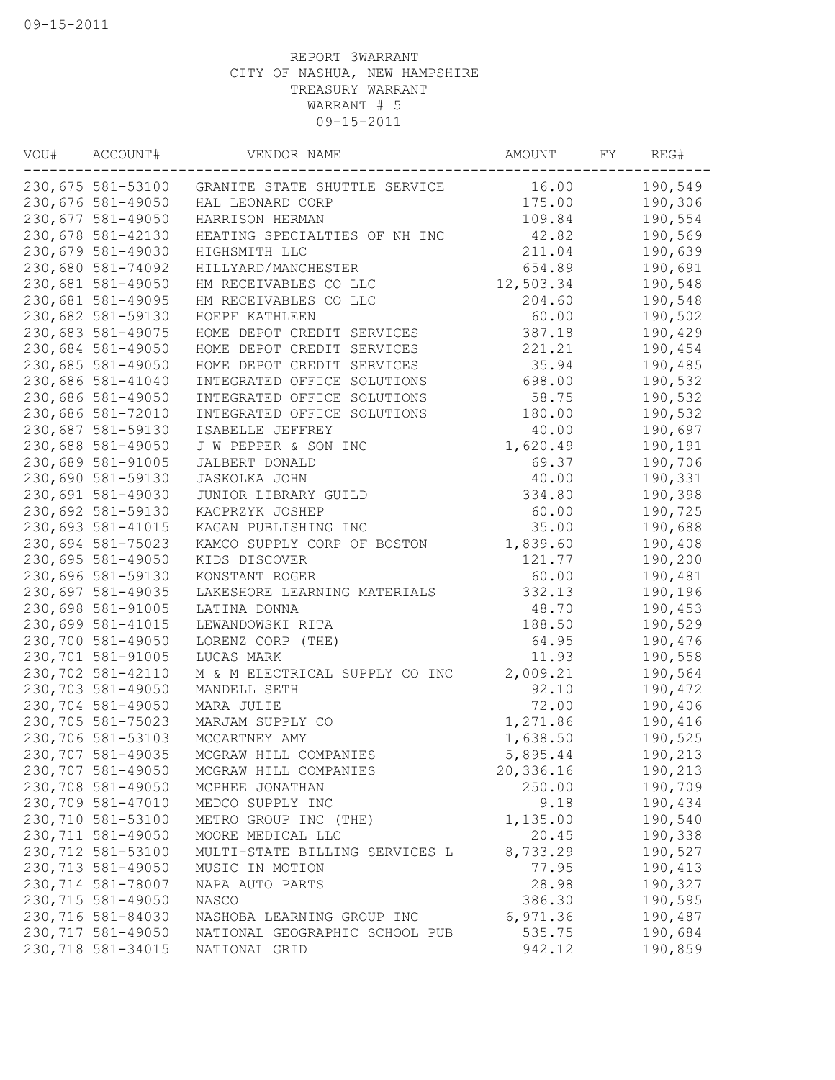| VOU# | ACCOUNT#          | VENDOR NAME                    | AMOUNT    | FY | REG#    |
|------|-------------------|--------------------------------|-----------|----|---------|
|      | 230,675 581-53100 | GRANITE STATE SHUTTLE SERVICE  | 16.00     |    | 190,549 |
|      | 230,676 581-49050 | HAL LEONARD CORP               | 175.00    |    | 190,306 |
|      | 230,677 581-49050 | HARRISON HERMAN                | 109.84    |    | 190,554 |
|      | 230,678 581-42130 | HEATING SPECIALTIES OF NH INC  | 42.82     |    | 190,569 |
|      | 230,679 581-49030 | HIGHSMITH LLC                  | 211.04    |    | 190,639 |
|      | 230,680 581-74092 | HILLYARD/MANCHESTER            | 654.89    |    | 190,691 |
|      | 230,681 581-49050 | HM RECEIVABLES CO LLC          | 12,503.34 |    | 190,548 |
|      | 230,681 581-49095 | HM RECEIVABLES CO LLC          | 204.60    |    | 190,548 |
|      | 230,682 581-59130 | HOEPF KATHLEEN                 | 60.00     |    | 190,502 |
|      | 230,683 581-49075 | HOME DEPOT CREDIT SERVICES     | 387.18    |    | 190,429 |
|      | 230,684 581-49050 | HOME DEPOT CREDIT SERVICES     | 221.21    |    | 190,454 |
|      | 230,685 581-49050 | HOME DEPOT CREDIT SERVICES     | 35.94     |    | 190,485 |
|      | 230,686 581-41040 | INTEGRATED OFFICE SOLUTIONS    | 698.00    |    | 190,532 |
|      | 230,686 581-49050 | INTEGRATED OFFICE SOLUTIONS    | 58.75     |    | 190,532 |
|      | 230,686 581-72010 | INTEGRATED OFFICE SOLUTIONS    | 180.00    |    | 190,532 |
|      | 230,687 581-59130 | ISABELLE JEFFREY               | 40.00     |    | 190,697 |
|      | 230,688 581-49050 | J W PEPPER & SON INC           | 1,620.49  |    | 190,191 |
|      | 230,689 581-91005 | JALBERT DONALD                 | 69.37     |    | 190,706 |
|      | 230,690 581-59130 | <b>JASKOLKA JOHN</b>           | 40.00     |    | 190,331 |
|      | 230,691 581-49030 | JUNIOR LIBRARY GUILD           | 334.80    |    | 190,398 |
|      | 230,692 581-59130 | KACPRZYK JOSHEP                | 60.00     |    | 190,725 |
|      | 230,693 581-41015 | KAGAN PUBLISHING INC           | 35.00     |    | 190,688 |
|      | 230,694 581-75023 | KAMCO SUPPLY CORP OF BOSTON    | 1,839.60  |    | 190,408 |
|      | 230,695 581-49050 | KIDS DISCOVER                  | 121.77    |    | 190,200 |
|      | 230,696 581-59130 | KONSTANT ROGER                 | 60.00     |    | 190,481 |
|      | 230,697 581-49035 | LAKESHORE LEARNING MATERIALS   | 332.13    |    | 190,196 |
|      | 230,698 581-91005 | LATINA DONNA                   | 48.70     |    | 190,453 |
|      | 230,699 581-41015 | LEWANDOWSKI RITA               | 188.50    |    | 190,529 |
|      | 230,700 581-49050 | LORENZ CORP (THE)              | 64.95     |    | 190,476 |
|      | 230,701 581-91005 | LUCAS MARK                     | 11.93     |    | 190,558 |
|      | 230,702 581-42110 | M & M ELECTRICAL SUPPLY CO INC | 2,009.21  |    | 190,564 |
|      | 230,703 581-49050 | MANDELL SETH                   | 92.10     |    | 190,472 |
|      | 230,704 581-49050 | MARA JULIE                     | 72.00     |    | 190,406 |
|      | 230,705 581-75023 | MARJAM SUPPLY CO               | 1,271.86  |    | 190,416 |
|      | 230,706 581-53103 | MCCARTNEY AMY                  | 1,638.50  |    | 190,525 |
|      | 230,707 581-49035 | MCGRAW HILL COMPANIES          | 5,895.44  |    | 190,213 |
|      | 230,707 581-49050 | MCGRAW HILL COMPANIES          | 20,336.16 |    | 190,213 |
|      | 230,708 581-49050 | MCPHEE JONATHAN                | 250.00    |    | 190,709 |
|      | 230,709 581-47010 | MEDCO SUPPLY INC               | 9.18      |    | 190,434 |
|      | 230,710 581-53100 | METRO GROUP INC (THE)          | 1,135.00  |    | 190,540 |
|      | 230,711 581-49050 | MOORE MEDICAL LLC              | 20.45     |    | 190,338 |
|      | 230,712 581-53100 | MULTI-STATE BILLING SERVICES L | 8,733.29  |    | 190,527 |
|      | 230,713 581-49050 | MUSIC IN MOTION                | 77.95     |    | 190,413 |
|      | 230,714 581-78007 | NAPA AUTO PARTS                | 28.98     |    | 190,327 |
|      | 230,715 581-49050 | NASCO                          | 386.30    |    | 190,595 |
|      | 230,716 581-84030 | NASHOBA LEARNING GROUP INC     | 6,971.36  |    | 190,487 |
|      | 230,717 581-49050 | NATIONAL GEOGRAPHIC SCHOOL PUB | 535.75    |    | 190,684 |
|      | 230,718 581-34015 |                                |           |    |         |
|      |                   | NATIONAL GRID                  | 942.12    |    | 190,859 |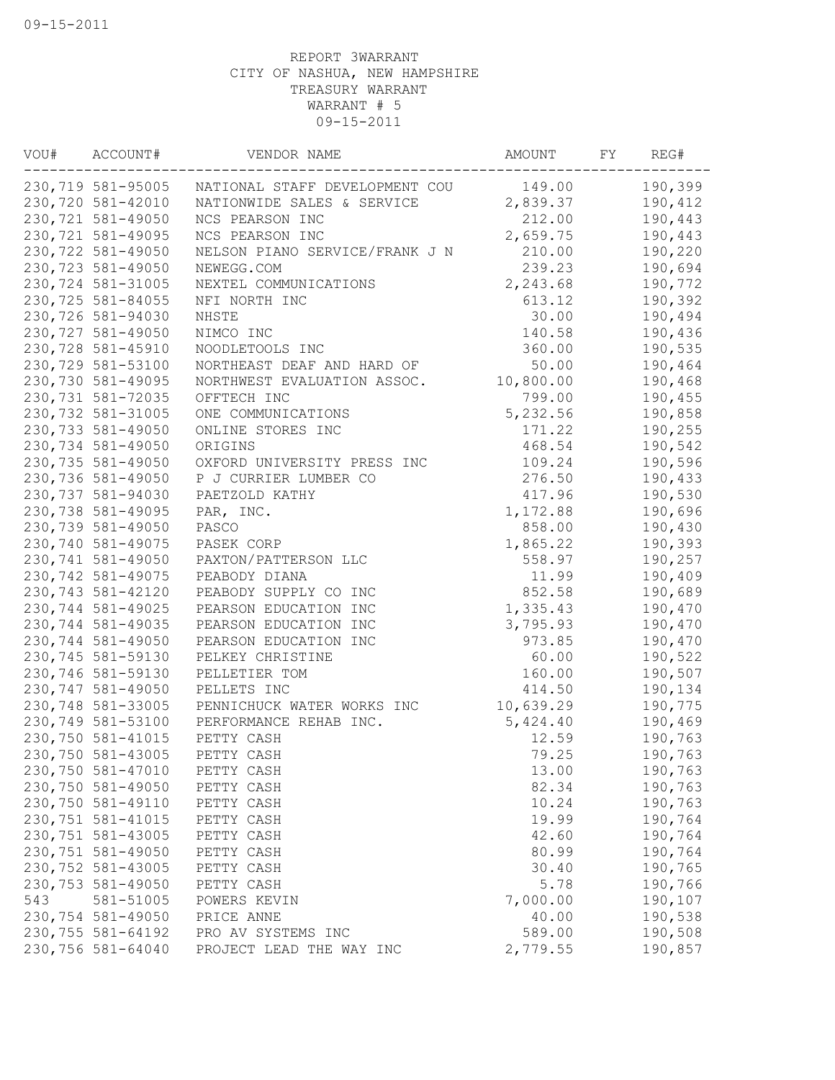| VOU# | ACCOUNT#          | VENDOR NAME                    | AMOUNT    | FY | REG#    |
|------|-------------------|--------------------------------|-----------|----|---------|
|      | 230,719 581-95005 | NATIONAL STAFF DEVELOPMENT COU | 149.00    |    | 190,399 |
|      | 230,720 581-42010 | NATIONWIDE SALES & SERVICE     | 2,839.37  |    | 190,412 |
|      | 230,721 581-49050 | NCS PEARSON INC                | 212.00    |    | 190,443 |
|      | 230,721 581-49095 | NCS PEARSON INC                | 2,659.75  |    | 190,443 |
|      | 230,722 581-49050 | NELSON PIANO SERVICE/FRANK J N | 210.00    |    | 190,220 |
|      | 230,723 581-49050 | NEWEGG.COM                     | 239.23    |    | 190,694 |
|      | 230,724 581-31005 | NEXTEL COMMUNICATIONS          | 2,243.68  |    | 190,772 |
|      | 230,725 581-84055 | NFI NORTH INC                  | 613.12    |    | 190,392 |
|      | 230,726 581-94030 | NHSTE                          | 30.00     |    | 190,494 |
|      | 230,727 581-49050 | NIMCO INC                      | 140.58    |    | 190,436 |
|      | 230,728 581-45910 | NOODLETOOLS INC                | 360.00    |    | 190,535 |
|      | 230,729 581-53100 | NORTHEAST DEAF AND HARD OF     | 50.00     |    | 190,464 |
|      | 230,730 581-49095 | NORTHWEST EVALUATION ASSOC.    | 10,800.00 |    | 190,468 |
|      | 230,731 581-72035 | OFFTECH INC                    | 799.00    |    | 190,455 |
|      | 230,732 581-31005 | ONE COMMUNICATIONS             | 5,232.56  |    | 190,858 |
|      | 230,733 581-49050 | ONLINE STORES INC              | 171.22    |    | 190,255 |
|      | 230,734 581-49050 | ORIGINS                        | 468.54    |    | 190,542 |
|      | 230,735 581-49050 | OXFORD UNIVERSITY PRESS INC    | 109.24    |    | 190,596 |
|      | 230,736 581-49050 | P J CURRIER LUMBER CO          | 276.50    |    | 190,433 |
|      | 230,737 581-94030 | PAETZOLD KATHY                 | 417.96    |    | 190,530 |
|      | 230,738 581-49095 | PAR, INC.                      | 1,172.88  |    | 190,696 |
|      | 230,739 581-49050 | PASCO                          | 858.00    |    | 190,430 |
|      | 230,740 581-49075 | PASEK CORP                     | 1,865.22  |    | 190,393 |
|      | 230,741 581-49050 | PAXTON/PATTERSON LLC           | 558.97    |    | 190,257 |
|      | 230,742 581-49075 | PEABODY DIANA                  | 11.99     |    | 190,409 |
|      | 230,743 581-42120 | PEABODY SUPPLY CO INC          | 852.58    |    | 190,689 |
|      | 230,744 581-49025 | PEARSON EDUCATION INC          | 1,335.43  |    | 190,470 |
|      | 230,744 581-49035 | PEARSON EDUCATION INC          | 3,795.93  |    | 190,470 |
|      | 230,744 581-49050 | PEARSON EDUCATION INC          | 973.85    |    | 190,470 |
|      | 230,745 581-59130 | PELKEY CHRISTINE               | 60.00     |    | 190,522 |
|      | 230,746 581-59130 | PELLETIER TOM                  | 160.00    |    | 190,507 |
|      | 230,747 581-49050 | PELLETS INC                    | 414.50    |    | 190,134 |
|      | 230,748 581-33005 | PENNICHUCK WATER WORKS INC     | 10,639.29 |    | 190,775 |
|      | 230,749 581-53100 | PERFORMANCE REHAB INC.         | 5,424.40  |    | 190,469 |
|      | 230,750 581-41015 | PETTY CASH                     | 12.59     |    | 190,763 |
|      | 230,750 581-43005 | PETTY CASH                     | 79.25     |    | 190,763 |
|      | 230,750 581-47010 | PETTY CASH                     | 13.00     |    | 190,763 |
|      | 230,750 581-49050 | PETTY CASH                     | 82.34     |    | 190,763 |
|      | 230,750 581-49110 | PETTY CASH                     | 10.24     |    | 190,763 |
|      | 230,751 581-41015 | PETTY CASH                     | 19.99     |    | 190,764 |
|      | 230,751 581-43005 | PETTY CASH                     | 42.60     |    | 190,764 |
|      | 230,751 581-49050 | PETTY CASH                     | 80.99     |    | 190,764 |
|      | 230,752 581-43005 | PETTY CASH                     | 30.40     |    | 190,765 |
|      | 230,753 581-49050 | PETTY CASH                     | 5.78      |    | 190,766 |
| 543  | 581-51005         | POWERS KEVIN                   | 7,000.00  |    | 190,107 |
|      | 230,754 581-49050 | PRICE ANNE                     | 40.00     |    | 190,538 |
|      | 230,755 581-64192 | PRO AV SYSTEMS INC             | 589.00    |    | 190,508 |
|      | 230,756 581-64040 | PROJECT LEAD THE WAY INC       | 2,779.55  |    | 190,857 |
|      |                   |                                |           |    |         |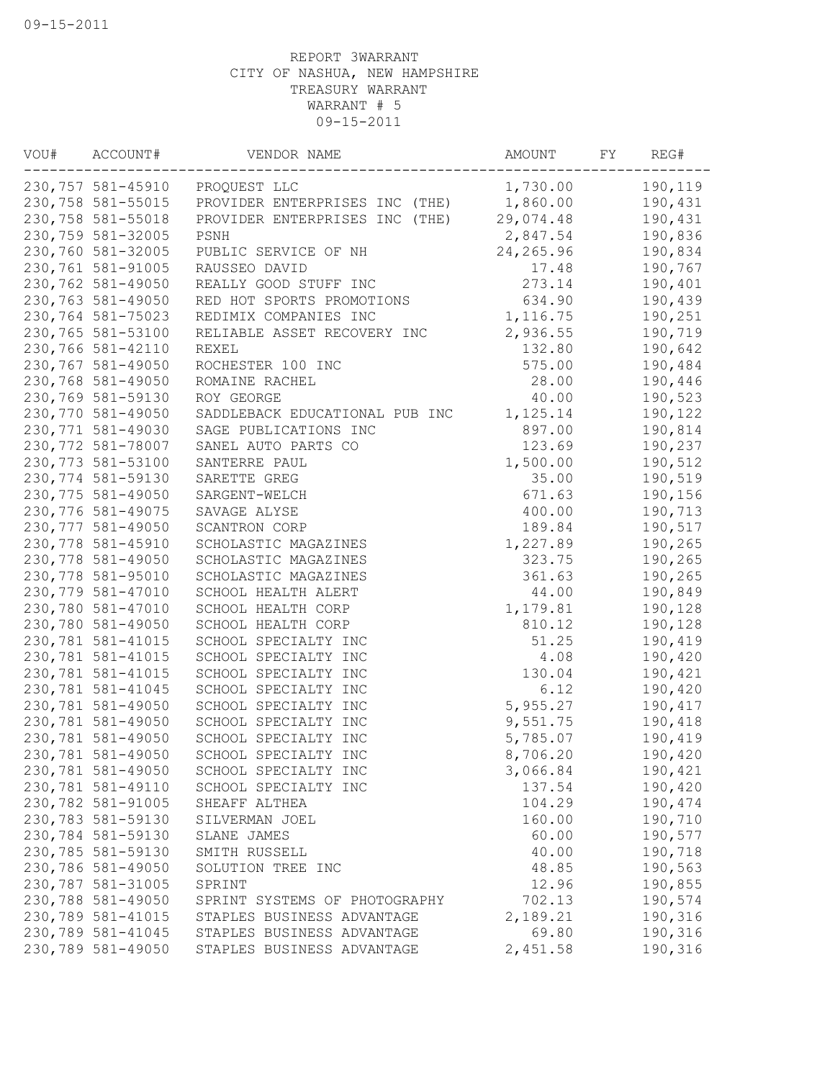| VOU# | ACCOUNT#           | VENDOR NAME                    | AMOUNT     | FY | REG#    |
|------|--------------------|--------------------------------|------------|----|---------|
|      | 230,757 581-45910  | PROQUEST LLC                   | 1,730.00   |    | 190,119 |
|      | 230,758 581-55015  | PROVIDER ENTERPRISES INC (THE) | 1,860.00   |    | 190,431 |
|      | 230,758 581-55018  | PROVIDER ENTERPRISES INC (THE) | 29,074.48  |    | 190,431 |
|      | 230,759 581-32005  | PSNH                           | 2,847.54   |    | 190,836 |
|      | 230,760 581-32005  | PUBLIC SERVICE OF NH           | 24, 265.96 |    | 190,834 |
|      | 230,761 581-91005  | RAUSSEO DAVID                  | 17.48      |    | 190,767 |
|      | 230,762 581-49050  | REALLY GOOD STUFF INC          | 273.14     |    | 190,401 |
|      | 230,763 581-49050  | RED HOT SPORTS PROMOTIONS      | 634.90     |    | 190,439 |
|      | 230,764 581-75023  | REDIMIX COMPANIES INC          | 1, 116.75  |    | 190,251 |
|      | 230,765 581-53100  | RELIABLE ASSET RECOVERY INC    | 2,936.55   |    | 190,719 |
|      | 230,766 581-42110  | REXEL                          | 132.80     |    | 190,642 |
|      | 230,767 581-49050  | ROCHESTER 100 INC              | 575.00     |    | 190,484 |
|      | 230,768 581-49050  | ROMAINE RACHEL                 | 28.00      |    | 190,446 |
|      | 230,769 581-59130  | ROY GEORGE                     | 40.00      |    | 190,523 |
|      | 230,770 581-49050  | SADDLEBACK EDUCATIONAL PUB INC | 1,125.14   |    | 190,122 |
|      | 230,771 581-49030  | SAGE PUBLICATIONS INC          | 897.00     |    | 190,814 |
|      | 230, 772 581-78007 | SANEL AUTO PARTS CO            | 123.69     |    | 190,237 |
|      | 230, 773 581-53100 | SANTERRE PAUL                  | 1,500.00   |    | 190,512 |
|      | 230,774 581-59130  | SARETTE GREG                   | 35.00      |    | 190,519 |
|      | 230,775 581-49050  | SARGENT-WELCH                  | 671.63     |    | 190,156 |
|      | 230,776 581-49075  | SAVAGE ALYSE                   | 400.00     |    | 190,713 |
|      | 230, 777 581-49050 | SCANTRON CORP                  | 189.84     |    | 190,517 |
|      | 230,778 581-45910  | SCHOLASTIC MAGAZINES           | 1,227.89   |    | 190,265 |
|      | 230,778 581-49050  | SCHOLASTIC MAGAZINES           | 323.75     |    | 190,265 |
|      | 230,778 581-95010  | SCHOLASTIC MAGAZINES           | 361.63     |    | 190,265 |
|      | 230,779 581-47010  | SCHOOL HEALTH ALERT            | 44.00      |    | 190,849 |
|      | 230,780 581-47010  | SCHOOL HEALTH CORP             | 1,179.81   |    | 190,128 |
|      | 230,780 581-49050  | SCHOOL HEALTH CORP             | 810.12     |    | 190,128 |
|      | 230,781 581-41015  | SCHOOL SPECIALTY INC           | 51.25      |    | 190,419 |
|      | 230,781 581-41015  | SCHOOL SPECIALTY INC           | 4.08       |    | 190,420 |
|      | 230,781 581-41015  | SCHOOL SPECIALTY INC           | 130.04     |    | 190,421 |
|      | 230,781 581-41045  | SCHOOL SPECIALTY INC           | 6.12       |    | 190,420 |
|      | 230,781 581-49050  | SCHOOL SPECIALTY INC           | 5,955.27   |    | 190,417 |
|      | 230,781 581-49050  | SCHOOL SPECIALTY INC           | 9,551.75   |    | 190,418 |
|      | 230,781 581-49050  | SCHOOL SPECIALTY INC           | 5,785.07   |    | 190,419 |
|      | 230,781 581-49050  | SCHOOL SPECIALTY INC           | 8,706.20   |    | 190,420 |
|      | 230,781 581-49050  | SCHOOL SPECIALTY INC           | 3,066.84   |    | 190,421 |
|      | 230,781 581-49110  | SCHOOL SPECIALTY INC           | 137.54     |    | 190,420 |
|      | 230,782 581-91005  | SHEAFF ALTHEA                  | 104.29     |    | 190,474 |
|      | 230,783 581-59130  | SILVERMAN JOEL                 | 160.00     |    | 190,710 |
|      | 230,784 581-59130  | SLANE JAMES                    | 60.00      |    | 190,577 |
|      | 230,785 581-59130  | SMITH RUSSELL                  | 40.00      |    | 190,718 |
|      | 230,786 581-49050  | SOLUTION TREE INC              | 48.85      |    | 190,563 |
|      | 230,787 581-31005  | SPRINT                         | 12.96      |    | 190,855 |
|      | 230,788 581-49050  | SPRINT SYSTEMS OF PHOTOGRAPHY  | 702.13     |    | 190,574 |
|      | 230,789 581-41015  | STAPLES BUSINESS ADVANTAGE     | 2,189.21   |    | 190,316 |
|      | 230,789 581-41045  | STAPLES BUSINESS ADVANTAGE     | 69.80      |    | 190,316 |
|      | 230,789 581-49050  | STAPLES BUSINESS ADVANTAGE     | 2,451.58   |    | 190,316 |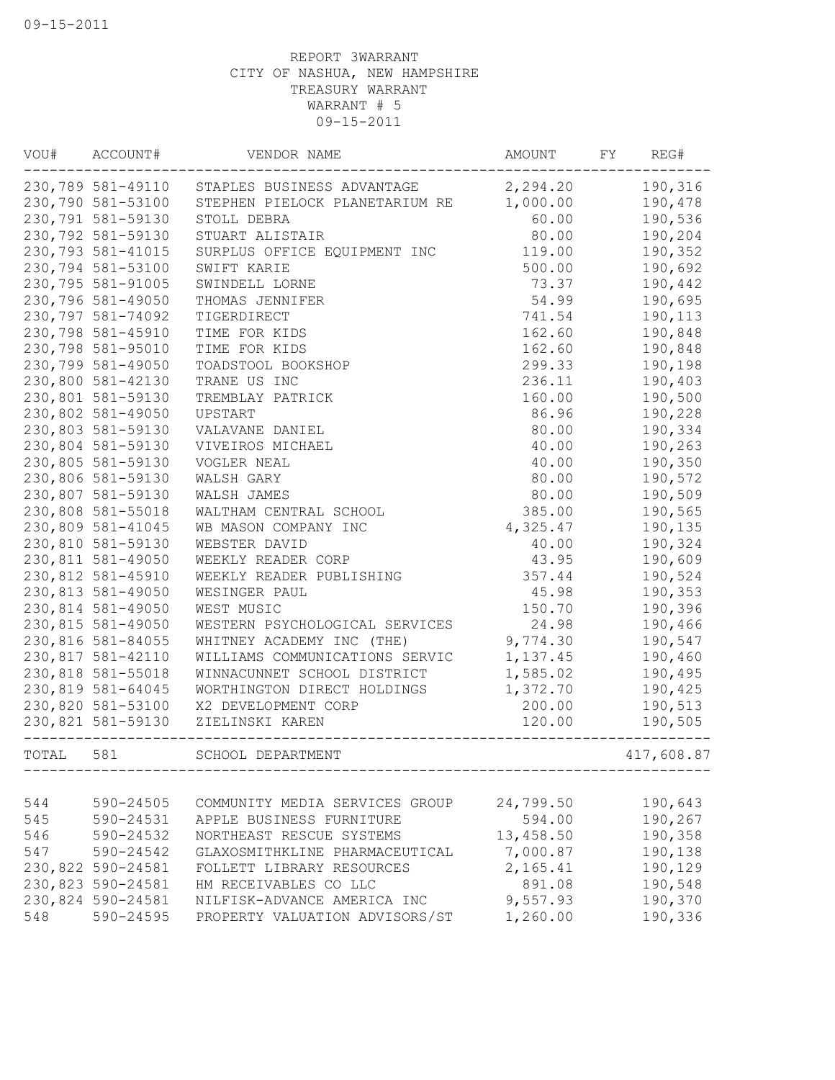| VOU#  | ACCOUNT#          | VENDOR NAME                    | AMOUNT    | FY | REG#       |
|-------|-------------------|--------------------------------|-----------|----|------------|
|       | 230,789 581-49110 | STAPLES BUSINESS ADVANTAGE     | 2,294.20  |    | 190,316    |
|       | 230,790 581-53100 | STEPHEN PIELOCK PLANETARIUM RE | 1,000.00  |    | 190,478    |
|       | 230,791 581-59130 | STOLL DEBRA                    | 60.00     |    | 190,536    |
|       | 230,792 581-59130 | STUART ALISTAIR                | 80.00     |    | 190,204    |
|       | 230,793 581-41015 | SURPLUS OFFICE EQUIPMENT INC   | 119.00    |    | 190,352    |
|       | 230,794 581-53100 | SWIFT KARIE                    | 500.00    |    | 190,692    |
|       | 230,795 581-91005 | SWINDELL LORNE                 | 73.37     |    | 190,442    |
|       | 230,796 581-49050 | THOMAS JENNIFER                | 54.99     |    | 190,695    |
|       | 230,797 581-74092 | TIGERDIRECT                    | 741.54    |    | 190,113    |
|       | 230,798 581-45910 | TIME FOR KIDS                  | 162.60    |    | 190,848    |
|       | 230,798 581-95010 | TIME FOR KIDS                  | 162.60    |    | 190,848    |
|       | 230,799 581-49050 | TOADSTOOL BOOKSHOP             | 299.33    |    | 190,198    |
|       | 230,800 581-42130 | TRANE US INC                   | 236.11    |    | 190,403    |
|       | 230,801 581-59130 | TREMBLAY PATRICK               | 160.00    |    | 190,500    |
|       | 230,802 581-49050 | UPSTART                        | 86.96     |    | 190,228    |
|       | 230,803 581-59130 | VALAVANE DANIEL                | 80.00     |    | 190,334    |
|       | 230,804 581-59130 | VIVEIROS MICHAEL               | 40.00     |    | 190,263    |
|       | 230,805 581-59130 | VOGLER NEAL                    | 40.00     |    | 190,350    |
|       | 230,806 581-59130 | WALSH GARY                     | 80.00     |    | 190,572    |
|       | 230,807 581-59130 | WALSH JAMES                    | 80.00     |    | 190,509    |
|       | 230,808 581-55018 | WALTHAM CENTRAL SCHOOL         | 385.00    |    | 190,565    |
|       | 230,809 581-41045 | WB MASON COMPANY INC           | 4,325.47  |    | 190,135    |
|       | 230,810 581-59130 | WEBSTER DAVID                  | 40.00     |    | 190,324    |
|       | 230,811 581-49050 | WEEKLY READER CORP             | 43.95     |    | 190,609    |
|       | 230,812 581-45910 | WEEKLY READER PUBLISHING       | 357.44    |    | 190,524    |
|       | 230,813 581-49050 | WESINGER PAUL                  | 45.98     |    | 190,353    |
|       | 230,814 581-49050 | WEST MUSIC                     | 150.70    |    | 190,396    |
|       | 230,815 581-49050 | WESTERN PSYCHOLOGICAL SERVICES | 24.98     |    | 190,466    |
|       | 230,816 581-84055 | WHITNEY ACADEMY INC (THE)      | 9,774.30  |    | 190,547    |
|       | 230,817 581-42110 | WILLIAMS COMMUNICATIONS SERVIC | 1,137.45  |    | 190,460    |
|       | 230,818 581-55018 | WINNACUNNET SCHOOL DISTRICT    | 1,585.02  |    | 190,495    |
|       | 230,819 581-64045 | WORTHINGTON DIRECT HOLDINGS    |           |    |            |
|       |                   | X2 DEVELOPMENT CORP            | 1,372.70  |    | 190,425    |
|       | 230,820 581-53100 |                                | 200.00    |    | 190,513    |
|       | 230,821 581-59130 | ZIELINSKI KAREN                | 120.00    |    | 190,505    |
| TOTAL | 581               | SCHOOL DEPARTMENT              |           |    | 417,608.87 |
|       |                   |                                |           |    |            |
| 544   | 590-24505         | COMMUNITY MEDIA SERVICES GROUP | 24,799.50 |    | 190,643    |
| 545   | 590-24531         | APPLE BUSINESS FURNITURE       | 594.00    |    | 190,267    |
| 546   | 590-24532         | NORTHEAST RESCUE SYSTEMS       | 13,458.50 |    | 190,358    |
| 547   | 590-24542         | GLAXOSMITHKLINE PHARMACEUTICAL | 7,000.87  |    | 190,138    |
|       | 230,822 590-24581 | FOLLETT LIBRARY RESOURCES      | 2,165.41  |    | 190,129    |
|       | 230,823 590-24581 | HM RECEIVABLES CO LLC          | 891.08    |    | 190,548    |
|       | 230,824 590-24581 | NILFISK-ADVANCE AMERICA INC    | 9,557.93  |    | 190,370    |
| 548   | 590-24595         | PROPERTY VALUATION ADVISORS/ST | 1,260.00  |    | 190,336    |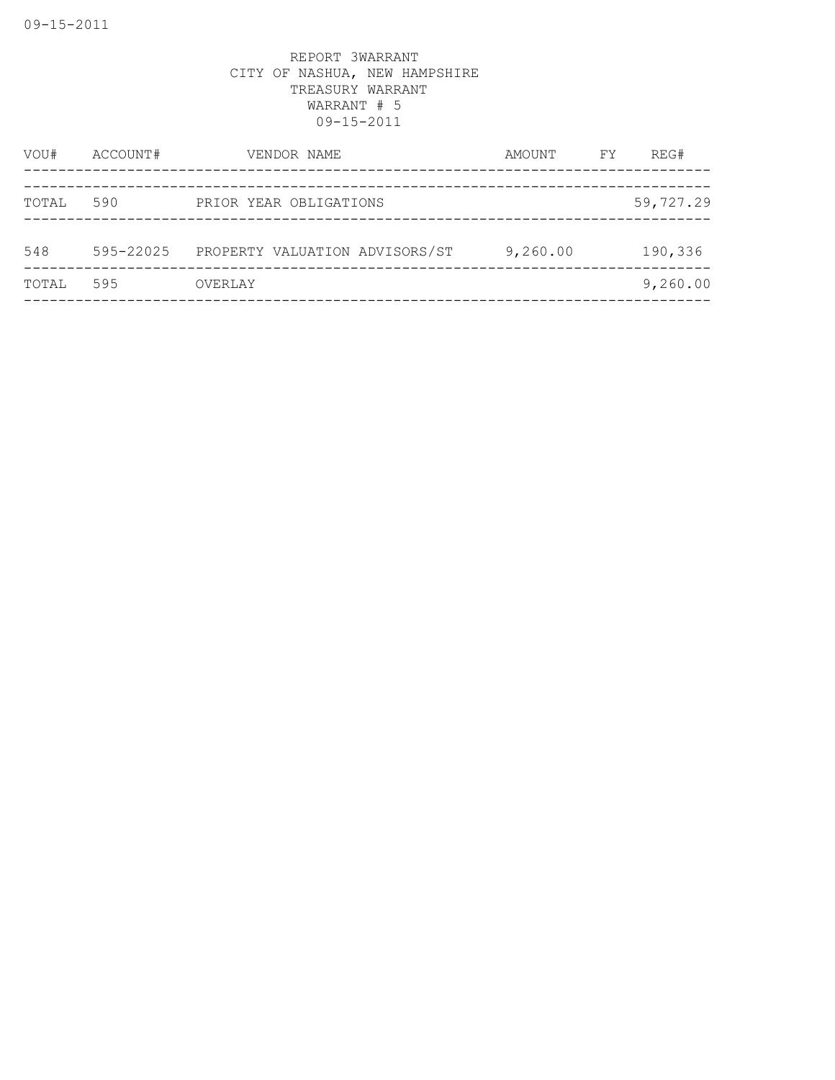| VOU#  | ACCOUNT#  | VENDOR NAME                    | AMOUNT   | FY | REG#      |
|-------|-----------|--------------------------------|----------|----|-----------|
| TOTAL | 590       | PRIOR YEAR OBLIGATIONS         |          |    | 59,727.29 |
| 548   | 595-22025 | PROPERTY VALUATION ADVISORS/ST | 9,260.00 |    | 190,336   |
| TOTAL | 595       | OVERLAY                        |          |    | 9,260.00  |
|       |           |                                |          |    |           |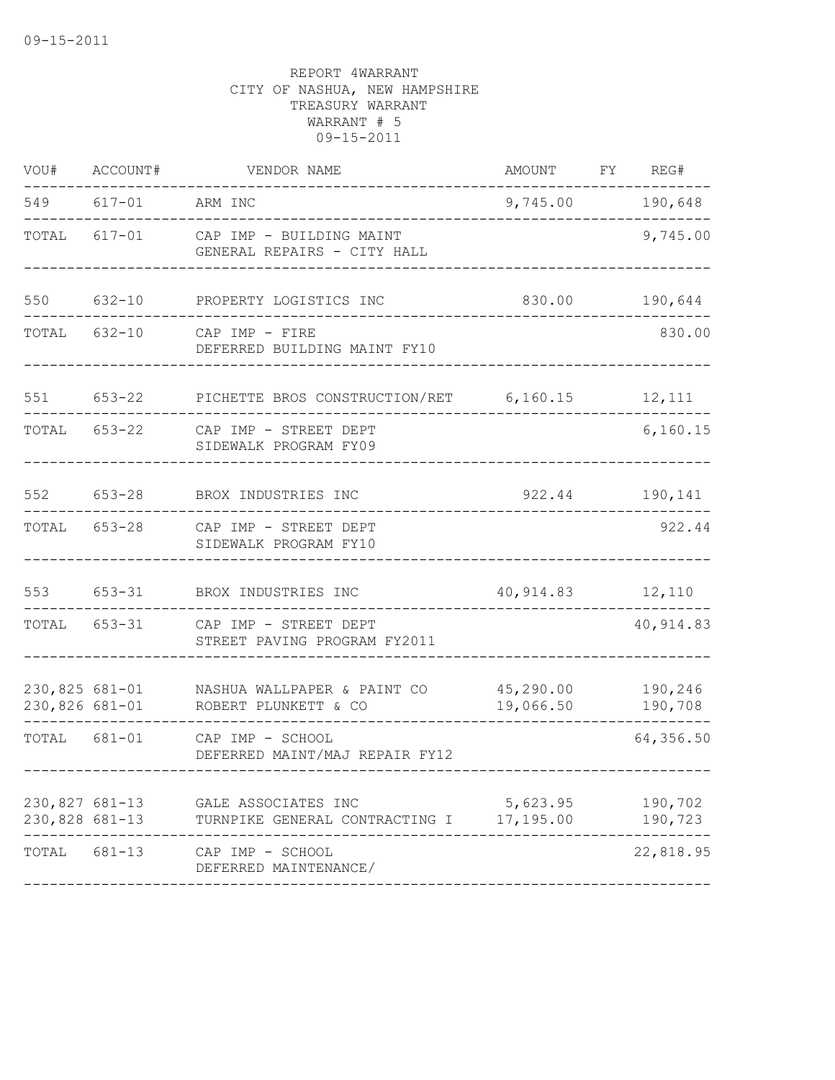| VOU#                             | ACCOUNT#           | VENDOR NAME                                                                                         | AMOUNT FY REG#        |                    |
|----------------------------------|--------------------|-----------------------------------------------------------------------------------------------------|-----------------------|--------------------|
|                                  | 549 617-01 ARM INC |                                                                                                     | 9,745.00 190,648      |                    |
|                                  | TOTAL 617-01       | CAP IMP - BUILDING MAINT<br>GENERAL REPAIRS - CITY HALL                                             |                       | 9,745.00           |
| 550                              |                    | 632-10 PROPERTY LOGISTICS INC                                                                       | 830.00                | 190,644            |
|                                  |                    | TOTAL 632-10 CAP IMP - FIRE<br>DEFERRED BUILDING MAINT FY10                                         |                       | 830.00             |
| 551 653-22                       |                    | PICHETTE BROS CONSTRUCTION/RET 6,160.15 12,111                                                      |                       |                    |
|                                  |                    | TOTAL 653-22 CAP IMP - STREET DEPT<br>SIDEWALK PROGRAM FY09                                         |                       | 6, 160.15          |
| 552                              | $653 - 28$         | BROX INDUSTRIES INC                                                                                 |                       | 922.44 190,141     |
|                                  |                    | TOTAL 653-28 CAP IMP - STREET DEPT<br>SIDEWALK PROGRAM FY10                                         |                       | 922.44             |
| 553                              | $653 - 31$         | BROX INDUSTRIES INC                                                                                 | 40, 914.83 12, 110    |                    |
|                                  |                    | TOTAL 653-31 CAP IMP - STREET DEPT<br>STREET PAVING PROGRAM FY2011                                  |                       | 40, 914.83         |
|                                  |                    | 230,825 681-01 NASHUA WALLPAPER & PAINT CO 45,290.00 190,246<br>230,826 681-01 ROBERT PLUNKETT & CO | 19,066.50             | 190,708            |
|                                  | TOTAL 681-01       | CAP IMP - SCHOOL<br>DEFERRED MAINT/MAJ REPAIR FY12                                                  |                       | 64,356.50          |
| 230,827 681-13<br>230,828 681-13 |                    | GALE ASSOCIATES INC<br>TURNPIKE GENERAL CONTRACTING I                                               | 5,623.95<br>17,195.00 | 190,702<br>190,723 |
| TOTAL                            | 681-13             | CAP IMP - SCHOOL<br>DEFERRED MAINTENANCE/                                                           |                       | 22,818.95          |
|                                  |                    |                                                                                                     |                       |                    |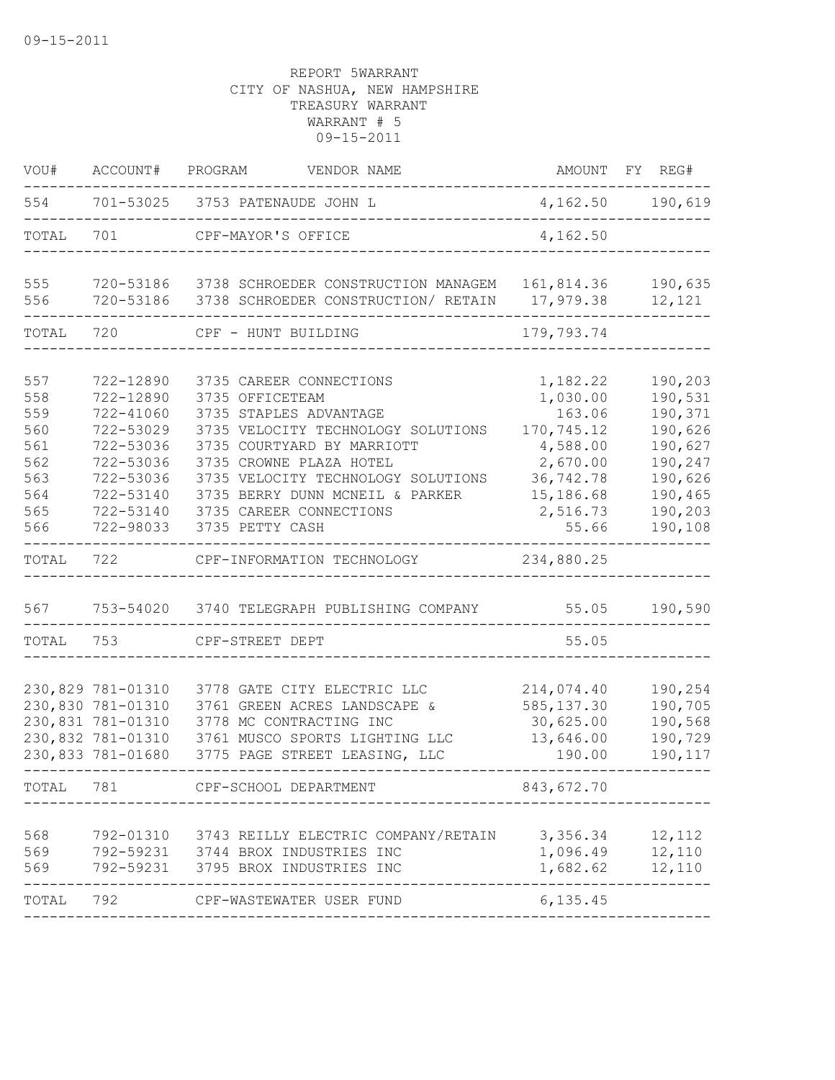| VOU#       | ACCOUNT#               | PROGRAM<br>VENDOR NAME                                                     | AMOUNT                  | FY<br>REG#         |
|------------|------------------------|----------------------------------------------------------------------------|-------------------------|--------------------|
| 554        |                        | 701-53025 3753 PATENAUDE JOHN L                                            |                         | 4, 162.50 190, 619 |
| TOTAL      | 701                    | CPF-MAYOR'S OFFICE                                                         | 4,162.50                |                    |
| 555<br>556 | 720-53186<br>720-53186 | 3738 SCHROEDER CONSTRUCTION MANAGEM<br>3738 SCHROEDER CONSTRUCTION/ RETAIN | 161,814.36<br>17,979.38 | 190,635<br>12,121  |
|            |                        |                                                                            |                         |                    |
| TOTAL      | 720                    | CPF - HUNT BUILDING                                                        | 179,793.74              |                    |
| 557<br>558 | 722-12890<br>722-12890 | 3735 CAREER CONNECTIONS<br>3735 OFFICETEAM                                 | 1,182.22<br>1,030.00    | 190,203<br>190,531 |
| 559        | 722-41060              | 3735 STAPLES ADVANTAGE                                                     | 163.06                  | 190,371            |
| 560        | 722-53029              | 3735 VELOCITY TECHNOLOGY SOLUTIONS                                         | 170,745.12              | 190,626            |
| 561        | 722-53036              | 3735 COURTYARD BY MARRIOTT                                                 | 4,588.00                | 190,627            |
| 562        | 722-53036              | 3735 CROWNE PLAZA HOTEL                                                    | 2,670.00                | 190,247            |
| 563        | 722-53036              | 3735 VELOCITY TECHNOLOGY SOLUTIONS                                         | 36,742.78               | 190,626            |
| 564        | 722-53140              | 3735 BERRY DUNN MCNEIL & PARKER                                            | 15,186.68               | 190,465            |
| 565        | 722-53140              | 3735 CAREER CONNECTIONS                                                    | 2,516.73                | 190,203            |
| 566        | 722-98033              | 3735 PETTY CASH                                                            | 55.66                   | 190,108            |
| TOTAL      | 722                    | CPF-INFORMATION TECHNOLOGY                                                 | 234,880.25              |                    |
| 567        | 753-54020              | 3740 TELEGRAPH PUBLISHING COMPANY                                          | 55.05                   | 190,590            |
| TOTAL      | 753                    | CPF-STREET DEPT                                                            | 55.05                   |                    |
|            | 230,829 781-01310      | 3778 GATE CITY ELECTRIC LLC                                                | 214,074.40              | 190,254            |
|            | 230,830 781-01310      | 3761 GREEN ACRES LANDSCAPE &                                               | 585, 137.30             | 190,705            |
|            | 230,831 781-01310      | 3778 MC CONTRACTING INC                                                    | 30,625.00               | 190,568            |
|            | 230,832 781-01310      | 3761 MUSCO SPORTS LIGHTING LLC                                             | 13,646.00               | 190,729            |
|            | 230,833 781-01680      | 3775 PAGE STREET LEASING, LLC                                              | 190.00                  | 190,117            |
| TOTAL      | 781                    | CPF-SCHOOL DEPARTMENT                                                      | 843,672.70              |                    |
|            |                        |                                                                            |                         |                    |
| 568        | 792-01310              | 3743 REILLY ELECTRIC COMPANY/RETAIN                                        | 3,356.34                | 12,112             |
| 569        | 792-59231              | 3744 BROX INDUSTRIES INC                                                   | 1,096.49                | 12,110             |
| 569        | 792-59231              | 3795 BROX INDUSTRIES INC                                                   | 1,682.62                | 12,110             |
| TOTAL      | 792                    | CPF-WASTEWATER USER FUND                                                   | 6, 135.45               |                    |
|            |                        |                                                                            |                         |                    |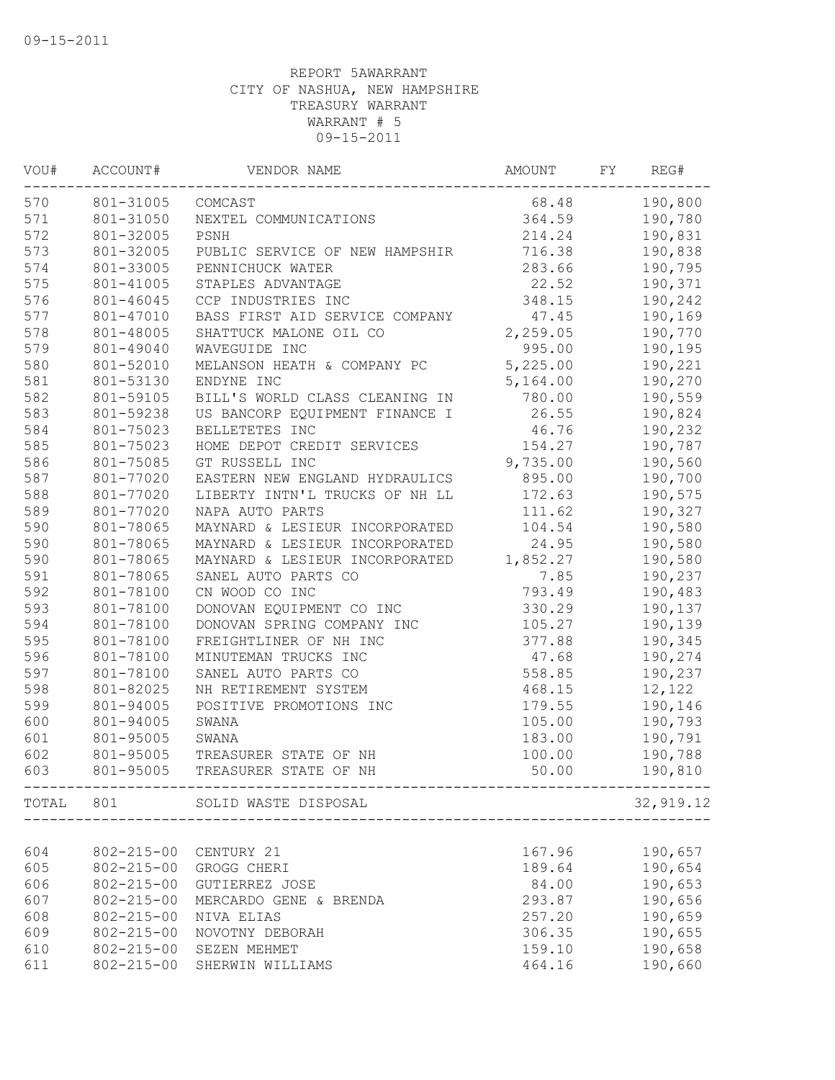| VOU# | ACCOUNT#         | VENDOR NAME                    | AMOUNT   | FY | REG#      |
|------|------------------|--------------------------------|----------|----|-----------|
| 570  | 801-31005        | COMCAST                        | 68.48    |    | 190,800   |
| 571  | 801-31050        | NEXTEL COMMUNICATIONS          | 364.59   |    | 190,780   |
| 572  | 801-32005        | PSNH                           | 214.24   |    | 190,831   |
| 573  | 801-32005        | PUBLIC SERVICE OF NEW HAMPSHIR | 716.38   |    | 190,838   |
| 574  | 801-33005        | PENNICHUCK WATER               | 283.66   |    | 190,795   |
| 575  | 801-41005        | STAPLES ADVANTAGE              | 22.52    |    | 190,371   |
| 576  | 801-46045        | CCP INDUSTRIES INC             | 348.15   |    | 190,242   |
| 577  | 801-47010        | BASS FIRST AID SERVICE COMPANY | 47.45    |    | 190,169   |
| 578  | 801-48005        | SHATTUCK MALONE OIL CO         | 2,259.05 |    | 190,770   |
| 579  | 801-49040        | WAVEGUIDE INC                  | 995.00   |    | 190,195   |
| 580  | 801-52010        | MELANSON HEATH & COMPANY PC    | 5,225.00 |    | 190,221   |
| 581  | 801-53130        | ENDYNE INC                     | 5,164.00 |    | 190,270   |
| 582  | 801-59105        | BILL'S WORLD CLASS CLEANING IN | 780.00   |    | 190,559   |
| 583  | 801-59238        | US BANCORP EQUIPMENT FINANCE I | 26.55    |    | 190,824   |
| 584  | 801-75023        | BELLETETES INC                 | 46.76    |    | 190,232   |
| 585  | 801-75023        | HOME DEPOT CREDIT SERVICES     | 154.27   |    | 190,787   |
| 586  | 801-75085        | GT RUSSELL INC                 | 9,735.00 |    | 190,560   |
| 587  | 801-77020        | EASTERN NEW ENGLAND HYDRAULICS | 895.00   |    | 190,700   |
| 588  | 801-77020        | LIBERTY INTN'L TRUCKS OF NH LL | 172.63   |    | 190,575   |
| 589  | 801-77020        | NAPA AUTO PARTS                | 111.62   |    | 190,327   |
| 590  | 801-78065        | MAYNARD & LESIEUR INCORPORATED | 104.54   |    | 190,580   |
| 590  | 801-78065        | MAYNARD & LESIEUR INCORPORATED | 24.95    |    | 190,580   |
| 590  | 801-78065        | MAYNARD & LESIEUR INCORPORATED | 1,852.27 |    | 190,580   |
| 591  | 801-78065        | SANEL AUTO PARTS CO            | 7.85     |    | 190,237   |
| 592  | 801-78100        | CN WOOD CO INC                 | 793.49   |    | 190,483   |
| 593  | 801-78100        | DONOVAN EQUIPMENT CO INC       | 330.29   |    | 190,137   |
| 594  | 801-78100        | DONOVAN SPRING COMPANY INC     | 105.27   |    | 190,139   |
| 595  | 801-78100        | FREIGHTLINER OF NH INC         | 377.88   |    | 190,345   |
| 596  | 801-78100        | MINUTEMAN TRUCKS INC           | 47.68    |    | 190,274   |
| 597  | 801-78100        | SANEL AUTO PARTS CO            | 558.85   |    | 190,237   |
| 598  | 801-82025        | NH RETIREMENT SYSTEM           | 468.15   |    | 12,122    |
| 599  | 801-94005        | POSITIVE PROMOTIONS INC        | 179.55   |    | 190,146   |
| 600  | 801-94005        | SWANA                          | 105.00   |    | 190,793   |
| 601  | 801-95005        | SWANA                          | 183.00   |    | 190,791   |
| 602  | 801-95005        | TREASURER STATE OF NH          | 100.00   |    | 190,788   |
| 603  | 801-95005        | TREASURER STATE OF NH          | 50.00    |    | 190,810   |
|      |                  | TOTAL 801 SOLID WASTE DISPOSAL |          |    | 32,919.12 |
|      |                  |                                |          |    |           |
| 604  | $802 - 215 - 00$ | CENTURY 21                     | 167.96   |    | 190,657   |
| 605  | $802 - 215 - 00$ | GROGG CHERI                    | 189.64   |    | 190,654   |
| 606  | $802 - 215 - 00$ | GUTIERREZ JOSE                 | 84.00    |    | 190,653   |
| 607  | $802 - 215 - 00$ | MERCARDO GENE & BRENDA         | 293.87   |    | 190,656   |
| 608  | $802 - 215 - 00$ | NIVA ELIAS                     | 257.20   |    | 190,659   |
| 609  | $802 - 215 - 00$ | NOVOTNY DEBORAH                | 306.35   |    | 190,655   |
| 610  | $802 - 215 - 00$ | SEZEN MEHMET                   | 159.10   |    | 190,658   |
| 611  | $802 - 215 - 00$ | SHERWIN WILLIAMS               | 464.16   |    | 190,660   |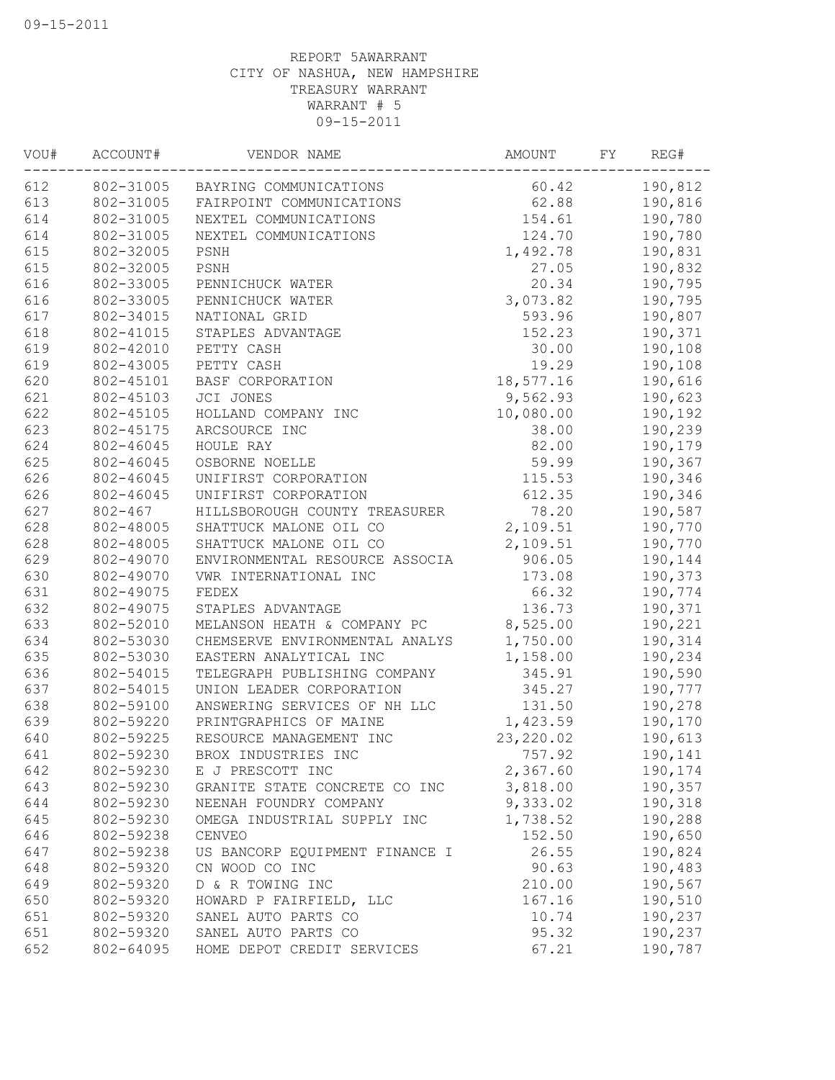| 190,812<br>802-31005<br>BAYRING COMMUNICATIONS<br>60.42<br>613<br>62.88<br>190,816<br>802-31005<br>FAIRPOINT COMMUNICATIONS<br>614<br>154.61<br>190,780<br>802-31005<br>NEXTEL COMMUNICATIONS<br>614<br>124.70<br>190,780<br>802-31005<br>NEXTEL COMMUNICATIONS<br>615<br>802-32005<br>1,492.78<br>190,831<br>PSNH<br>615<br>27.05<br>802-32005<br>PSNH<br>190,832<br>616<br>20.34<br>802-33005<br>190,795<br>PENNICHUCK WATER<br>616<br>3,073.82<br>190,795<br>802-33005<br>PENNICHUCK WATER<br>617<br>593.96<br>190,807<br>802-34015<br>NATIONAL GRID<br>618<br>802-41015<br>STAPLES ADVANTAGE<br>152.23<br>190,371<br>619<br>802-42010<br>PETTY CASH<br>30.00<br>190,108<br>619<br>802-43005<br>PETTY CASH<br>19.29<br>190,108<br>620<br>18,577.16<br>190,616<br>802-45101<br>BASF CORPORATION<br>621<br>802-45103<br>JCI JONES<br>9,562.93<br>190,623<br>622<br>10,080.00<br>802-45105<br>HOLLAND COMPANY INC<br>190,192<br>623<br>190,239<br>802-45175<br>ARCSOURCE INC<br>38.00<br>624<br>82.00<br>802-46045<br>HOULE RAY<br>190,179<br>625<br>59.99<br>802-46045<br>OSBORNE NOELLE<br>190,367<br>626<br>190,346<br>802-46045<br>UNIFIRST CORPORATION<br>115.53<br>626<br>612.35<br>190,346<br>802-46045<br>UNIFIRST CORPORATION<br>627<br>$802 - 467$<br>HILLSBOROUGH COUNTY TREASURER<br>78.20<br>190,587<br>628<br>SHATTUCK MALONE OIL CO<br>2,109.51<br>802-48005<br>190,770<br>628<br>SHATTUCK MALONE OIL CO<br>2,109.51<br>802-48005<br>190,770<br>629<br>802-49070<br>ENVIRONMENTAL RESOURCE ASSOCIA<br>906.05<br>190,144<br>630<br>802-49070<br>VWR INTERNATIONAL INC<br>173.08<br>190,373<br>631<br>802-49075<br>FEDEX<br>66.32<br>190,774<br>632<br>802-49075<br>STAPLES ADVANTAGE<br>136.73<br>190,371<br>633<br>8,525.00<br>802-52010<br>MELANSON HEATH & COMPANY PC<br>190,221<br>634<br>802-53030<br>CHEMSERVE ENVIRONMENTAL ANALYS<br>1,750.00<br>190,314<br>635<br>190,234<br>802-53030<br>EASTERN ANALYTICAL INC<br>1,158.00<br>636<br>802-54015<br>TELEGRAPH PUBLISHING COMPANY<br>190,590<br>345.91<br>637<br>802-54015<br>UNION LEADER CORPORATION<br>345.27<br>190,777<br>638<br>802-59100<br>131.50<br>ANSWERING SERVICES OF NH LLC<br>190,278<br>639<br>802-59220<br>PRINTGRAPHICS OF MAINE<br>1,423.59<br>190,170<br>640<br>802-59225<br>RESOURCE MANAGEMENT INC<br>23, 220.02<br>190,613<br>802-59230<br>641<br>BROX INDUSTRIES INC<br>757.92<br>190,141<br>802-59230<br>2,367.60<br>190,174<br>642<br>E J PRESCOTT INC<br>643<br>802-59230<br>3,818.00<br>GRANITE STATE CONCRETE CO INC<br>190,357<br>644<br>802-59230<br>9,333.02<br>190,318<br>NEENAH FOUNDRY COMPANY<br>645<br>802-59230<br>1,738.52<br>190,288<br>OMEGA INDUSTRIAL SUPPLY INC<br>646<br>802-59238<br>CENVEO<br>152.50<br>190,650<br>647<br>802-59238<br>26.55<br>190,824<br>US BANCORP EQUIPMENT FINANCE I<br>648<br>802-59320<br>CN WOOD CO INC<br>90.63<br>190,483<br>649<br>802-59320<br>D & R TOWING INC<br>190,567<br>210.00<br>650<br>190,510<br>802-59320<br>HOWARD P FAIRFIELD, LLC<br>167.16<br>651<br>802-59320<br>SANEL AUTO PARTS CO<br>10.74<br>190,237<br>651<br>802-59320<br>SANEL AUTO PARTS CO<br>95.32<br>190,237<br>652<br>67.21<br>802-64095<br>HOME DEPOT CREDIT SERVICES<br>190,787 | VOU# | ACCOUNT# | VENDOR NAME | AMOUNT | FY | REG# |
|---------------------------------------------------------------------------------------------------------------------------------------------------------------------------------------------------------------------------------------------------------------------------------------------------------------------------------------------------------------------------------------------------------------------------------------------------------------------------------------------------------------------------------------------------------------------------------------------------------------------------------------------------------------------------------------------------------------------------------------------------------------------------------------------------------------------------------------------------------------------------------------------------------------------------------------------------------------------------------------------------------------------------------------------------------------------------------------------------------------------------------------------------------------------------------------------------------------------------------------------------------------------------------------------------------------------------------------------------------------------------------------------------------------------------------------------------------------------------------------------------------------------------------------------------------------------------------------------------------------------------------------------------------------------------------------------------------------------------------------------------------------------------------------------------------------------------------------------------------------------------------------------------------------------------------------------------------------------------------------------------------------------------------------------------------------------------------------------------------------------------------------------------------------------------------------------------------------------------------------------------------------------------------------------------------------------------------------------------------------------------------------------------------------------------------------------------------------------------------------------------------------------------------------------------------------------------------------------------------------------------------------------------------------------------------------------------------------------------------------------------------------------------------------------------------------------------------------------------------------------------------------------------------------------------------------------------------------------------------------------------------------------------------------------------------------------------------------------------------------------------------------------------------------------------------------------------------------|------|----------|-------------|--------|----|------|
|                                                                                                                                                                                                                                                                                                                                                                                                                                                                                                                                                                                                                                                                                                                                                                                                                                                                                                                                                                                                                                                                                                                                                                                                                                                                                                                                                                                                                                                                                                                                                                                                                                                                                                                                                                                                                                                                                                                                                                                                                                                                                                                                                                                                                                                                                                                                                                                                                                                                                                                                                                                                                                                                                                                                                                                                                                                                                                                                                                                                                                                                                                                                                                                                               | 612  |          |             |        |    |      |
|                                                                                                                                                                                                                                                                                                                                                                                                                                                                                                                                                                                                                                                                                                                                                                                                                                                                                                                                                                                                                                                                                                                                                                                                                                                                                                                                                                                                                                                                                                                                                                                                                                                                                                                                                                                                                                                                                                                                                                                                                                                                                                                                                                                                                                                                                                                                                                                                                                                                                                                                                                                                                                                                                                                                                                                                                                                                                                                                                                                                                                                                                                                                                                                                               |      |          |             |        |    |      |
|                                                                                                                                                                                                                                                                                                                                                                                                                                                                                                                                                                                                                                                                                                                                                                                                                                                                                                                                                                                                                                                                                                                                                                                                                                                                                                                                                                                                                                                                                                                                                                                                                                                                                                                                                                                                                                                                                                                                                                                                                                                                                                                                                                                                                                                                                                                                                                                                                                                                                                                                                                                                                                                                                                                                                                                                                                                                                                                                                                                                                                                                                                                                                                                                               |      |          |             |        |    |      |
|                                                                                                                                                                                                                                                                                                                                                                                                                                                                                                                                                                                                                                                                                                                                                                                                                                                                                                                                                                                                                                                                                                                                                                                                                                                                                                                                                                                                                                                                                                                                                                                                                                                                                                                                                                                                                                                                                                                                                                                                                                                                                                                                                                                                                                                                                                                                                                                                                                                                                                                                                                                                                                                                                                                                                                                                                                                                                                                                                                                                                                                                                                                                                                                                               |      |          |             |        |    |      |
|                                                                                                                                                                                                                                                                                                                                                                                                                                                                                                                                                                                                                                                                                                                                                                                                                                                                                                                                                                                                                                                                                                                                                                                                                                                                                                                                                                                                                                                                                                                                                                                                                                                                                                                                                                                                                                                                                                                                                                                                                                                                                                                                                                                                                                                                                                                                                                                                                                                                                                                                                                                                                                                                                                                                                                                                                                                                                                                                                                                                                                                                                                                                                                                                               |      |          |             |        |    |      |
|                                                                                                                                                                                                                                                                                                                                                                                                                                                                                                                                                                                                                                                                                                                                                                                                                                                                                                                                                                                                                                                                                                                                                                                                                                                                                                                                                                                                                                                                                                                                                                                                                                                                                                                                                                                                                                                                                                                                                                                                                                                                                                                                                                                                                                                                                                                                                                                                                                                                                                                                                                                                                                                                                                                                                                                                                                                                                                                                                                                                                                                                                                                                                                                                               |      |          |             |        |    |      |
|                                                                                                                                                                                                                                                                                                                                                                                                                                                                                                                                                                                                                                                                                                                                                                                                                                                                                                                                                                                                                                                                                                                                                                                                                                                                                                                                                                                                                                                                                                                                                                                                                                                                                                                                                                                                                                                                                                                                                                                                                                                                                                                                                                                                                                                                                                                                                                                                                                                                                                                                                                                                                                                                                                                                                                                                                                                                                                                                                                                                                                                                                                                                                                                                               |      |          |             |        |    |      |
|                                                                                                                                                                                                                                                                                                                                                                                                                                                                                                                                                                                                                                                                                                                                                                                                                                                                                                                                                                                                                                                                                                                                                                                                                                                                                                                                                                                                                                                                                                                                                                                                                                                                                                                                                                                                                                                                                                                                                                                                                                                                                                                                                                                                                                                                                                                                                                                                                                                                                                                                                                                                                                                                                                                                                                                                                                                                                                                                                                                                                                                                                                                                                                                                               |      |          |             |        |    |      |
|                                                                                                                                                                                                                                                                                                                                                                                                                                                                                                                                                                                                                                                                                                                                                                                                                                                                                                                                                                                                                                                                                                                                                                                                                                                                                                                                                                                                                                                                                                                                                                                                                                                                                                                                                                                                                                                                                                                                                                                                                                                                                                                                                                                                                                                                                                                                                                                                                                                                                                                                                                                                                                                                                                                                                                                                                                                                                                                                                                                                                                                                                                                                                                                                               |      |          |             |        |    |      |
|                                                                                                                                                                                                                                                                                                                                                                                                                                                                                                                                                                                                                                                                                                                                                                                                                                                                                                                                                                                                                                                                                                                                                                                                                                                                                                                                                                                                                                                                                                                                                                                                                                                                                                                                                                                                                                                                                                                                                                                                                                                                                                                                                                                                                                                                                                                                                                                                                                                                                                                                                                                                                                                                                                                                                                                                                                                                                                                                                                                                                                                                                                                                                                                                               |      |          |             |        |    |      |
|                                                                                                                                                                                                                                                                                                                                                                                                                                                                                                                                                                                                                                                                                                                                                                                                                                                                                                                                                                                                                                                                                                                                                                                                                                                                                                                                                                                                                                                                                                                                                                                                                                                                                                                                                                                                                                                                                                                                                                                                                                                                                                                                                                                                                                                                                                                                                                                                                                                                                                                                                                                                                                                                                                                                                                                                                                                                                                                                                                                                                                                                                                                                                                                                               |      |          |             |        |    |      |
|                                                                                                                                                                                                                                                                                                                                                                                                                                                                                                                                                                                                                                                                                                                                                                                                                                                                                                                                                                                                                                                                                                                                                                                                                                                                                                                                                                                                                                                                                                                                                                                                                                                                                                                                                                                                                                                                                                                                                                                                                                                                                                                                                                                                                                                                                                                                                                                                                                                                                                                                                                                                                                                                                                                                                                                                                                                                                                                                                                                                                                                                                                                                                                                                               |      |          |             |        |    |      |
|                                                                                                                                                                                                                                                                                                                                                                                                                                                                                                                                                                                                                                                                                                                                                                                                                                                                                                                                                                                                                                                                                                                                                                                                                                                                                                                                                                                                                                                                                                                                                                                                                                                                                                                                                                                                                                                                                                                                                                                                                                                                                                                                                                                                                                                                                                                                                                                                                                                                                                                                                                                                                                                                                                                                                                                                                                                                                                                                                                                                                                                                                                                                                                                                               |      |          |             |        |    |      |
|                                                                                                                                                                                                                                                                                                                                                                                                                                                                                                                                                                                                                                                                                                                                                                                                                                                                                                                                                                                                                                                                                                                                                                                                                                                                                                                                                                                                                                                                                                                                                                                                                                                                                                                                                                                                                                                                                                                                                                                                                                                                                                                                                                                                                                                                                                                                                                                                                                                                                                                                                                                                                                                                                                                                                                                                                                                                                                                                                                                                                                                                                                                                                                                                               |      |          |             |        |    |      |
|                                                                                                                                                                                                                                                                                                                                                                                                                                                                                                                                                                                                                                                                                                                                                                                                                                                                                                                                                                                                                                                                                                                                                                                                                                                                                                                                                                                                                                                                                                                                                                                                                                                                                                                                                                                                                                                                                                                                                                                                                                                                                                                                                                                                                                                                                                                                                                                                                                                                                                                                                                                                                                                                                                                                                                                                                                                                                                                                                                                                                                                                                                                                                                                                               |      |          |             |        |    |      |
|                                                                                                                                                                                                                                                                                                                                                                                                                                                                                                                                                                                                                                                                                                                                                                                                                                                                                                                                                                                                                                                                                                                                                                                                                                                                                                                                                                                                                                                                                                                                                                                                                                                                                                                                                                                                                                                                                                                                                                                                                                                                                                                                                                                                                                                                                                                                                                                                                                                                                                                                                                                                                                                                                                                                                                                                                                                                                                                                                                                                                                                                                                                                                                                                               |      |          |             |        |    |      |
|                                                                                                                                                                                                                                                                                                                                                                                                                                                                                                                                                                                                                                                                                                                                                                                                                                                                                                                                                                                                                                                                                                                                                                                                                                                                                                                                                                                                                                                                                                                                                                                                                                                                                                                                                                                                                                                                                                                                                                                                                                                                                                                                                                                                                                                                                                                                                                                                                                                                                                                                                                                                                                                                                                                                                                                                                                                                                                                                                                                                                                                                                                                                                                                                               |      |          |             |        |    |      |
|                                                                                                                                                                                                                                                                                                                                                                                                                                                                                                                                                                                                                                                                                                                                                                                                                                                                                                                                                                                                                                                                                                                                                                                                                                                                                                                                                                                                                                                                                                                                                                                                                                                                                                                                                                                                                                                                                                                                                                                                                                                                                                                                                                                                                                                                                                                                                                                                                                                                                                                                                                                                                                                                                                                                                                                                                                                                                                                                                                                                                                                                                                                                                                                                               |      |          |             |        |    |      |
|                                                                                                                                                                                                                                                                                                                                                                                                                                                                                                                                                                                                                                                                                                                                                                                                                                                                                                                                                                                                                                                                                                                                                                                                                                                                                                                                                                                                                                                                                                                                                                                                                                                                                                                                                                                                                                                                                                                                                                                                                                                                                                                                                                                                                                                                                                                                                                                                                                                                                                                                                                                                                                                                                                                                                                                                                                                                                                                                                                                                                                                                                                                                                                                                               |      |          |             |        |    |      |
|                                                                                                                                                                                                                                                                                                                                                                                                                                                                                                                                                                                                                                                                                                                                                                                                                                                                                                                                                                                                                                                                                                                                                                                                                                                                                                                                                                                                                                                                                                                                                                                                                                                                                                                                                                                                                                                                                                                                                                                                                                                                                                                                                                                                                                                                                                                                                                                                                                                                                                                                                                                                                                                                                                                                                                                                                                                                                                                                                                                                                                                                                                                                                                                                               |      |          |             |        |    |      |
|                                                                                                                                                                                                                                                                                                                                                                                                                                                                                                                                                                                                                                                                                                                                                                                                                                                                                                                                                                                                                                                                                                                                                                                                                                                                                                                                                                                                                                                                                                                                                                                                                                                                                                                                                                                                                                                                                                                                                                                                                                                                                                                                                                                                                                                                                                                                                                                                                                                                                                                                                                                                                                                                                                                                                                                                                                                                                                                                                                                                                                                                                                                                                                                                               |      |          |             |        |    |      |
|                                                                                                                                                                                                                                                                                                                                                                                                                                                                                                                                                                                                                                                                                                                                                                                                                                                                                                                                                                                                                                                                                                                                                                                                                                                                                                                                                                                                                                                                                                                                                                                                                                                                                                                                                                                                                                                                                                                                                                                                                                                                                                                                                                                                                                                                                                                                                                                                                                                                                                                                                                                                                                                                                                                                                                                                                                                                                                                                                                                                                                                                                                                                                                                                               |      |          |             |        |    |      |
|                                                                                                                                                                                                                                                                                                                                                                                                                                                                                                                                                                                                                                                                                                                                                                                                                                                                                                                                                                                                                                                                                                                                                                                                                                                                                                                                                                                                                                                                                                                                                                                                                                                                                                                                                                                                                                                                                                                                                                                                                                                                                                                                                                                                                                                                                                                                                                                                                                                                                                                                                                                                                                                                                                                                                                                                                                                                                                                                                                                                                                                                                                                                                                                                               |      |          |             |        |    |      |
|                                                                                                                                                                                                                                                                                                                                                                                                                                                                                                                                                                                                                                                                                                                                                                                                                                                                                                                                                                                                                                                                                                                                                                                                                                                                                                                                                                                                                                                                                                                                                                                                                                                                                                                                                                                                                                                                                                                                                                                                                                                                                                                                                                                                                                                                                                                                                                                                                                                                                                                                                                                                                                                                                                                                                                                                                                                                                                                                                                                                                                                                                                                                                                                                               |      |          |             |        |    |      |
|                                                                                                                                                                                                                                                                                                                                                                                                                                                                                                                                                                                                                                                                                                                                                                                                                                                                                                                                                                                                                                                                                                                                                                                                                                                                                                                                                                                                                                                                                                                                                                                                                                                                                                                                                                                                                                                                                                                                                                                                                                                                                                                                                                                                                                                                                                                                                                                                                                                                                                                                                                                                                                                                                                                                                                                                                                                                                                                                                                                                                                                                                                                                                                                                               |      |          |             |        |    |      |
|                                                                                                                                                                                                                                                                                                                                                                                                                                                                                                                                                                                                                                                                                                                                                                                                                                                                                                                                                                                                                                                                                                                                                                                                                                                                                                                                                                                                                                                                                                                                                                                                                                                                                                                                                                                                                                                                                                                                                                                                                                                                                                                                                                                                                                                                                                                                                                                                                                                                                                                                                                                                                                                                                                                                                                                                                                                                                                                                                                                                                                                                                                                                                                                                               |      |          |             |        |    |      |
|                                                                                                                                                                                                                                                                                                                                                                                                                                                                                                                                                                                                                                                                                                                                                                                                                                                                                                                                                                                                                                                                                                                                                                                                                                                                                                                                                                                                                                                                                                                                                                                                                                                                                                                                                                                                                                                                                                                                                                                                                                                                                                                                                                                                                                                                                                                                                                                                                                                                                                                                                                                                                                                                                                                                                                                                                                                                                                                                                                                                                                                                                                                                                                                                               |      |          |             |        |    |      |
|                                                                                                                                                                                                                                                                                                                                                                                                                                                                                                                                                                                                                                                                                                                                                                                                                                                                                                                                                                                                                                                                                                                                                                                                                                                                                                                                                                                                                                                                                                                                                                                                                                                                                                                                                                                                                                                                                                                                                                                                                                                                                                                                                                                                                                                                                                                                                                                                                                                                                                                                                                                                                                                                                                                                                                                                                                                                                                                                                                                                                                                                                                                                                                                                               |      |          |             |        |    |      |
|                                                                                                                                                                                                                                                                                                                                                                                                                                                                                                                                                                                                                                                                                                                                                                                                                                                                                                                                                                                                                                                                                                                                                                                                                                                                                                                                                                                                                                                                                                                                                                                                                                                                                                                                                                                                                                                                                                                                                                                                                                                                                                                                                                                                                                                                                                                                                                                                                                                                                                                                                                                                                                                                                                                                                                                                                                                                                                                                                                                                                                                                                                                                                                                                               |      |          |             |        |    |      |
|                                                                                                                                                                                                                                                                                                                                                                                                                                                                                                                                                                                                                                                                                                                                                                                                                                                                                                                                                                                                                                                                                                                                                                                                                                                                                                                                                                                                                                                                                                                                                                                                                                                                                                                                                                                                                                                                                                                                                                                                                                                                                                                                                                                                                                                                                                                                                                                                                                                                                                                                                                                                                                                                                                                                                                                                                                                                                                                                                                                                                                                                                                                                                                                                               |      |          |             |        |    |      |
|                                                                                                                                                                                                                                                                                                                                                                                                                                                                                                                                                                                                                                                                                                                                                                                                                                                                                                                                                                                                                                                                                                                                                                                                                                                                                                                                                                                                                                                                                                                                                                                                                                                                                                                                                                                                                                                                                                                                                                                                                                                                                                                                                                                                                                                                                                                                                                                                                                                                                                                                                                                                                                                                                                                                                                                                                                                                                                                                                                                                                                                                                                                                                                                                               |      |          |             |        |    |      |
|                                                                                                                                                                                                                                                                                                                                                                                                                                                                                                                                                                                                                                                                                                                                                                                                                                                                                                                                                                                                                                                                                                                                                                                                                                                                                                                                                                                                                                                                                                                                                                                                                                                                                                                                                                                                                                                                                                                                                                                                                                                                                                                                                                                                                                                                                                                                                                                                                                                                                                                                                                                                                                                                                                                                                                                                                                                                                                                                                                                                                                                                                                                                                                                                               |      |          |             |        |    |      |
|                                                                                                                                                                                                                                                                                                                                                                                                                                                                                                                                                                                                                                                                                                                                                                                                                                                                                                                                                                                                                                                                                                                                                                                                                                                                                                                                                                                                                                                                                                                                                                                                                                                                                                                                                                                                                                                                                                                                                                                                                                                                                                                                                                                                                                                                                                                                                                                                                                                                                                                                                                                                                                                                                                                                                                                                                                                                                                                                                                                                                                                                                                                                                                                                               |      |          |             |        |    |      |
|                                                                                                                                                                                                                                                                                                                                                                                                                                                                                                                                                                                                                                                                                                                                                                                                                                                                                                                                                                                                                                                                                                                                                                                                                                                                                                                                                                                                                                                                                                                                                                                                                                                                                                                                                                                                                                                                                                                                                                                                                                                                                                                                                                                                                                                                                                                                                                                                                                                                                                                                                                                                                                                                                                                                                                                                                                                                                                                                                                                                                                                                                                                                                                                                               |      |          |             |        |    |      |
|                                                                                                                                                                                                                                                                                                                                                                                                                                                                                                                                                                                                                                                                                                                                                                                                                                                                                                                                                                                                                                                                                                                                                                                                                                                                                                                                                                                                                                                                                                                                                                                                                                                                                                                                                                                                                                                                                                                                                                                                                                                                                                                                                                                                                                                                                                                                                                                                                                                                                                                                                                                                                                                                                                                                                                                                                                                                                                                                                                                                                                                                                                                                                                                                               |      |          |             |        |    |      |
|                                                                                                                                                                                                                                                                                                                                                                                                                                                                                                                                                                                                                                                                                                                                                                                                                                                                                                                                                                                                                                                                                                                                                                                                                                                                                                                                                                                                                                                                                                                                                                                                                                                                                                                                                                                                                                                                                                                                                                                                                                                                                                                                                                                                                                                                                                                                                                                                                                                                                                                                                                                                                                                                                                                                                                                                                                                                                                                                                                                                                                                                                                                                                                                                               |      |          |             |        |    |      |
|                                                                                                                                                                                                                                                                                                                                                                                                                                                                                                                                                                                                                                                                                                                                                                                                                                                                                                                                                                                                                                                                                                                                                                                                                                                                                                                                                                                                                                                                                                                                                                                                                                                                                                                                                                                                                                                                                                                                                                                                                                                                                                                                                                                                                                                                                                                                                                                                                                                                                                                                                                                                                                                                                                                                                                                                                                                                                                                                                                                                                                                                                                                                                                                                               |      |          |             |        |    |      |
|                                                                                                                                                                                                                                                                                                                                                                                                                                                                                                                                                                                                                                                                                                                                                                                                                                                                                                                                                                                                                                                                                                                                                                                                                                                                                                                                                                                                                                                                                                                                                                                                                                                                                                                                                                                                                                                                                                                                                                                                                                                                                                                                                                                                                                                                                                                                                                                                                                                                                                                                                                                                                                                                                                                                                                                                                                                                                                                                                                                                                                                                                                                                                                                                               |      |          |             |        |    |      |
|                                                                                                                                                                                                                                                                                                                                                                                                                                                                                                                                                                                                                                                                                                                                                                                                                                                                                                                                                                                                                                                                                                                                                                                                                                                                                                                                                                                                                                                                                                                                                                                                                                                                                                                                                                                                                                                                                                                                                                                                                                                                                                                                                                                                                                                                                                                                                                                                                                                                                                                                                                                                                                                                                                                                                                                                                                                                                                                                                                                                                                                                                                                                                                                                               |      |          |             |        |    |      |
|                                                                                                                                                                                                                                                                                                                                                                                                                                                                                                                                                                                                                                                                                                                                                                                                                                                                                                                                                                                                                                                                                                                                                                                                                                                                                                                                                                                                                                                                                                                                                                                                                                                                                                                                                                                                                                                                                                                                                                                                                                                                                                                                                                                                                                                                                                                                                                                                                                                                                                                                                                                                                                                                                                                                                                                                                                                                                                                                                                                                                                                                                                                                                                                                               |      |          |             |        |    |      |
|                                                                                                                                                                                                                                                                                                                                                                                                                                                                                                                                                                                                                                                                                                                                                                                                                                                                                                                                                                                                                                                                                                                                                                                                                                                                                                                                                                                                                                                                                                                                                                                                                                                                                                                                                                                                                                                                                                                                                                                                                                                                                                                                                                                                                                                                                                                                                                                                                                                                                                                                                                                                                                                                                                                                                                                                                                                                                                                                                                                                                                                                                                                                                                                                               |      |          |             |        |    |      |
|                                                                                                                                                                                                                                                                                                                                                                                                                                                                                                                                                                                                                                                                                                                                                                                                                                                                                                                                                                                                                                                                                                                                                                                                                                                                                                                                                                                                                                                                                                                                                                                                                                                                                                                                                                                                                                                                                                                                                                                                                                                                                                                                                                                                                                                                                                                                                                                                                                                                                                                                                                                                                                                                                                                                                                                                                                                                                                                                                                                                                                                                                                                                                                                                               |      |          |             |        |    |      |
|                                                                                                                                                                                                                                                                                                                                                                                                                                                                                                                                                                                                                                                                                                                                                                                                                                                                                                                                                                                                                                                                                                                                                                                                                                                                                                                                                                                                                                                                                                                                                                                                                                                                                                                                                                                                                                                                                                                                                                                                                                                                                                                                                                                                                                                                                                                                                                                                                                                                                                                                                                                                                                                                                                                                                                                                                                                                                                                                                                                                                                                                                                                                                                                                               |      |          |             |        |    |      |
|                                                                                                                                                                                                                                                                                                                                                                                                                                                                                                                                                                                                                                                                                                                                                                                                                                                                                                                                                                                                                                                                                                                                                                                                                                                                                                                                                                                                                                                                                                                                                                                                                                                                                                                                                                                                                                                                                                                                                                                                                                                                                                                                                                                                                                                                                                                                                                                                                                                                                                                                                                                                                                                                                                                                                                                                                                                                                                                                                                                                                                                                                                                                                                                                               |      |          |             |        |    |      |
|                                                                                                                                                                                                                                                                                                                                                                                                                                                                                                                                                                                                                                                                                                                                                                                                                                                                                                                                                                                                                                                                                                                                                                                                                                                                                                                                                                                                                                                                                                                                                                                                                                                                                                                                                                                                                                                                                                                                                                                                                                                                                                                                                                                                                                                                                                                                                                                                                                                                                                                                                                                                                                                                                                                                                                                                                                                                                                                                                                                                                                                                                                                                                                                                               |      |          |             |        |    |      |
|                                                                                                                                                                                                                                                                                                                                                                                                                                                                                                                                                                                                                                                                                                                                                                                                                                                                                                                                                                                                                                                                                                                                                                                                                                                                                                                                                                                                                                                                                                                                                                                                                                                                                                                                                                                                                                                                                                                                                                                                                                                                                                                                                                                                                                                                                                                                                                                                                                                                                                                                                                                                                                                                                                                                                                                                                                                                                                                                                                                                                                                                                                                                                                                                               |      |          |             |        |    |      |
|                                                                                                                                                                                                                                                                                                                                                                                                                                                                                                                                                                                                                                                                                                                                                                                                                                                                                                                                                                                                                                                                                                                                                                                                                                                                                                                                                                                                                                                                                                                                                                                                                                                                                                                                                                                                                                                                                                                                                                                                                                                                                                                                                                                                                                                                                                                                                                                                                                                                                                                                                                                                                                                                                                                                                                                                                                                                                                                                                                                                                                                                                                                                                                                                               |      |          |             |        |    |      |
|                                                                                                                                                                                                                                                                                                                                                                                                                                                                                                                                                                                                                                                                                                                                                                                                                                                                                                                                                                                                                                                                                                                                                                                                                                                                                                                                                                                                                                                                                                                                                                                                                                                                                                                                                                                                                                                                                                                                                                                                                                                                                                                                                                                                                                                                                                                                                                                                                                                                                                                                                                                                                                                                                                                                                                                                                                                                                                                                                                                                                                                                                                                                                                                                               |      |          |             |        |    |      |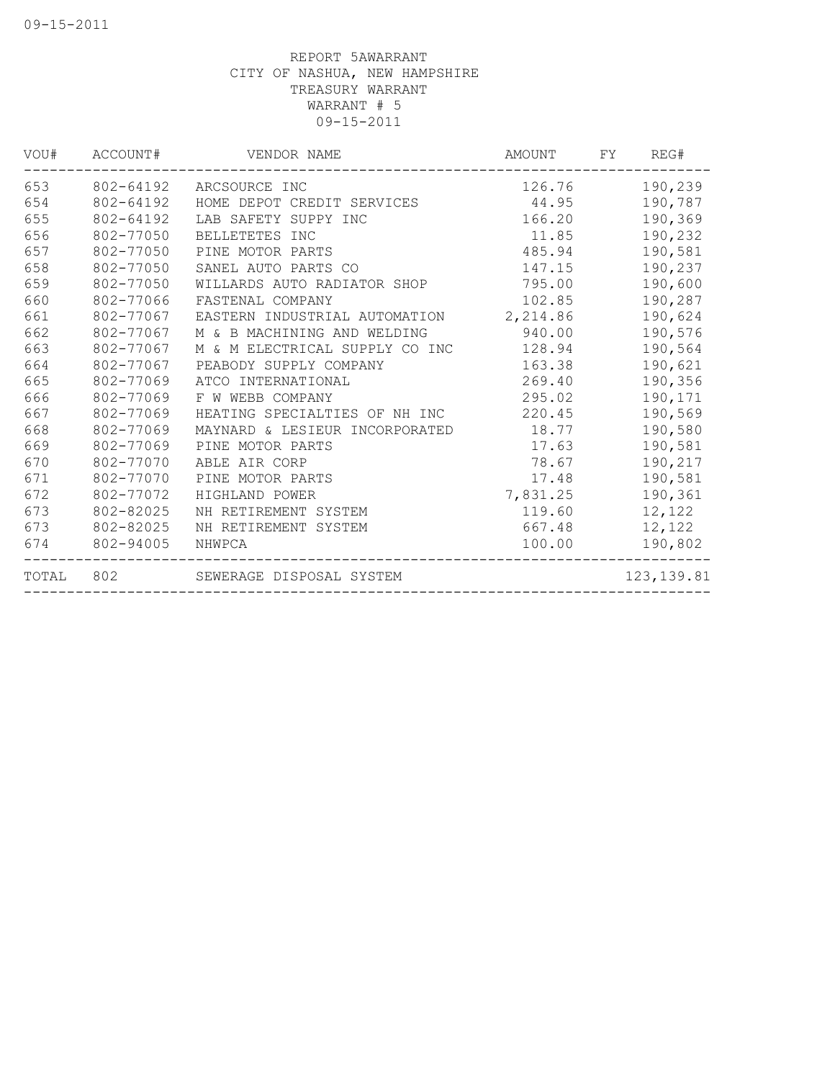| VOU#  | ACCOUNT#  | VENDOR NAME                             | AMOUNT   | FY | REG#        |
|-------|-----------|-----------------------------------------|----------|----|-------------|
| 653   | 802-64192 | ARCSOURCE INC                           | 126.76   |    | 190,239     |
| 654   | 802-64192 | HOME DEPOT CREDIT SERVICES              | 44.95    |    | 190,787     |
| 655   | 802-64192 | LAB SAFETY SUPPY INC                    | 166.20   |    | 190,369     |
| 656   | 802-77050 | BELLETETES INC                          | 11.85    |    | 190,232     |
| 657   | 802-77050 | PINE MOTOR PARTS                        | 485.94   |    | 190,581     |
| 658   | 802-77050 | SANEL AUTO PARTS CO                     | 147.15   |    | 190,237     |
| 659   | 802-77050 | WILLARDS AUTO RADIATOR SHOP             | 795.00   |    | 190,600     |
| 660   | 802-77066 | FASTENAL COMPANY                        | 102.85   |    | 190,287     |
| 661   | 802-77067 | EASTERN INDUSTRIAL AUTOMATION 2, 214.86 |          |    | 190,624     |
| 662   | 802-77067 | M & B MACHINING AND WELDING             | 940.00   |    | 190,576     |
| 663   | 802-77067 | M & M ELECTRICAL SUPPLY CO INC 128.94   |          |    | 190,564     |
| 664   | 802-77067 | PEABODY SUPPLY COMPANY                  | 163.38   |    | 190,621     |
| 665   | 802-77069 | ATCO INTERNATIONAL                      | 269.40   |    | 190,356     |
| 666   | 802-77069 | F W WEBB COMPANY                        | 295.02   |    | 190,171     |
| 667   | 802-77069 | HEATING SPECIALTIES OF NH INC           | 220.45   |    | 190,569     |
| 668   | 802-77069 | MAYNARD & LESIEUR INCORPORATED 18.77    |          |    | 190,580     |
| 669   | 802-77069 | PINE MOTOR PARTS                        | 17.63    |    | 190,581     |
| 670   | 802-77070 | ABLE AIR CORP                           | 78.67    |    | 190,217     |
| 671   | 802-77070 | PINE MOTOR PARTS                        | 17.48    |    | 190,581     |
| 672   | 802-77072 | HIGHLAND POWER                          | 7,831.25 |    | 190,361     |
| 673   | 802-82025 | NH RETIREMENT SYSTEM                    | 119.60   |    | 12,122      |
| 673   | 802-82025 | NH RETIREMENT SYSTEM                    | 667.48   |    | 12,122      |
| 674   | 802-94005 | NHWPCA                                  | 100.00   |    | 190,802     |
| TOTAL |           | 802 SEWERAGE DISPOSAL SYSTEM            |          |    | 123, 139.81 |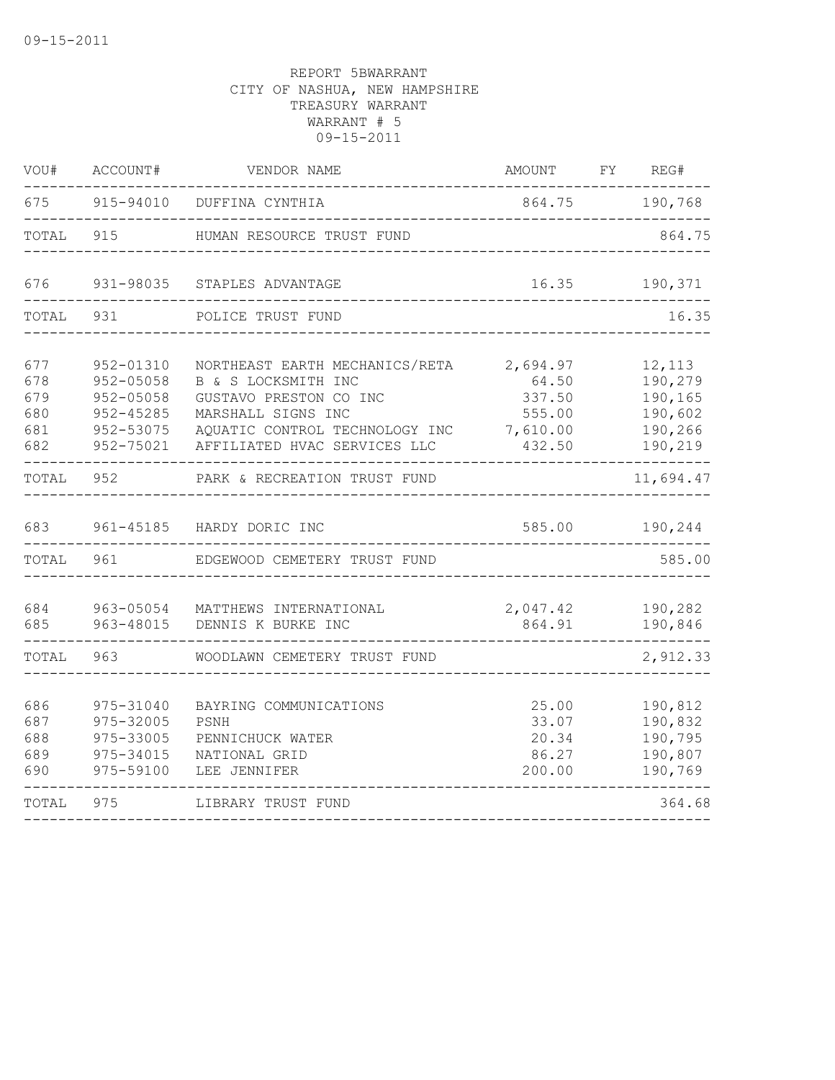| VOU#                                   | ACCOUNT#                                                                   | VENDOR NAME                                                                                                                                                             | AMOUNT                                                      | FΥ | REG#                                                          |
|----------------------------------------|----------------------------------------------------------------------------|-------------------------------------------------------------------------------------------------------------------------------------------------------------------------|-------------------------------------------------------------|----|---------------------------------------------------------------|
| 675                                    | 915-94010                                                                  | DUFFINA CYNTHIA                                                                                                                                                         | 864.75                                                      |    | 190,768                                                       |
| TOTAL                                  | 915                                                                        | HUMAN RESOURCE TRUST FUND                                                                                                                                               |                                                             |    | 864.75                                                        |
| 676                                    | 931-98035                                                                  | STAPLES ADVANTAGE                                                                                                                                                       | 16.35                                                       |    | 190,371                                                       |
| TOTAL                                  | 931                                                                        | POLICE TRUST FUND                                                                                                                                                       |                                                             |    | 16.35                                                         |
| 677<br>678<br>679<br>680<br>681<br>682 | 952-01310<br>952-05058<br>952-05058<br>952-45285<br>952-53075<br>952-75021 | NORTHEAST EARTH MECHANICS/RETA<br>B & S LOCKSMITH INC<br>GUSTAVO PRESTON CO INC<br>MARSHALL SIGNS INC<br>AQUATIC CONTROL TECHNOLOGY INC<br>AFFILIATED HVAC SERVICES LLC | 2,694.97<br>64.50<br>337.50<br>555.00<br>7,610.00<br>432.50 |    | 12,113<br>190,279<br>190,165<br>190,602<br>190,266<br>190,219 |
| TOTAL                                  | 952                                                                        | PARK & RECREATION TRUST FUND                                                                                                                                            |                                                             |    | 11,694.47                                                     |
| 683                                    | 961-45185                                                                  | HARDY DORIC INC                                                                                                                                                         | 585.00                                                      |    | 190,244                                                       |
| TOTAL                                  | 961                                                                        | EDGEWOOD CEMETERY TRUST FUND                                                                                                                                            |                                                             |    | 585.00                                                        |
| 684<br>685                             | 963-05054<br>963-48015                                                     | MATTHEWS INTERNATIONAL<br>DENNIS K BURKE INC                                                                                                                            | 2,047.42<br>864.91                                          |    | 190,282<br>190,846                                            |
| TOTAL                                  | 963                                                                        | WOODLAWN CEMETERY TRUST FUND                                                                                                                                            |                                                             |    | 2,912.33                                                      |
| 686<br>687<br>688<br>689<br>690        | 975-31040<br>975-32005<br>975-33005<br>975-34015<br>975-59100              | BAYRING COMMUNICATIONS<br>PSNH<br>PENNICHUCK WATER<br>NATIONAL GRID<br>LEE JENNIFER                                                                                     | 25.00<br>33.07<br>20.34<br>86.27<br>200.00                  |    | 190,812<br>190,832<br>190,795<br>190,807<br>190,769           |
| TOTAL                                  | 975                                                                        | LIBRARY TRUST FUND                                                                                                                                                      |                                                             |    | 364.68                                                        |
|                                        |                                                                            |                                                                                                                                                                         |                                                             |    |                                                               |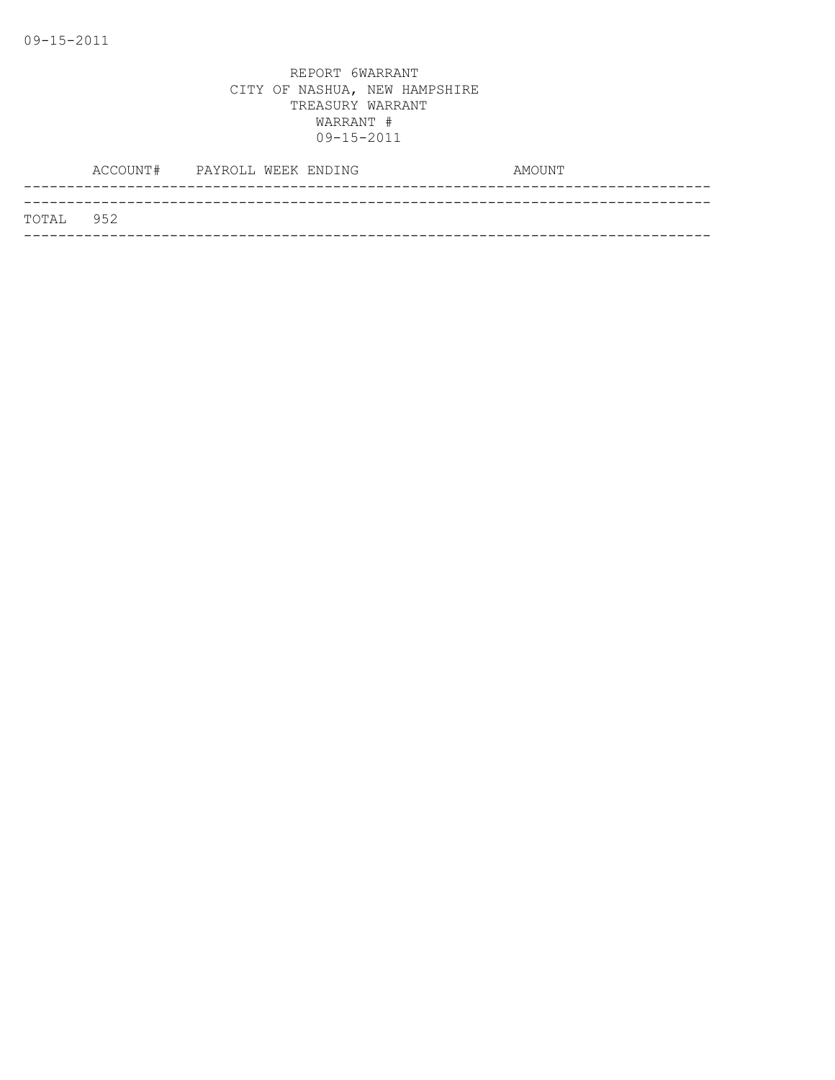|           | ACCOUNT# | PAYROLL WEEK ENDING | AMOUNT |  |
|-----------|----------|---------------------|--------|--|
|           |          |                     |        |  |
| TOTAL 952 |          |                     |        |  |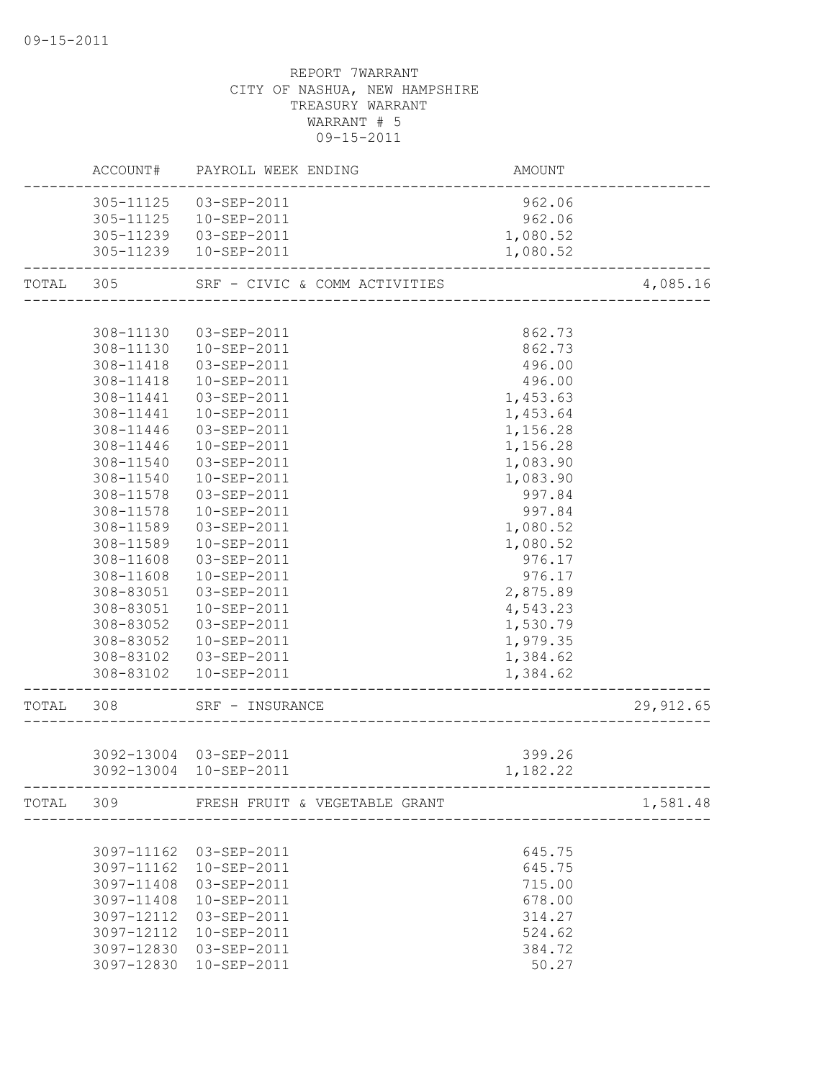|           |            | ACCOUNT# PAYROLL WEEK ENDING            | AMOUNT   |            |
|-----------|------------|-----------------------------------------|----------|------------|
|           |            | 305-11125  03-SEP-2011                  | 962.06   |            |
|           |            | 305-11125  10-SEP-2011                  | 962.06   |            |
|           |            | 305-11239  03-SEP-2011                  | 1,080.52 |            |
|           |            | 305-11239  10-SEP-2011                  | 1,080.52 |            |
| TOTAL 305 |            | SRF - CIVIC & COMM ACTIVITIES           |          | 4,085.16   |
|           |            |                                         |          |            |
|           | 308-11130  | 03-SEP-2011                             | 862.73   |            |
|           | 308-11130  | 10-SEP-2011                             | 862.73   |            |
|           | 308-11418  | 03-SEP-2011                             | 496.00   |            |
|           | 308-11418  | 10-SEP-2011                             | 496.00   |            |
|           | 308-11441  | 03-SEP-2011                             | 1,453.63 |            |
|           | 308-11441  | 10-SEP-2011                             | 1,453.64 |            |
|           | 308-11446  | 03-SEP-2011                             | 1,156.28 |            |
|           | 308-11446  | 10-SEP-2011                             | 1,156.28 |            |
|           | 308-11540  | 03-SEP-2011                             | 1,083.90 |            |
|           | 308-11540  | 10-SEP-2011                             | 1,083.90 |            |
|           | 308-11578  | 03-SEP-2011                             | 997.84   |            |
|           | 308-11578  | 10-SEP-2011                             | 997.84   |            |
|           | 308-11589  | 03-SEP-2011                             | 1,080.52 |            |
|           | 308-11589  | 10-SEP-2011                             | 1,080.52 |            |
|           | 308-11608  | 03-SEP-2011                             | 976.17   |            |
|           | 308-11608  | 10-SEP-2011                             | 976.17   |            |
|           | 308-83051  | 03-SEP-2011                             | 2,875.89 |            |
|           | 308-83051  | 10-SEP-2011                             | 4,543.23 |            |
|           | 308-83052  | 03-SEP-2011                             | 1,530.79 |            |
|           | 308-83052  | 10-SEP-2011                             | 1,979.35 |            |
|           | 308-83102  | 03-SEP-2011                             | 1,384.62 |            |
|           | 308-83102  | 10-SEP-2011                             | 1,384.62 |            |
| TOTAL     | 308        | SRF - INSURANCE                         |          | 29, 912.65 |
|           |            | _______________________                 |          |            |
|           |            | 3092-13004 03-SEP-2011                  | 399.26   |            |
|           |            | 3092-13004 10-SEP-2011                  | 1,182.22 |            |
|           |            |                                         |          |            |
|           |            | TOTAL 309 FRESH FRUIT & VEGETABLE GRANT |          | 1,581.48   |
|           |            |                                         |          |            |
|           | 3097-11162 | 03-SEP-2011                             | 645.75   |            |
|           | 3097-11162 | 10-SEP-2011                             | 645.75   |            |
|           | 3097-11408 | 03-SEP-2011                             | 715.00   |            |
|           | 3097-11408 | 10-SEP-2011                             | 678.00   |            |
|           | 3097-12112 | 03-SEP-2011                             | 314.27   |            |
|           | 3097-12112 | 10-SEP-2011                             | 524.62   |            |
|           | 3097-12830 | 03-SEP-2011                             | 384.72   |            |
|           | 3097-12830 | 10-SEP-2011                             | 50.27    |            |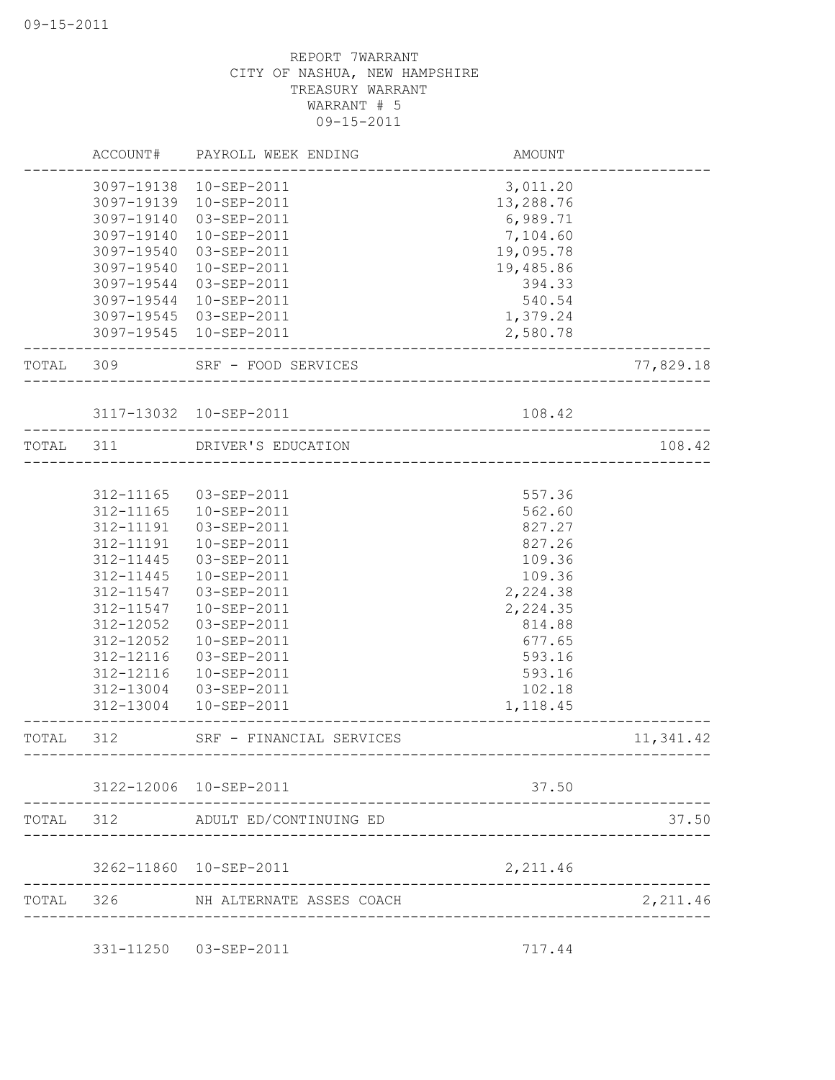|           | ACCOUNT#   | PAYROLL WEEK ENDING                                  | AMOUNT                            |           |
|-----------|------------|------------------------------------------------------|-----------------------------------|-----------|
|           |            | 3097-19138 10-SEP-2011                               | 3,011.20                          |           |
|           | 3097-19139 | 10-SEP-2011                                          | 13,288.76                         |           |
|           | 3097-19140 | 03-SEP-2011                                          | 6,989.71                          |           |
|           | 3097-19140 | $10 - SEP - 2011$                                    | 7,104.60                          |           |
|           | 3097-19540 | 03-SEP-2011                                          | 19,095.78                         |           |
|           | 3097-19540 | 10-SEP-2011                                          | 19,485.86                         |           |
|           | 3097-19544 | 03-SEP-2011                                          | 394.33                            |           |
|           | 3097-19544 | 10-SEP-2011                                          | 540.54                            |           |
|           |            | 3097-19545 03-SEP-2011                               | 1,379.24                          |           |
|           |            | 3097-19545 10-SEP-2011                               | 2,580.78                          |           |
| TOTAL 309 |            | SRF - FOOD SERVICES                                  | ________________________          | 77,829.18 |
|           |            | 3117-13032 10-SEP-2011                               | 108.42                            |           |
| TOTAL     | 311        | ______________________________<br>DRIVER'S EDUCATION |                                   | 108.42    |
|           |            |                                                      | -------------------------------   |           |
|           | 312-11165  | 03-SEP-2011                                          | 557.36                            |           |
|           | 312-11165  | 10-SEP-2011                                          | 562.60                            |           |
|           | 312-11191  | 03-SEP-2011                                          | 827.27                            |           |
|           | 312-11191  | 10-SEP-2011                                          | 827.26                            |           |
|           | 312-11445  | 03-SEP-2011                                          | 109.36                            |           |
|           | 312-11445  | 10-SEP-2011                                          | 109.36                            |           |
|           | 312-11547  | 03-SEP-2011                                          | 2,224.38                          |           |
|           | 312-11547  | 10-SEP-2011                                          | 2,224.35                          |           |
|           | 312-12052  | 03-SEP-2011                                          | 814.88                            |           |
|           | 312-12052  | 10-SEP-2011                                          | 677.65                            |           |
|           | 312-12116  | 03-SEP-2011                                          | 593.16                            |           |
|           | 312-12116  | 10-SEP-2011                                          | 593.16                            |           |
|           | 312-13004  | 03-SEP-2011                                          | 102.18                            |           |
|           | 312-13004  | 10-SEP-2011                                          | 1,118.45                          |           |
| TOTAL     | 312        | SRF - FINANCIAL SERVICES                             | --------------------------------- | 11,341.42 |
|           |            | 3122-12006 10-SEP-2011                               | 37.50                             |           |
|           |            |                                                      |                                   |           |
|           |            | TOTAL 312 ADULT ED/CONTINUING ED                     |                                   | 37.50     |
|           |            | 3262-11860 10-SEP-2011                               | 2,211.46                          |           |
| TOTAL 326 |            | NH ALTERNATE ASSES COACH                             |                                   | 2,211.46  |
|           |            | 331-11250  03-SEP-2011                               | 717.44                            |           |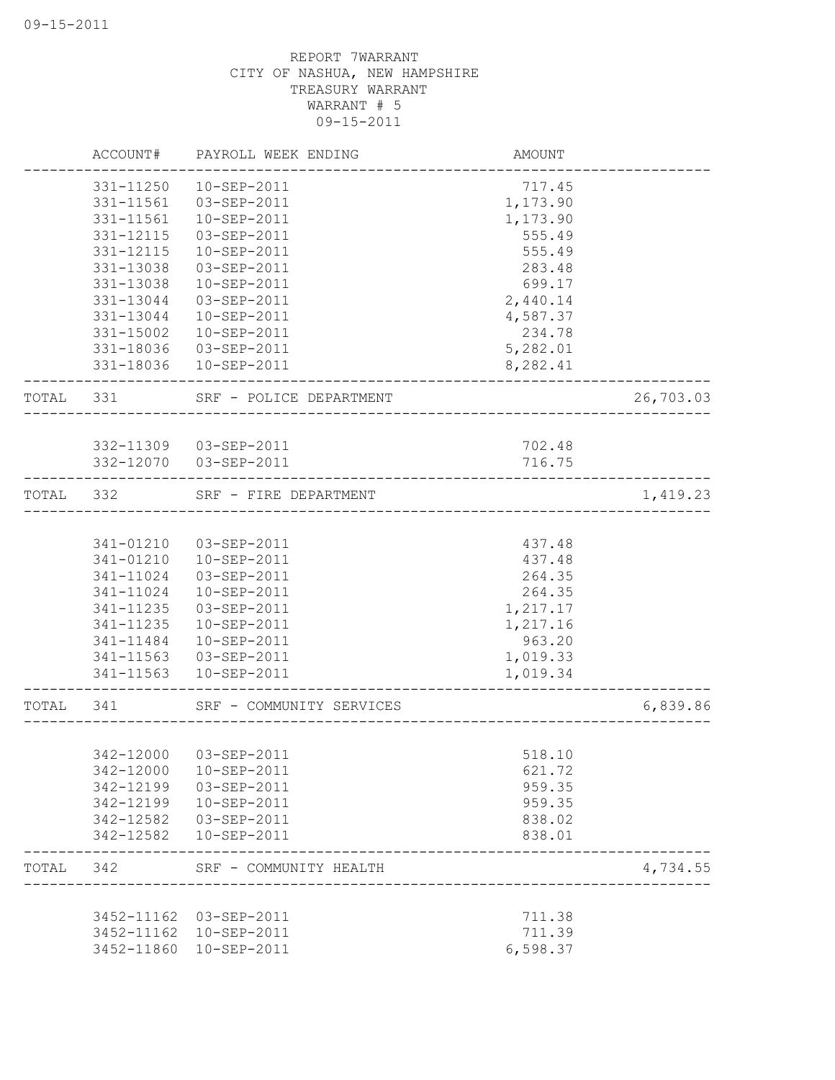|           | ACCOUNT#   | PAYROLL WEEK ENDING      | AMOUNT                                 |           |
|-----------|------------|--------------------------|----------------------------------------|-----------|
|           | 331-11250  | $10 - SEP - 2011$        | 717.45                                 |           |
|           | 331-11561  | 03-SEP-2011              | 1,173.90                               |           |
|           | 331-11561  | $10 - SEP - 2011$        | 1,173.90                               |           |
|           | 331-12115  | $03 - SEP - 2011$        | 555.49                                 |           |
|           | 331-12115  | $10 - SEP - 2011$        | 555.49                                 |           |
|           | 331-13038  | 03-SEP-2011              | 283.48                                 |           |
|           | 331-13038  | 10-SEP-2011              | 699.17                                 |           |
|           | 331-13044  | 03-SEP-2011              | 2,440.14                               |           |
|           | 331-13044  | $10 - SEP - 2011$        | 4,587.37                               |           |
|           | 331-15002  | 10-SEP-2011              | 234.78                                 |           |
|           | 331-18036  | 03-SEP-2011              | 5,282.01                               |           |
|           | 331-18036  | 10-SEP-2011              | 8,282.41                               |           |
| TOTAL 331 |            | SRF - POLICE DEPARTMENT  | -------------------------------------- | 26,703.03 |
|           |            |                          |                                        |           |
|           |            | 332-11309 03-SEP-2011    | 702.48                                 |           |
|           |            | 332-12070  03-SEP-2011   | 716.75                                 |           |
| TOTAL 332 |            | SRF - FIRE DEPARTMENT    | ___________________________________    | 1,419.23  |
|           |            |                          |                                        |           |
|           | 341-01210  | 03-SEP-2011              | 437.48                                 |           |
|           | 341-01210  | 10-SEP-2011              | 437.48                                 |           |
|           | 341-11024  | 03-SEP-2011              | 264.35                                 |           |
|           | 341-11024  | 10-SEP-2011              | 264.35                                 |           |
|           | 341-11235  | 03-SEP-2011              | 1,217.17                               |           |
|           | 341-11235  | 10-SEP-2011              | 1,217.16                               |           |
|           | 341-11484  | $10 - SEP - 2011$        | 963.20                                 |           |
|           | 341-11563  | 03-SEP-2011              | 1,019.33                               |           |
|           | 341-11563  | 10-SEP-2011              | 1,019.34                               |           |
| TOTAL     | 341        | SRF - COMMUNITY SERVICES | ___________________________________    | 6,839.86  |
|           |            |                          |                                        |           |
|           | 342-12000  | 03-SEP-2011              | 518.10                                 |           |
|           | 342-12000  | 10-SEP-2011              | 621.72                                 |           |
|           | 342-12199  | 03-SEP-2011              | 959.35                                 |           |
|           | 342-12199  | 10-SEP-2011              | 959.35                                 |           |
|           | 342-12582  | 03-SEP-2011              | 838.02                                 |           |
|           | 342-12582  | 10-SEP-2011              | 838.01                                 |           |
| TOTAL     | 342        | SRF - COMMUNITY HEALTH   |                                        | 4,734.55  |
|           | 3452-11162 | 03-SEP-2011              | 711.38                                 |           |
|           | 3452-11162 | 10-SEP-2011              | 711.39                                 |           |
|           | 3452-11860 | 10-SEP-2011              | 6,598.37                               |           |
|           |            |                          |                                        |           |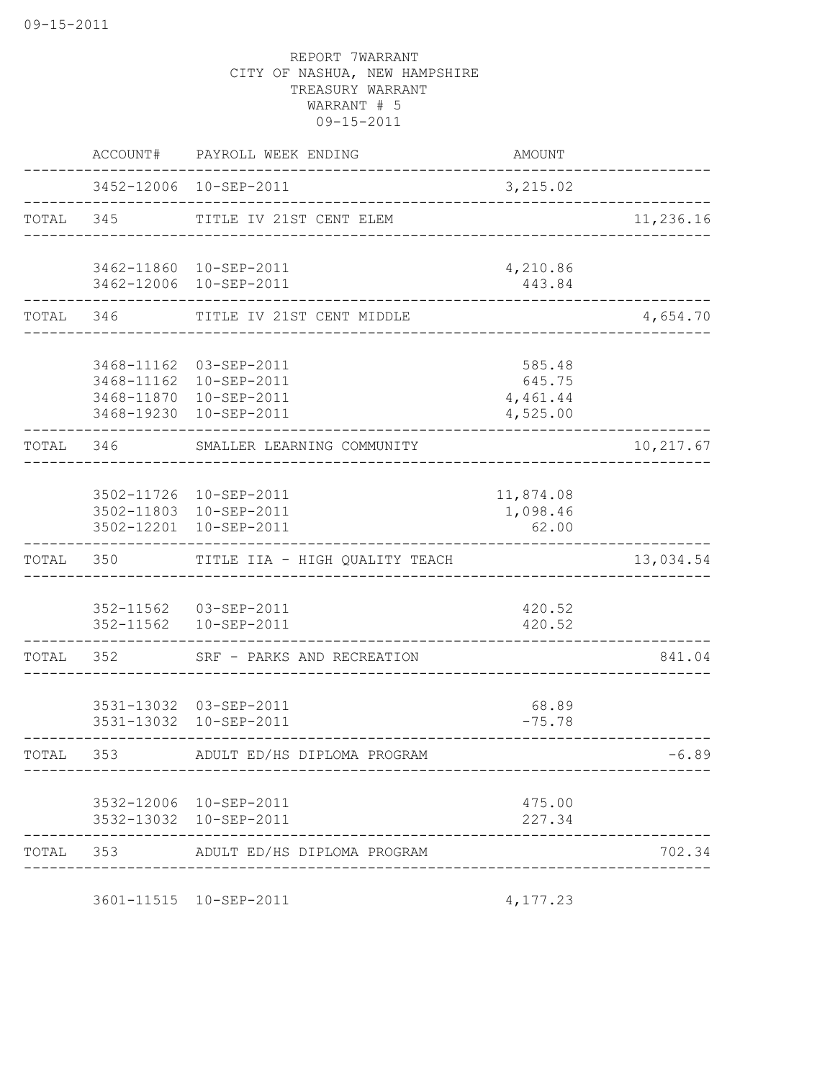|           | ACCOUNT#                                             | PAYROLL WEEK ENDING                                             | AMOUNT                                     |               |
|-----------|------------------------------------------------------|-----------------------------------------------------------------|--------------------------------------------|---------------|
|           |                                                      | 3452-12006 10-SEP-2011                                          | 3,215.02                                   | _____________ |
| TOTAL 345 |                                                      | TITLE IV 21ST CENT ELEM                                         |                                            | 11,236.16     |
|           |                                                      | 3462-11860 10-SEP-2011<br>3462-12006 10-SEP-2011                | 4,210.86<br>443.84                         |               |
| TOTAL 346 |                                                      | TITLE IV 21ST CENT MIDDLE<br>-----------------                  |                                            | 4,654.70      |
|           | 3468-11162<br>3468-11162<br>3468-11870<br>3468-19230 | 03-SEP-2011<br>10-SEP-2011<br>10-SEP-2011<br>10-SEP-2011        | 585.48<br>645.75<br>4,461.44<br>4,525.00   |               |
| TOTAL 346 |                                                      | SMALLER LEARNING COMMUNITY                                      |                                            | 10,217.67     |
|           | 3502-12201                                           | 3502-11726 10-SEP-2011<br>3502-11803 10-SEP-2011<br>10-SEP-2011 | 11,874.08<br>1,098.46<br>62.00             |               |
| TOTAL     | 350                                                  | TITLE IIA - HIGH QUALITY TEACH<br>_____________________________ | . _ _ _ _ <b>_ _ _ _ _ _ _ _ _ _ _ _</b> _ | 13,034.54     |
|           |                                                      | 352-11562  03-SEP-2011<br>352-11562  10-SEP-2011                | 420.52<br>420.52                           |               |
| TOTAL     | ----------------------<br>352                        | SRF - PARKS AND RECREATION<br>------------                      |                                            | 841.04        |
|           |                                                      | 3531-13032 03-SEP-2011<br>3531-13032 10-SEP-2011                | 68.89<br>$-75.78$                          |               |
| TOTAL 353 |                                                      | ADULT ED/HS DIPLOMA PROGRAM                                     |                                            | $-6.89$       |
|           |                                                      | 3532-12006 10-SEP-2011<br>3532-13032 10-SEP-2011                | 475.00<br>227.34                           |               |
| TOTAL 353 |                                                      | ADULT ED/HS DIPLOMA PROGRAM                                     |                                            | 702.34        |

3601-11515 10-SEP-2011 4,177.23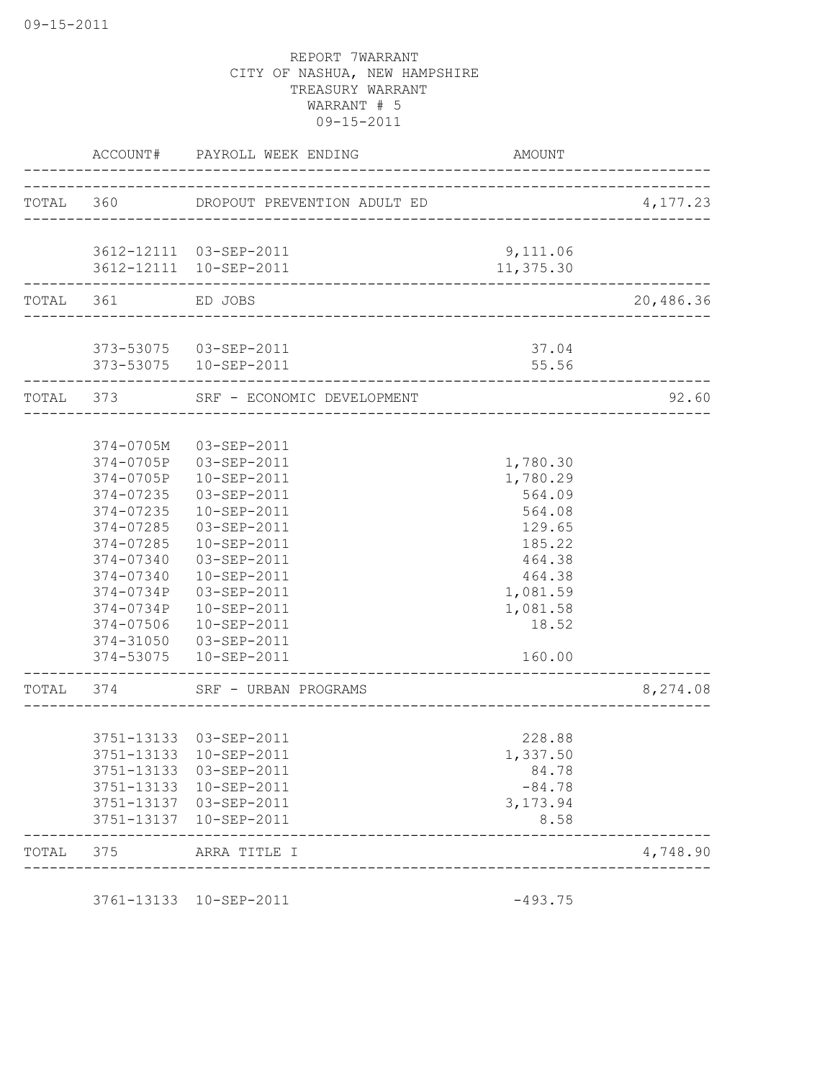|           | ACCOUNT#               | PAYROLL WEEK ENDING                           | AMOUNT    |           |
|-----------|------------------------|-----------------------------------------------|-----------|-----------|
|           |                        | TOTAL 360 DROPOUT PREVENTION ADULT ED         |           | 4,177.23  |
|           |                        |                                               |           |           |
|           |                        | 3612-12111 03-SEP-2011                        | 9,111.06  |           |
|           |                        | 3612-12111 10-SEP-2011                        | 11,375.30 |           |
| TOTAL 361 |                        | ED JOBS<br>---------------------------------- |           | 20,486.36 |
|           |                        | 373-53075  03-SEP-2011                        | 37.04     |           |
|           | _________________      | 373-53075  10-SEP-2011                        | 55.56     |           |
| TOTAL 373 |                        | SRF - ECONOMIC DEVELOPMENT                    |           | 92.60     |
|           |                        |                                               |           |           |
|           | 374-0705M              | $03 - SEP - 2011$                             |           |           |
|           | 374-0705P              | 03-SEP-2011                                   | 1,780.30  |           |
|           | 374-0705P              | 10-SEP-2011                                   | 1,780.29  |           |
|           | 374-07235              | 03-SEP-2011                                   | 564.09    |           |
|           | 374-07235              | 10-SEP-2011                                   | 564.08    |           |
|           | 374-07285              | 03-SEP-2011                                   | 129.65    |           |
|           | 374-07285              | 10-SEP-2011                                   | 185.22    |           |
|           | 374-07340              | 03-SEP-2011                                   | 464.38    |           |
|           | 374-07340              | 10-SEP-2011                                   | 464.38    |           |
|           | 374-0734P<br>374-0734P | 03-SEP-2011                                   | 1,081.59  |           |
|           |                        | 10-SEP-2011<br>$10 - SEP - 2011$              | 1,081.58  |           |
|           | 374-07506<br>374-31050 | 03-SEP-2011                                   | 18.52     |           |
|           | 374-53075              | 10-SEP-2011                                   | 160.00    |           |
| TOTAL     | 374                    | SRF - URBAN PROGRAMS                          |           | 8,274.08  |
|           |                        |                                               |           |           |
|           |                        | 3751-13133 03-SEP-2011                        | 228.88    |           |
|           |                        | 3751-13133 10-SEP-2011                        | 1,337.50  |           |
|           | 3751-13133             | 03-SEP-2011                                   | 84.78     |           |
|           | 3751-13133             | 10-SEP-2011                                   | $-84.78$  |           |
|           |                        | 3751-13137 03-SEP-2011                        | 3,173.94  |           |
|           | 3751-13137             | 10-SEP-2011                                   | 8.58      |           |
| TOTAL     | 375                    | ARRA TITLE I                                  |           | 4,748.90  |
|           |                        |                                               |           |           |

3761-13133 10-SEP-2011 -493.75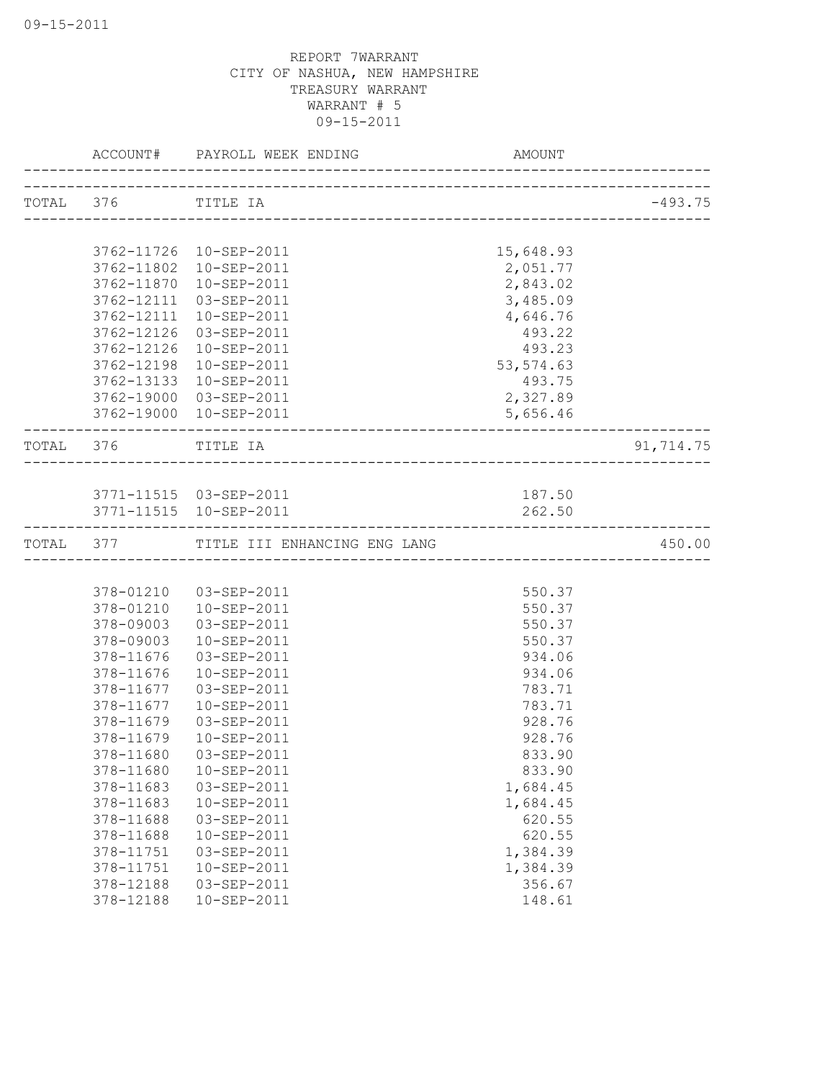|           | ACCOUNT#   | PAYROLL WEEK ENDING<br>__________________ | <b>AMOUNT</b> |           |
|-----------|------------|-------------------------------------------|---------------|-----------|
| TOTAL 376 |            | TITLE IA                                  |               | $-493.75$ |
|           |            |                                           |               |           |
|           | 3762-11726 | 10-SEP-2011                               | 15,648.93     |           |
|           | 3762-11802 | 10-SEP-2011                               | 2,051.77      |           |
|           | 3762-11870 | 10-SEP-2011                               | 2,843.02      |           |
|           | 3762-12111 | $03 - SEP - 2011$                         | 3,485.09      |           |
|           | 3762-12111 | 10-SEP-2011                               | 4,646.76      |           |
|           | 3762-12126 | 03-SEP-2011                               | 493.22        |           |
|           | 3762-12126 | 10-SEP-2011                               | 493.23        |           |
|           | 3762-12198 | $10 - SEP - 2011$                         | 53, 574.63    |           |
|           | 3762-13133 | 10-SEP-2011                               | 493.75        |           |
|           | 3762-19000 | 03-SEP-2011                               | 2,327.89      |           |
|           | 3762-19000 | 10-SEP-2011                               | 5,656.46      |           |
| TOTAL 376 |            | TITLE IA                                  |               | 91,714.75 |
|           |            |                                           |               |           |
|           |            | 3771-11515  03-SEP-2011                   | 187.50        |           |
|           |            | 3771-11515  10-SEP-2011                   | 262.50        |           |
|           |            | TOTAL 377 TITLE III ENHANCING ENG LANG    |               | 450.00    |
|           |            |                                           |               |           |
|           | 378-01210  | 03-SEP-2011                               | 550.37        |           |
|           | 378-01210  | 10-SEP-2011                               | 550.37        |           |
|           | 378-09003  | 03-SEP-2011                               | 550.37        |           |
|           | 378-09003  | 10-SEP-2011                               | 550.37        |           |
|           | 378-11676  | 03-SEP-2011                               | 934.06        |           |
|           | 378-11676  | 10-SEP-2011                               | 934.06        |           |
|           | 378-11677  | 03-SEP-2011                               | 783.71        |           |
|           | 378-11677  | $10 - SEP - 2011$                         | 783.71        |           |
|           | 378-11679  | 03-SEP-2011                               | 928.76        |           |
|           | 378-11679  | 10-SEP-2011                               | 928.76        |           |
|           | 378-11680  | 03-SEP-2011                               | 833.90        |           |
|           | 378-11680  | 10-SEP-2011                               | 833.90        |           |
|           | 378-11683  | 03-SEP-2011                               | 1,684.45      |           |
|           | 378-11683  | 10-SEP-2011                               | 1,684.45      |           |
|           | 378-11688  | 03-SEP-2011                               | 620.55        |           |
|           | 378-11688  | 10-SEP-2011                               | 620.55        |           |
|           | 378-11751  | 03-SEP-2011                               | 1,384.39      |           |
|           | 378-11751  | 10-SEP-2011                               | 1,384.39      |           |
|           | 378-12188  | 03-SEP-2011                               | 356.67        |           |
|           | 378-12188  | 10-SEP-2011                               | 148.61        |           |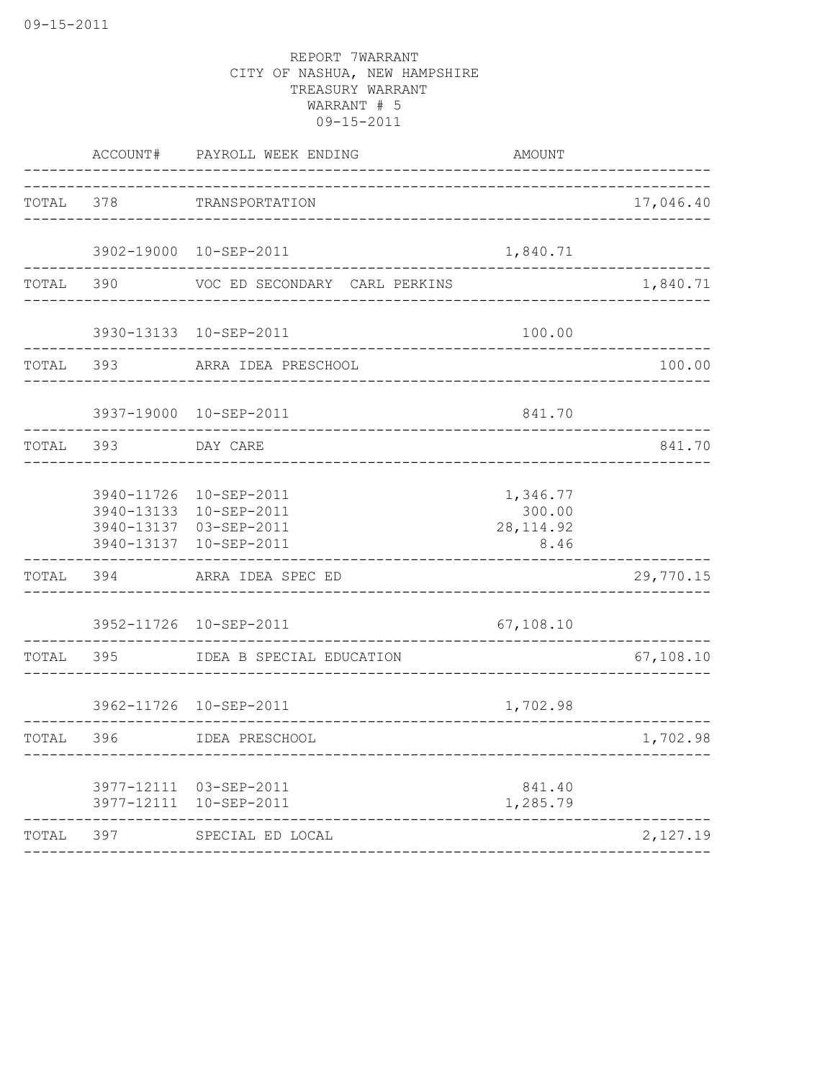|       | ACCOUNT#   | PAYROLL WEEK ENDING                                                                       | AMOUNT                                   |           |
|-------|------------|-------------------------------------------------------------------------------------------|------------------------------------------|-----------|
| TOTAL | 378        | TRANSPORTATION                                                                            |                                          | 17,046.40 |
|       |            | 3902-19000 10-SEP-2011                                                                    | 1,840.71                                 |           |
| TOTAL | 390        | VOC ED SECONDARY CARL PERKINS                                                             |                                          | 1,840.71  |
|       |            | 3930-13133 10-SEP-2011                                                                    | 100.00                                   |           |
| TOTAL | 393        | ARRA IDEA PRESCHOOL                                                                       |                                          | 100.00    |
|       |            | 3937-19000 10-SEP-2011                                                                    | 841.70                                   |           |
| TOTAL | 393        | DAY CARE                                                                                  |                                          | 841.70    |
|       | 3940-11726 | 10-SEP-2011<br>3940-13133 10-SEP-2011<br>3940-13137 03-SEP-2011<br>3940-13137 10-SEP-2011 | 1,346.77<br>300.00<br>28, 114.92<br>8.46 |           |
| TOTAL | 394        | ARRA IDEA SPEC ED                                                                         |                                          | 29,770.15 |
|       |            | 3952-11726 10-SEP-2011                                                                    | 67,108.10                                |           |
| TOTAL | 395        | IDEA B SPECIAL EDUCATION                                                                  |                                          | 67,108.10 |
|       |            | 3962-11726 10-SEP-2011                                                                    | 1,702.98                                 |           |
| TOTAL | 396        | IDEA PRESCHOOL                                                                            |                                          | 1,702.98  |
|       |            | 3977-12111 03-SEP-2011<br>3977-12111 10-SEP-2011                                          | 841.40<br>1,285.79                       |           |
| TOTAL | 397        | SPECIAL ED LOCAL                                                                          |                                          | 2,127.19  |
|       |            |                                                                                           |                                          |           |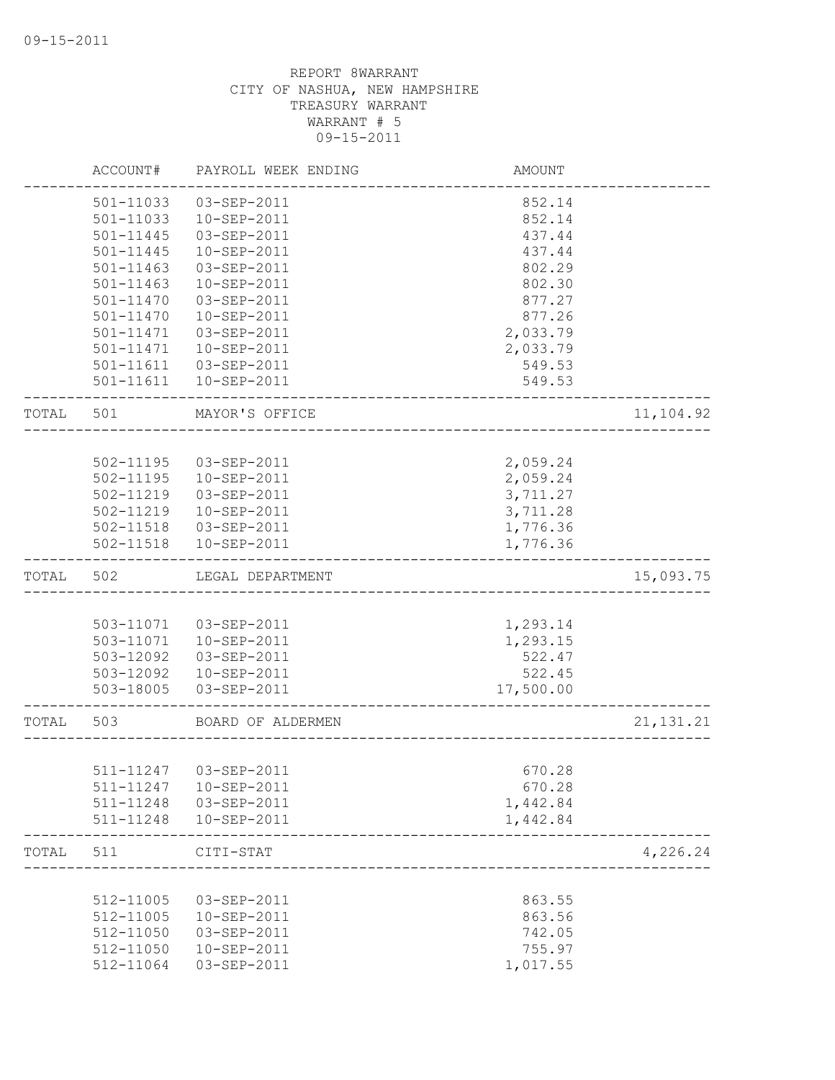|       | ACCOUNT#      | PAYROLL WEEK ENDING    | AMOUNT    |             |
|-------|---------------|------------------------|-----------|-------------|
|       | 501-11033     | 03-SEP-2011            | 852.14    |             |
|       | 501-11033     | 10-SEP-2011            | 852.14    |             |
|       | 501-11445     | 03-SEP-2011            | 437.44    |             |
|       | 501-11445     | 10-SEP-2011            | 437.44    |             |
|       | $501 - 11463$ | 03-SEP-2011            | 802.29    |             |
|       | 501-11463     | 10-SEP-2011            | 802.30    |             |
|       | $501 - 11470$ | 03-SEP-2011            | 877.27    |             |
|       | 501-11470     | 10-SEP-2011            | 877.26    |             |
|       | 501-11471     | 03-SEP-2011            | 2,033.79  |             |
|       | 501-11471     | 10-SEP-2011            | 2,033.79  |             |
|       |               | 501-11611  03-SEP-2011 | 549.53    |             |
|       | 501-11611     | 10-SEP-2011            | 549.53    |             |
| TOTAL | 501           | MAYOR'S OFFICE         |           | 11,104.92   |
|       |               |                        |           |             |
|       | 502-11195     | 03-SEP-2011            | 2,059.24  |             |
|       |               | 502-11195  10-SEP-2011 | 2,059.24  |             |
|       | 502-11219     | 03-SEP-2011            | 3,711.27  |             |
|       |               | 502-11219  10-SEP-2011 | 3,711.28  |             |
|       |               | 502-11518  03-SEP-2011 | 1,776.36  |             |
|       |               | 502-11518  10-SEP-2011 | 1,776.36  |             |
| TOTAL | 502           | LEGAL DEPARTMENT       |           | 15,093.75   |
|       |               |                        |           |             |
|       |               | 503-11071  03-SEP-2011 | 1,293.14  |             |
|       |               | 503-11071  10-SEP-2011 | 1,293.15  |             |
|       | 503-12092     | 03-SEP-2011            | 522.47    |             |
|       | 503-12092     | 10-SEP-2011            | 522.45    |             |
|       | 503-18005     | 03-SEP-2011            | 17,500.00 |             |
| TOTAL | 503           | BOARD OF ALDERMEN      |           | 21, 131. 21 |
|       |               |                        |           |             |
|       | 511-11247     | 03-SEP-2011            | 670.28    |             |
|       | 511-11247     | 10-SEP-2011            | 670.28    |             |
|       | 511-11248     | 03-SEP-2011            | 1,442.84  |             |
|       | 511-11248     | 10-SEP-2011            | 1,442.84  |             |
| TOTAL | 511           | CITI-STAT              |           | 4,226.24    |
|       |               |                        |           |             |
|       | 512-11005     | 03-SEP-2011            | 863.55    |             |
|       | 512-11005     | 10-SEP-2011            | 863.56    |             |
|       | 512-11050     | 03-SEP-2011            | 742.05    |             |
|       | 512-11050     | 10-SEP-2011            | 755.97    |             |
|       | 512-11064     | 03-SEP-2011            | 1,017.55  |             |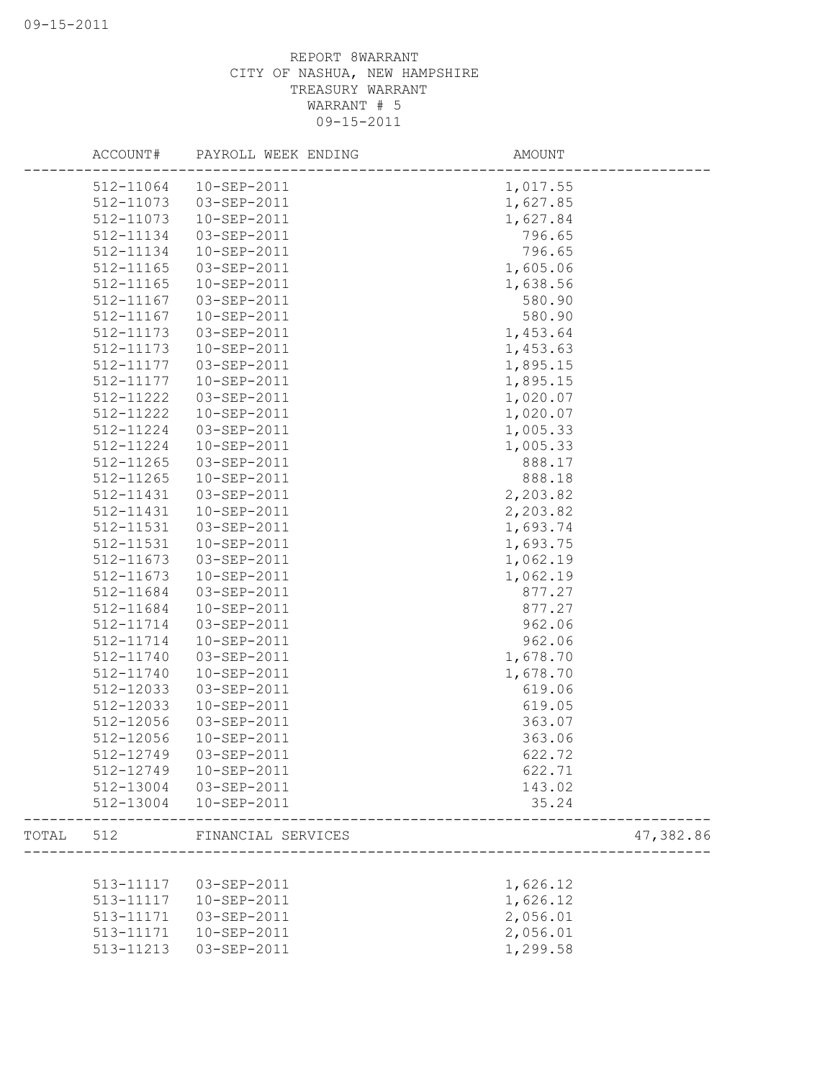|       | ACCOUNT#  | PAYROLL WEEK ENDING | AMOUNT   |           |
|-------|-----------|---------------------|----------|-----------|
|       | 512-11064 | 10-SEP-2011         | 1,017.55 |           |
|       | 512-11073 | 03-SEP-2011         | 1,627.85 |           |
|       | 512-11073 | 10-SEP-2011         | 1,627.84 |           |
|       | 512-11134 | 03-SEP-2011         | 796.65   |           |
|       | 512-11134 | 10-SEP-2011         | 796.65   |           |
|       | 512-11165 | 03-SEP-2011         | 1,605.06 |           |
|       | 512-11165 | 10-SEP-2011         | 1,638.56 |           |
|       | 512-11167 | 03-SEP-2011         | 580.90   |           |
|       | 512-11167 | 10-SEP-2011         | 580.90   |           |
|       | 512-11173 | 03-SEP-2011         | 1,453.64 |           |
|       | 512-11173 | 10-SEP-2011         | 1,453.63 |           |
|       | 512-11177 | 03-SEP-2011         | 1,895.15 |           |
|       | 512-11177 | $10 - SEP - 2011$   | 1,895.15 |           |
|       | 512-11222 | 03-SEP-2011         | 1,020.07 |           |
|       | 512-11222 | 10-SEP-2011         | 1,020.07 |           |
|       | 512-11224 | 03-SEP-2011         | 1,005.33 |           |
|       | 512-11224 | 10-SEP-2011         | 1,005.33 |           |
|       | 512-11265 | 03-SEP-2011         | 888.17   |           |
|       | 512-11265 | 10-SEP-2011         | 888.18   |           |
|       | 512-11431 | 03-SEP-2011         | 2,203.82 |           |
|       | 512-11431 | 10-SEP-2011         | 2,203.82 |           |
|       | 512-11531 | 03-SEP-2011         | 1,693.74 |           |
|       | 512-11531 | 10-SEP-2011         | 1,693.75 |           |
|       | 512-11673 | 03-SEP-2011         | 1,062.19 |           |
|       | 512-11673 | 10-SEP-2011         | 1,062.19 |           |
|       | 512-11684 | 03-SEP-2011         | 877.27   |           |
|       | 512-11684 | 10-SEP-2011         | 877.27   |           |
|       | 512-11714 | 03-SEP-2011         | 962.06   |           |
|       | 512-11714 | 10-SEP-2011         | 962.06   |           |
|       | 512-11740 | 03-SEP-2011         | 1,678.70 |           |
|       | 512-11740 | 10-SEP-2011         | 1,678.70 |           |
|       | 512-12033 | 03-SEP-2011         | 619.06   |           |
|       | 512-12033 | 10-SEP-2011         | 619.05   |           |
|       | 512-12056 | 03-SEP-2011         | 363.07   |           |
|       | 512-12056 | 10-SEP-2011         | 363.06   |           |
|       | 512-12749 | 03-SEP-2011         | 622.72   |           |
|       | 512-12749 | 10-SEP-2011         | 622.71   |           |
|       | 512-13004 | 03-SEP-2011         | 143.02   |           |
|       | 512-13004 | 10-SEP-2011         | 35.24    |           |
| TOTAL | 512       | FINANCIAL SERVICES  |          | 47,382.86 |
|       |           |                     |          |           |
|       | 513-11117 | 03-SEP-2011         | 1,626.12 |           |
|       | 513-11117 | 10-SEP-2011         | 1,626.12 |           |
|       | 513-11171 | 03-SEP-2011         | 2,056.01 |           |
|       | 513-11171 | 10-SEP-2011         | 2,056.01 |           |
|       | 513-11213 | 03-SEP-2011         | 1,299.58 |           |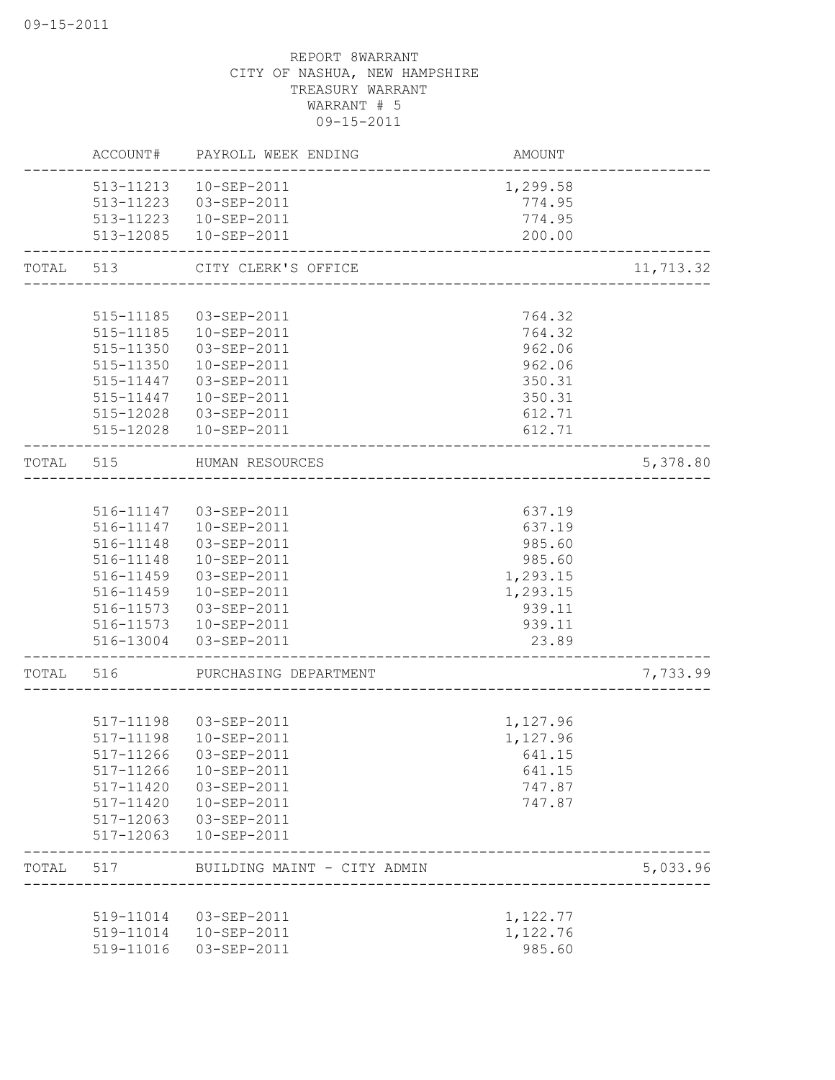|           |           | ACCOUNT# PAYROLL WEEK ENDING                                 | AMOUNT                              |                          |
|-----------|-----------|--------------------------------------------------------------|-------------------------------------|--------------------------|
|           |           | 513-11213  10-SEP-2011                                       | 1,299.58                            |                          |
|           |           | 513-11223  03-SEP-2011                                       | 774.95                              |                          |
|           |           | 513-11223  10-SEP-2011                                       | 774.95                              |                          |
|           |           | 513-12085  10-SEP-2011                                       | 200.00                              |                          |
| TOTAL 513 |           | CITY CLERK'S OFFICE                                          |                                     | 11,713.32                |
|           |           |                                                              |                                     |                          |
|           | 515-11185 | 03-SEP-2011                                                  | 764.32                              |                          |
|           | 515-11185 | 10-SEP-2011                                                  | 764.32                              |                          |
|           | 515-11350 | 03-SEP-2011                                                  | 962.06                              |                          |
|           | 515-11350 | 10-SEP-2011                                                  | 962.06                              |                          |
|           |           | 515-11447 03-SEP-2011                                        | 350.31                              |                          |
|           |           | 515-11447  10-SEP-2011                                       | 350.31                              |                          |
|           |           | 515-12028  03-SEP-2011                                       | 612.71                              |                          |
|           |           | 515-12028  10-SEP-2011                                       | 612.71                              |                          |
| TOTAL     | 515       | HUMAN RESOURCES<br>----------------------------              |                                     | 5,378.80                 |
|           |           |                                                              |                                     |                          |
|           |           | 516-11147  03-SEP-2011                                       | 637.19                              |                          |
|           |           | 516-11147  10-SEP-2011                                       | 637.19                              |                          |
|           | 516-11148 | 03-SEP-2011                                                  | 985.60                              |                          |
|           |           | 516-11148  10-SEP-2011                                       | 985.60                              |                          |
|           | 516-11459 | 03-SEP-2011                                                  | 1,293.15                            |                          |
|           |           | 516-11459  10-SEP-2011                                       | 1,293.15                            |                          |
|           |           | 516-11573  03-SEP-2011                                       | 939.11                              |                          |
|           |           | 516-11573  10-SEP-2011                                       | 939.11                              |                          |
|           |           | 516-13004 03-SEP-2011                                        | 23.89                               |                          |
| TOTAL     | 516       | PURCHASING DEPARTMENT                                        | ___________________________________ | 7,733.99                 |
|           |           |                                                              |                                     |                          |
|           |           | 517-11198  03-SEP-2011                                       | 1,127.96                            |                          |
|           | 517-11198 | $10 - SEP - 2011$                                            | 1,127.96                            |                          |
|           | 517-11266 | 03-SEP-2011                                                  | 641.15                              |                          |
|           | 517-11266 | 10-SEP-2011                                                  | 641.15                              |                          |
|           | 517-11420 | 03-SEP-2011                                                  | 747.87                              |                          |
|           | 517-11420 | 10-SEP-2011                                                  | 747.87                              |                          |
|           | 517-12063 | 03-SEP-2011                                                  |                                     |                          |
|           | 517-12063 | 10-SEP-2011                                                  |                                     |                          |
| TOTAL     | 517       | BUILDING MAINT - CITY ADMIN<br>_____________________________ |                                     | 5,033.96<br>____________ |
|           |           |                                                              |                                     |                          |
|           | 519-11014 | 03-SEP-2011                                                  | 1,122.77                            |                          |
|           | 519-11014 | 10-SEP-2011                                                  | 1,122.76                            |                          |
|           | 519-11016 | 03-SEP-2011                                                  | 985.60                              |                          |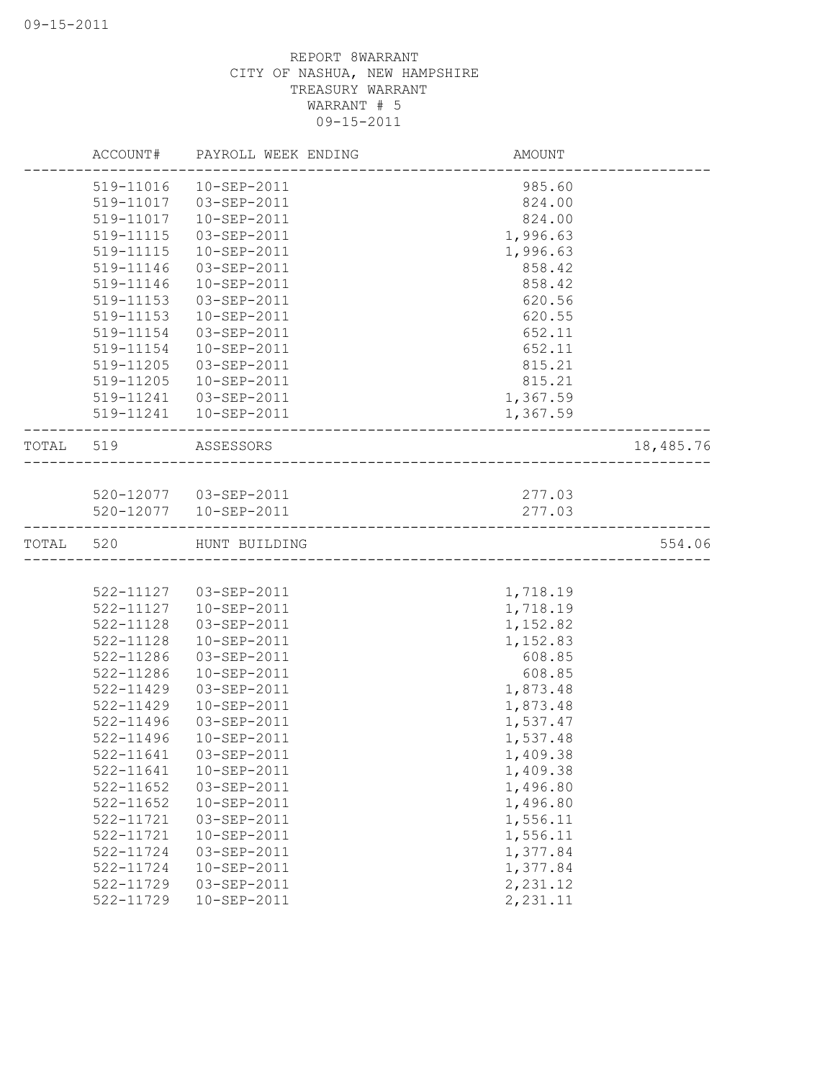|           |           | ACCOUNT# PAYROLL WEEK ENDING                     | AMOUNT   |           |
|-----------|-----------|--------------------------------------------------|----------|-----------|
|           | 519-11016 | 10-SEP-2011                                      | 985.60   |           |
|           | 519-11017 | 03-SEP-2011                                      | 824.00   |           |
|           | 519-11017 | 10-SEP-2011                                      | 824.00   |           |
|           | 519-11115 | 03-SEP-2011                                      | 1,996.63 |           |
|           | 519-11115 | 10-SEP-2011                                      | 1,996.63 |           |
|           | 519-11146 | 03-SEP-2011                                      | 858.42   |           |
|           | 519-11146 | 10-SEP-2011                                      | 858.42   |           |
|           | 519-11153 | 03-SEP-2011                                      | 620.56   |           |
|           | 519-11153 | 10-SEP-2011                                      | 620.55   |           |
|           | 519-11154 | 03-SEP-2011                                      | 652.11   |           |
|           | 519-11154 | 10-SEP-2011                                      | 652.11   |           |
|           | 519-11205 | 03-SEP-2011                                      | 815.21   |           |
|           | 519-11205 | 10-SEP-2011                                      | 815.21   |           |
|           |           | 519-11241  03-SEP-2011                           | 1,367.59 |           |
|           |           | 519-11241  10-SEP-2011                           | 1,367.59 |           |
| TOTAL 519 |           | ASSESSORS<br>----------------------------------- |          | 18,485.76 |
|           |           |                                                  |          |           |
|           |           | 520-12077  03-SEP-2011                           | 277.03   |           |
|           |           | 520-12077  10-SEP-2011                           | 277.03   |           |
| TOTAL     | 520       | HUNT BUILDING                                    |          | 554.06    |
|           |           |                                                  |          |           |
|           |           | 522-11127  03-SEP-2011                           | 1,718.19 |           |
|           | 522-11127 | 10-SEP-2011                                      | 1,718.19 |           |
|           | 522-11128 | 03-SEP-2011                                      | 1,152.82 |           |
|           | 522-11128 | 10-SEP-2011                                      | 1,152.83 |           |
|           | 522-11286 | 03-SEP-2011                                      | 608.85   |           |
|           | 522-11286 | 10-SEP-2011                                      | 608.85   |           |
|           | 522-11429 | 03-SEP-2011                                      | 1,873.48 |           |
|           | 522-11429 | 10-SEP-2011                                      | 1,873.48 |           |
|           | 522-11496 | 03-SEP-2011                                      | 1,537.47 |           |
|           | 522-11496 | 10-SEP-2011                                      | 1,537.48 |           |
|           | 522-11641 | 03-SEP-2011                                      | 1,409.38 |           |
|           | 522-11641 | 10-SEP-2011                                      | 1,409.38 |           |
|           | 522-11652 | 03-SEP-2011                                      | 1,496.80 |           |
|           | 522-11652 | 10-SEP-2011                                      | 1,496.80 |           |
|           | 522-11721 | 03-SEP-2011                                      | 1,556.11 |           |
|           | 522-11721 | 10-SEP-2011                                      | 1,556.11 |           |
|           | 522-11724 | 03-SEP-2011                                      | 1,377.84 |           |
|           |           |                                                  |          |           |
|           | 522-11724 | 10-SEP-2011                                      | 1,377.84 |           |
|           | 522-11729 | 03-SEP-2011                                      | 2,231.12 |           |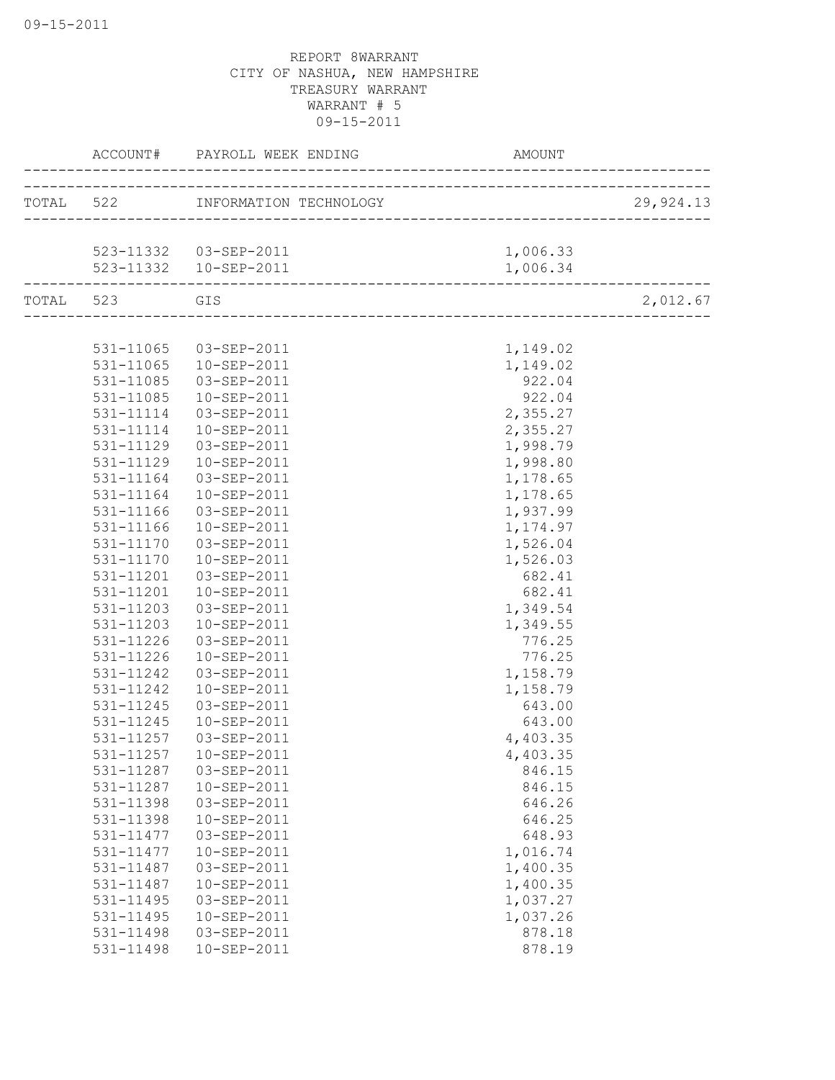|           | ACCOUNT#  | PAYROLL WEEK ENDING              | AMOUNT   |           |
|-----------|-----------|----------------------------------|----------|-----------|
|           |           | TOTAL 522 INFORMATION TECHNOLOGY |          | 29,924.13 |
|           |           |                                  |          |           |
|           |           | 523-11332  03-SEP-2011           | 1,006.33 |           |
|           |           | 523-11332  10-SEP-2011           | 1,006.34 |           |
| TOTAL 523 |           | GIS                              |          | 2,012.67  |
|           |           |                                  |          |           |
|           | 531-11065 | 03-SEP-2011                      | 1,149.02 |           |
|           | 531-11065 | $10 - SEP - 2011$                | 1,149.02 |           |
|           | 531-11085 | 03-SEP-2011                      | 922.04   |           |
|           | 531-11085 | 10-SEP-2011                      | 922.04   |           |
|           | 531-11114 | 03-SEP-2011                      | 2,355.27 |           |
|           | 531-11114 | $10 - SEP - 2011$                | 2,355.27 |           |
|           | 531-11129 | 03-SEP-2011                      | 1,998.79 |           |
|           | 531-11129 | 10-SEP-2011                      | 1,998.80 |           |
|           | 531-11164 | 03-SEP-2011                      | 1,178.65 |           |
|           | 531-11164 | $10 - SEP - 2011$                | 1,178.65 |           |
|           | 531-11166 | 03-SEP-2011                      | 1,937.99 |           |
|           | 531-11166 | $10 - SEP - 2011$                | 1,174.97 |           |
|           | 531-11170 | 03-SEP-2011                      | 1,526.04 |           |
|           | 531-11170 | 10-SEP-2011                      | 1,526.03 |           |
|           | 531-11201 | 03-SEP-2011                      | 682.41   |           |
|           | 531-11201 | 10-SEP-2011                      | 682.41   |           |
|           | 531-11203 | 03-SEP-2011                      | 1,349.54 |           |
|           | 531-11203 | 10-SEP-2011                      | 1,349.55 |           |
|           | 531-11226 | 03-SEP-2011                      | 776.25   |           |
|           | 531-11226 | 10-SEP-2011                      | 776.25   |           |
|           | 531-11242 | 03-SEP-2011                      | 1,158.79 |           |
|           | 531-11242 | 10-SEP-2011                      | 1,158.79 |           |
|           | 531-11245 | 03-SEP-2011                      | 643.00   |           |
|           | 531-11245 | 10-SEP-2011                      | 643.00   |           |
|           | 531-11257 | 03-SEP-2011                      | 4,403.35 |           |
|           | 531-11257 | 10-SEP-2011                      | 4,403.35 |           |
|           | 531-11287 | 03-SEP-2011                      | 846.15   |           |
|           | 531-11287 | 10-SEP-2011                      | 846.15   |           |
|           | 531-11398 | 03-SEP-2011                      | 646.26   |           |
|           | 531-11398 | 10-SEP-2011                      | 646.25   |           |
|           | 531-11477 | 03-SEP-2011                      | 648.93   |           |
|           | 531-11477 | 10-SEP-2011                      | 1,016.74 |           |
|           | 531-11487 | 03-SEP-2011                      | 1,400.35 |           |
|           | 531-11487 | 10-SEP-2011                      | 1,400.35 |           |
|           | 531-11495 | 03-SEP-2011                      | 1,037.27 |           |
|           | 531-11495 | 10-SEP-2011                      | 1,037.26 |           |
|           | 531-11498 | 03-SEP-2011                      | 878.18   |           |
|           | 531-11498 | 10-SEP-2011                      | 878.19   |           |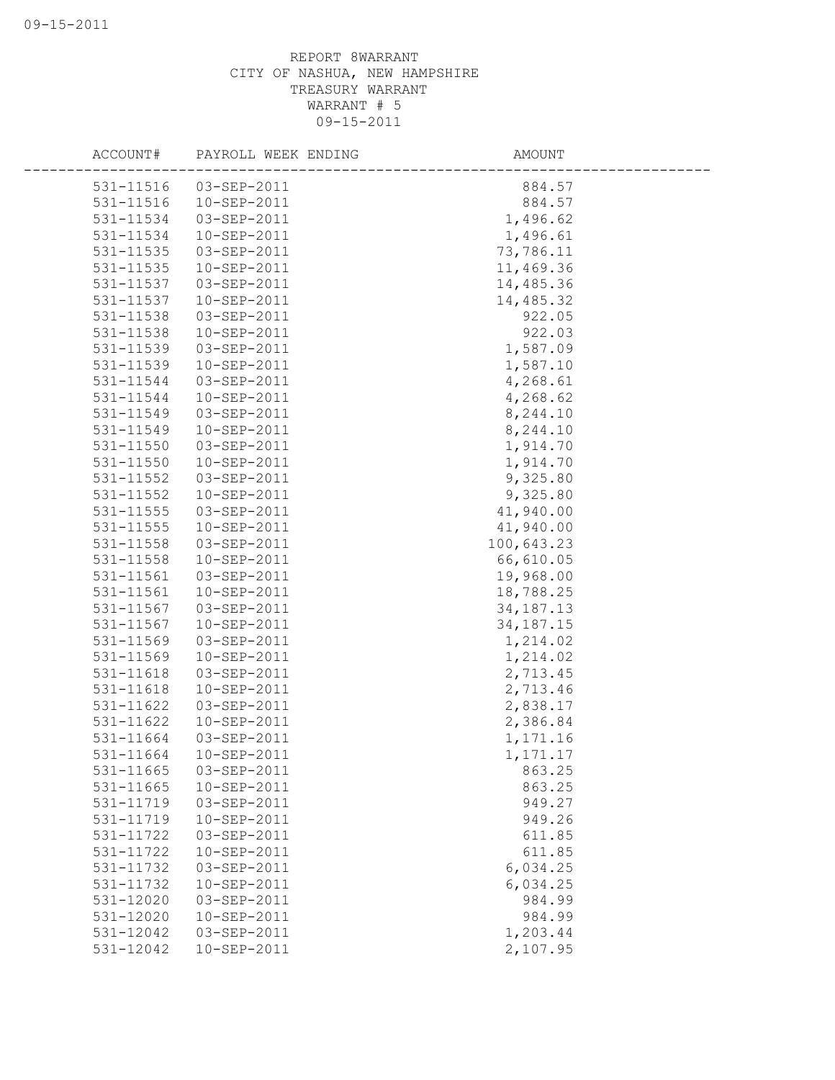| ACCOUNT#  | PAYROLL WEEK ENDING | AMOUNT      |
|-----------|---------------------|-------------|
| 531-11516 | 03-SEP-2011         | 884.57      |
| 531-11516 | 10-SEP-2011         | 884.57      |
| 531-11534 | 03-SEP-2011         | 1,496.62    |
| 531-11534 | 10-SEP-2011         | 1,496.61    |
| 531-11535 | 03-SEP-2011         | 73,786.11   |
| 531-11535 | 10-SEP-2011         | 11,469.36   |
| 531-11537 | 03-SEP-2011         | 14,485.36   |
| 531-11537 | 10-SEP-2011         | 14,485.32   |
| 531-11538 | 03-SEP-2011         | 922.05      |
| 531-11538 | 10-SEP-2011         | 922.03      |
| 531-11539 | 03-SEP-2011         | 1,587.09    |
| 531-11539 | 10-SEP-2011         | 1,587.10    |
| 531-11544 | 03-SEP-2011         | 4,268.61    |
| 531-11544 | 10-SEP-2011         | 4,268.62    |
| 531-11549 | 03-SEP-2011         | 8,244.10    |
| 531-11549 | 10-SEP-2011         | 8,244.10    |
| 531-11550 | 03-SEP-2011         | 1,914.70    |
| 531-11550 | 10-SEP-2011         | 1,914.70    |
| 531-11552 | 03-SEP-2011         | 9,325.80    |
| 531-11552 | 10-SEP-2011         | 9,325.80    |
| 531-11555 | 03-SEP-2011         | 41,940.00   |
| 531-11555 | 10-SEP-2011         | 41,940.00   |
| 531-11558 | 03-SEP-2011         | 100,643.23  |
| 531-11558 | 10-SEP-2011         | 66,610.05   |
| 531-11561 | 03-SEP-2011         | 19,968.00   |
| 531-11561 | 10-SEP-2011         | 18,788.25   |
| 531-11567 | 03-SEP-2011         | 34, 187. 13 |
| 531-11567 | 10-SEP-2011         | 34, 187. 15 |
| 531-11569 | 03-SEP-2011         | 1,214.02    |
| 531-11569 | 10-SEP-2011         | 1,214.02    |
| 531-11618 | 03-SEP-2011         | 2,713.45    |
| 531-11618 | 10-SEP-2011         | 2,713.46    |
| 531-11622 | 03-SEP-2011         | 2,838.17    |
| 531-11622 | 10-SEP-2011         | 2,386.84    |
| 531-11664 | 03-SEP-2011         | 1,171.16    |
| 531-11664 | 10-SEP-2011         | 1,171.17    |
| 531-11665 | 03-SEP-2011         | 863.25      |
| 531-11665 | 10-SEP-2011         | 863.25      |
| 531-11719 | 03-SEP-2011         | 949.27      |
| 531-11719 | 10-SEP-2011         | 949.26      |
| 531-11722 | 03-SEP-2011         | 611.85      |
| 531-11722 | 10-SEP-2011         | 611.85      |
| 531-11732 | 03-SEP-2011         | 6,034.25    |
| 531-11732 | 10-SEP-2011         | 6,034.25    |
| 531-12020 | 03-SEP-2011         | 984.99      |
| 531-12020 | 10-SEP-2011         | 984.99      |
| 531-12042 | 03-SEP-2011         | 1,203.44    |
| 531-12042 | 10-SEP-2011         | 2,107.95    |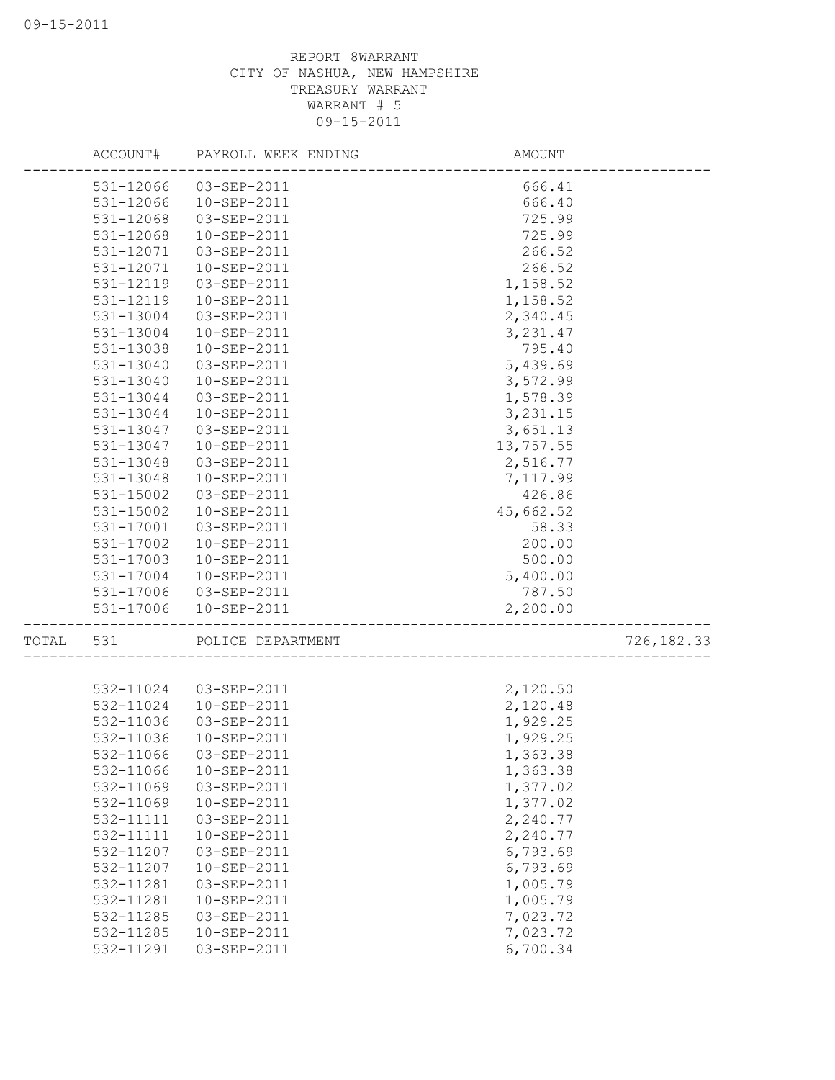|           |                        | ACCOUNT# PAYROLL WEEK ENDING | AMOUNT    |             |
|-----------|------------------------|------------------------------|-----------|-------------|
|           |                        | 531-12066 03-SEP-2011        | 666.41    |             |
|           | 531-12066              | 10-SEP-2011                  | 666.40    |             |
|           | 531-12068              | 03-SEP-2011                  | 725.99    |             |
|           | 531-12068              | 10-SEP-2011                  | 725.99    |             |
|           | 531-12071              | 03-SEP-2011                  | 266.52    |             |
|           | 531-12071              | 10-SEP-2011                  | 266.52    |             |
|           | 531-12119              | 03-SEP-2011                  | 1,158.52  |             |
|           | 531-12119              | 10-SEP-2011                  | 1,158.52  |             |
|           | 531-13004              | 03-SEP-2011                  | 2,340.45  |             |
|           | 531-13004              | 10-SEP-2011                  | 3, 231.47 |             |
|           | 531-13038              | 10-SEP-2011                  | 795.40    |             |
|           | 531-13040              | 03-SEP-2011                  | 5,439.69  |             |
|           | 531-13040              | 10-SEP-2011                  | 3,572.99  |             |
|           | 531-13044              | 03-SEP-2011                  | 1,578.39  |             |
|           | 531-13044              | 10-SEP-2011                  | 3, 231.15 |             |
|           | 531-13047              | $03 - SEP - 2011$            | 3,651.13  |             |
|           | 531-13047              | 10-SEP-2011                  | 13,757.55 |             |
|           | 531-13048              | 03-SEP-2011                  | 2,516.77  |             |
|           | 531-13048              | 10-SEP-2011                  | 7,117.99  |             |
|           | 531-15002              | 03-SEP-2011                  | 426.86    |             |
|           | 531-15002              | 10-SEP-2011                  | 45,662.52 |             |
|           | 531-17001              | 03-SEP-2011                  | 58.33     |             |
|           | 531-17002              | 10-SEP-2011                  | 200.00    |             |
|           | 531-17003              | 10-SEP-2011                  | 500.00    |             |
|           | 531-17004              | 10-SEP-2011                  | 5,400.00  |             |
|           |                        | 531-17006 03-SEP-2011        | 787.50    |             |
|           | 531-17006              | 10-SEP-2011                  | 2,200.00  |             |
| TOTAL 531 |                        | POLICE DEPARTMENT            |           | 726, 182.33 |
|           |                        |                              |           |             |
|           | 532-11024              | 03-SEP-2011                  | 2,120.50  |             |
|           | 532-11024              | 10-SEP-2011                  | 2,120.48  |             |
|           | 532-11036<br>532-11036 | 03-SEP-2011                  | 1,929.25  |             |
|           |                        | 10-SEP-2011                  | 1,929.25  |             |
|           | 532-11066              | 03-SEP-2011                  | 1,363.38  |             |
|           | 532-11066              | 10-SEP-2011                  | 1,363.38  |             |
|           | 532-11069              | 03-SEP-2011                  | 1,377.02  |             |
|           | 532-11069              | 10-SEP-2011                  | 1,377.02  |             |
|           | 532-11111              | 03-SEP-2011                  | 2,240.77  |             |
|           | 532-11111              | 10-SEP-2011                  | 2,240.77  |             |
|           | 532-11207              | 03-SEP-2011                  | 6,793.69  |             |
|           | 532-11207              | 10-SEP-2011                  | 6,793.69  |             |
|           | 532-11281              | 03-SEP-2011                  | 1,005.79  |             |
|           | 532-11281              | 10-SEP-2011                  | 1,005.79  |             |
|           | 532-11285              | 03-SEP-2011                  | 7,023.72  |             |
|           | 532-11285              | 10-SEP-2011                  | 7,023.72  |             |
|           | 532-11291              | 03-SEP-2011                  | 6,700.34  |             |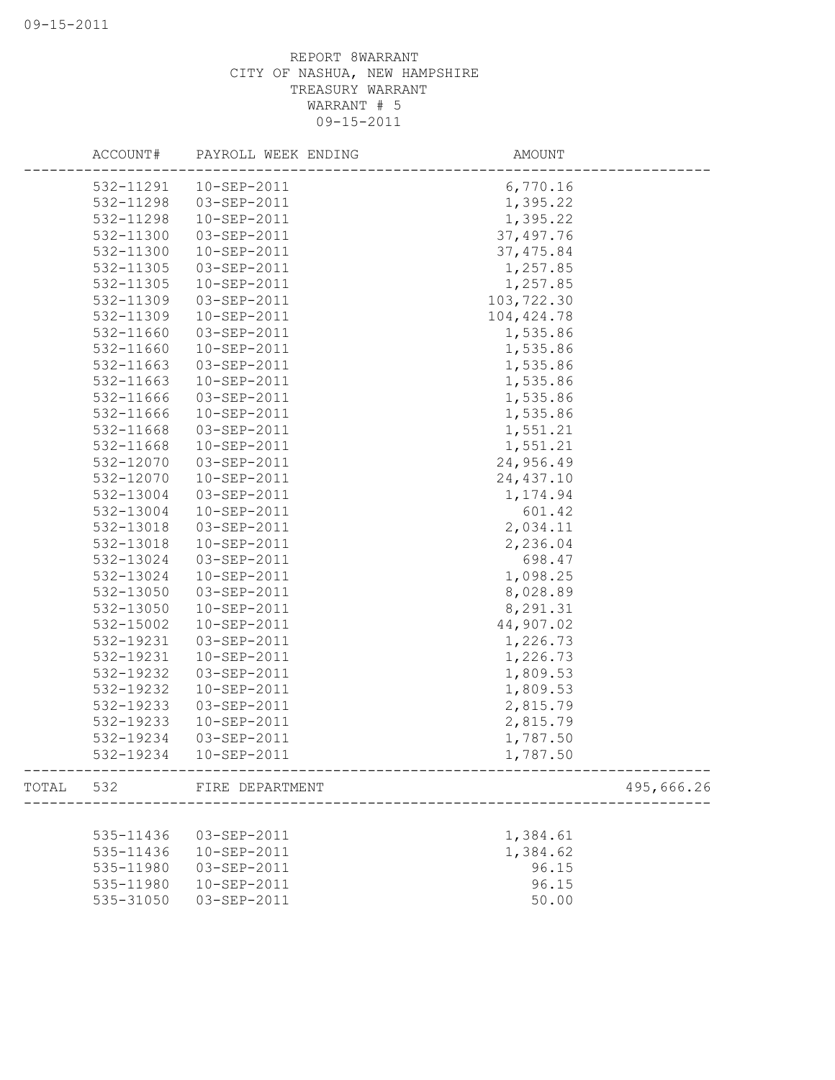|       | ACCOUNT#  | PAYROLL WEEK ENDING | AMOUNT      |            |
|-------|-----------|---------------------|-------------|------------|
|       | 532-11291 | $10 - SEP - 2011$   | 6,770.16    |            |
|       | 532-11298 | 03-SEP-2011         | 1,395.22    |            |
|       | 532-11298 | 10-SEP-2011         | 1,395.22    |            |
|       | 532-11300 | 03-SEP-2011         | 37, 497.76  |            |
|       | 532-11300 | 10-SEP-2011         | 37, 475.84  |            |
|       | 532-11305 | 03-SEP-2011         | 1,257.85    |            |
|       | 532-11305 | 10-SEP-2011         | 1,257.85    |            |
|       | 532-11309 | 03-SEP-2011         | 103,722.30  |            |
|       | 532-11309 | 10-SEP-2011         | 104, 424.78 |            |
|       | 532-11660 | 03-SEP-2011         | 1,535.86    |            |
|       | 532-11660 | 10-SEP-2011         | 1,535.86    |            |
|       | 532-11663 | 03-SEP-2011         | 1,535.86    |            |
|       | 532-11663 | 10-SEP-2011         | 1,535.86    |            |
|       | 532-11666 | 03-SEP-2011         | 1,535.86    |            |
|       | 532-11666 | 10-SEP-2011         | 1,535.86    |            |
|       | 532-11668 | 03-SEP-2011         | 1,551.21    |            |
|       | 532-11668 | $10 - SEP - 2011$   | 1,551.21    |            |
|       | 532-12070 | 03-SEP-2011         | 24,956.49   |            |
|       | 532-12070 | 10-SEP-2011         | 24, 437.10  |            |
|       | 532-13004 | 03-SEP-2011         | 1,174.94    |            |
|       | 532-13004 | 10-SEP-2011         | 601.42      |            |
|       | 532-13018 | 03-SEP-2011         | 2,034.11    |            |
|       | 532-13018 | 10-SEP-2011         | 2,236.04    |            |
|       | 532-13024 | 03-SEP-2011         | 698.47      |            |
|       | 532-13024 | 10-SEP-2011         | 1,098.25    |            |
|       | 532-13050 | 03-SEP-2011         | 8,028.89    |            |
|       | 532-13050 | $10 - SEP - 2011$   | 8,291.31    |            |
|       | 532-15002 | 10-SEP-2011         | 44,907.02   |            |
|       | 532-19231 | 03-SEP-2011         | 1,226.73    |            |
|       | 532-19231 | 10-SEP-2011         | 1,226.73    |            |
|       | 532-19232 | 03-SEP-2011         | 1,809.53    |            |
|       | 532-19232 | 10-SEP-2011         | 1,809.53    |            |
|       | 532-19233 | 03-SEP-2011         | 2,815.79    |            |
|       | 532-19233 | 10-SEP-2011         | 2,815.79    |            |
|       | 532-19234 | 03-SEP-2011         | 1,787.50    |            |
|       | 532-19234 | 10-SEP-2011         | 1,787.50    |            |
| TOTAL | 532       | FIRE DEPARTMENT     |             | 495,666.26 |
|       |           |                     |             |            |
|       | 535-11436 | 03-SEP-2011         | 1,384.61    |            |
|       | 535-11436 | 10-SEP-2011         | 1,384.62    |            |
|       | 535-11980 | 03-SEP-2011         | 96.15       |            |
|       | 535-11980 | 10-SEP-2011         | 96.15       |            |
|       | 535-31050 | 03-SEP-2011         | 50.00       |            |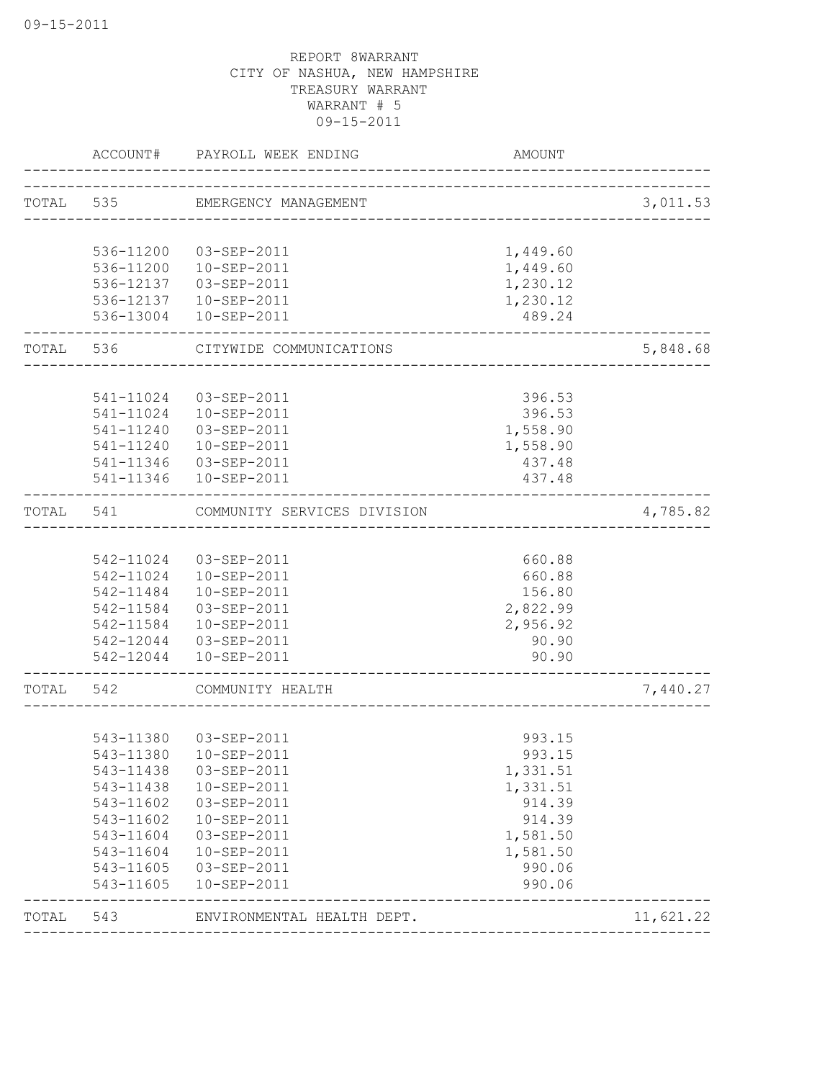|       | ACCOUNT#               | PAYROLL WEEK ENDING            | AMOUNT             |           |
|-------|------------------------|--------------------------------|--------------------|-----------|
|       |                        | TOTAL 535 EMERGENCY MANAGEMENT |                    | 3,011.53  |
|       |                        |                                |                    |           |
|       | 536-11200              | 03-SEP-2011                    | 1,449.60           |           |
|       | 536-11200              | 10-SEP-2011                    | 1,449.60           |           |
|       | 536-12137              | 03-SEP-2011                    | 1,230.12           |           |
|       | 536-12137<br>536-13004 | 10-SEP-2011<br>10-SEP-2011     | 1,230.12<br>489.24 |           |
| TOTAL | 536                    | CITYWIDE COMMUNICATIONS        |                    | 5,848.68  |
|       |                        |                                |                    |           |
|       |                        | 541-11024 03-SEP-2011          | 396.53             |           |
|       |                        | 541-11024  10-SEP-2011         | 396.53             |           |
|       | 541-11240              | 03-SEP-2011                    | 1,558.90           |           |
|       |                        | 541-11240  10-SEP-2011         | 1,558.90           |           |
|       |                        | 541-11346 03-SEP-2011          | 437.48             |           |
|       |                        | 541-11346  10-SEP-2011         | 437.48             |           |
| TOTAL | 541                    | COMMUNITY SERVICES DIVISION    |                    | 4,785.82  |
|       |                        |                                |                    |           |
|       |                        | 542-11024 03-SEP-2011          | 660.88             |           |
|       |                        | 542-11024  10-SEP-2011         | 660.88             |           |
|       | 542-11484              | 10-SEP-2011                    | 156.80             |           |
|       | 542-11584              | 03-SEP-2011                    | 2,822.99           |           |
|       | 542-11584              | 10-SEP-2011                    | 2,956.92           |           |
|       |                        | 542-12044 03-SEP-2011          | 90.90              |           |
|       | 542-12044              | 10-SEP-2011                    | 90.90              |           |
| TOTAL | 542                    | COMMUNITY HEALTH               |                    | 7,440.27  |
|       |                        |                                |                    |           |
|       |                        | 543-11380  03-SEP-2011         | 993.15             |           |
|       | 543-11380              | 10-SEP-2011                    | 993.15             |           |
|       | 543-11438              | 03-SEP-2011                    | 1,331.51           |           |
|       | 543-11438              | 10-SEP-2011                    | 1,331.51           |           |
|       | 543-11602              | 03-SEP-2011                    | 914.39             |           |
|       | 543-11602              | 10-SEP-2011                    | 914.39             |           |
|       | 543-11604              | 03-SEP-2011                    | 1,581.50           |           |
|       | 543-11604              | 10-SEP-2011                    | 1,581.50           |           |
|       | 543-11605              | 03-SEP-2011                    | 990.06             |           |
|       | 543-11605              | 10-SEP-2011                    | 990.06             |           |
| TOTAL | 543                    | ENVIRONMENTAL HEALTH DEPT.     |                    | 11,621.22 |
|       |                        |                                |                    |           |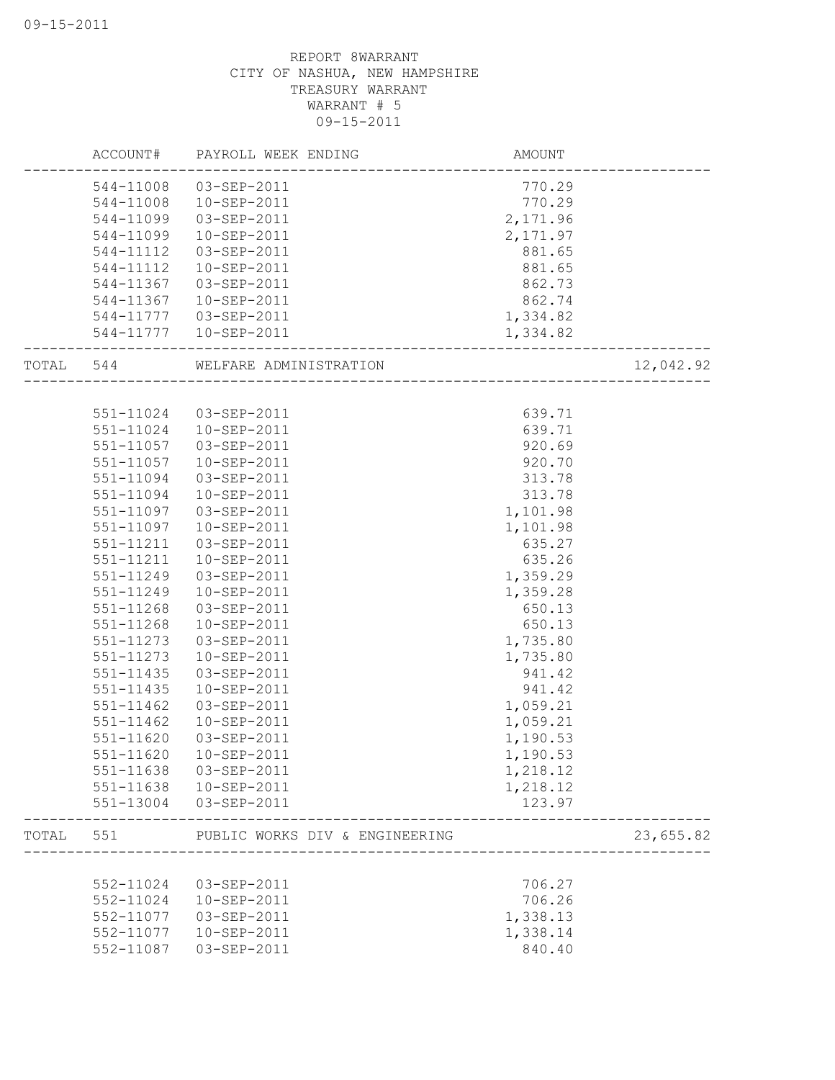|           | ACCOUNT#      | PAYROLL WEEK ENDING            | AMOUNT   |           |
|-----------|---------------|--------------------------------|----------|-----------|
|           | 544-11008     | 03-SEP-2011                    | 770.29   |           |
|           | 544-11008     | 10-SEP-2011                    | 770.29   |           |
|           | 544-11099     | 03-SEP-2011                    | 2,171.96 |           |
|           | 544-11099     | 10-SEP-2011                    | 2,171.97 |           |
|           | 544-11112     | 03-SEP-2011                    | 881.65   |           |
|           | 544-11112     | 10-SEP-2011                    | 881.65   |           |
|           | 544-11367     | 03-SEP-2011                    | 862.73   |           |
|           | 544-11367     | 10-SEP-2011                    | 862.74   |           |
|           |               | 544-11777  03-SEP-2011         | 1,334.82 |           |
|           | 544-11777     | 10-SEP-2011                    | 1,334.82 |           |
| TOTAL 544 |               | WELFARE ADMINISTRATION         |          | 12,042.92 |
|           |               |                                |          |           |
|           | 551-11024     | 03-SEP-2011                    | 639.71   |           |
|           | 551-11024     | 10-SEP-2011                    | 639.71   |           |
|           | 551-11057     | 03-SEP-2011                    | 920.69   |           |
|           | 551-11057     | 10-SEP-2011                    | 920.70   |           |
|           | 551-11094     | 03-SEP-2011                    | 313.78   |           |
|           | 551-11094     | 10-SEP-2011                    | 313.78   |           |
|           | 551-11097     | 03-SEP-2011                    | 1,101.98 |           |
|           | 551-11097     | 10-SEP-2011                    | 1,101.98 |           |
|           | 551-11211     | 03-SEP-2011                    | 635.27   |           |
|           | 551-11211     | 10-SEP-2011                    | 635.26   |           |
|           | 551-11249     | 03-SEP-2011                    | 1,359.29 |           |
|           | 551-11249     | 10-SEP-2011                    | 1,359.28 |           |
|           | 551-11268     | 03-SEP-2011                    | 650.13   |           |
|           | 551-11268     | 10-SEP-2011                    | 650.13   |           |
|           | 551-11273     | 03-SEP-2011                    | 1,735.80 |           |
|           | 551-11273     | 10-SEP-2011                    | 1,735.80 |           |
|           | 551-11435     | 03-SEP-2011                    | 941.42   |           |
|           | 551-11435     | 10-SEP-2011                    | 941.42   |           |
|           | 551-11462     | 03-SEP-2011                    | 1,059.21 |           |
|           | 551-11462     | 10-SEP-2011                    | 1,059.21 |           |
|           | 551-11620     | 03-SEP-2011                    | 1,190.53 |           |
|           | $551 - 11620$ | 10-SEP-2011                    | 1,190.53 |           |
|           | 551-11638     | 03-SEP-2011                    | 1,218.12 |           |
|           | 551-11638     | 10-SEP-2011                    | 1,218.12 |           |
|           | 551-13004     | 03-SEP-2011                    | 123.97   |           |
| TOTAL     | 551           | PUBLIC WORKS DIV & ENGINEERING |          | 23,655.82 |
|           |               |                                |          |           |
|           | 552-11024     | 03-SEP-2011                    | 706.27   |           |
|           | 552-11024     | 10-SEP-2011                    | 706.26   |           |
|           | 552-11077     | 03-SEP-2011                    | 1,338.13 |           |
|           | 552-11077     | 10-SEP-2011                    | 1,338.14 |           |
|           | 552-11087     | 03-SEP-2011                    | 840.40   |           |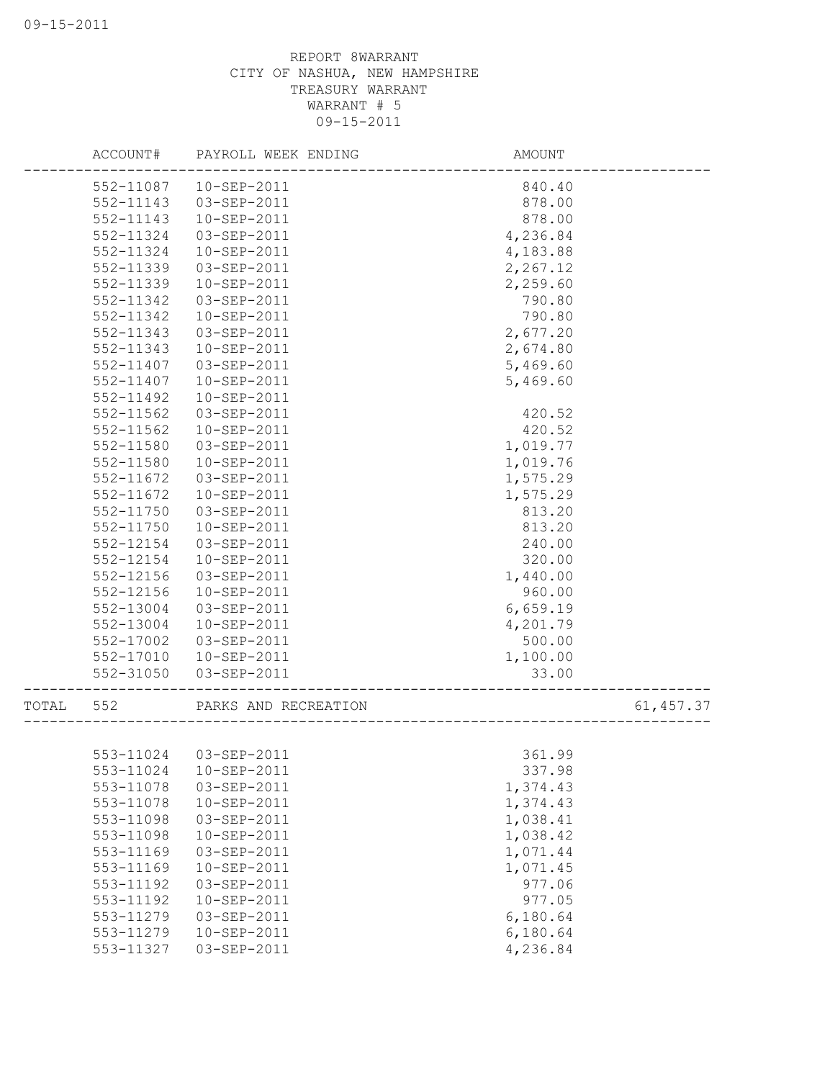|       | ACCOUNT#  | PAYROLL WEEK ENDING  | AMOUNT   |            |
|-------|-----------|----------------------|----------|------------|
|       | 552-11087 | 10-SEP-2011          | 840.40   |            |
|       | 552-11143 | 03-SEP-2011          | 878.00   |            |
|       | 552-11143 | 10-SEP-2011          | 878.00   |            |
|       | 552-11324 | 03-SEP-2011          | 4,236.84 |            |
|       | 552-11324 | $10 - SEP - 2011$    | 4,183.88 |            |
|       | 552-11339 | 03-SEP-2011          | 2,267.12 |            |
|       | 552-11339 | 10-SEP-2011          | 2,259.60 |            |
|       | 552-11342 | 03-SEP-2011          | 790.80   |            |
|       | 552-11342 | 10-SEP-2011          | 790.80   |            |
|       | 552-11343 | 03-SEP-2011          | 2,677.20 |            |
|       | 552-11343 | 10-SEP-2011          | 2,674.80 |            |
|       | 552-11407 | 03-SEP-2011          | 5,469.60 |            |
|       | 552-11407 | 10-SEP-2011          | 5,469.60 |            |
|       | 552-11492 | 10-SEP-2011          |          |            |
|       | 552-11562 | 03-SEP-2011          | 420.52   |            |
|       | 552-11562 | 10-SEP-2011          | 420.52   |            |
|       | 552-11580 | 03-SEP-2011          | 1,019.77 |            |
|       | 552-11580 | 10-SEP-2011          | 1,019.76 |            |
|       | 552-11672 | 03-SEP-2011          | 1,575.29 |            |
|       | 552-11672 | 10-SEP-2011          | 1,575.29 |            |
|       | 552-11750 | 03-SEP-2011          | 813.20   |            |
|       | 552-11750 | 10-SEP-2011          | 813.20   |            |
|       | 552-12154 | 03-SEP-2011          | 240.00   |            |
|       | 552-12154 | 10-SEP-2011          | 320.00   |            |
|       | 552-12156 | 03-SEP-2011          | 1,440.00 |            |
|       | 552-12156 | 10-SEP-2011          | 960.00   |            |
|       | 552-13004 | 03-SEP-2011          | 6,659.19 |            |
|       | 552-13004 | 10-SEP-2011          | 4,201.79 |            |
|       | 552-17002 | 03-SEP-2011          | 500.00   |            |
|       | 552-17010 | 10-SEP-2011          | 1,100.00 |            |
|       | 552-31050 | 03-SEP-2011          | 33.00    |            |
|       |           |                      |          |            |
| TOTAL | 552       | PARKS AND RECREATION |          | 61, 457.37 |
|       | 553-11024 | 03-SEP-2011          | 361.99   |            |
|       | 553-11024 | 10-SEP-2011          | 337.98   |            |
|       | 553-11078 | 03-SEP-2011          | 1,374.43 |            |
|       | 553-11078 | 10-SEP-2011          | 1,374.43 |            |
|       | 553-11098 | 03-SEP-2011          | 1,038.41 |            |
|       | 553-11098 | 10-SEP-2011          | 1,038.42 |            |
|       | 553-11169 | 03-SEP-2011          | 1,071.44 |            |
|       | 553-11169 | 10-SEP-2011          | 1,071.45 |            |
|       | 553-11192 | 03-SEP-2011          | 977.06   |            |
|       | 553-11192 | 10-SEP-2011          | 977.05   |            |
|       | 553-11279 | 03-SEP-2011          | 6,180.64 |            |
|       | 553-11279 | 10-SEP-2011          | 6,180.64 |            |
|       |           |                      |          |            |
|       | 553-11327 | 03-SEP-2011          | 4,236.84 |            |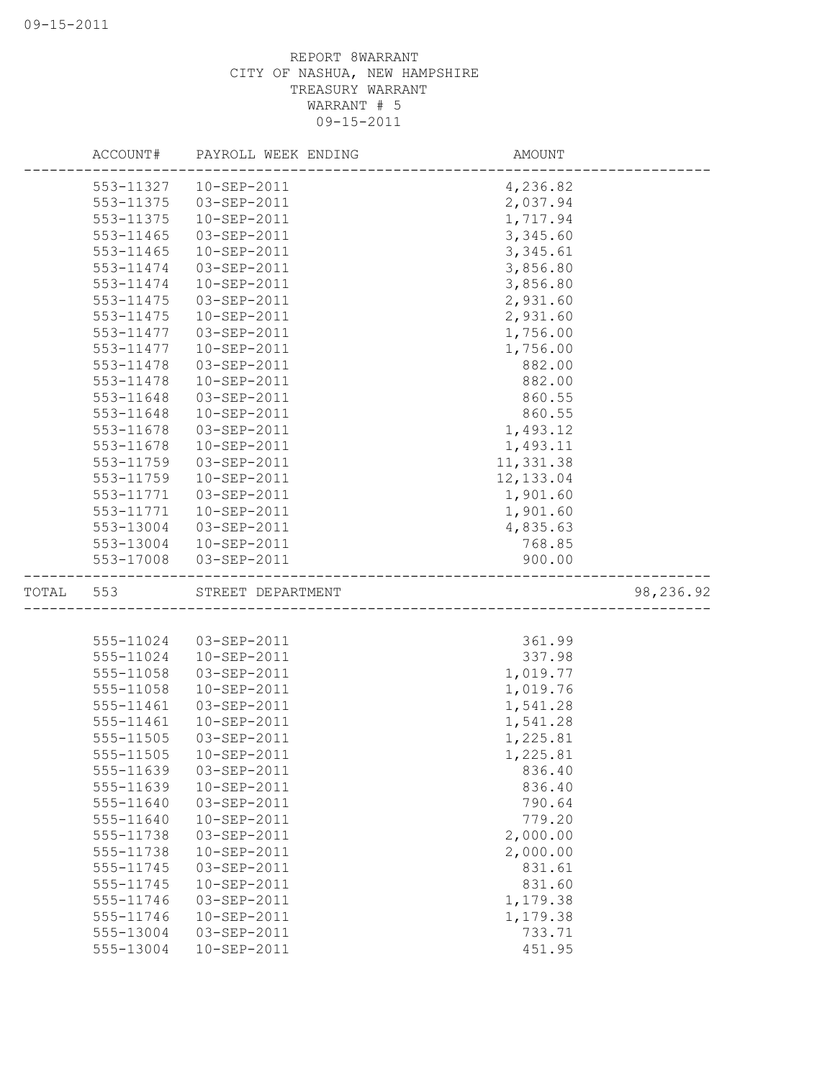|           |           | ACCOUNT# PAYROLL WEEK ENDING | AMOUNT     |           |
|-----------|-----------|------------------------------|------------|-----------|
|           | 553-11327 | 10-SEP-2011                  | 4,236.82   |           |
|           | 553-11375 | 03-SEP-2011                  | 2,037.94   |           |
|           | 553-11375 | 10-SEP-2011                  | 1,717.94   |           |
|           | 553-11465 | 03-SEP-2011                  | 3,345.60   |           |
|           | 553-11465 | 10-SEP-2011                  | 3,345.61   |           |
|           | 553-11474 | 03-SEP-2011                  | 3,856.80   |           |
|           | 553-11474 | 10-SEP-2011                  | 3,856.80   |           |
|           | 553-11475 | 03-SEP-2011                  | 2,931.60   |           |
|           | 553-11475 | 10-SEP-2011                  | 2,931.60   |           |
|           | 553-11477 | 03-SEP-2011                  | 1,756.00   |           |
|           | 553-11477 | 10-SEP-2011                  | 1,756.00   |           |
|           | 553-11478 | 03-SEP-2011                  | 882.00     |           |
|           | 553-11478 | 10-SEP-2011                  | 882.00     |           |
|           | 553-11648 | 03-SEP-2011                  | 860.55     |           |
|           | 553-11648 | 10-SEP-2011                  | 860.55     |           |
|           | 553-11678 | $03 - SEP - 2011$            | 1,493.12   |           |
|           | 553-11678 | 10-SEP-2011                  | 1,493.11   |           |
|           | 553-11759 | 03-SEP-2011                  | 11,331.38  |           |
|           | 553-11759 | $10 - SEP - 2011$            | 12, 133.04 |           |
|           | 553-11771 | 03-SEP-2011                  | 1,901.60   |           |
|           | 553-11771 | 10-SEP-2011                  | 1,901.60   |           |
|           | 553-13004 | 03-SEP-2011                  | 4,835.63   |           |
|           |           | 553-13004 10-SEP-2011        | 768.85     |           |
|           |           | 553-17008 03-SEP-2011        | 900.00     |           |
| TOTAL 553 |           | STREET DEPARTMENT            |            | 98,236.92 |
|           |           |                              |            |           |
|           | 555-11024 | 03-SEP-2011                  | 361.99     |           |
|           | 555-11024 | 10-SEP-2011                  | 337.98     |           |
|           | 555-11058 | 03-SEP-2011                  | 1,019.77   |           |
|           | 555-11058 | 10-SEP-2011                  | 1,019.76   |           |
|           | 555-11461 | 03-SEP-2011                  | 1,541.28   |           |
|           | 555-11461 | 10-SEP-2011                  | 1,541.28   |           |
|           | 555-11505 | 03-SEP-2011                  | 1,225.81   |           |
|           | 555-11505 | 10-SEP-2011                  | 1,225.81   |           |
|           | 555-11639 | 03-SEP-2011                  | 836.40     |           |
|           | 555-11639 | 10-SEP-2011                  | 836.40     |           |
|           | 555-11640 | 03-SEP-2011                  | 790.64     |           |
|           | 555-11640 | 10-SEP-2011                  | 779.20     |           |
|           | 555-11738 | 03-SEP-2011                  | 2,000.00   |           |
|           | 555-11738 | 10-SEP-2011                  | 2,000.00   |           |
|           | 555-11745 | 03-SEP-2011                  | 831.61     |           |
|           | 555-11745 | 10-SEP-2011                  | 831.60     |           |
|           | 555-11746 | 03-SEP-2011                  | 1,179.38   |           |
|           | 555-11746 | 10-SEP-2011                  | 1,179.38   |           |
|           | 555-13004 | 03-SEP-2011                  | 733.71     |           |
|           | 555-13004 | 10-SEP-2011                  | 451.95     |           |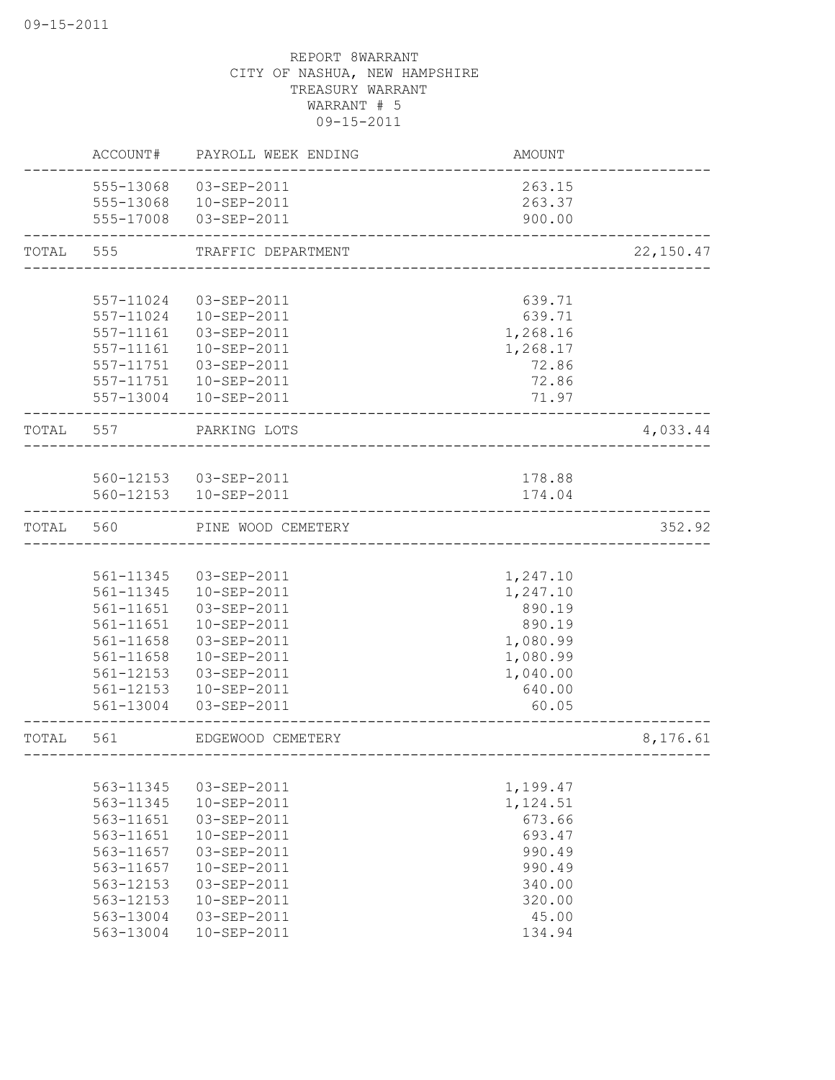|       | ACCOUNT#      | PAYROLL WEEK ENDING    | AMOUNT                               |            |
|-------|---------------|------------------------|--------------------------------------|------------|
|       | 555-13068     | 03-SEP-2011            | 263.15                               |            |
|       | 555-13068     | 10-SEP-2011            | 263.37                               |            |
|       | 555-17008     | 03-SEP-2011            | 900.00                               |            |
| TOTAL | 555           | TRAFFIC DEPARTMENT     |                                      | 22, 150.47 |
|       |               |                        |                                      |            |
|       | 557-11024     | 03-SEP-2011            | 639.71                               |            |
|       | 557-11024     | 10-SEP-2011            | 639.71                               |            |
|       | 557-11161     | 03-SEP-2011            | 1,268.16                             |            |
|       | 557-11161     | 10-SEP-2011            | 1,268.17                             |            |
|       | 557-11751     | 03-SEP-2011            | 72.86                                |            |
|       | 557-11751     | 10-SEP-2011            | 72.86                                |            |
|       | 557-13004     | 10-SEP-2011            | 71.97                                |            |
| TOTAL | 557           | PARKING LOTS           |                                      | 4,033.44   |
|       |               |                        |                                      |            |
|       |               | 560-12153  03-SEP-2011 | 178.88                               |            |
|       |               | 560-12153  10-SEP-2011 | 174.04                               |            |
| TOTAL | 560           | PINE WOOD CEMETERY     |                                      | 352.92     |
|       |               |                        |                                      |            |
|       | 561-11345     | 03-SEP-2011            | 1,247.10                             |            |
|       | 561-11345     | 10-SEP-2011            | 1,247.10                             |            |
|       | 561-11651     | 03-SEP-2011            | 890.19                               |            |
|       | $561 - 11651$ | 10-SEP-2011            | 890.19                               |            |
|       | 561-11658     | 03-SEP-2011            | 1,080.99                             |            |
|       | 561-11658     | 10-SEP-2011            | 1,080.99                             |            |
|       | 561-12153     | 03-SEP-2011            | 1,040.00                             |            |
|       | 561-12153     | 10-SEP-2011            | 640.00                               |            |
|       | 561-13004     | 03-SEP-2011            | 60.05                                |            |
| TOTAL | 561           | EDGEWOOD CEMETERY      | ------------------------------------ | 8,176.61   |
|       |               |                        |                                      |            |
|       | 563-11345     | 03-SEP-2011            | 1,199.47                             |            |
|       | 563-11345     | 10-SEP-2011            | 1,124.51                             |            |
|       | 563-11651     | 03-SEP-2011            | 673.66                               |            |
|       | 563-11651     | 10-SEP-2011            | 693.47                               |            |
|       | 563-11657     | 03-SEP-2011            | 990.49                               |            |
|       | 563-11657     | 10-SEP-2011            | 990.49                               |            |
|       | 563-12153     | 03-SEP-2011            | 340.00                               |            |
|       | 563-12153     | 10-SEP-2011            | 320.00                               |            |
|       | 563-13004     | 03-SEP-2011            | 45.00                                |            |
|       | 563-13004     | 10-SEP-2011            | 134.94                               |            |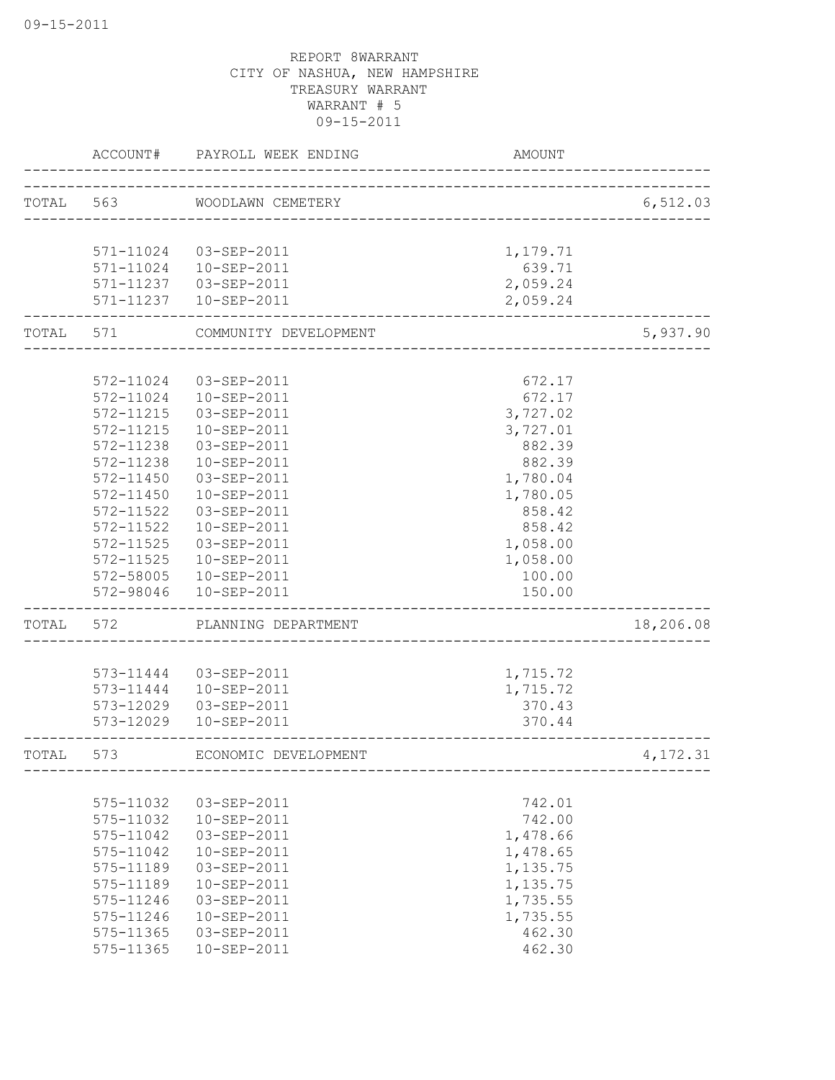|       | ACCOUNT#               | PAYROLL WEEK ENDING              | <b>AMOUNT</b>      |           |
|-------|------------------------|----------------------------------|--------------------|-----------|
|       |                        | TOTAL 563 WOODLAWN CEMETERY      |                    | 6,512.03  |
|       |                        |                                  |                    |           |
|       | 571-11024<br>571-11024 | 03-SEP-2011<br>10-SEP-2011       | 1,179.71<br>639.71 |           |
|       | 571-11237              | 03-SEP-2011                      | 2,059.24           |           |
|       |                        | 571-11237  10-SEP-2011           | 2,059.24           |           |
| TOTAL | 571                    | COMMUNITY DEVELOPMENT            |                    | 5,937.90  |
|       |                        |                                  |                    |           |
|       | 572-11024<br>572-11024 | 03-SEP-2011<br>$10 - SEP - 2011$ | 672.17<br>672.17   |           |
|       | 572-11215              | 03-SEP-2011                      | 3,727.02           |           |
|       | 572-11215              | 10-SEP-2011                      | 3,727.01           |           |
|       | 572-11238              | 03-SEP-2011                      | 882.39             |           |
|       | 572-11238              | 10-SEP-2011                      | 882.39             |           |
|       | 572-11450              | 03-SEP-2011                      | 1,780.04           |           |
|       | 572-11450              | 10-SEP-2011                      | 1,780.05           |           |
|       | 572-11522              | 03-SEP-2011                      | 858.42             |           |
|       | 572-11522              | 10-SEP-2011                      | 858.42             |           |
|       | 572-11525              | 03-SEP-2011                      | 1,058.00           |           |
|       | 572-11525              | 10-SEP-2011                      | 1,058.00           |           |
|       | 572-58005              | 10-SEP-2011                      | 100.00             |           |
|       | 572-98046              | 10-SEP-2011                      | 150.00             |           |
| TOTAL | 572                    | PLANNING DEPARTMENT              |                    | 18,206.08 |
|       |                        |                                  |                    |           |
|       | 573-11444              | 03-SEP-2011                      | 1,715.72           |           |
|       |                        | 573-11444  10-SEP-2011           | 1,715.72           |           |
|       | 573-12029<br>573-12029 | 03-SEP-2011<br>10-SEP-2011       | 370.43<br>370.44   |           |
|       |                        |                                  |                    |           |
| TOTAL | 573                    | ECONOMIC DEVELOPMENT             |                    | 4,172.31  |
|       |                        |                                  |                    |           |
|       | 575-11032              | 03-SEP-2011                      | 742.01             |           |
|       | 575-11032              | 10-SEP-2011                      | 742.00             |           |
|       | 575-11042              | 03-SEP-2011                      | 1,478.66           |           |
|       | 575-11042              | 10-SEP-2011                      | 1,478.65           |           |
|       | 575-11189              | 03-SEP-2011                      | 1,135.75           |           |
|       | 575-11189              | 10-SEP-2011                      | 1,135.75           |           |
|       | 575-11246<br>575-11246 | 03-SEP-2011                      | 1,735.55           |           |
|       | 575-11365              | 10-SEP-2011<br>03-SEP-2011       | 1,735.55<br>462.30 |           |
|       | 575-11365              | 10-SEP-2011                      | 462.30             |           |
|       |                        |                                  |                    |           |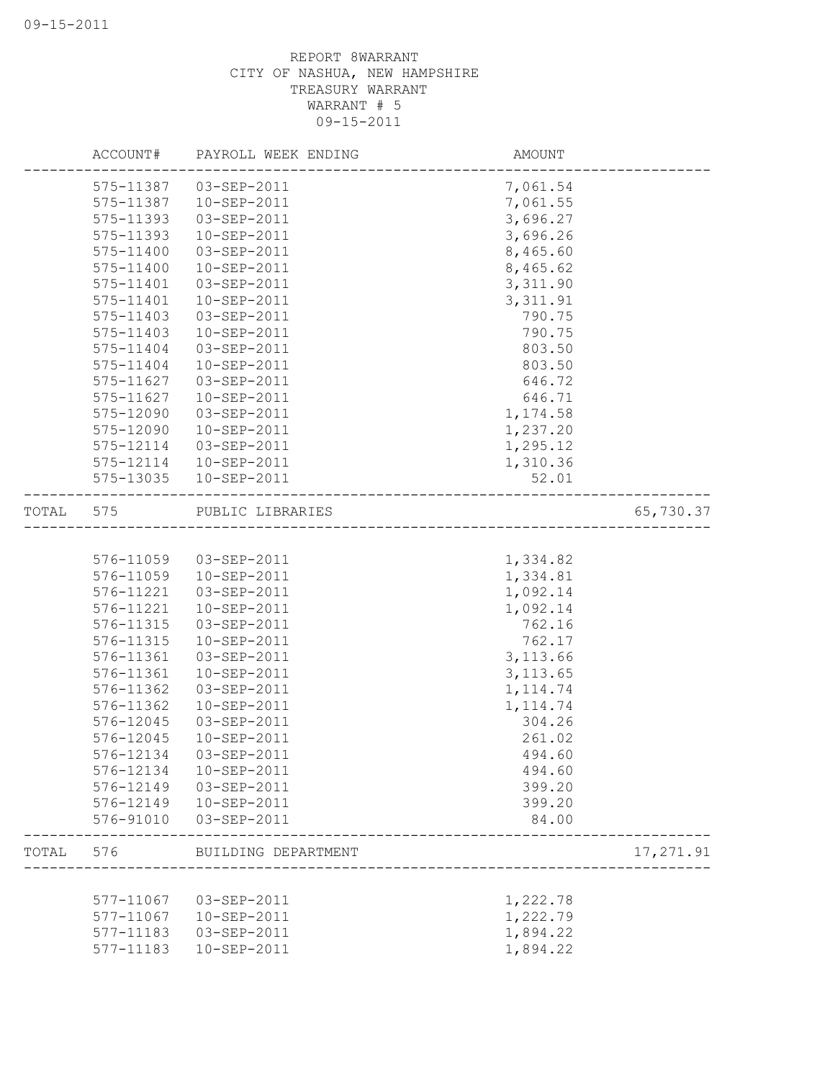|       | ACCOUNT#  | PAYROLL WEEK ENDING    | AMOUNT    |           |
|-------|-----------|------------------------|-----------|-----------|
|       | 575-11387 | 03-SEP-2011            | 7,061.54  |           |
|       | 575-11387 | 10-SEP-2011            | 7,061.55  |           |
|       | 575-11393 | 03-SEP-2011            | 3,696.27  |           |
|       | 575-11393 | 10-SEP-2011            | 3,696.26  |           |
|       | 575-11400 | 03-SEP-2011            | 8,465.60  |           |
|       | 575-11400 | 10-SEP-2011            | 8,465.62  |           |
|       | 575-11401 | 03-SEP-2011            | 3,311.90  |           |
|       | 575-11401 | 10-SEP-2011            | 3, 311.91 |           |
|       | 575-11403 | 03-SEP-2011            | 790.75    |           |
|       | 575-11403 | 10-SEP-2011            | 790.75    |           |
|       | 575-11404 | 03-SEP-2011            | 803.50    |           |
|       | 575-11404 | 10-SEP-2011            | 803.50    |           |
|       | 575-11627 | 03-SEP-2011            | 646.72    |           |
|       | 575-11627 | 10-SEP-2011            | 646.71    |           |
|       | 575-12090 | 03-SEP-2011            | 1,174.58  |           |
|       | 575-12090 | 10-SEP-2011            | 1,237.20  |           |
|       | 575-12114 | 03-SEP-2011            | 1,295.12  |           |
|       |           | 575-12114  10-SEP-2011 | 1,310.36  |           |
|       | 575-13035 | 10-SEP-2011            | 52.01     |           |
| TOTAL | 575       | PUBLIC LIBRARIES       |           | 65,730.37 |
|       |           |                        |           |           |
|       | 576-11059 | 03-SEP-2011            | 1,334.82  |           |
|       | 576-11059 | 10-SEP-2011            | 1,334.81  |           |
|       | 576-11221 | 03-SEP-2011            | 1,092.14  |           |
|       | 576-11221 | 10-SEP-2011            | 1,092.14  |           |
|       | 576-11315 | 03-SEP-2011            | 762.16    |           |
|       | 576-11315 | 10-SEP-2011            | 762.17    |           |
|       | 576-11361 | 03-SEP-2011            | 3, 113.66 |           |
|       | 576-11361 | 10-SEP-2011            | 3, 113.65 |           |
|       | 576-11362 | 03-SEP-2011            | 1, 114.74 |           |
|       | 576-11362 | 10-SEP-2011            | 1, 114.74 |           |
|       | 576-12045 | 03-SEP-2011            | 304.26    |           |
|       | 576-12045 | 10-SEP-2011            | 261.02    |           |
|       | 576-12134 | 03-SEP-2011            | 494.60    |           |
|       | 576-12134 | 10-SEP-2011            | 494.60    |           |
|       | 576-12149 | 03-SEP-2011            | 399.20    |           |
|       | 576-12149 | 10-SEP-2011            | 399.20    |           |
|       | 576-91010 | 03-SEP-2011            | 84.00     |           |
| TOTAL | 576       | BUILDING DEPARTMENT    |           | 17,271.91 |
|       |           |                        |           |           |
|       | 577-11067 | 03-SEP-2011            | 1,222.78  |           |
|       | 577-11067 | 10-SEP-2011            | 1,222.79  |           |
|       | 577-11183 | 03-SEP-2011            | 1,894.22  |           |
|       | 577-11183 | 10-SEP-2011            | 1,894.22  |           |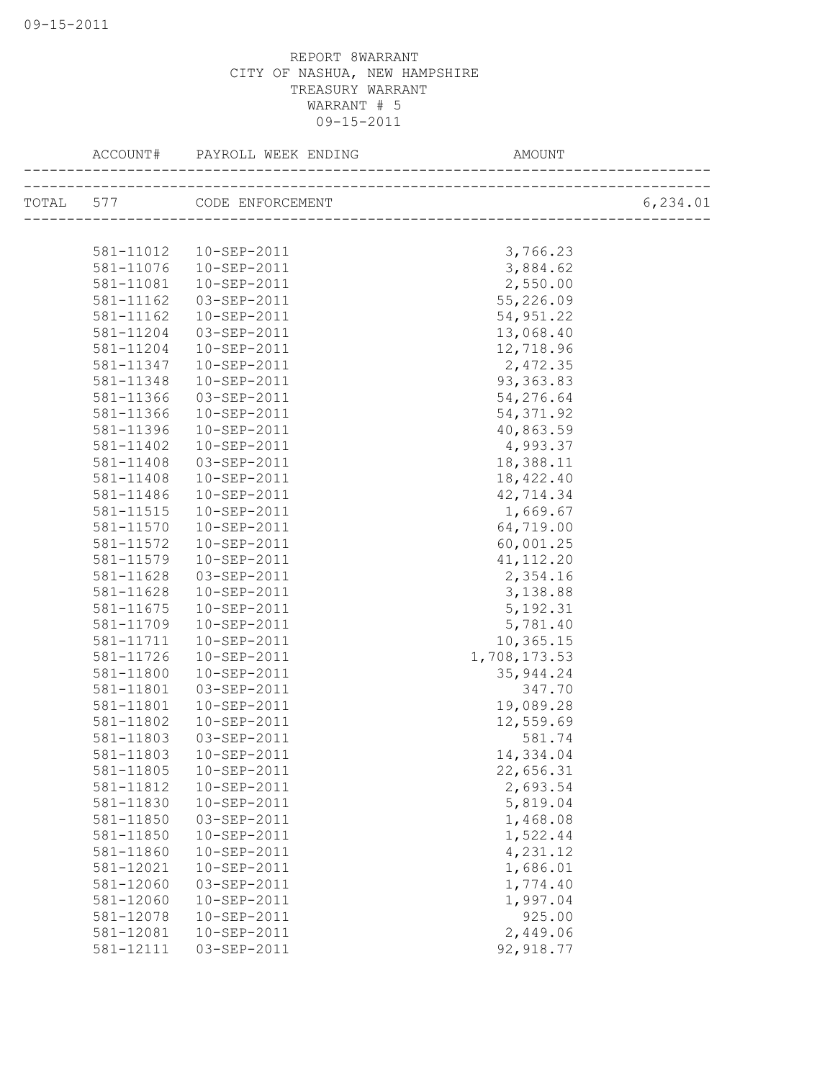| ACCOUNT#  | PAYROLL WEEK ENDING<br>--------------------------- | AMOUNT                     |           |
|-----------|----------------------------------------------------|----------------------------|-----------|
|           | TOTAL 577 CODE ENFORCEMENT                         | __________________________ | 6, 234.01 |
|           |                                                    |                            |           |
| 581-11012 | 10-SEP-2011                                        | 3,766.23                   |           |
| 581-11076 | 10-SEP-2011                                        | 3,884.62                   |           |
| 581-11081 | 10-SEP-2011                                        | 2,550.00                   |           |
| 581-11162 | 03-SEP-2011                                        | 55,226.09                  |           |
| 581-11162 | $10 - SEP - 2011$                                  | 54, 951.22                 |           |
| 581-11204 | 03-SEP-2011                                        | 13,068.40                  |           |
| 581-11204 | 10-SEP-2011                                        | 12,718.96                  |           |
| 581-11347 | 10-SEP-2011                                        | 2,472.35                   |           |
| 581-11348 | 10-SEP-2011                                        | 93, 363.83                 |           |
| 581-11366 | 03-SEP-2011                                        | 54,276.64                  |           |
| 581-11366 | 10-SEP-2011                                        | 54, 371.92                 |           |
| 581-11396 | $10 - SEP - 2011$                                  | 40,863.59                  |           |
| 581-11402 | 10-SEP-2011                                        | 4,993.37                   |           |
| 581-11408 | 03-SEP-2011                                        | 18,388.11                  |           |
| 581-11408 | 10-SEP-2011                                        | 18,422.40                  |           |
| 581-11486 | $10 - SEP - 2011$                                  | 42,714.34                  |           |
| 581-11515 | 10-SEP-2011                                        | 1,669.67                   |           |
| 581-11570 | 10-SEP-2011                                        | 64,719.00                  |           |
| 581-11572 | $10 - SEP - 2011$                                  | 60,001.25                  |           |
| 581-11579 | 10-SEP-2011                                        | 41, 112.20                 |           |
| 581-11628 | 03-SEP-2011                                        | 2,354.16                   |           |
| 581-11628 | 10-SEP-2011                                        | 3,138.88                   |           |
| 581-11675 | 10-SEP-2011                                        | 5, 192.31                  |           |
| 581-11709 | 10-SEP-2011                                        | 5,781.40                   |           |
| 581-11711 | 10-SEP-2011                                        | 10,365.15                  |           |
| 581-11726 | 10-SEP-2011                                        | 1,708,173.53               |           |
| 581-11800 | 10-SEP-2011                                        | 35, 944.24                 |           |
| 581-11801 | 03-SEP-2011                                        | 347.70                     |           |
| 581-11801 | 10-SEP-2011                                        | 19,089.28                  |           |
| 581-11802 | 10-SEP-2011                                        | 12,559.69                  |           |
| 581-11803 | 03-SEP-2011                                        | 581.74                     |           |
| 581-11803 | 10-SEP-2011                                        | 14,334.04                  |           |
| 581-11805 | 10-SEP-2011                                        | 22,656.31                  |           |
| 581-11812 | 10-SEP-2011                                        | 2,693.54                   |           |
| 581-11830 | 10-SEP-2011                                        | 5,819.04                   |           |
| 581-11850 | 03-SEP-2011                                        | 1,468.08                   |           |
| 581-11850 | 10-SEP-2011                                        | 1,522.44                   |           |
| 581-11860 | 10-SEP-2011                                        | 4,231.12                   |           |
| 581-12021 | 10-SEP-2011                                        | 1,686.01                   |           |
| 581-12060 | 03-SEP-2011                                        | 1,774.40                   |           |
| 581-12060 | 10-SEP-2011                                        | 1,997.04                   |           |
| 581-12078 | 10-SEP-2011                                        | 925.00                     |           |
| 581-12081 | 10-SEP-2011                                        | 2,449.06                   |           |
| 581-12111 | 03-SEP-2011                                        | 92, 918.77                 |           |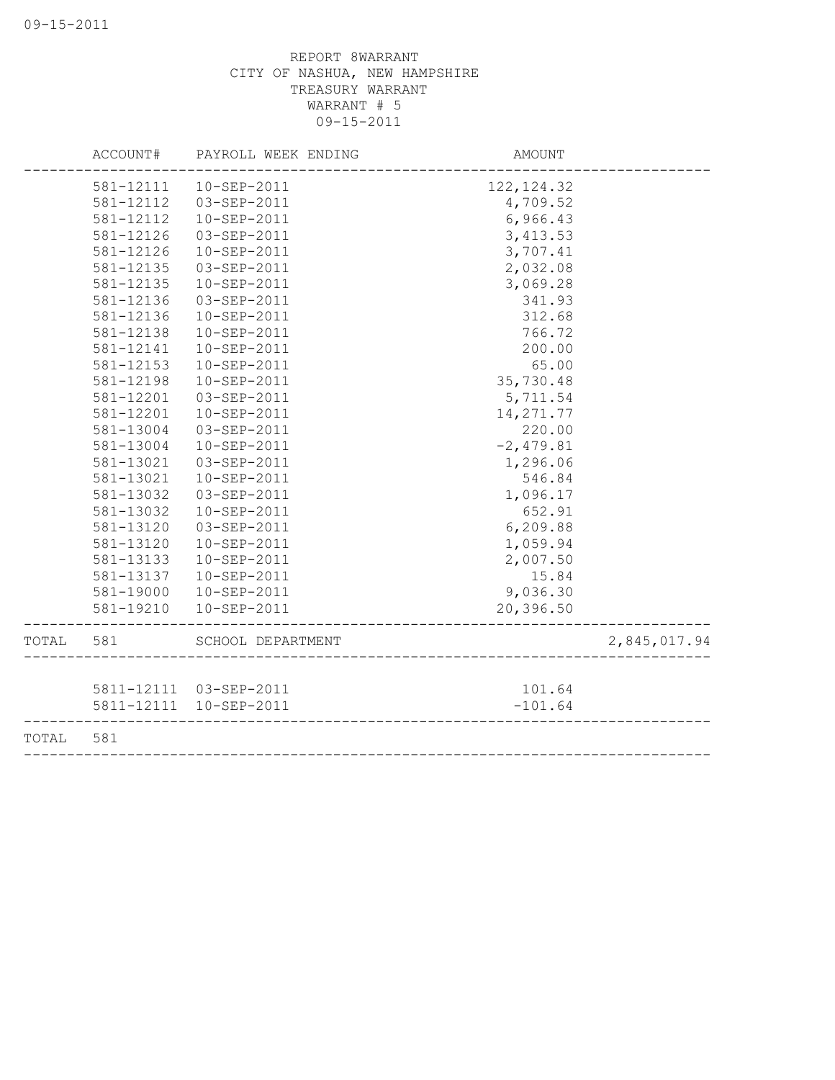|       | ACCOUNT#  | PAYROLL WEEK ENDING     | AMOUNT      |              |
|-------|-----------|-------------------------|-------------|--------------|
|       | 581-12111 | 10-SEP-2011             | 122, 124.32 |              |
|       | 581-12112 | 03-SEP-2011             | 4,709.52    |              |
|       | 581-12112 | 10-SEP-2011             | 6,966.43    |              |
|       | 581-12126 | 03-SEP-2011             | 3, 413.53   |              |
|       | 581-12126 | 10-SEP-2011             | 3,707.41    |              |
|       | 581-12135 | 03-SEP-2011             | 2,032.08    |              |
|       | 581-12135 | 10-SEP-2011             | 3,069.28    |              |
|       | 581-12136 | 03-SEP-2011             | 341.93      |              |
|       | 581-12136 | 10-SEP-2011             | 312.68      |              |
|       | 581-12138 | 10-SEP-2011             | 766.72      |              |
|       | 581-12141 | 10-SEP-2011             | 200.00      |              |
|       | 581-12153 | 10-SEP-2011             | 65.00       |              |
|       | 581-12198 | 10-SEP-2011             | 35,730.48   |              |
|       | 581-12201 | 03-SEP-2011             | 5,711.54    |              |
|       | 581-12201 | 10-SEP-2011             | 14, 271.77  |              |
|       | 581-13004 | $03 - SEP - 2011$       | 220.00      |              |
|       | 581-13004 | 10-SEP-2011             | $-2,479.81$ |              |
|       | 581-13021 | 03-SEP-2011             | 1,296.06    |              |
|       | 581-13021 | 10-SEP-2011             | 546.84      |              |
|       | 581-13032 | 03-SEP-2011             | 1,096.17    |              |
|       | 581-13032 | 10-SEP-2011             | 652.91      |              |
|       | 581-13120 | 03-SEP-2011             | 6,209.88    |              |
|       | 581-13120 | 10-SEP-2011             | 1,059.94    |              |
|       | 581-13133 | 10-SEP-2011             | 2,007.50    |              |
|       | 581-13137 | 10-SEP-2011             | 15.84       |              |
|       | 581-19000 | 10-SEP-2011             | 9,036.30    |              |
|       | 581-19210 | 10-SEP-2011             | 20,396.50   |              |
| TOTAL | 581       | SCHOOL DEPARTMENT       |             | 2,845,017.94 |
|       |           | 5811-12111  03-SEP-2011 | 101.64      |              |
|       |           | 5811-12111  10-SEP-2011 | $-101.64$   |              |
| TOTAL | 581       |                         |             |              |
|       |           |                         |             |              |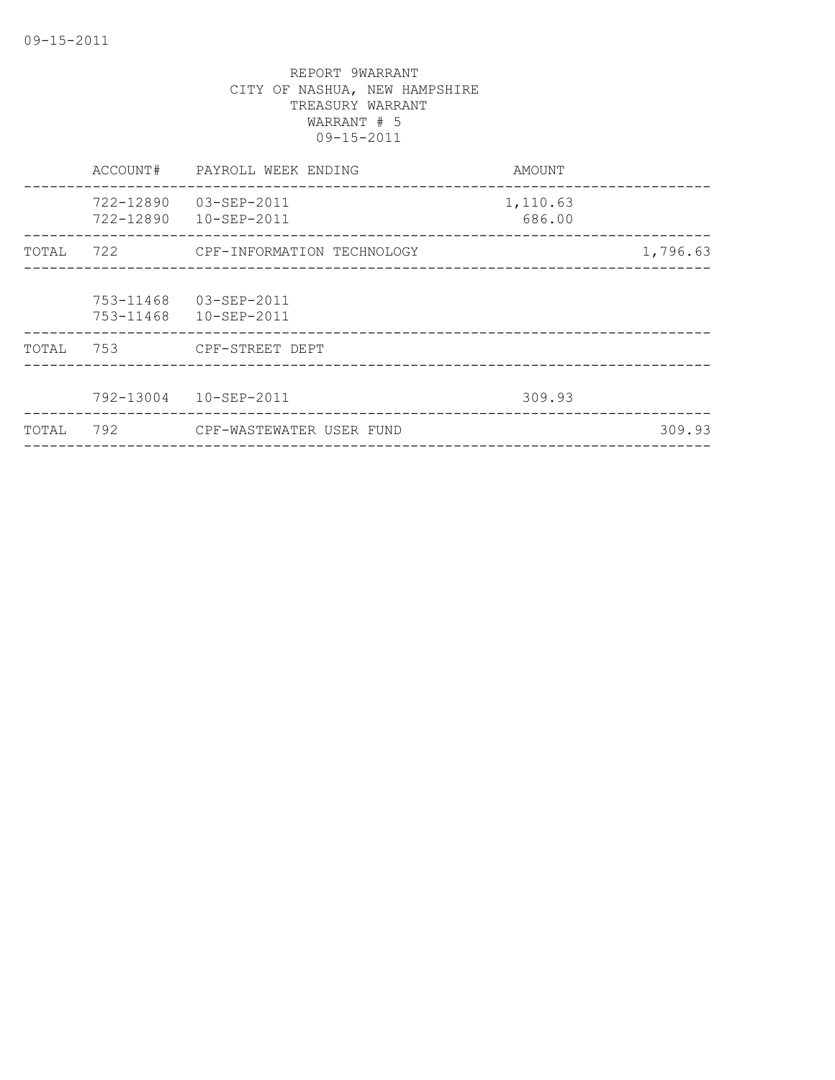|       | ACCOUNT#               | PAYROLL WEEK ENDING        | AMOUNT             |          |
|-------|------------------------|----------------------------|--------------------|----------|
|       | 722-12890<br>722-12890 | 03-SEP-2011<br>10-SEP-2011 | 1,110.63<br>686.00 |          |
| TOTAL | 722                    | CPF-INFORMATION TECHNOLOGY |                    | 1,796.63 |
|       | 753-11468<br>753-11468 | 03-SEP-2011<br>10-SEP-2011 |                    |          |
| TOTAL | 753                    | CPF-STREET DEPT            |                    |          |
|       |                        | 792-13004  10-SEP-2011     | 309.93             |          |
| TOTAL | 792                    | CPF-WASTEWATER USER FUND   |                    | 309.93   |
|       |                        |                            |                    |          |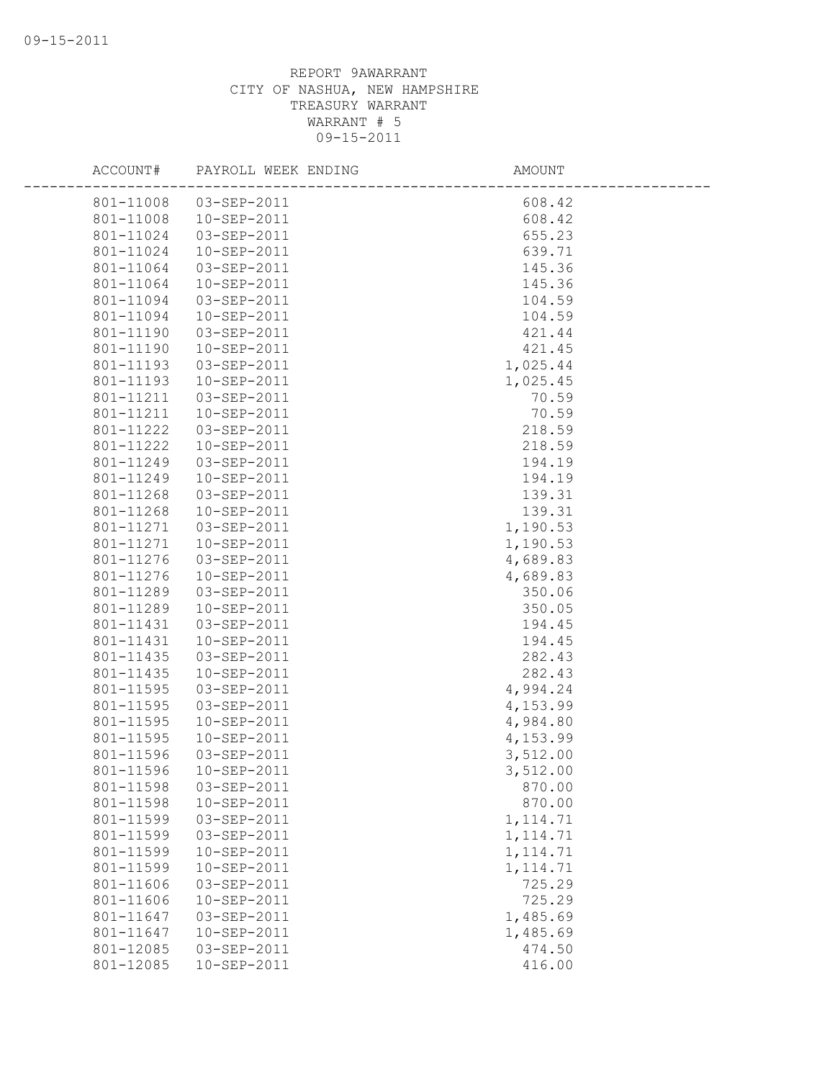| ACCOUNT#               | PAYROLL WEEK ENDING        | AMOUNT                 |  |
|------------------------|----------------------------|------------------------|--|
|                        | 801-11008  03-SEP-2011     | 608.42                 |  |
| 801-11008              | 10-SEP-2011                | 608.42                 |  |
| 801-11024              | 03-SEP-2011                | 655.23                 |  |
| 801-11024              | 10-SEP-2011                | 639.71                 |  |
| 801-11064              | 03-SEP-2011                | 145.36                 |  |
| 801-11064              | 10-SEP-2011                | 145.36                 |  |
| 801-11094              | 03-SEP-2011                | 104.59                 |  |
| 801-11094              | 10-SEP-2011                | 104.59                 |  |
| 801-11190              | 03-SEP-2011                | 421.44                 |  |
| 801-11190              | 10-SEP-2011                | 421.45                 |  |
| 801-11193              | 03-SEP-2011                | 1,025.44               |  |
| 801-11193              | 10-SEP-2011                | 1,025.45               |  |
| 801-11211              | 03-SEP-2011                | 70.59                  |  |
| 801-11211              | $10 - SEP - 2011$          | 70.59                  |  |
| 801-11222              | 03-SEP-2011                | 218.59                 |  |
| 801-11222              | 10-SEP-2011                | 218.59                 |  |
| 801-11249              | 03-SEP-2011                | 194.19                 |  |
| 801-11249              | 10-SEP-2011                | 194.19                 |  |
| 801-11268              | 03-SEP-2011                | 139.31                 |  |
| 801-11268              | 10-SEP-2011                | 139.31                 |  |
| 801-11271              | 03-SEP-2011                | 1,190.53               |  |
| 801-11271              | 10-SEP-2011                | 1,190.53               |  |
| 801-11276              | 03-SEP-2011                | 4,689.83               |  |
| 801-11276              | 10-SEP-2011                | 4,689.83               |  |
| 801-11289              | 03-SEP-2011                | 350.06                 |  |
| 801-11289              | 10-SEP-2011                | 350.05                 |  |
| 801-11431              | 03-SEP-2011                | 194.45                 |  |
| 801-11431              | 10-SEP-2011                | 194.45                 |  |
| 801-11435              | 03-SEP-2011                | 282.43                 |  |
| 801-11435              | 10-SEP-2011                | 282.43                 |  |
| 801-11595              | 03-SEP-2011                | 4,994.24               |  |
| 801-11595              | 03-SEP-2011                | 4,153.99               |  |
| 801-11595              | 10-SEP-2011                | 4,984.80               |  |
| 801-11595              | 10-SEP-2011                | 4,153.99               |  |
| 801-11596              | 03-SEP-2011                | 3,512.00               |  |
| 801-11596              | $10 - SEP - 2011$          | 3,512.00               |  |
| 801-11598              | 03-SEP-2011                | 870.00                 |  |
| 801-11598              | 10-SEP-2011                | 870.00                 |  |
| 801-11599<br>801-11599 | 03-SEP-2011<br>03-SEP-2011 | 1, 114.71              |  |
| 801-11599              | 10-SEP-2011                | 1, 114.71<br>1, 114.71 |  |
| 801-11599              | 10-SEP-2011                | 1, 114.71              |  |
| 801-11606              | 03-SEP-2011                | 725.29                 |  |
| 801-11606              | 10-SEP-2011                | 725.29                 |  |
| 801-11647              | 03-SEP-2011                | 1,485.69               |  |
| 801-11647              | 10-SEP-2011                | 1,485.69               |  |
| 801-12085              | 03-SEP-2011                | 474.50                 |  |
| 801-12085              | 10-SEP-2011                | 416.00                 |  |
|                        |                            |                        |  |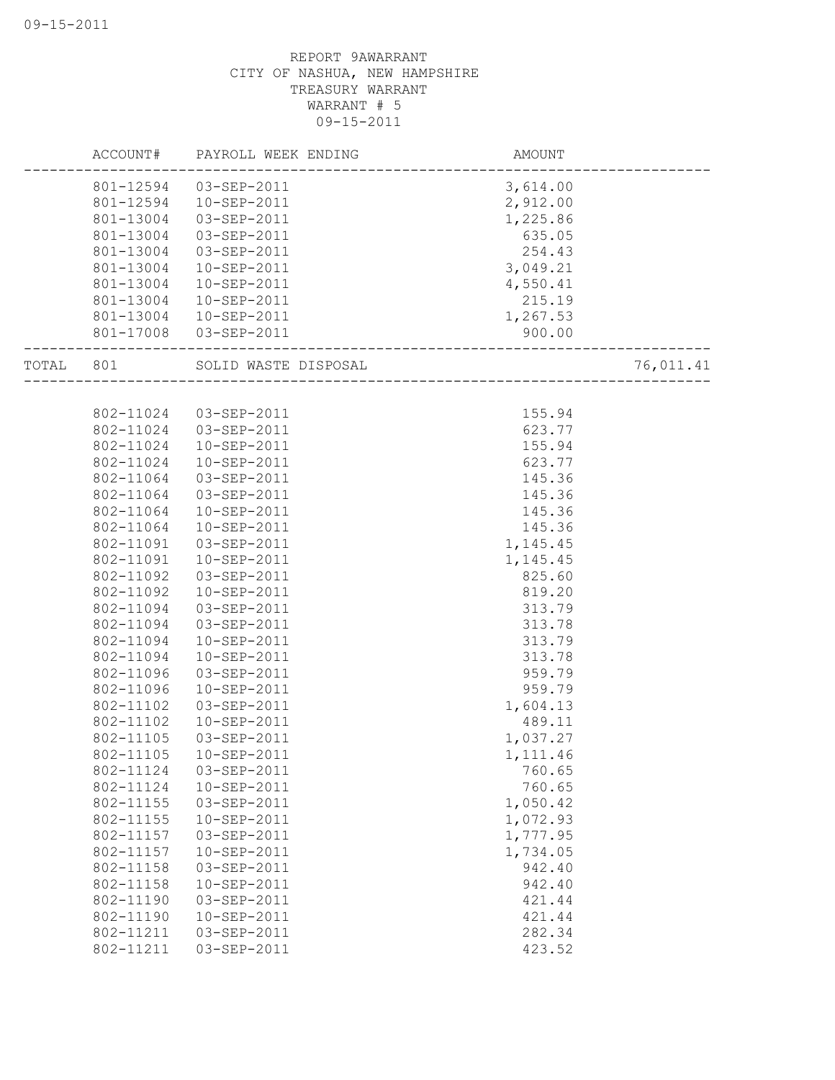|       | ACCOUNT#  | PAYROLL WEEK ENDING   | AMOUNT   |           |
|-------|-----------|-----------------------|----------|-----------|
|       | 801-12594 | 03-SEP-2011           | 3,614.00 |           |
|       | 801-12594 | 10-SEP-2011           | 2,912.00 |           |
|       | 801-13004 | 03-SEP-2011           | 1,225.86 |           |
|       | 801-13004 | 03-SEP-2011           | 635.05   |           |
|       | 801-13004 | 03-SEP-2011           | 254.43   |           |
|       | 801-13004 | 10-SEP-2011           | 3,049.21 |           |
|       | 801-13004 | 10-SEP-2011           | 4,550.41 |           |
|       | 801-13004 | 10-SEP-2011           | 215.19   |           |
|       | 801-13004 | 10-SEP-2011           | 1,267.53 |           |
|       | 801-17008 | 03-SEP-2011           | 900.00   |           |
| TOTAL | 801       | SOLID WASTE DISPOSAL  |          | 76,011.41 |
|       |           |                       |          |           |
|       |           | 802-11024 03-SEP-2011 | 155.94   |           |
|       | 802-11024 | 03-SEP-2011           | 623.77   |           |
|       | 802-11024 | 10-SEP-2011           | 155.94   |           |
|       | 802-11024 | 10-SEP-2011           | 623.77   |           |
|       | 802-11064 | 03-SEP-2011           | 145.36   |           |
|       | 802-11064 | 03-SEP-2011           | 145.36   |           |
|       | 802-11064 | 10-SEP-2011           | 145.36   |           |
|       | 802-11064 | 10-SEP-2011           | 145.36   |           |
|       | 802-11091 | 03-SEP-2011           | 1,145.45 |           |
|       | 802-11091 | 10-SEP-2011           | 1,145.45 |           |
|       | 802-11092 | 03-SEP-2011           | 825.60   |           |
|       | 802-11092 | 10-SEP-2011           | 819.20   |           |
|       | 802-11094 | 03-SEP-2011           | 313.79   |           |
|       | 802-11094 | 03-SEP-2011           | 313.78   |           |
|       | 802-11094 | 10-SEP-2011           | 313.79   |           |
|       | 802-11094 | 10-SEP-2011           | 313.78   |           |
|       | 802-11096 | 03-SEP-2011           | 959.79   |           |
|       | 802-11096 | 10-SEP-2011           | 959.79   |           |
|       | 802-11102 | 03-SEP-2011           | 1,604.13 |           |
|       | 802-11102 | 10-SEP-2011           | 489.11   |           |
|       | 802-11105 | 03-SEP-2011           | 1,037.27 |           |
|       | 802-11105 | $10-SEP-2011$         | 1,111.46 |           |
|       | 802-11124 | 03-SEP-2011           | 760.65   |           |
|       | 802-11124 | 10-SEP-2011           | 760.65   |           |
|       | 802-11155 | 03-SEP-2011           | 1,050.42 |           |
|       | 802-11155 | 10-SEP-2011           | 1,072.93 |           |
|       | 802-11157 | 03-SEP-2011           | 1,777.95 |           |
|       | 802-11157 | 10-SEP-2011           | 1,734.05 |           |
|       | 802-11158 | 03-SEP-2011           | 942.40   |           |
|       | 802-11158 | 10-SEP-2011           | 942.40   |           |
|       | 802-11190 | 03-SEP-2011           | 421.44   |           |
|       | 802-11190 | 10-SEP-2011           | 421.44   |           |
|       | 802-11211 | 03-SEP-2011           | 282.34   |           |
|       | 802-11211 | 03-SEP-2011           | 423.52   |           |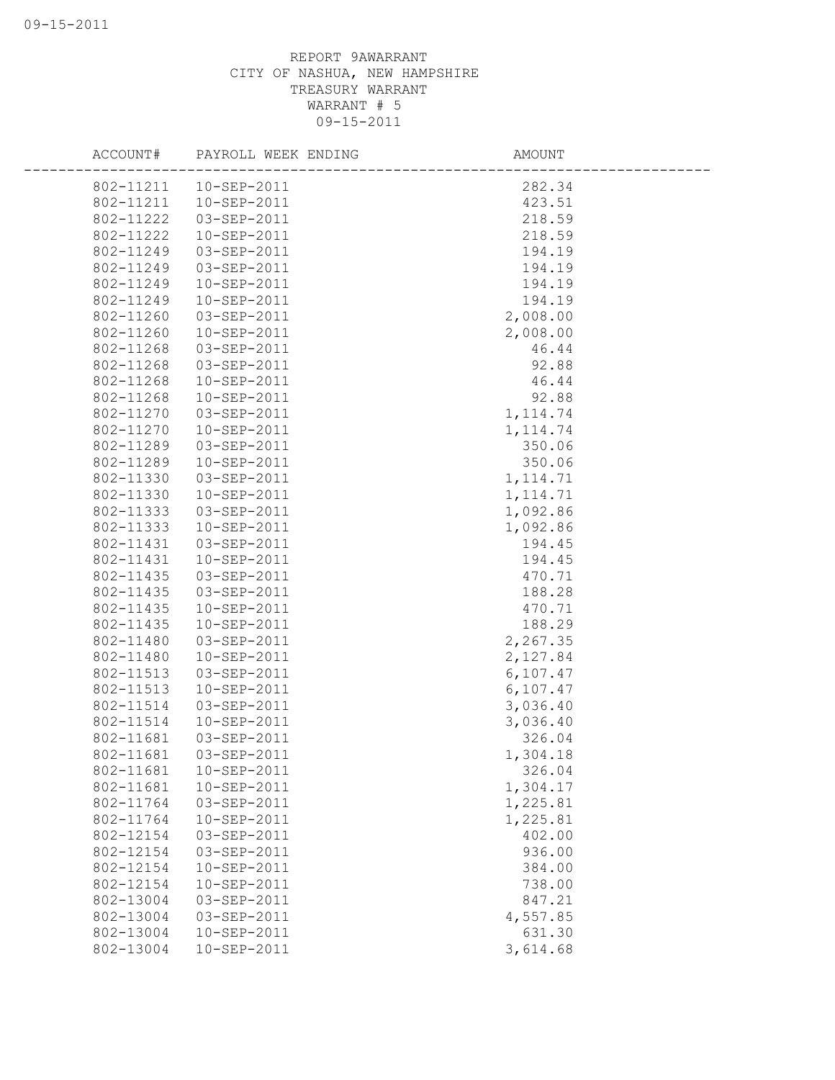| ACCOUNT#  | PAYROLL WEEK ENDING | AMOUNT    |
|-----------|---------------------|-----------|
| 802-11211 | $10 - SEP - 2011$   | 282.34    |
| 802-11211 | 10-SEP-2011         | 423.51    |
| 802-11222 | 03-SEP-2011         | 218.59    |
| 802-11222 | 10-SEP-2011         | 218.59    |
| 802-11249 | 03-SEP-2011         | 194.19    |
| 802-11249 | 03-SEP-2011         | 194.19    |
| 802-11249 | 10-SEP-2011         | 194.19    |
| 802-11249 | 10-SEP-2011         | 194.19    |
| 802-11260 | 03-SEP-2011         | 2,008.00  |
| 802-11260 | 10-SEP-2011         | 2,008.00  |
| 802-11268 | 03-SEP-2011         | 46.44     |
| 802-11268 | 03-SEP-2011         | 92.88     |
| 802-11268 | 10-SEP-2011         | 46.44     |
| 802-11268 | 10-SEP-2011         | 92.88     |
| 802-11270 | 03-SEP-2011         | 1, 114.74 |
| 802-11270 | 10-SEP-2011         | 1, 114.74 |
| 802-11289 | 03-SEP-2011         | 350.06    |
| 802-11289 | 10-SEP-2011         | 350.06    |
| 802-11330 | 03-SEP-2011         | 1, 114.71 |
| 802-11330 | 10-SEP-2011         | 1, 114.71 |
| 802-11333 | 03-SEP-2011         | 1,092.86  |
| 802-11333 | 10-SEP-2011         | 1,092.86  |
| 802-11431 | 03-SEP-2011         | 194.45    |
| 802-11431 | 10-SEP-2011         | 194.45    |
| 802-11435 | 03-SEP-2011         | 470.71    |
| 802-11435 | 03-SEP-2011         | 188.28    |
| 802-11435 | 10-SEP-2011         | 470.71    |
| 802-11435 | 10-SEP-2011         | 188.29    |
| 802-11480 | 03-SEP-2011         | 2,267.35  |
| 802-11480 | 10-SEP-2011         | 2,127.84  |
| 802-11513 | 03-SEP-2011         | 6, 107.47 |
| 802-11513 | 10-SEP-2011         | 6,107.47  |
| 802-11514 | 03-SEP-2011         | 3,036.40  |
| 802-11514 | 10-SEP-2011         | 3,036.40  |
| 802-11681 | 03-SEP-2011         | 326.04    |
| 802-11681 | 03-SEP-2011         | 1,304.18  |
| 802-11681 | 10-SEP-2011         | 326.04    |
| 802-11681 | 10-SEP-2011         | 1,304.17  |
| 802-11764 | 03-SEP-2011         | 1,225.81  |
| 802-11764 | 10-SEP-2011         | 1,225.81  |
| 802-12154 | 03-SEP-2011         | 402.00    |
| 802-12154 | 03-SEP-2011         | 936.00    |
| 802-12154 | 10-SEP-2011         | 384.00    |
| 802-12154 | 10-SEP-2011         | 738.00    |
| 802-13004 | 03-SEP-2011         | 847.21    |
| 802-13004 | 03-SEP-2011         | 4,557.85  |
| 802-13004 | 10-SEP-2011         | 631.30    |
| 802-13004 | 10-SEP-2011         | 3,614.68  |
|           |                     |           |